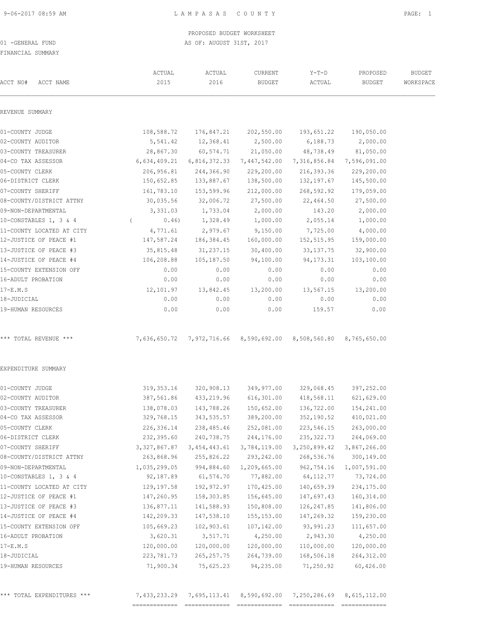## PROPOSED BUDGET WORKSHEET

01 -GENERAL FUND AS OF: AUGUST 31ST, 2017

FINANCIAL SUMMARY

| ACCT NAME                 | ACTUAL                   | ACTUAL                    | CURRENT                   | $Y-T-D$                  | PROPOSED                  | <b>BUDGET</b><br>WORKSPACE |
|---------------------------|--------------------------|---------------------------|---------------------------|--------------------------|---------------------------|----------------------------|
| ACCT NO#                  | 2015                     | 2016                      | <b>BUDGET</b>             | ACTUAL                   | <b>BUDGET</b>             |                            |
| REVENUE SUMMARY           |                          |                           |                           |                          |                           |                            |
| 01-COUNTY JUDGE           | 108,588.72               | 176,847.21                | 202,550.00                | 193,651.22               | 190,050.00                |                            |
| 02-COUNTY AUDITOR         | 5,541.42                 | 12,368.41                 | 2,500.00                  | 6,188.73                 | 2,000.00                  |                            |
| 03-COUNTY TREASURER       | 28,867.30                | 60,574.71                 | 21,050.00                 | 48,738.49                | 81,050.00                 |                            |
| 04-CO TAX ASSESSOR        | 6,634,409.21             |                           | 6,816,372.33 7,447,542.00 |                          | 7,316,856.84 7,596,091.00 |                            |
| 05-COUNTY CLERK           | 206,956.81               | 244,366.90                | 229,200.00                | 216,393.36               | 229,200.00                |                            |
| 06-DISTRICT CLERK         | 150,652.85               | 133,887.67                | 138,500.00                | 132,197.67               | 145,500.00                |                            |
| 07-COUNTY SHERIFF         | 161,783.10               | 153,599.96                | 212,000.00                | 268,592.92               | 179,059.00                |                            |
| 08-COUNTY/DISTRICT ATTNY  | 30,035.56                | 32,006.72                 | 27,500.00                 | 22,464.50                | 27,500.00                 |                            |
| 09-NON-DEPARTMENTAL       | 3,331.03                 | 1,733.04                  | 2,000.00                  | 143.20                   | 2,000.00                  |                            |
| 10-CONSTABLES 1, 3 & 4    | 0.46)                    | 1,328.49                  | 1,000.00                  | 2,055.14                 | 1,000.00                  |                            |
| 11-COUNTY LOCATED AT CITY | 4,771.61                 | 2,979.67                  | 9,150.00                  | 7,725.00                 | 4,000.00                  |                            |
| 12-JUSTICE OF PEACE #1    | 147,587.24               | 186,384.45                | 160,000.00                | 152,515.95               | 159,000.00                |                            |
| 13-JUSTICE OF PEACE #3    | 35,815.48                | 31, 237. 15               | 30,400.00                 | 33, 137. 75              | 32,900.00                 |                            |
| 14-JUSTICE OF PEACE #4    | 106,208.88               | 105,187.50                | 94,100.00                 | 94, 173. 31              | 103,100.00                |                            |
| 15-COUNTY EXTENSION OFF   | 0.00                     | 0.00                      | 0.00                      | 0.00                     | 0.00                      |                            |
| 16-ADULT PROBATION        | 0.00                     | 0.00                      | 0.00                      | 0.00                     | 0.00                      |                            |
| 17-E.M.S                  | 12,101.97                | 13,842.45                 | 13,200.00                 | 13,567.15                | 13,200.00                 |                            |
| 18-JUDICIAL               | 0.00                     | 0.00                      | 0.00                      | 0.00                     | 0.00                      |                            |
| 19-HUMAN RESOURCES        | 0.00                     | 0.00                      | 0.00                      | 159.57                   | 0.00                      |                            |
| *** TOTAL REVENUE ***     | 7,636,650.72             |                           | 7,972,716.66 8,590,692.00 | 8,508,560.80             | 8,765,650.00              |                            |
| EXPENDITURE SUMMARY       |                          |                           |                           |                          |                           |                            |
| 01-COUNTY JUDGE           | 319, 353.16              | 320,908.13                | 349,977.00                | 329,068.45               | 397,252.00                |                            |
| 02-COUNTY AUDITOR         | 387,561.86               | 433,219.96                | 616,301.00                | 418,568.11               | 621,629.00                |                            |
| 03-COUNTY TREASURER       | 138,078.03               | 143,788.26                | 150,652.00                | 136,722.00               | 154,241.00                |                            |
| 04-CO TAX ASSESSOR        | 329,768.15               | 343,535.57                | 389,200.00                | 352,190.52               | 410,021.00                |                            |
| 05-COUNTY CLERK           |                          | 238,485.46                | 252,081.00                | 223,546.15               | 263,000.00                |                            |
|                           | 226,336.14               |                           |                           |                          |                           |                            |
| 06-DISTRICT CLERK         | 232,395.60               | 240,738.75                | 244,176.00                | 235, 322.73              | 264,069.00                |                            |
| 07-COUNTY SHERIFF         | 3, 327, 867.87           | 3, 454, 443.61            | 3,784,119.00              | 3,250,899.42             | 3,867,266.00              |                            |
| 08-COUNTY/DISTRICT ATTNY  | 263,868.96               | 255,826.22                | 293,242.00                | 268,536.76               | 300,149.00                |                            |
| 09-NON-DEPARTMENTAL       | 1,035,299.05             | 994,884.60                | 1,209,665.00              | 962,754.16               | 1,007,591.00              |                            |
| 10-CONSTABLES 1, 3 & 4    | 92,187.89                | 61,574.70                 | 77,882.00                 | 64,112.77                | 73,724.00                 |                            |
| 11-COUNTY LOCATED AT CITY |                          |                           |                           |                          |                           |                            |
| 12-JUSTICE OF PEACE #1    | 129,197.58<br>147,260.95 | 192,972.97<br>158,303.85  | 170,425.00<br>156,645.00  | 140,659.39<br>147,697.43 | 234,175.00<br>160,314.00  |                            |
| 13-JUSTICE OF PEACE #3    | 136,877.11               | 141,588.93                | 150,808.00                | 126, 247.85              | 141,806.00                |                            |
| 14-JUSTICE OF PEACE #4    |                          |                           |                           | 147,269.32               |                           |                            |
|                           | 142,209.33               | 147,538.10                | 155, 153.00               |                          | 159,230.00                |                            |
| 15-COUNTY EXTENSION OFF   | 105,669.23               | 102,903.61                | 107,142.00                | 93,991.23                | 111,657.00                |                            |
| 16-ADULT PROBATION        | 3,620.31                 | 3,517.71                  | 4,250.00                  | 2,943.30                 | 4,250.00                  |                            |
| $17-E.M.S$<br>18-JUDICIAL | 120,000.00<br>223,781.73 | 120,000.00<br>265, 257.75 | 120,000.00<br>264,739.00  | 110,000.00<br>168,506.18 | 120,000.00<br>264, 312.00 |                            |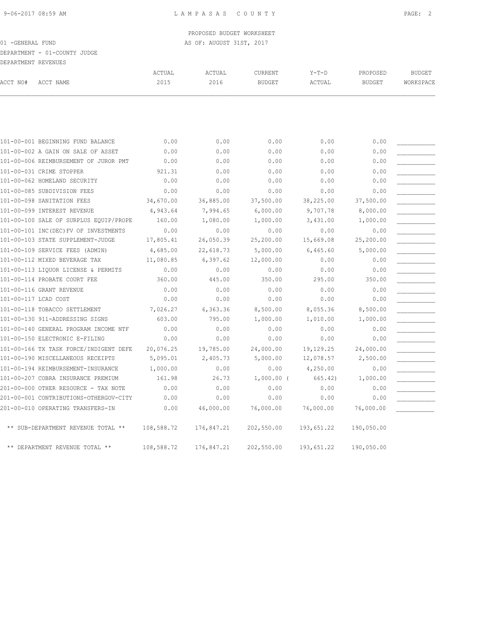DEPARTMENT - 01-COUNTY JUDGE

| .        | --------------      |        |        |         |             |               |           |
|----------|---------------------|--------|--------|---------|-------------|---------------|-----------|
|          | DEPARTMENT REVENUES |        |        |         |             |               |           |
|          |                     | ACTUAL | ACTUAL | CURRENT | $Y - T - D$ | PROPOSED      | BUDGET    |
| ACCT NO# | ACCT NAME           |        | 2016   | BUDGET  | ACTUAL      | <b>BUDGET</b> | WORKSPACE |

|                      | 101-00-001 BEGINNING FUND BALANCE      | 0.00       | 0.00       | 0.00         | 0.00       | 0.00       |  |
|----------------------|----------------------------------------|------------|------------|--------------|------------|------------|--|
|                      | 101-00-002 A GAIN ON SALE OF ASSET     | 0.00       | 0.00       | 0.00         | 0.00       | 0.00       |  |
|                      | 101-00-006 REIMBURSEMENT OF JUROR PMT  | 0.00       | 0.00       | 0.00         | 0.00       | 0.00       |  |
|                      | 101-00-031 CRIME STOPPER               | 921.31     | 0.00       | 0.00         | 0.00       | 0.00       |  |
|                      | 101-00-062 HOMELAND SECURITY           | 0.00       | 0.00       | 0.00         | 0.00       | 0.00       |  |
|                      | 101-00-085 SUBDIVISION FEES            | 0.00       | 0.00       | 0.00         | 0.00       | 0.00       |  |
|                      | 101-00-098 SANITATION FEES             | 34,670.00  | 36,885.00  | 37,500.00    | 38,225.00  | 37,500.00  |  |
|                      | 101-00-099 INTEREST REVENUE            | 4,943.64   | 7,994.65   | 6,000.00     | 9,707.78   | 8,000.00   |  |
|                      | 101-00-100 SALE OF SURPLUS EQUIP/PROPE | 160.00     | 1,080.00   | 1,000.00     | 3,431.00   | 1,000.00   |  |
|                      | 101-00-101 INC(DEC) FV OF INVESTMENTS  | 0.00       | 0.00       | 0.00         | 0.00       | 0.00       |  |
|                      | 101-00-103 STATE SUPPLEMENT-JUDGE      | 17,805.41  | 26,050.39  | 25,200.00    | 15,669.08  | 25,200.00  |  |
|                      | 101-00-109 SERVICE FEES (ADMIN)        | 4,685.00   | 22,618.73  | 5,000.00     | 6,465.60   | 5,000.00   |  |
|                      | 101-00-112 MIXED BEVERAGE TAX          | 11,080.85  | 6, 397.62  | 12,000.00    | 0.00       | 0.00       |  |
|                      | 101-00-113 LIQUOR LICENSE & PERMITS    | 0.00       | 0.00       | 0.00         | 0.00       | 0.00       |  |
|                      | 101-00-114 PROBATE COURT FEE           | 360.00     | 445.00     | 350.00       | 295.00     | 350.00     |  |
|                      | 101-00-116 GRANT REVENUE               | 0.00       | 0.00       | 0.00         | 0.00       | 0.00       |  |
| 101-00-117 LCAD COST |                                        | 0.00       | 0.00       | 0.00         | 0.00       | 0.00       |  |
|                      | 101-00-118 TOBACCO SETTLEMENT          | 7,026.27   | 6,363.36   | 8,500.00     | 8,055.36   | 8,500.00   |  |
|                      | 101-00-130 911-ADDRESSING SIGNS        | 603.00     | 795.00     | 1,000.00     | 1,010.00   | 1,000.00   |  |
|                      | 101-00-140 GENERAL PROGRAM INCOME NTF  | 0.00       | 0.00       | 0.00         | 0.00       | 0.00       |  |
|                      | 101-00-150 ELECTRONIC E-FILING         | 0.00       | 0.00       | 0.00         | 0.00       | 0.00       |  |
|                      | 101-00-166 TX TASK FORCE/INDIGENT DEFE | 20,076.25  | 19,785.00  | 24,000.00    | 19,129.25  | 24,000.00  |  |
|                      | 101-00-190 MISCELLANEOUS RECEIPTS      | 5,095.01   | 2,405.73   | 5,000.00     | 12,078.57  | 2,500.00   |  |
|                      | 101-00-194 REIMBURSEMENT-INSURANCE     | 1,000.00   | 0.00       | 0.00         | 4,250.00   | 0.00       |  |
|                      | 101-00-207 COBRA INSURANCE PREMIUM     | 161.98     | 26.73      | $1,000.00$ ( | 665.42)    | 1,000.00   |  |
|                      | 201-00-000 OTHER RESOURCE - TAX NOTE   | 0.00       | 0.00       | 0.00         | 0.00       | 0.00       |  |
|                      | 201-00-001 CONTRIBUTIONS-OTHERGOV-CITY | 0.00       | 0.00       | 0.00         | 0.00       | 0.00       |  |
|                      | 201-00-010 OPERATING TRANSFERS-IN      | 0.00       | 46,000.00  | 76,000.00    | 76,000.00  | 76,000.00  |  |
|                      | ** SUB-DEPARTMENT REVENUE TOTAL **     | 108,588.72 | 176,847.21 | 202,550.00   | 193,651.22 | 190,050.00 |  |
|                      | ** DEPARTMENT REVENUE TOTAL **         | 108,588.72 | 176,847.21 | 202,550.00   | 193,651.22 | 190,050.00 |  |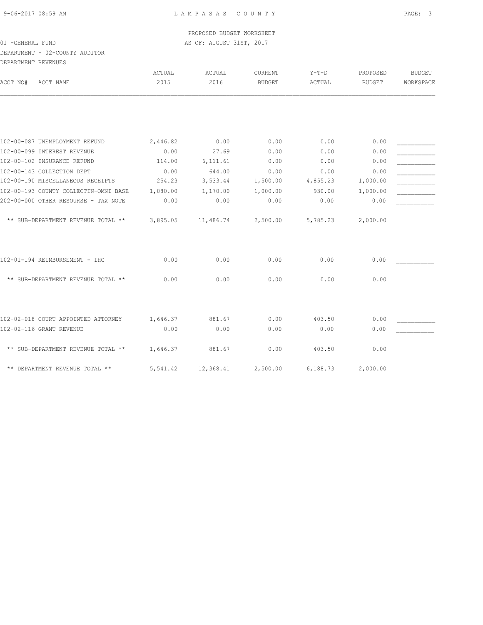DEPARTMENT - 02-COUNTY AUDITOR

| DEPARTMENT REVENUES |                                       |                |                |                                 |                   |                           |                            |
|---------------------|---------------------------------------|----------------|----------------|---------------------------------|-------------------|---------------------------|----------------------------|
| ACCT NO#            | ACCT NAME                             | ACTUAL<br>2015 | ACTUAL<br>2016 | <b>CURRENT</b><br><b>BUDGET</b> | $Y-T-D$<br>ACTUAL | PROPOSED<br><b>BUDGET</b> | <b>BUDGET</b><br>WORKSPACE |
|                     |                                       |                |                |                                 |                   |                           |                            |
|                     | 102-00-087 UNEMPLOYMENT REFUND        | 2,446.82       | 0.00           | 0.00                            | 0.00              | 0.00                      |                            |
|                     | 102-00-099 INTEREST REVENUE           | 0.00           | 27.69          | 0.00                            | 0.00              | 0.00                      |                            |
|                     | 102-00-102 INSURANCE REFUND           | 114.00         | 6, 111.61      | 0.00                            | 0.00              | 0.00                      |                            |
|                     | 102-00-143 COLLECTION DEPT            | 0.00           | 644.00         | 0.00                            | 0.00              | 0.00                      |                            |
|                     | 102-00-190 MISCELLANEOUS RECEIPTS     | 254.23         | 3,533.44       | 1,500.00                        | 4,855.23          | 1,000.00                  |                            |
|                     | 102-00-193 COUNTY COLLECTIN-OMNI BASE | 1,080.00       | 1,170.00       | 1,000.00                        | 930.00            | 1,000.00                  |                            |
|                     | 202-00-000 OTHER RESOURSE - TAX NOTE  | 0.00           | 0.00           | 0.00                            | 0.00              | 0.00                      |                            |
|                     | ** SUB-DEPARTMENT REVENUE TOTAL **    | 3,895.05       | 11,486.74      | 2,500.00                        | 5,785.23          | 2,000.00                  |                            |
|                     | 102-01-194 REIMBURSEMENT - IHC        | 0.00           | 0.00           | 0.00                            | 0.00              | 0.00                      |                            |
|                     | ** SUB-DEPARTMENT REVENUE TOTAL **    | 0.00           | 0.00           | 0.00                            | 0.00              | 0.00                      |                            |
|                     | 102-02-018 COURT APPOINTED ATTORNEY   | 1,646.37       | 881.67         | 0.00                            | 403.50            | 0.00                      |                            |
|                     | 102-02-116 GRANT REVENUE              | 0.00           | 0.00           | 0.00                            | 0.00              | 0.00                      |                            |
|                     | ** SUB-DEPARTMENT REVENUE TOTAL **    | 1,646.37       | 881.67         | 0.00                            | 403.50            | 0.00                      |                            |
|                     | ** DEPARTMENT REVENUE TOTAL **        | 5,541.42       | 12,368.41      | 2,500.00                        | 6,188.73          | 2,000.00                  |                            |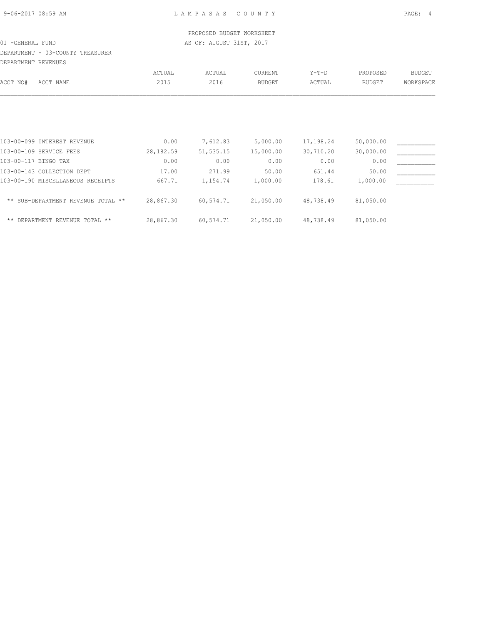# DEPARTMENT - 03-COUNTY TREASURER

| DEPARTMENT REVENUES                |            |            |               |           |               |           |
|------------------------------------|------------|------------|---------------|-----------|---------------|-----------|
|                                    | ACTUAL     | ACTUAL     | CURRENT       | $Y-T-D$   | PROPOSED      | BUDGET    |
| ACCT NAME                          | 2015       | 2016       | <b>BUDGET</b> | ACTUAL    | <b>BUDGET</b> | WORKSPACE |
|                                    |            |            |               |           |               |           |
| 103-00-099 INTEREST REVENUE        | 0.00       | 7,612.83   | 5,000.00      | 17,198.24 | 50,000.00     |           |
| 103-00-109 SERVICE FEES            | 28, 182.59 | 51, 535.15 | 15,000.00     | 30,710.20 | 30,000.00     |           |
| 103-00-117 BINGO TAX               | 0.00       | 0.00       | 0.00          | 0.00      | 0.00          |           |
| 103-00-143 COLLECTION DEPT         | 17.00      | 271.99     | 50.00         | 651.44    | 50.00         |           |
| 103-00-190 MISCELLANEOUS RECEIPTS  | 667.71     | 1,154.74   | 1,000.00      | 178.61    | 1,000.00      |           |
| ** SUB-DEPARTMENT REVENUE TOTAL ** | 28,867.30  | 60,574.71  | 21,050.00     | 48,738.49 | 81,050.00     |           |
|                                    |            |            |               |           |               |           |

\*\* DEPARTMENT REVENUE TOTAL \*\* 28,867.30 60,574.71 21,050.00 48,738.49 81,050.00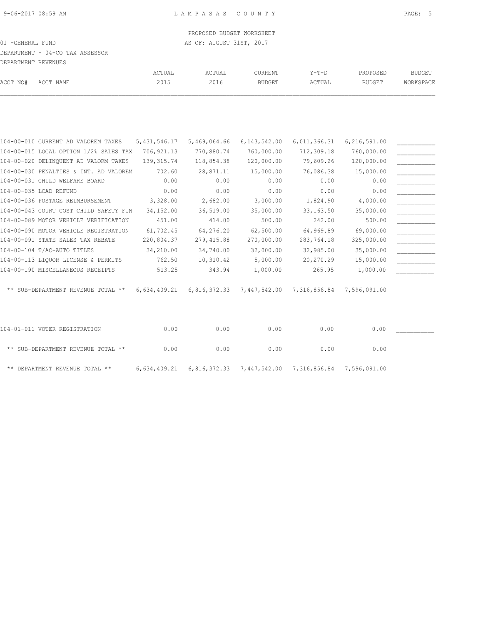DEPARTMENT - 04-CO TAX ASSESSOR

|          | DEPARTMENT REVENUES |        |        |         |        |               |           |
|----------|---------------------|--------|--------|---------|--------|---------------|-----------|
|          |                     | ACTUAL | ACTUAL | CURRENT | Y-T-D  | PROPOSED      | BUDGET    |
| ACCT NO# | ACCT NAME           | 2015   | 2016   | BUDGET  | ACTUAL | <b>BUDGET</b> | WORKSPACE |

| 104-00-010 CURRENT AD VALOREM TAXES    | 5, 431, 546.17 | 5,469,064.66 | 6, 143, 542.00            | 6,011,366.31 | 6,216,591.00 |  |
|----------------------------------------|----------------|--------------|---------------------------|--------------|--------------|--|
| 104-00-015 LOCAL OPTION 1/2% SALES TAX | 706,921.13     | 770,880.74   | 760,000.00                | 712,309.18   | 760,000.00   |  |
| 104-00-020 DELINQUENT AD VALORM TAXES  | 139, 315.74    | 118,854.38   | 120,000.00                | 79,609.26    | 120,000.00   |  |
| 104-00-030 PENALTIES & INT. AD VALOREM | 702.60         | 28,871.11    | 15,000.00                 | 76,086.38    | 15,000.00    |  |
| 104-00-031 CHILD WELFARE BOARD         | 0.00           | 0.00         | 0.00                      | 0.00         | 0.00         |  |
| 104-00-035 LCAD REFUND                 | 0.00           | 0.00         | 0.00                      | 0.00         | 0.00         |  |
| 104-00-036 POSTAGE REIMBURSEMENT       | 3,328.00       | 2,682.00     | 3,000.00                  | 1,824.90     | 4,000.00     |  |
| 104-00-043 COURT COST CHILD SAFETY FUN | 34,152.00      | 36,519.00    | 35,000.00                 | 33, 163.50   | 35,000.00    |  |
| 104-00-089 MOTOR VEHICLE VERIFICATION  | 451.00         | 414.00       | 500.00                    | 242.00       | 500.00       |  |
| 104-00-090 MOTOR VEHICLE REGISTRATION  | 61,702.45      | 64,276.20    | 62,500.00                 | 64,969.89    | 69,000.00    |  |
| 104-00-091 STATE SALES TAX REBATE      | 220,804.37     | 279,415.88   | 270,000.00                | 283,764.18   | 325,000.00   |  |
| 104-00-104 T/AC-AUTO TITLES            | 34,210.00      | 34,740.00    | 32,000.00                 | 32,985.00    | 35,000.00    |  |
| 104-00-113 LIQUOR LICENSE & PERMITS    | 762.50         | 10,310.42    | 5,000.00                  | 20,270.29    | 15,000.00    |  |
| 104-00-190 MISCELLANEOUS RECEIPTS      | 513.25         | 343.94       | 1,000.00                  | 265.95       | 1,000.00     |  |
| ** SUB-DEPARTMENT REVENUE TOTAL **     | 6,634,409.21   |              | 6,816,372.33 7,447,542.00 | 7,316,856.84 | 7,596,091.00 |  |
|                                        |                |              |                           |              |              |  |
|                                        |                |              |                           |              |              |  |

| 104-01-011 VOTER REGISTRATION      | 0.00 | 0.00 | 0.00 | 0.00                                                                       | 0.00 |  |
|------------------------------------|------|------|------|----------------------------------------------------------------------------|------|--|
| ** SUB-DEPARTMENT REVENUE TOTAL ** | 0.00 | 0.00 | 0.00 | 0.00                                                                       | 0.00 |  |
| ** DEPARTMENT REVENUE TOTAL **     |      |      |      | $6,634,409.21$ $6,816,372.33$ $7,447,542.00$ $7,316,856.84$ $7,596,091.00$ |      |  |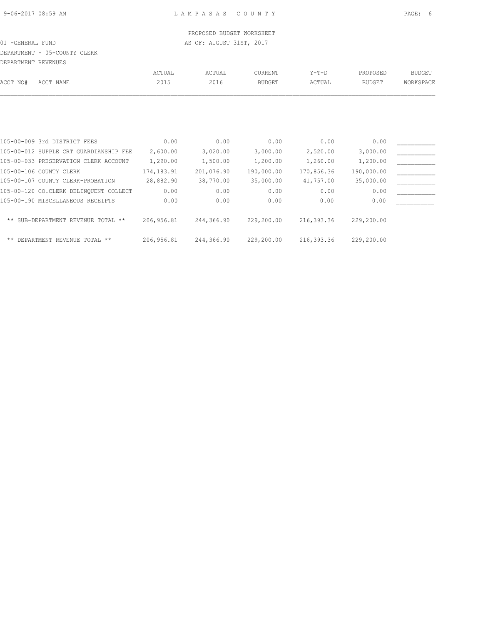# DEPARTMENT - 05-COUNTY CLERK

| DEPARTMENT REVENUES |                                        |            |            |               |            |               |               |
|---------------------|----------------------------------------|------------|------------|---------------|------------|---------------|---------------|
|                     |                                        | ACTUAL     | ACTUAL     | CURRENT       | $Y-T-D$    | PROPOSED      | <b>BUDGET</b> |
| ACCT NO#            | ACCT NAME                              | 2015       | 2016       | <b>BUDGET</b> | ACTUAL     | <b>BUDGET</b> | WORKSPACE     |
|                     |                                        |            |            |               |            |               |               |
|                     | 105-00-009 3rd DISTRICT FEES           | 0.00       | 0.00       | 0.00          | 0.00       | 0.00          |               |
|                     | 105-00-012 SUPPLE CRT GUARDIANSHIP FEE | 2,600.00   | 3,020.00   | 3,000.00      | 2,520.00   | 3,000.00      |               |
|                     | 105-00-033 PRESERVATION CLERK ACCOUNT  | 1,290.00   | 1,500.00   | 1,200.00      | 1,260.00   | 1,200.00      |               |
|                     | 105-00-106 COUNTY CLERK                | 174,183.91 | 201,076.90 | 190,000.00    | 170,856.36 | 190,000.00    |               |
|                     | 105-00-107 COUNTY CLERK-PROBATION      | 28,882.90  | 38,770.00  | 35,000.00     | 41,757.00  | 35,000.00     |               |
|                     | 105-00-120 CO.CLERK DELINOUENT COLLECT | 0.00       | 0.00       | 0.00          | 0.00       | 0.00          |               |
|                     | 105-00-190 MISCELLANEOUS RECEIPTS      | 0.00       | 0.00       | 0.00          | 0.00       | 0.00          |               |
|                     | ** SUB-DEPARTMENT REVENUE TOTAL **     | 206,956.81 | 244,366.90 | 229,200.00    | 216,393.36 | 229,200.00    |               |
|                     | ** DEPARTMENT REVENUE TOTAL **         | 206,956.81 | 244,366.90 | 229,200.00    | 216,393.36 | 229,200.00    |               |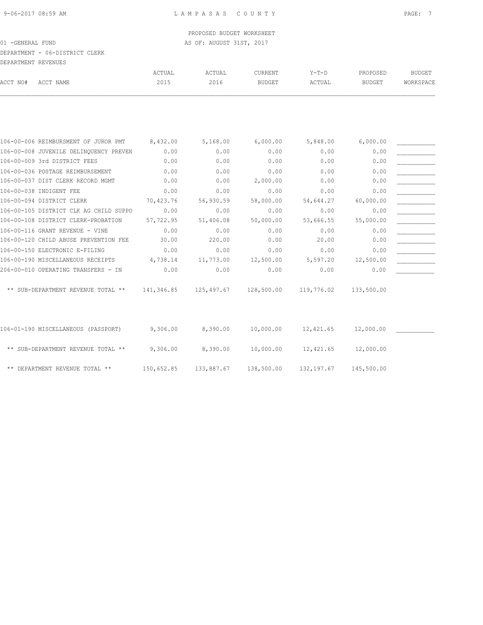# DEPARTMENT - 06-DISTRICT CLERK

| DEPARTMENT REVENUES |           |        |        |         |        |          |               |
|---------------------|-----------|--------|--------|---------|--------|----------|---------------|
|                     |           | ACTUAL | ACTUAL | CURRENT | Y-T-D  | PROPOSED | <b>BUDGET</b> |
| ACCT NO#            | ACCT NAME | 2015   | 2016   | BUDGET  | ACTUAL | BUDGET   | WORKSPACE     |
|                     |           |        |        |         |        |          |               |

| 106-00-006 REIMBURSMENT OF JUROR PMT   | 8,432.00   | 5,168.00   | 6,000.00   | 5,848.00   | 6,000.00   |  |
|----------------------------------------|------------|------------|------------|------------|------------|--|
| 106-00-008 JUVENILE DELINQUENCY PREVEN | 0.00       | 0.00       | 0.00       | 0.00       | 0.00       |  |
| 106-00-009 3rd DISTRICT FEES           | 0.00       | 0.00       | 0.00       | 0.00       | 0.00       |  |
| 106-00-036 POSTAGE REIMBURSEMENT       | 0.00       | 0.00       | 0.00       | 0.00       | 0.00       |  |
| 106-00-037 DIST CLERK RECORD MGMT      | 0.00       | 0.00       | 2,000.00   | 0.00       | 0.00       |  |
| 106-00-038 INDIGENT FEE                | 0.00       | 0.00       | 0.00       | 0.00       | 0.00       |  |
| 106-00-094 DISTRICT CLERK              | 70,423.76  | 56,930.59  | 58,000.00  | 54,644.27  | 60,000.00  |  |
| 106-00-105 DISTRICT CLK AG CHILD SUPPO | 0.00       | 0.00       | 0.00       | 0.00       | 0.00       |  |
| 106-00-108 DISTRICT CLERK-PROBATION    | 57,722.95  | 51,406.08  | 50,000.00  | 53,666.55  | 55,000.00  |  |
| 106-00-116 GRANT REVENUE - VINE        | 0.00       | 0.00       | 0.00       | 0.00       | 0.00       |  |
| 106-00-120 CHILD ABUSE PREVENTION FEE  | 30.00      | 220.00     | 0.00       | 20.00      | 0.00       |  |
| 106-00-150 ELECTRONIC E-FILING         | 0.00       | 0.00       | 0.00       | 0.00       | 0.00       |  |
| 106-00-190 MISCELLANEOUS RECEIPTS      | 4,738.14   | 11,773.00  | 12,500.00  | 5,597.20   | 12,500.00  |  |
| 206-00-010 OPERATING TRANSFERS - IN    | 0.00       | 0.00       | 0.00       | 0.00       | 0.00       |  |
| ** SUB-DEPARTMENT REVENUE TOTAL **     | 141,346.85 | 125,497.67 | 128,500.00 | 119,776.02 | 133,500.00 |  |
| 106-01-190 MISCELLANEOUS (PASSPORT)    | 9,306.00   | 8,390.00   | 10,000.00  | 12,421.65  | 12,000.00  |  |
| ** SUB-DEPARTMENT REVENUE TOTAL **     | 9,306.00   | 8,390.00   | 10,000.00  | 12,421.65  | 12,000.00  |  |

| ** DEPARTMENT REVENUE TOTAL ** |  | $150,652.85$ $133,887.67$ $138,500.00$ $132,197.67$ | 145,500.00 |
|--------------------------------|--|-----------------------------------------------------|------------|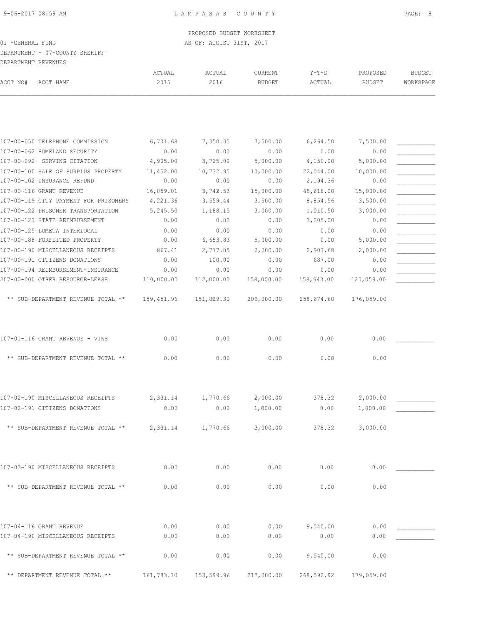ACTUAL ACTUAL CURRENT Y-T-D PROPOSED BUDGET

## DEPARTMENT - 07-COUNTY SHERIFF DEPARTMENT REVENUES

| ACCT NO# | ACCT NAME                                                             | 2015       | 2016       | BUDGET     | ACTUAL             | <b>BUDGET</b>      | WORKSPACE |
|----------|-----------------------------------------------------------------------|------------|------------|------------|--------------------|--------------------|-----------|
|          |                                                                       |            |            |            |                    |                    |           |
|          | 107-00-050 TELEPHONE COMMISSION                                       | 6,701.68   | 7,350.35   | 7,500.00   | 6, 264.50          | 7,500.00           |           |
|          | 107-00-062 HOMELAND SECURITY                                          | 0.00       | 0.00       | 0.00       | 0.00               | 0.00               |           |
|          | 107-00-092 SERVING CITATION                                           | 4,905.00   | 3,725.00   | 5,000.00   | 4,150.00           | 5,000.00           |           |
|          | 107-00-100 SALE OF SURPLUS PROPERTY                                   | 11,452.00  | 10,732.95  | 10,000.00  | 22,044.00          | 10,000.00          |           |
|          | 107-00-102 INSURANCE REFUND                                           | 0.00       | 0.00       | 0.00       | 2,194.36           | 0.00               |           |
|          | 107-00-116 GRANT REVENUE                                              | 16,059.01  | 3,742.53   | 15,000.00  | 48,618.00          | 15,000.00          |           |
|          | 107-00-119 CITY PAYMENT FOR PRISONERS                                 | 4,221.36   | 3,559.44   | 3,500.00   | 8,854.56           | 3,500.00           |           |
|          | 107-00-122 PRISONER TRANSPORTATION                                    | 5,245.50   | 1,188.15   | 3,000.00   | 1,010.50           | 3,000.00           |           |
|          | 107-00-123 STATE REIMBURSEMENT                                        | 0.00       | 0.00       | 0.00       | 3,005.00           | 0.00               |           |
|          | 107-00-125 LOMETA INTERLOCAL                                          | 0.00       | 0.00       | 0.00       | 0.00               | 0.00               |           |
|          | 107-00-188 FORFEITED PROPERTY                                         | 0.00       | 6,653.83   | 5,000.00   | 0.00               | 5,000.00           |           |
|          | 107-00-190 MISCELLANEOUS RECEIPTS                                     | 867.41     | 2,777.05   | 2,000.00   | 2,903.68           | 2,000.00           |           |
|          | 107-00-191 CITIZENS DONATIONS                                         | 0.00       | 100.00     | 0.00       | 687.00             | 0.00               |           |
|          | 107-00-194 REIMBURSEMENT-INSURANCE<br>207-00-000 OTHER RESOURCE-LEASE | 0.00       | 0.00       | 0.00       | 0.00<br>158,943.00 | 0.00<br>125,059.00 |           |
|          |                                                                       | 110,000.00 | 112,000.00 | 158,000.00 |                    |                    |           |
|          | ** SUB-DEPARTMENT REVENUE TOTAL **                                    | 159,451.96 | 151,829.30 | 209,000.00 | 258,674.60         | 176,059.00         |           |
|          | 107-01-116 GRANT REVENUE - VINE                                       | 0.00       | 0.00       | 0.00       | 0.00               | 0.00               |           |
|          | ** SUB-DEPARTMENT REVENUE TOTAL **                                    | 0.00       | 0.00       | 0.00       | 0.00               | 0.00               |           |
|          | 107-02-190 MISCELLANEOUS RECEIPTS                                     | 2,331.14   | 1,770.66   | 2,000.00   | 378.32             | 2,000.00           |           |
|          | 107-02-191 CITIZENS DONATIONS                                         | 0.00       | 0.00       | 1,000.00   | 0.00               | 1,000.00           |           |
|          | ** SUB-DEPARTMENT REVENUE TOTAL **                                    | 2,331.14   | 1,770.66   | 3,000.00   | 378.32             | 3,000.00           |           |
|          | 107-03-190 MISCELLANEOUS RECEIPTS                                     | 0.00       | 0.00       | 0.00       | 0.00               | 0.00               |           |
|          | ** SUB-DEPARTMENT REVENUE TOTAL **                                    | 0.00       | 0.00       | 0.00       | 0.00               | 0.00               |           |
|          | 107-04-116 GRANT REVENUE                                              | 0.00       | 0.00       | 0.00       | 9,540.00           | 0.00               |           |
|          | 107-04-190 MISCELLANEOUS RECEIPTS                                     | 0.00       | 0.00       | 0.00       | 0.00               | 0.00               |           |
|          |                                                                       |            |            |            |                    |                    |           |
|          | ** SUB-DEPARTMENT REVENUE TOTAL **                                    | 0.00       | 0.00       | 0.00       | 9,540.00           | 0.00               |           |

\*\* DEPARTMENT REVENUE TOTAL \*\* 161,783.10 153,599.96 212,000.00 268,592.92 179,059.00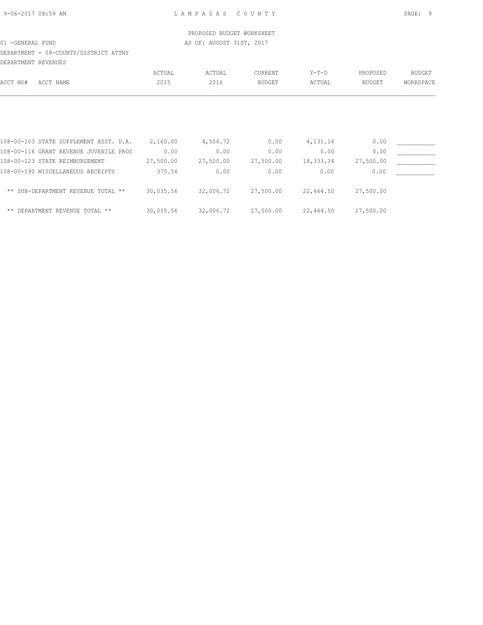## DEPARTMENT - 08-COUNTY/DISTRICT ATTNY

| DEPARTMENT REVENUES                    |           |           |                |           |           |               |
|----------------------------------------|-----------|-----------|----------------|-----------|-----------|---------------|
|                                        | ACTUAL    | ACTUAL    | <b>CURRENT</b> | $Y-T-D$   | PROPOSED  | <b>BUDGET</b> |
| ACCT NAME<br>ACCT NO#                  | 2015      | 2016      | <b>BUDGET</b>  | ACTUAL    | BUDGET    | WORKSPACE     |
|                                        |           |           |                |           |           |               |
| 108-00-103 STATE SUPPLEMENT ASST. D.A. | 2,160.00  | 4,506.72  | 0.00           | 4,131.16  | 0.00      |               |
| 108-00-116 GRANT REVENUE JUVENILE PROS | 0.00      | 0.00      | 0.00           | 0.00      | 0.00      |               |
| 108-00-123 STATE REIMBURSEMENT         | 27,500.00 | 27,500.00 | 27,500.00      | 18,333.34 | 27,500.00 |               |
| 108-00-190 MISCELLANEOUS RECEIPTS      | 375.56    | 0.00      | 0.00           | 0.00      | 0.00      |               |
| ** SUB-DEPARTMENT REVENUE TOTAL **     | 30,035.56 | 32,006.72 | 27,500.00      | 22,464.50 | 27,500.00 |               |
| ** DEPARTMENT REVENUE TOTAL **         | 30,035.56 | 32,006.72 | 27,500.00      | 22,464.50 | 27,500.00 |               |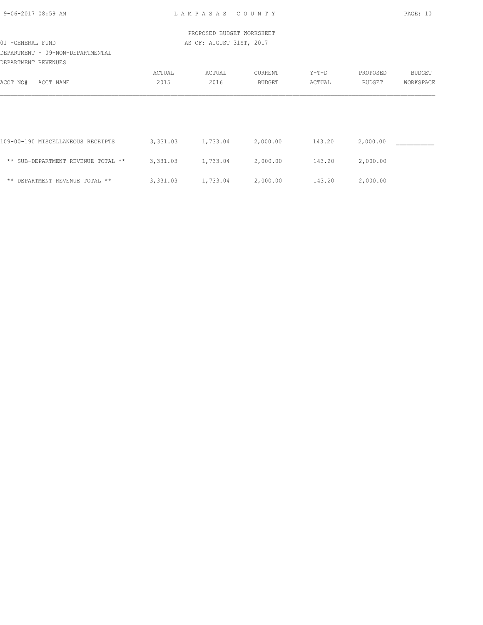| 9-06-2017 08:59 AM |  |
|--------------------|--|
|                    |  |

L A M P A S A S C O U N T Y PAGE: 10

|                                                       |          | PROPOSED BUDGET WORKSHEET |               |         |          |               |
|-------------------------------------------------------|----------|---------------------------|---------------|---------|----------|---------------|
| 01 - GENERAL FUND<br>DEPARTMENT - 09-NON-DEPARTMENTAL |          | AS OF: AUGUST 31ST, 2017  |               |         |          |               |
| DEPARTMENT REVENUES                                   |          |                           |               |         |          |               |
|                                                       | ACTUAL   | ACTUAL                    | CURRENT       | $Y-T-D$ | PROPOSED | <b>BUDGET</b> |
| ACCT NAME<br>ACCT NO#                                 | 2015     | 2016                      | <b>BUDGET</b> | ACTUAL  | BUDGET   | WORKSPACE     |
|                                                       |          |                           |               |         |          |               |
| 109-00-190 MISCELLANEOUS RECEIPTS                     | 3,331.03 | 1,733.04                  | 2,000.00      | 143.20  | 2,000.00 |               |
| ** SUB-DEPARTMENT REVENUE TOTAL **                    | 3,331.03 | 1,733.04                  | 2,000.00      | 143.20  | 2,000.00 |               |
| ** DEPARTMENT REVENUE TOTAL **                        | 3,331.03 | 1,733.04                  | 2,000.00      | 143.20  | 2,000.00 |               |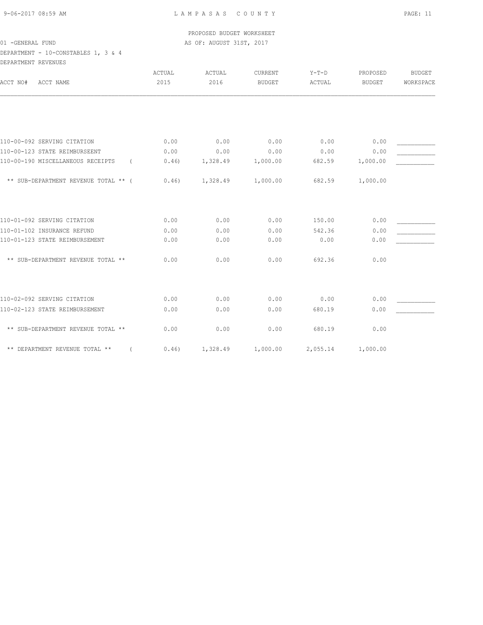## DEPARTMENT - 10-CONSTABLES 1, 3 & 4 DEPARTMENT REVENUES

| טשטעצע ואט וושטוארא                           |               |          |                |          |               |               |
|-----------------------------------------------|---------------|----------|----------------|----------|---------------|---------------|
|                                               | <b>ACTUAL</b> | ACTUAL   | <b>CURRENT</b> | $Y-T-D$  | PROPOSED      | <b>BUDGET</b> |
| ACCT NO#<br>ACCT NAME                         | 2015          | 2016     | <b>BUDGET</b>  | ACTUAL   | <b>BUDGET</b> | WORKSPACE     |
|                                               |               |          |                |          |               |               |
|                                               |               |          |                |          |               |               |
| 110-00-092 SERVING CITATION                   | 0.00          | 0.00     | 0.00           | 0.00     | 0.00          |               |
| 110-00-123 STATE REIMBURSEENT                 | 0.00          | 0.00     | 0.00           | 0.00     | 0.00          |               |
| 110-00-190 MISCELLANEOUS RECEIPTS<br>$\left($ | 0.46)         | 1,328.49 | 1,000.00       | 682.59   | 1,000.00      |               |
| ** SUB-DEPARTMENT REVENUE TOTAL ** (          | 0.46)         | 1,328.49 | 1,000.00       | 682.59   | 1,000.00      |               |
|                                               |               |          |                |          |               |               |
| 110-01-092 SERVING CITATION                   | 0.00          | 0.00     | 0.00           | 150.00   | 0.00          |               |
| 110-01-102 INSURANCE REFUND                   | 0.00          | 0.00     | 0.00           | 542.36   | 0.00          |               |
| 110-01-123 STATE REIMBURSEMENT                | 0.00          | 0.00     | 0.00           | 0.00     | 0.00          |               |
| ** SUB-DEPARTMENT REVENUE TOTAL **            | 0.00          | 0.00     | 0.00           | 692.36   | 0.00          |               |
|                                               |               |          |                |          |               |               |
| 110-02-092 SERVING CITATION                   | 0.00          | 0.00     | 0.00           | 0.00     | 0.00          |               |
| 110-02-123 STATE REIMBURSEMENT                | 0.00          | 0.00     | 0.00           | 680.19   | 0.00          |               |
| ** SUB-DEPARTMENT REVENUE TOTAL **            | 0.00          | 0.00     | 0.00           | 680.19   | 0.00          |               |
| ** DEPARTMENT REVENUE TOTAL **                | 0.46)         | 1,328.49 | 1,000.00       | 2,055.14 | 1,000.00      |               |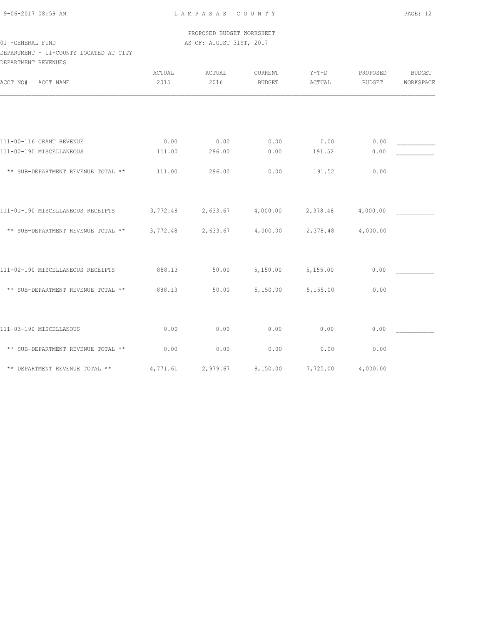9-06-2017 08:59 AM L A M P A S A S C O U N T Y PAGE: 12

 PROPOSED BUDGET WORKSHEET 01 -GENERAL FUND **AS OF: AUGUST 31ST, 2017** 

DEPARTMENT - 11-COUNTY LOCATED AT CITY DEPARTMENT REVENUES

| ACCT NO#<br>ACCT NAME              | ACTUAL<br>2015 | ACTUAL<br>2016 | CURRENT<br><b>BUDGET</b> | $Y-T-D$<br>ACTUAL | PROPOSED<br><b>BUDGET</b> | <b>BUDGET</b><br>WORKSPACE |
|------------------------------------|----------------|----------------|--------------------------|-------------------|---------------------------|----------------------------|
|                                    |                |                |                          |                   |                           |                            |
| 111-00-116 GRANT REVENUE           | 0.00           | 0.00           | 0.00                     | 0.00              | 0.00                      |                            |
| 111-00-190 MISCELLANEOUS           | 111.00         | 296.00         | 0.00                     | 191.52            | 0.00                      |                            |
| ** SUB-DEPARTMENT REVENUE TOTAL ** | 111.00         | 296.00         | 0.00                     | 191.52            | 0.00                      |                            |
| 111-01-190 MISCELLANEOUS RECEIPTS  | 3,772.48       | 2,633.67       | 4,000.00                 | 2,378.48          | 4,000.00                  |                            |
| ** SUB-DEPARTMENT REVENUE TOTAL ** | 3,772.48       | 2,633.67       | 4,000.00                 | 2,378.48          | 4,000.00                  |                            |
| 111-02-190 MISCELLANEOUS RECEIPTS  | 888.13         | 50.00          | 5,150.00                 | 5,155.00          | 0.00                      |                            |
| ** SUB-DEPARTMENT REVENUE TOTAL ** | 888.13         | 50.00          | 5,150.00                 | 5,155.00          | 0.00                      |                            |
| 111-03-190 MISCELLANOUS            | 0.00           | 0.00           | 0.00                     | 0.00              | 0.00                      |                            |
| ** SUB-DEPARTMENT REVENUE TOTAL ** | 0.00           | 0.00           | 0.00                     | 0.00              | 0.00                      |                            |
| ** DEPARTMENT REVENUE TOTAL **     | 4,771.61       | 2,979.67       | 9,150.00                 | 7,725.00          | 4,000.00                  |                            |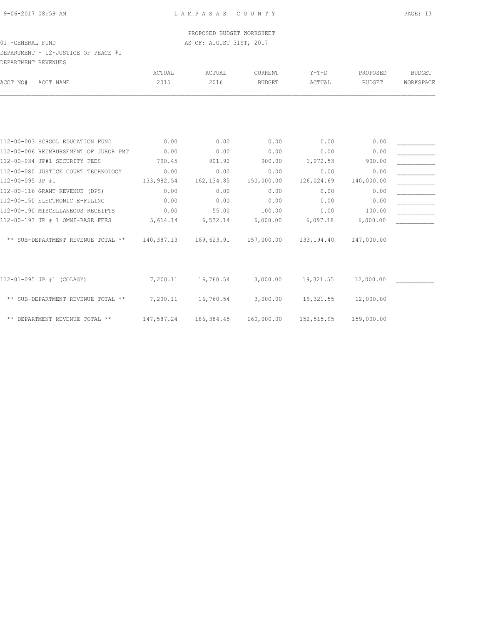## DEPARTMENT - 12-JUSTICE OF PEACE #1 DEPARTMENT REVENUES

|                  | ULFARIMLNI KLVLNULƏ                   |            |             |               |            |               |               |
|------------------|---------------------------------------|------------|-------------|---------------|------------|---------------|---------------|
|                  |                                       | ACTUAL     | ACTUAL      | CURRENT       | $Y-T-D$    | PROPOSED      | <b>BUDGET</b> |
| ACCT NO#         | ACCT NAME                             | 2015       | 2016        | <b>BUDGET</b> | ACTUAL     | <b>BUDGET</b> | WORKSPACE     |
|                  |                                       |            |             |               |            |               |               |
|                  | 112-00-003 SCHOOL EDUCATION FUND      | 0.00       | 0.00        | 0.00          | 0.00       | 0.00          |               |
|                  | 112-00-006 REIMBURSEMENT OF JUROR PMT | 0.00       | 0.00        | 0.00          | 0.00       | 0.00          |               |
|                  | 112-00-034 JP#1 SECURITY FEES         | 790.45     | 901.92      | 900.00        | 1,072.53   | 900.00        |               |
|                  | 112-00-080 JUSTICE COURT TECHNOLOGY   | 0.00       | 0.00        | 0.00          | 0.00       | 0.00          |               |
| 112-00-095 JP #1 |                                       | 133,982.54 | 162, 134.85 | 150,000.00    | 126,024.69 | 140,000.00    |               |
|                  | 112-00-116 GRANT REVENUE (DPS)        | 0.00       | 0.00        | 0.00          | 0.00       | 0.00          |               |
|                  | 112-00-150 ELECTRONIC E-FILING        | 0.00       | 0.00        | 0.00          | 0.00       | 0.00          |               |
|                  | 112-00-190 MISCELLANEOUS RECEIPTS     | 0.00       | 55.00       | 100.00        | 0.00       | 100.00        |               |
|                  | 112-00-193 JP # 1 OMNI-BASE FEES      | 5,614.14   | 6,532.14    | 6,000.00      | 6,097.18   | 6,000.00      |               |
|                  | ** SUB-DEPARTMENT REVENUE TOTAL **    | 140,387.13 | 169,623.91  | 157,000.00    | 133,194.40 | 147,000.00    |               |
|                  | 112-01-095 JP #1 (COLAGY)             | 7,200.11   | 16,760.54   | 3,000.00      | 19,321.55  | 12,000.00     |               |
|                  | ** SUB-DEPARTMENT REVENUE TOTAL **    | 7,200.11   | 16,760.54   | 3,000.00      | 19,321.55  | 12,000.00     |               |
|                  | ** DEPARTMENT REVENUE TOTAL **        | 147,587.24 | 186,384.45  | 160,000.00    | 152,515.95 | 159,000.00    |               |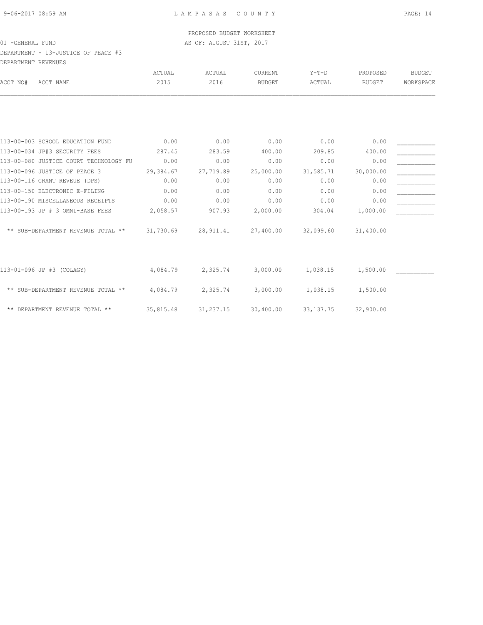DEPARTMENT - 13-JUSTICE OF PEACE #3 DEPARTMENT REVENUES

|                                        | ACTUAL    | ACTUAL     | <b>CURRENT</b> | $Y-T-D$     | PROPOSED      | <b>BUDGET</b> |
|----------------------------------------|-----------|------------|----------------|-------------|---------------|---------------|
| ACCT NAME<br>ACCT NO#                  | 2015      | 2016       | <b>BUDGET</b>  | ACTUAL      | <b>BUDGET</b> | WORKSPACE     |
|                                        |           |            |                |             |               |               |
|                                        |           |            |                |             |               |               |
| 113-00-003 SCHOOL EDUCATION FUND       | 0.00      | 0.00       | 0.00           | 0.00        | 0.00          |               |
| 113-00-034 JP#3 SECURITY FEES          | 287.45    | 283.59     | 400.00         | 209.85      | 400.00        |               |
| 113-00-080 JUSTICE COURT TECHNOLOGY FU | 0.00      | 0.00       | 0.00           | 0.00        | 0.00          |               |
| 113-00-096 JUSTICE OF PEACE 3          | 29,384.67 | 27,719.89  | 25,000.00      | 31,585.71   | 30,000.00     |               |
| 113-00-116 GRANT REVEUE (DPS)          | 0.00      | 0.00       | 0.00           | 0.00        | 0.00          |               |
| 113-00-150 ELECTRONIC E-FILING         | 0.00      | 0.00       | 0.00           | 0.00        | 0.00          |               |
| 113-00-190 MISCELLANEOUS RECEIPTS      | 0.00      | 0.00       | 0.00           | 0.00        | 0.00          |               |
| 113-00-193 JP # 3 OMNI-BASE FEES       | 2,058.57  | 907.93     | 2,000.00       | 304.04      | 1,000.00      |               |
| ** SUB-DEPARTMENT REVENUE TOTAL **     | 31,730.69 | 28, 911.41 | 27,400.00      | 32,099.60   | 31,400.00     |               |
|                                        |           |            |                |             |               |               |
| 113-01-096 JP #3 (COLAGY)              | 4,084.79  | 2,325.74   | 3,000.00       | 1,038.15    | 1,500.00      |               |
| ** SUB-DEPARTMENT REVENUE TOTAL **     | 4,084.79  | 2,325.74   | 3,000.00       | 1,038.15    | 1,500.00      |               |
| ** DEPARTMENT REVENUE TOTAL **         | 35,815.48 | 31,237.15  | 30,400.00      | 33, 137. 75 | 32,900.00     |               |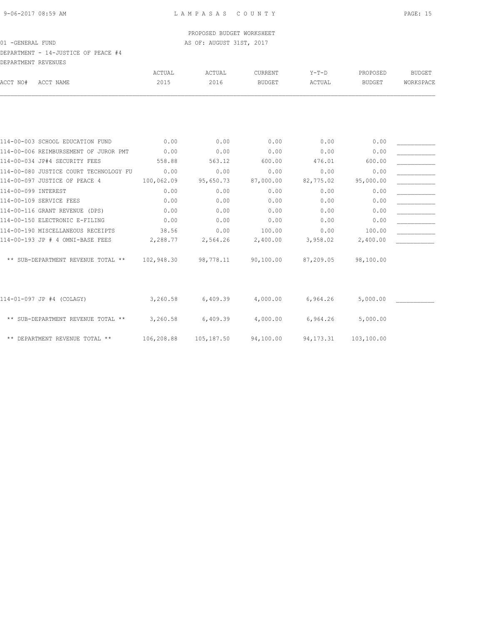DEPARTMENT - 14-JUSTICE OF PEACE #4 DEPARTMENT REVENUES

|                                        | ACTUAL     | ACTUAL     | <b>CURRENT</b> | $Y-T-D$     | PROPOSED   | <b>BUDGET</b> |
|----------------------------------------|------------|------------|----------------|-------------|------------|---------------|
| ACCT NO#<br>ACCT NAME                  | 2015       | 2016       | <b>BUDGET</b>  | ACTUAL      | BUDGET     | WORKSPACE     |
|                                        |            |            |                |             |            |               |
|                                        |            |            |                |             |            |               |
| 114-00-003 SCHOOL EDUCATION FUND       | 0.00       | 0.00       | 0.00           | 0.00        | 0.00       |               |
| 114-00-006 REIMBURSEMENT OF JUROR PMT  | 0.00       | 0.00       | 0.00           | 0.00        | 0.00       |               |
| 114-00-034 JP#4 SECURITY FEES          | 558.88     | 563.12     | 600.00         | 476.01      | 600.00     |               |
|                                        |            |            |                |             |            |               |
| 114-00-080 JUSTICE COURT TECHNOLOGY FU | 0.00       | 0.00       | 0.00           | 0.00        | 0.00       |               |
| 114-00-097 JUSTICE OF PEACE 4          | 100,062.09 | 95,650.73  | 87,000.00      | 82,775.02   | 95,000.00  |               |
| 114-00-099 INTEREST                    | 0.00       | 0.00       | 0.00           | 0.00        | 0.00       |               |
| 114-00-109 SERVICE FEES                | 0.00       | 0.00       | 0.00           | 0.00        | 0.00       |               |
| 114-00-116 GRANT REVENUE (DPS)         | 0.00       | 0.00       | 0.00           | 0.00        | 0.00       |               |
| 114-00-150 ELECTRONIC E-FILING         | 0.00       | 0.00       | 0.00           | 0.00        | 0.00       |               |
| 114-00-190 MISCELLANEOUS RECEIPTS      | 38.56      | 0.00       | 100.00         | 0.00        | 100.00     |               |
| 114-00-193 JP # 4 OMNI-BASE FEES       | 2,288.77   | 2,564.26   | 2,400.00       | 3,958.02    | 2,400.00   |               |
| ** SUB-DEPARTMENT REVENUE TOTAL **     | 102,948.30 | 98,778.11  | 90,100.00      | 87,209.05   | 98,100.00  |               |
|                                        |            |            |                |             |            |               |
| 114-01-097 JP #4 (COLAGY)              | 3,260.58   | 6,409.39   | 4,000.00       | 6,964.26    | 5,000.00   |               |
| ** SUB-DEPARTMENT REVENUE TOTAL **     | 3,260.58   | 6,409.39   | 4,000.00       | 6,964.26    | 5,000.00   |               |
| ** DEPARTMENT REVENUE TOTAL **         | 106,208.88 | 105,187.50 | 94,100.00      | 94, 173. 31 | 103,100.00 |               |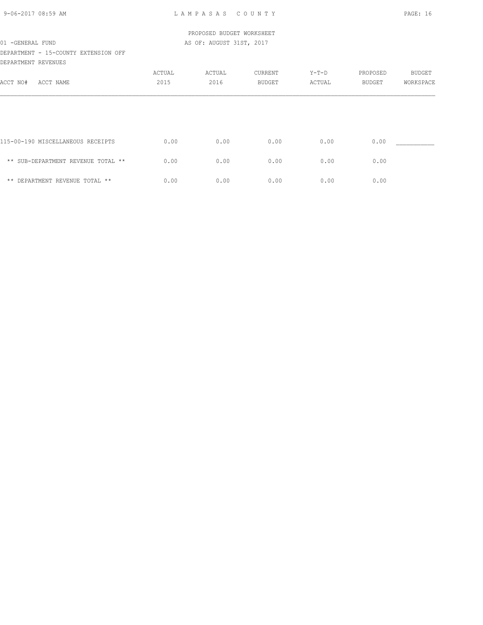## DEPARTMENT - 15-COUNTY EXTENSION OFF DEPARTMENT REVENUES

| ACCT NO#<br>ACCT NAME              | ACTUAL<br>2015 | ACTUAL<br>2016 | CURRENT<br><b>BUDGET</b> | $Y-T-D$<br>ACTUAL | PROPOSED<br><b>BUDGET</b> | <b>BUDGET</b><br>WORKSPACE |
|------------------------------------|----------------|----------------|--------------------------|-------------------|---------------------------|----------------------------|
|                                    |                |                |                          |                   |                           |                            |
| 115-00-190 MISCELLANEOUS RECEIPTS  | 0.00           | 0.00           | 0.00                     | 0.00              | 0.00                      |                            |
| ** SUB-DEPARTMENT REVENUE TOTAL ** | 0.00           | 0.00           | 0.00                     | 0.00              | 0.00                      |                            |
| ** DEPARTMENT REVENUE TOTAL **     | 0.00           | 0.00           | 0.00                     | 0.00              | 0.00                      |                            |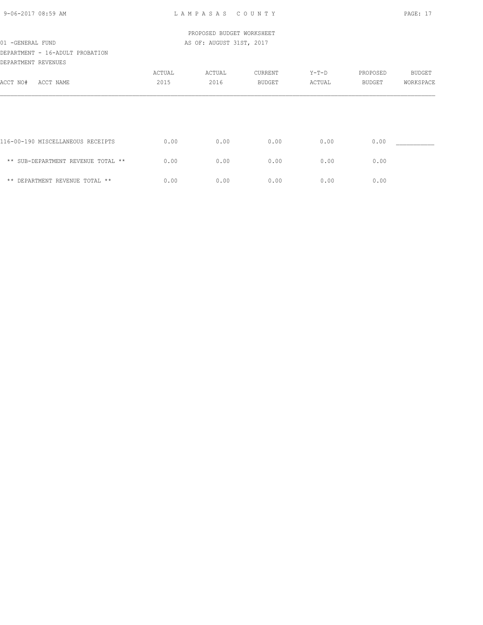| 9-06-2017 08:59 AM |  |
|--------------------|--|
|                    |  |

|                                    |        | PROPOSED BUDGET WORKSHEET |         |         |          |               |
|------------------------------------|--------|---------------------------|---------|---------|----------|---------------|
| 01 - GENERAL FUND                  |        | AS OF: AUGUST 31ST, 2017  |         |         |          |               |
| DEPARTMENT - 16-ADULT PROBATION    |        |                           |         |         |          |               |
| DEPARTMENT REVENUES                |        |                           |         |         |          |               |
|                                    | ACTUAL | ACTUAL                    | CURRENT | $Y-T-D$ | PROPOSED | <b>BUDGET</b> |
| ACCT NO#<br>ACCT NAME              | 2015   | 2016                      | BUDGET  | ACTUAL  | BUDGET   | WORKSPACE     |
|                                    |        |                           |         |         |          |               |
| 116-00-190 MISCELLANEOUS RECEIPTS  | 0.00   | 0.00                      | 0.00    | 0.00    | 0.00     |               |
| ** SUB-DEPARTMENT REVENUE TOTAL ** | 0.00   | 0.00                      | 0.00    | 0.00    | 0.00     |               |
| ** DEPARTMENT REVENUE TOTAL **     | 0.00   | 0.00                      | 0.00    | 0.00    | 0.00     |               |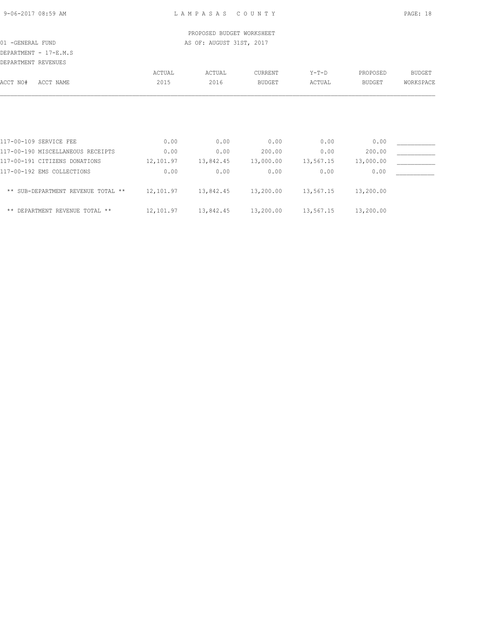DEPARTMENT - 17-E.M.S

| DEPARTMENT REVENUES |                                    |           |           |               |           |               |               |
|---------------------|------------------------------------|-----------|-----------|---------------|-----------|---------------|---------------|
|                     |                                    | ACTUAL    | ACTUAL    | CURRENT       | $Y-T-D$   | PROPOSED      | <b>BUDGET</b> |
| ACCT NO#            | ACCT NAME                          | 2015      | 2016      | <b>BUDGET</b> | ACTUAL    | <b>BUDGET</b> | WORKSPACE     |
|                     |                                    |           |           |               |           |               |               |
|                     |                                    |           |           |               |           |               |               |
|                     |                                    |           |           |               |           |               |               |
|                     | 117-00-109 SERVICE FEE             | 0.00      | 0.00      | 0.00          | 0.00      | 0.00          |               |
|                     | 117-00-190 MISCELLANEOUS RECEIPTS  | 0.00      | 0.00      | 200.00        | 0.00      | 200.00        |               |
|                     | 117-00-191 CITIZENS DONATIONS      | 12,101.97 | 13,842.45 | 13,000.00     | 13,567.15 | 13,000.00     |               |
|                     | 117-00-192 EMS COLLECTIONS         | 0.00      | 0.00      | 0.00          | 0.00      | 0.00          |               |
|                     | ** SUB-DEPARTMENT REVENUE TOTAL ** | 12,101.97 | 13,842.45 | 13,200.00     | 13,567.15 | 13,200.00     |               |

| DEPARTMENT REVENUE TOTAL ** | u | . 3.84245.<br>. | 13,200.00 | -<br>.567 | 200.00 |
|-----------------------------|---|-----------------|-----------|-----------|--------|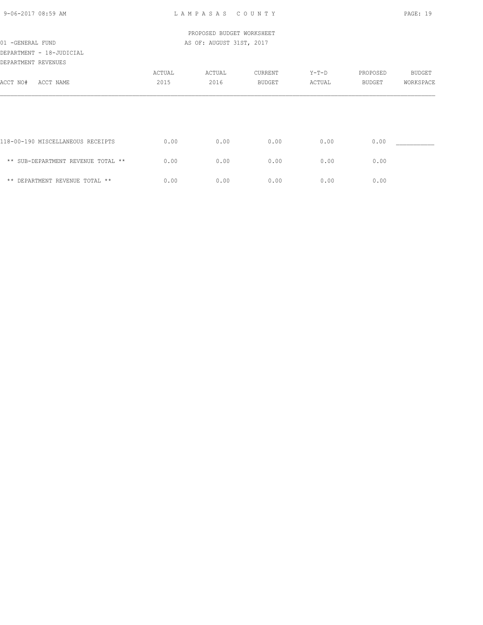| 9-06-2017 08:59 AM |  |
|--------------------|--|
|                    |  |

L A M P A S A S C O U N T Y PAGE: 19

|                                    |        | PROPOSED BUDGET WORKSHEET |         |         |          |           |
|------------------------------------|--------|---------------------------|---------|---------|----------|-----------|
| 01 - GENERAL FUND                  |        | AS OF: AUGUST 31ST, 2017  |         |         |          |           |
| DEPARTMENT - 18-JUDICIAL           |        |                           |         |         |          |           |
| DEPARTMENT REVENUES                |        |                           |         |         |          |           |
|                                    | ACTUAL | ACTUAL                    | CURRENT | $Y-T-D$ | PROPOSED | BUDGET    |
| ACCT NO#<br>ACCT NAME              | 2015   | 2016                      | BUDGET  | ACTUAL  | BUDGET   | WORKSPACE |
|                                    |        |                           |         |         |          |           |
|                                    |        |                           |         |         |          |           |
|                                    |        |                           |         |         |          |           |
| 118-00-190 MISCELLANEOUS RECEIPTS  | 0.00   | 0.00                      | 0.00    | 0.00    | 0.00     |           |
| ** SUB-DEPARTMENT REVENUE TOTAL ** | 0.00   | 0.00                      | 0.00    | 0.00    | 0.00     |           |
|                                    |        |                           |         |         |          |           |
| ** DEPARTMENT REVENUE TOTAL **     | 0.00   | 0.00                      | 0.00    | 0.00    | 0.00     |           |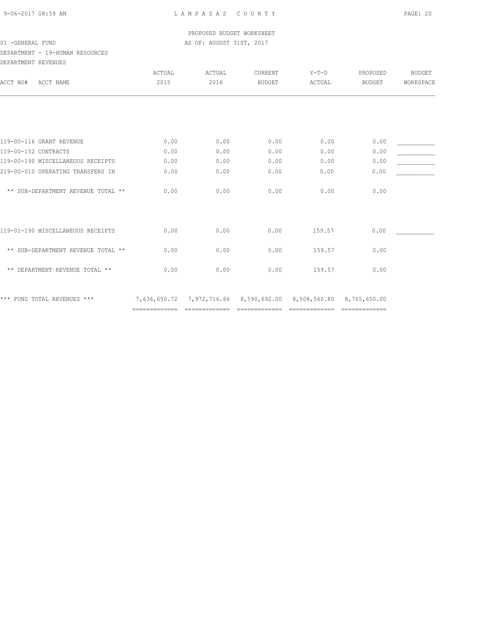# DEPARTMENT - 19-HUMAN RESOURCES

| DEPARTMENT REVENUES  |                                    |                               |             |                                            |                               |                               |               |
|----------------------|------------------------------------|-------------------------------|-------------|--------------------------------------------|-------------------------------|-------------------------------|---------------|
|                      |                                    | ACTUAL                        | ACTUAL      | CURRENT                                    | $Y-T-D$                       | PROPOSED                      | <b>BUDGET</b> |
| ACCT NO#             | ACCT NAME                          | 2015                          | 2016        | <b>BUDGET</b>                              | ACTUAL                        | <b>BUDGET</b>                 | WORKSPACE     |
|                      |                                    |                               |             |                                            |                               |                               |               |
|                      |                                    |                               |             |                                            |                               |                               |               |
|                      | 119-00-116 GRANT REVENUE           | 0.00                          | 0.00        | 0.00                                       | 0.00                          | 0.00                          |               |
| 119-00-152 CONTRACTS |                                    | 0.00                          | 0.00        | 0.00                                       | 0.00                          | 0.00                          |               |
|                      | 119-00-190 MISCELLANEOUS RECEIPTS  | 0.00                          | 0.00        | 0.00                                       | 0.00                          | 0.00                          |               |
|                      | 219-00-010 OPERATING TRANSFERS IN  | 0.00                          | 0.00        | 0.00                                       | 0.00                          | 0.00                          |               |
|                      | ** SUB-DEPARTMENT REVENUE TOTAL ** | 0.00                          | 0.00        | 0.00                                       | 0.00                          | 0.00                          |               |
|                      | 119-01-190 MISCELLANEOUS RECEIPTS  | 0.00                          | 0.00        | 0.00                                       | 159.57                        | 0.00                          |               |
|                      | ** SUB-DEPARTMENT REVENUE TOTAL ** | 0.00                          | 0.00        | 0.00                                       | 159.57                        | 0.00                          |               |
|                      | ** DEPARTMENT REVENUE TOTAL **     | 0.00                          | 0.00        | 0.00                                       | 159.57                        | 0.00                          |               |
|                      | *** FUND TOTAL REVENUES ***        | 7,636,650.72<br>============= | =========== | 7,972,716.66 8,590,692.00<br>============= | 8,508,560.80<br>============= | 8,765,650.00<br>============= |               |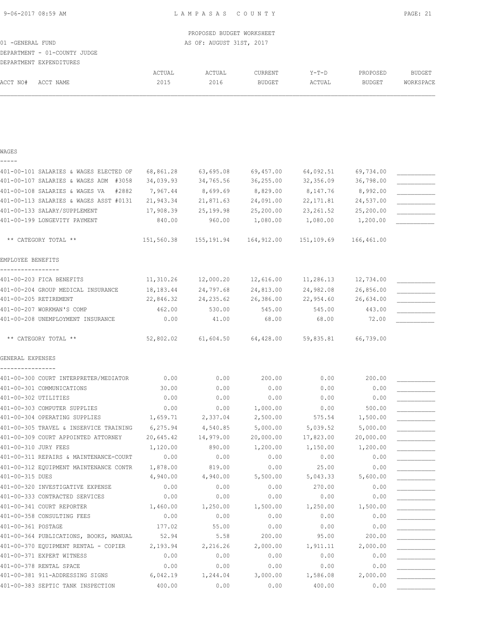| 01 - GENERAL FUND<br>DEPARTMENT - 01-COUNTY JUDGE |        | PROPOSED BUDGET WORKSHEET<br>AS OF: AUGUST 31ST, 2017 |         |        |          |           |
|---------------------------------------------------|--------|-------------------------------------------------------|---------|--------|----------|-----------|
| DEPARTMENT EXPENDITURES                           |        |                                                       |         |        |          |           |
|                                                   | ACTUAL | ACTUAL                                                | CURRENT | Y-T-D  | PROPOSED | BUDGET    |
| ACCT NAME<br>ACCT NO#                             | 2015   | 2016                                                  | BUDGET  | ACTUAL | BUDGET   | WORKSPACE |
|                                                   |        |                                                       |         |        |          |           |
|                                                   |        |                                                       |         |        |          |           |
|                                                   |        |                                                       |         |        |          |           |
|                                                   |        |                                                       |         |        |          |           |

## WAGES -----

| 401-00-101 SALARIES & WAGES ELECTED OF  | 68,861.28  | 63,695.08   | 69,457.00  | 64,092.51  | 69,734.00  |  |
|-----------------------------------------|------------|-------------|------------|------------|------------|--|
| 401-00-107 SALARIES & WAGES ADM #3058   | 34,039.93  | 34,765.56   | 36, 255.00 | 32,356.09  | 36,798.00  |  |
| 401-00-108 SALARIES & WAGES VA<br>#2882 | 7,967.44   | 8,699.69    | 8,829.00   | 8,147.76   | 8,992.00   |  |
| 401-00-113 SALARIES & WAGES ASST #0131  | 21,943.34  | 21,871.63   | 24,091.00  | 22,171.81  | 24,537.00  |  |
| 401-00-133 SALARY/SUPPLEMENT            | 17,908.39  | 25,199.98   | 25,200.00  | 23, 261.52 | 25,200.00  |  |
| 401-00-199 LONGEVITY PAYMENT            | 840.00     | 960.00      | 1,080.00   | 1,080.00   | 1,200.00   |  |
| ** CATEGORY TOTAL **                    | 151,560.38 | 155, 191.94 | 164,912.00 | 151,109.69 | 166,461.00 |  |
| EMPLOYEE BENEFITS                       |            |             |            |            |            |  |
|                                         |            |             |            |            |            |  |
| 401-00-203 FICA BENEFITS                | 11,310.26  | 12,000.20   | 12,616.00  | 11,286.13  | 12,734.00  |  |
| 401-00-204 GROUP MEDICAL INSURANCE      | 18,183.44  | 24,797.68   | 24,813.00  | 24,982.08  | 26,856.00  |  |
| 401-00-205 RETIREMENT                   | 22,846.32  | 24, 235.62  | 26,386.00  | 22,954.60  | 26,634.00  |  |
| 401-00-207 WORKMAN'S COMP               | 462.00     | 530.00      | 545.00     | 545.00     | 443.00     |  |
| 401-00-208 UNEMPLOYMENT INSURANCE       | 0.00       | 41.00       | 68.00      | 68.00      | 72.00      |  |
| ** CATEGORY TOTAL **                    | 52,802.02  | 61,604.50   | 64,428.00  | 59,835.81  | 66,739.00  |  |
| GENERAL EXPENSES                        |            |             |            |            |            |  |
| 401-00-300 COURT INTERPRETER/MEDIATOR   | 0.00       | 0.00        | 200.00     | 0.00       | 200.00     |  |
| 401-00-301 COMMUNICATIONS               | 30.00      | 0.00        | 0.00       | 0.00       | 0.00       |  |
| 401-00-302 UTILITIES                    | 0.00       | 0.00        | 0.00       | 0.00       | 0.00       |  |
| 401-00-303 COMPUTER SUPPLIES            | 0.00       | 0.00        | 1,000.00   | 0.00       | 500.00     |  |
| 401-00-304 OPERATING SUPPLIES           | 1,659.71   | 2,337.04    | 2,500.00   | 575.54     | 1,500.00   |  |
| 401-00-305 TRAVEL & INSERVICE TRAINING  | 6,275.94   | 4,540.85    | 5,000.00   | 5,039.52   | 5,000.00   |  |
| 401-00-309 COURT APPOINTED ATTORNEY     | 20,645.42  | 14,979.00   | 20,000.00  | 17,823.00  | 20,000.00  |  |
| 401-00-310 JURY FEES                    | 1,120.00   | 890.00      | 1,200.00   | 1,150.00   | 1,200.00   |  |
| 401-00-311 REPAIRS & MAINTENANCE-COURT  | 0.00       | 0.00        | 0.00       | 0.00       | 0.00       |  |
| 401-00-312 EQUIPMENT MAINTENANCE CONTR  | 1,878.00   | 819.00      | 0.00       | 25.00      | 0.00       |  |
| 401-00-315 DUES                         | 4,940.00   | 4,940.00    | 5,500.00   | 5,043.33   | 5,600.00   |  |
| 401-00-320 INVESTIGATIVE EXPENSE        | 0.00       | 0.00        | 0.00       | 270.00     | 0.00       |  |
| 401-00-333 CONTRACTED SERVICES          | 0.00       | 0.00        | 0.00       | 0.00       | 0.00       |  |
| 401-00-341 COURT REPORTER               | 1,460.00   | 1,250.00    | 1,500.00   | 1,250.00   | 1,500.00   |  |
| 401-00-358 CONSULTING FEES              | 0.00       | 0.00        | 0.00       | 0.00       | 0.00       |  |
| 401-00-361 POSTAGE                      | 177.02     | 55.00       | 0.00       | 0.00       | 0.00       |  |
| 401-00-364 PUBLICATIONS, BOOKS, MANUAL  | 52.94      | 5.58        | 200.00     | 95.00      | 200.00     |  |
| 401-00-370 EQUIPMENT RENTAL - COPIER    | 2,193.94   | 2,216.26    | 2,000.00   | 1,911.11   | 2,000.00   |  |
| 401-00-371 EXPERT WITNESS               | 0.00       | 0.00        | 0.00       | 0.00       | 0.00       |  |
| 401-00-378 RENTAL SPACE                 | 0.00       | 0.00        | 0.00       | 0.00       | 0.00       |  |
| 401-00-381 911-ADDRESSING SIGNS         | 6,042.19   | 1,244.04    | 3,000.00   | 1,586.08   | 2,000.00   |  |

401-00-383 SEPTIC TANK INSPECTION  $400.00$  0.00 0.00  $400.00$  0.00 0.00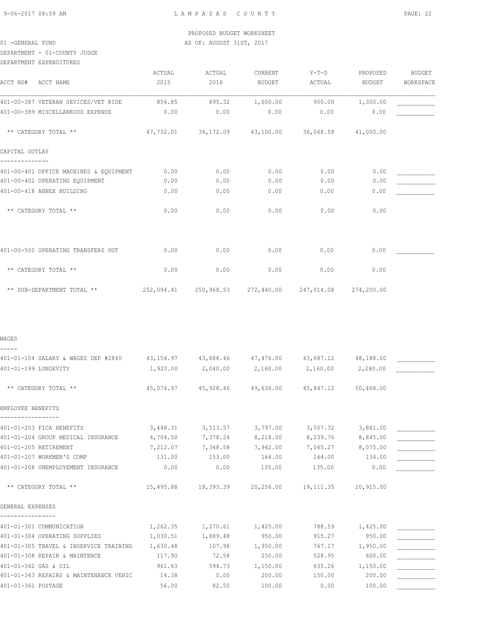DEPARTMENT - 01-COUNTY JUDGE

| DEPARTMENT EXPENDITURES                                                               |           |                     |                                                        |                     |           |           |
|---------------------------------------------------------------------------------------|-----------|---------------------|--------------------------------------------------------|---------------------|-----------|-----------|
|                                                                                       | ACTUAL    | ACTUAL              | CURRENT                                                | Y-T-D               | PROPOSED  | BUDGET    |
| ACCT NO# ACCT NAME                                                                    | 2015      | 2016                | BUDGET                                                 | ACTUAL              | BUDGET    | WORKSPACE |
| 401-00-387 VETERAN SEVICES/VET RIDE                                                   | 856.85    | 895.32              | 1,000.00                                               | 900.00              | 1,300.00  |           |
| 401-00-389 MISCELLANEOUS EXPENSE                                                      | 0.00      | 0.00                | 0.00                                                   | 0.00                | 0.00      |           |
| ** CATEGORY TOTAL **                                                                  |           | 47,732.01 34,172.09 |                                                        | 43,100.00 36,068.58 | 41,000.00 |           |
| CAPITAL OUTLAY<br>--------------                                                      |           |                     |                                                        |                     |           |           |
| 401-00-401 OFFICE MACHINES & EQUIPMENT                                                | 0.00      | 0.00                | 0.00                                                   | 0.00                | 0.00      |           |
| 401-00-402 OPERATING EQUIPMENT                                                        | 0.00      | 0.00                | 0.00                                                   | 0.00                | 0.00      |           |
| 401-00-418 ANNEX BUILDING                                                             | 0.00      | 0.00                | 0.00                                                   | 0.00                | 0.00      |           |
| ** CATEGORY TOTAL **                                                                  | 0.00      | 0.00                | 0.00                                                   | 0.00                | 0.00      |           |
| 401-00-500 OPERATING TRANSFERS OUT                                                    | 0.00      | 0.00                | 0.00                                                   | 0.00                | 0.00      |           |
|                                                                                       |           |                     |                                                        |                     |           |           |
| ** CATEGORY TOTAL **                                                                  | 0.00      | 0.00                | 0.00                                                   | 0.00                | 0.00      |           |
| ** SUB-DEPARTMENT TOTAL **                                                            |           |                     | 252,094.41 250,968.53 272,440.00 247,014.08 274,200.00 |                     |           |           |
|                                                                                       |           |                     |                                                        |                     |           |           |
| WAGES<br>-----                                                                        |           |                     |                                                        |                     |           |           |
| 401-01-104 SALARY & WAGES DEP #2840 43,154.97 43,888.46 47,476.00 43,687.12 48,188.00 |           |                     |                                                        |                     |           |           |
| 401-01-199 LONGEVITY                                                                  | 1,920.00  | 2,040.00 2,160.00   |                                                        | 2,160.00 2,280.00   |           |           |
| ** CATEGORY TOTAL **                                                                  |           | 45,074.97 45,928.46 |                                                        | 49,636.00 45,847.12 | 50,468.00 |           |
| EMPLOYEE BENEFITS                                                                     |           |                     |                                                        |                     |           |           |
| 401-01-203 FICA BENEFITS                                                              | 3,448.31  | 3,513.57            | 3,797.00                                               | 3,507.32            | 3,861.00  |           |
| 401-01-204 GROUP MEDICAL INSURANCE                                                    | 4,704.50  | 7,378.24            | 8,218.00                                               | 8,239.76            | 8,845.00  |           |
| 401-01-205 RETIREMENT                                                                 | 7,212.07  | 7,348.58            | 7,942.00                                               | 7,065.27            | 8,075.00  |           |
| 401-01-207 WORKMEN'S COMP                                                             | 131.00    | 153.00              | 164.00                                                 | 164.00              | 134.00    |           |
| 401-01-208 UNEMPLOYEMENT INSURANCE                                                    | 0.00      | 0.00                | 135.00                                                 | 135.00              | 0.00      |           |
| ** CATEGORY TOTAL **                                                                  | 15,495.88 | 18,393.39           | 20,256.00                                              | 19,111.35           | 20,915.00 |           |
| GENERAL EXPENSES                                                                      |           |                     |                                                        |                     |           |           |
|                                                                                       |           |                     |                                                        |                     |           |           |
| 401-01-301 COMMUNICATION                                                              | 1,262.35  | 1,270.61            | 1,425.00                                               | 788.59              | 1,425.00  |           |
| 401-01-304 OPERATING SUPPLIES                                                         | 1,030.51  | 1,889.48            | 950.00                                                 | 915.27              | 950.00    |           |
| 401-01-305 TRAVEL & INSERVICE TRAINING                                                | 1,630.48  | 107.98              | 1,950.00                                               | 767.17              | 1,950.00  |           |
| 401-01-308 REPAIR & MAINTENCE                                                         | 117.90    | 72.58               | 250.00                                                 | 528.95              | 600.00    |           |
| 401-01-342 GAS & OIL<br>401-01-343 REPAIRS & MAINTENANCE VEHIC                        | 961.63    | 594.73              | 1,150.00                                               | 635.26              | 1,150.00  |           |
|                                                                                       | 14.38     | 0.00                | 200.00                                                 | 150.00              | 200.00    |           |

401-01-361 POSTAGE 56.00 82.50 100.00 0.00 100.00 \_\_\_\_\_\_\_\_\_\_\_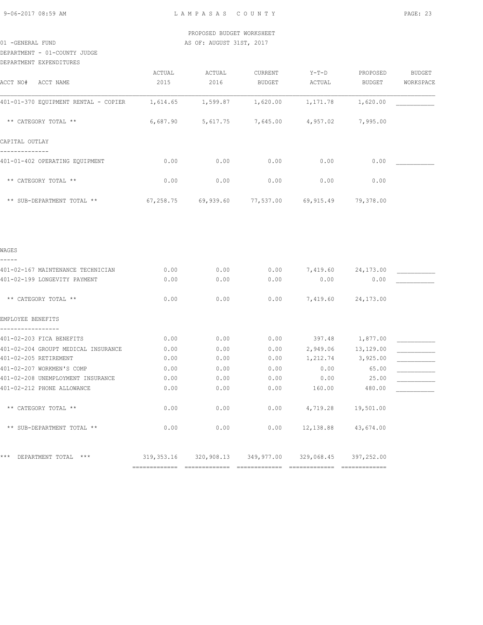DEPARTMENT - 01-COUNTY JUDGE

| DEPARTMENT EXPENDITURES |
|-------------------------|
|                         |

| ACCT NO# ACCT NAME                           | ACTUAL<br>2015 | ACTUAL<br>2016 | CURRENT<br><b>BUDGET</b>                               | $Y-T-D$<br>ACTUAL  | PROPOSED<br>BUDGET | <b>BUDGET</b><br>WORKSPACE |
|----------------------------------------------|----------------|----------------|--------------------------------------------------------|--------------------|--------------------|----------------------------|
| 401-01-370 EQUIPMENT RENTAL - COPIER         | 1,614.65       | 1,599.87       | 1,620.00                                               | 1,171.78           | 1,620.00           |                            |
| ** CATEGORY TOTAL **                         | 6,687.90       | 5,617.75       | 7,645.00                                               | 4,957.02           | 7,995.00           |                            |
| CAPITAL OUTLAY                               |                |                |                                                        |                    |                    |                            |
| ----------<br>401-01-402 OPERATING EQUIPMENT | 0.00           | 0.00           | 0.00                                                   | 0.00               | 0.00               |                            |
| ** CATEGORY TOTAL **                         | 0.00           | 0.00           | 0.00                                                   | 0.00               | 0.00               |                            |
| ** SUB-DEPARTMENT TOTAL **                   | 67,258.75      | 69,939.60      | 77,537.00                                              | 69,915.49          | 79,378.00          |                            |
|                                              |                |                |                                                        |                    |                    |                            |
| WAGES                                        |                |                |                                                        |                    |                    |                            |
| 401-02-167 MAINTENANCE TECHNICIAN            | 0.00           | 0.00           | 0.00                                                   | 7,419.60           | 24,173.00          |                            |
| 401-02-199 LONGEVITY PAYMENT                 | 0.00           | 0.00           | 0.00                                                   | 0.00               | 0.00               |                            |
| ** CATEGORY TOTAL **                         | 0.00           | 0.00           | 0.00                                                   | 7,419.60           | 24,173.00          |                            |
| EMPLOYEE BENEFITS                            |                |                |                                                        |                    |                    |                            |
| 401-02-203 FICA BENEFITS                     | 0.00           | 0.00           | 0.00                                                   | 397.48 1,877.00    |                    |                            |
| 401-02-204 GROUPT MEDICAL INSURANCE          | 0.00           | 0.00           | 0.00                                                   |                    | 2,949.06 13,129.00 |                            |
| 401-02-205 RETIREMENT                        | 0.00           | 0.00           | 0.00                                                   | 1,212.74           | 3,925.00           |                            |
| 401-02-207 WORKMEN'S COMP                    | 0.00           | 0.00           | 0.00                                                   | 0.00               | 65.00              |                            |
| 401-02-208 UNEMPLOYMENT INSURANCE            | 0.00           | 0.00           | 0.00                                                   | 0.00               | 25.00              |                            |
| 401-02-212 PHONE ALLOWANCE                   | 0.00           | 0.00           | 0.00                                                   | 160.00             | 480.00             |                            |
| ** CATEGORY TOTAL **                         | 0.00           | 0.00           | 0.00                                                   | 4,719.28 19,501.00 |                    |                            |
| ** SUB-DEPARTMENT TOTAL **                   | 0.00           | 0.00           | 0.00                                                   | 12,138.88          | 43,674.00          |                            |
| *** DEPARTMENT TOTAL ***                     |                |                | 319,353.16 320,908.13 349,977.00 329,068.45 397,252.00 |                    |                    |                            |
|                                              |                |                |                                                        |                    |                    |                            |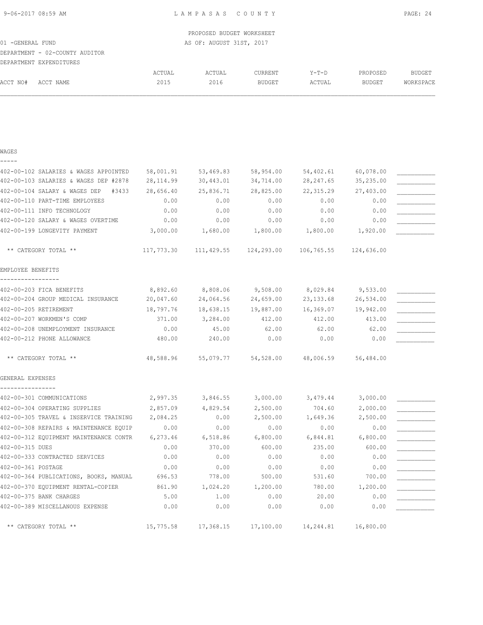## DEPARTMENT - 02-COUNTY AUDITOR

|          | DEPARTMENT EXPENDITURES |        |        |               |             |               |           |
|----------|-------------------------|--------|--------|---------------|-------------|---------------|-----------|
|          |                         | ACTUAL | ACTUAL | CURRENT       | $Y - T - D$ | PROPOSED      | BUDGET    |
| ACCT NO# | ACCT NAME               | 2015   | 2016   | <b>BUDGET</b> | ACTUAL      | <b>BUDGET</b> | WORKSPACE |

### WAGES

| _ |  | ___ |  |
|---|--|-----|--|
|   |  |     |  |

| 402-00-102 SALARIES & WAGES APPOINTED         | 58,001.91  | 53,469.83         | 58,954.00             | 54,402.61           | 60,078.00             |  |
|-----------------------------------------------|------------|-------------------|-----------------------|---------------------|-----------------------|--|
| 402-00-103 SALARIES & WAGES DEP #2878         | 28, 114.99 | 30,443.01         | 34,714.00             | 28, 247.65          | 35,235.00             |  |
| 402-00-104 SALARY & WAGES DEP<br>#3433        | 28,656.40  | 25,836.71         | 28,825.00             | 22, 315.29          | 27,403.00             |  |
| 402-00-110 PART-TIME EMPLOYEES                | 0.00       | 0.00              | 0.00                  | 0.00                | 0.00                  |  |
| 402-00-111 INFO TECHNOLOGY                    | 0.00       | 0.00              | 0.00                  | 0.00                | 0.00                  |  |
| 402-00-120 SALARY & WAGES OVERTIME            | 0.00       | 0.00              | 0.00                  | 0.00                | 0.00                  |  |
| 402-00-199 LONGEVITY PAYMENT                  | 3,000.00   | 1,680.00          | 1,800.00              | 1,800.00            | 1,920.00              |  |
| ** CATEGORY TOTAL **                          | 117,773.30 |                   | 111,429.55 124,293.00 |                     | 106,765.55 124,636.00 |  |
| EMPLOYEE BENEFITS<br>-----------------        |            |                   |                       |                     |                       |  |
| 402-00-203 FICA BENEFITS                      | 8,892.60   | 8,808.06 9,508.00 |                       | 8,029.84            | 9,533.00              |  |
| 402-00-204 GROUP MEDICAL INSURANCE            | 20,047.60  | 24,064.56         | 24,659.00             | 23,133.68           | 26,534.00             |  |
| 402-00-205 RETIREMENT                         | 18,797.76  | 18,638.15         | 19,887.00             | 16,369.07           | 19,942.00             |  |
| 402-00-207 WORKMEN'S COMP                     | 371.00     | 3,284.00          | 412.00                | 412.00              | 413.00                |  |
| 402-00-208 UNEMPLOYMENT INSURANCE             | 0.00       | 45.00             | 62.00                 | 62.00               | 62.00                 |  |
| 402-00-212 PHONE ALLOWANCE                    | 480.00     | 240.00            | 0.00                  | 0.00                | 0.00                  |  |
| ** CATEGORY TOTAL **                          | 48,588.96  | 55,079.77         |                       | 54,528.00 48,006.59 | 56,484.00             |  |
| GENERAL EXPENSES                              |            |                   |                       |                     |                       |  |
| ----------------<br>402-00-301 COMMUNICATIONS |            | 2,997.35 3,846.55 | 3,000.00              | 3,479.44            | 3,000.00              |  |
| 402-00-304 OPERATING SUPPLIES                 | 2,857.09   | 4,829.54          | 2,500.00              | 704.60              | 2,000.00              |  |
| 402-00-305 TRAVEL & INSERVICE TRAINING        | 2,084.25   | 0.00              | 2,500.00              | 1,649.36            | 2,500.00              |  |
| 402-00-308 REPAIRS & MAINTENANCE EQUIP        | 0.00       | 0.00              | 0.00                  | 0.00                | 0.00                  |  |
| 402-00-312 EQUIPMENT MAINTENANCE CONTR        | 6,273.46   | 6,518.86          | 6,800.00              | 6,844.81            | 6,800.00              |  |
| 402-00-315 DUES                               | 0.00       | 370.00            | 600.00                | 235.00              | 600.00                |  |
| 402-00-333 CONTRACTED SERVICES                | 0.00       | 0.00              | 0.00                  | 0.00                | 0.00                  |  |
| 402-00-361 POSTAGE                            | 0.00       | 0.00              | 0.00                  | 0.00                | 0.00                  |  |
| 402-00-364 PUBLICATIONS, BOOKS, MANUAL        | 696.53     | 778.00            | 500.00                | 531.60              | 700.00                |  |
| 402-00-370 EQUIPMENT RENTAL-COPIER            | 861.90     | 1,024.20          | 1,200.00              | 780.00              | 1,200.00              |  |
| 402-00-375 BANK CHARGES                       | 5.00       | 1.00              | 0.00                  | 20.00               | 0.00                  |  |
| 402-00-389 MISCELLANOUS EXPENSE               | 0.00       | 0.00              | 0.00                  | 0.00                | 0.00                  |  |
| ** CATEGORY TOTAL **                          | 15,775.58  | 17,368.15         | 17,100.00             | 14,244.81           | 16,800.00             |  |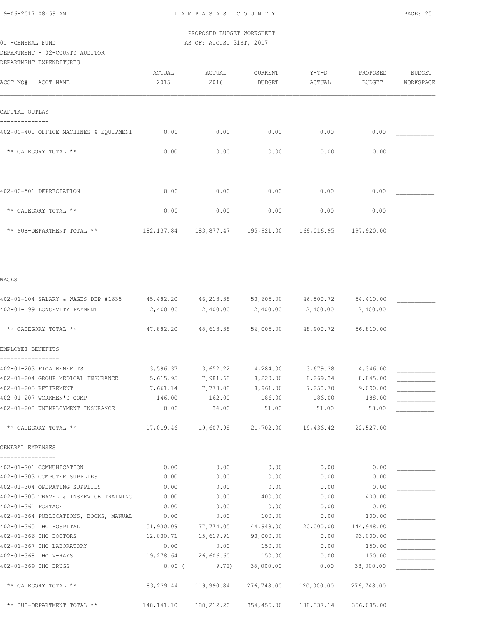DEPARTMENT - 02-COUNTY AUDITOR

| DEPARTMENT - 02-COUNTY AUDITOR<br>DEPARTMENT EXPENDITURES                                                             |                |                                                       |                          |                   |                           |                            |
|-----------------------------------------------------------------------------------------------------------------------|----------------|-------------------------------------------------------|--------------------------|-------------------|---------------------------|----------------------------|
| ACCT NO#<br>ACCT NAME                                                                                                 | ACTUAL<br>2015 | ACTUAL<br>2016                                        | CURRENT<br><b>BUDGET</b> | $Y-T-D$<br>ACTUAL | PROPOSED<br><b>BUDGET</b> | <b>BUDGET</b><br>WORKSPACE |
| CAPITAL OUTLAY                                                                                                        |                |                                                       |                          |                   |                           |                            |
| 402-00-401 OFFICE MACHINES & EQUIPMENT                                                                                | 0.00           | 0.00                                                  | 0.00                     | 0.00              | 0.00                      |                            |
| ** CATEGORY TOTAL **                                                                                                  | 0.00           | 0.00                                                  | 0.00                     | 0.00              | 0.00                      |                            |
| 402-00-501 DEPRECIATION                                                                                               | 0.00           | 0.00                                                  | 0.00                     | 0.00              | 0.00                      |                            |
| ** CATEGORY TOTAL **                                                                                                  | 0.00           | 0.00                                                  | 0.00                     | 0.00              | 0.00                      |                            |
| ** SUB-DEPARTMENT TOTAL **                                                                                            |                | 182,137.84  183,877.47  195,921.00  169,016.95        |                          |                   | 197,920.00                |                            |
| WAGES                                                                                                                 |                |                                                       |                          |                   |                           |                            |
|                                                                                                                       |                |                                                       |                          |                   |                           |                            |
| 402-01-104 SALARY & WAGES DEP #1635 45,482.20 46,213.38 53,605.00 46,500.72 54,410.00<br>402-01-199 LONGEVITY PAYMENT | 2,400.00       | 2,400.00                                              | 2,400.00                 | 2,400.00          | 2,400.00                  |                            |
| ** CATEGORY TOTAL **                                                                                                  | 47,882.20      | 48,613.38                                             | 56,005.00                | 48,900.72         | 56,810.00                 |                            |
| EMPLOYEE BENEFITS                                                                                                     |                |                                                       |                          |                   |                           |                            |
| 402-01-203 FICA BENEFITS                                                                                              | 3,596.37       | 3,652.22                                              | 4,284.00                 | 3,679.38          | 4,346.00                  |                            |
| 402-01-204 GROUP MEDICAL INSURANCE                                                                                    | 5,615.95       | 7,981.68                                              | 8,220.00                 | 8,269.34          | 8,845.00                  |                            |
| 402-01-205 RETIREMENT                                                                                                 | 7,661.14       | 7,778.08                                              | 8,961.00                 | 7,250.70          | 9,090.00                  |                            |
| 402-01-207 WORKMEN'S COMP                                                                                             | 146.00         | 162.00                                                | 186.00                   | 186.00            | 188.00                    |                            |
| 402-01-208 UNEMPLOYMENT INSURANCE                                                                                     | 0.00           |                                                       | 34.00 51.00 51.00        |                   | 58.00                     |                            |
| ** CATEGORY TOTAL **                                                                                                  |                | 17,019.46  19,607.98  21,702.00  19,436.42  22,527.00 |                          |                   |                           |                            |
| GENERAL EXPENSES                                                                                                      |                |                                                       |                          |                   |                           |                            |
|                                                                                                                       |                |                                                       |                          |                   |                           |                            |

| 402-01-301 COMMUNICATION               | 0.00         | 0.00       | 0.00       | 0.00       | 0.00       |  |
|----------------------------------------|--------------|------------|------------|------------|------------|--|
| 402-01-303 COMPUTER SUPPLIES           | 0.00         | 0.00       | 0.00       | 0.00       | 0.00       |  |
| 402-01-304 OPERATING SUPPLIES          | 0.00         | 0.00       | 0.00       | 0.00       | 0.00       |  |
| 402-01-305 TRAVEL & INSERVICE TRAINING | 0.00         | 0.00       | 400.00     | 0.00       | 400.00     |  |
| 402-01-361 POSTAGE                     | 0.00         | 0.00       | 0.00       | 0.00       | 0.00       |  |
| 402-01-364 PUBLICATIONS, BOOKS, MANUAL | 0.00         | 0.00       | 100.00     | 0.00       | 100.00     |  |
| 402-01-365 IHC HOSPITAL                | 51,930.09    | 77,774.05  | 144,948.00 | 120,000.00 | 144,948.00 |  |
| 402-01-366 IHC DOCTORS                 | 12,030.71    | 15,619.91  | 93,000.00  | 0.00       | 93,000.00  |  |
| 402-01-367 IHC LABORATORY              | 0.00         | 0.00       | 150.00     | 0.00       | 150.00     |  |
| 402-01-368 IHC X-RAYS                  | 19,278.64    | 26,606.60  | 150.00     | 0.00       | 150.00     |  |
| 402-01-369 IHC DRUGS                   | $0.00$ (     | 9.72       | 38,000.00  | 0.00       | 38,000.00  |  |
|                                        |              |            |            |            |            |  |
| ** CATEGORY TOTAL **                   | 83,239.44    | 119,990.84 | 276,748.00 | 120,000.00 | 276,748.00 |  |
|                                        |              |            |            |            |            |  |
| ** SUB-DEPARTMENT TOTAL **             | 148, 141. 10 | 188,212.20 | 354,455.00 | 188,337.14 | 356,085.00 |  |
|                                        |              |            |            |            |            |  |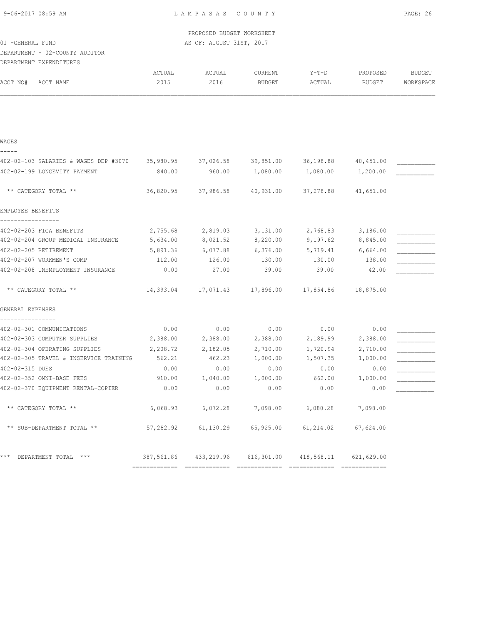9-06-2017 08:59 AM L A M P A S A S C O U N T Y PAGE: 26

 PROPOSED BUDGET WORKSHEET 01 -GENERAL FUND **AS OF: AUGUST 31ST, 2017** 

## DEPARTMENT - 02-COUNTY AUDITOR DEPARTMENT EXPENDITURES

| ACCT NO#<br>ACCT NAME                  | ACTUAL<br>2015 | ACTUAL<br>2016        | <b>CURRENT</b><br><b>BUDGET</b> | $Y-T-D$<br>ACTUAL | PROPOSED<br><b>BUDGET</b> | <b>BUDGET</b><br>WORKSPACE |
|----------------------------------------|----------------|-----------------------|---------------------------------|-------------------|---------------------------|----------------------------|
|                                        |                |                       |                                 |                   |                           |                            |
| WAGES                                  |                |                       |                                 |                   |                           |                            |
|                                        |                |                       |                                 |                   |                           |                            |
| 402-02-103 SALARIES & WAGES DEP #3070  | 35,980.95      | 37,026.58             | 39,851.00                       | 36,198.88         | 40,451.00                 |                            |
| 402-02-199 LONGEVITY PAYMENT           | 840.00         | 960.00                | 1,080.00                        | 1,080.00          | 1,200.00                  |                            |
| ** CATEGORY TOTAL **                   | 36,820.95      | 37,986.58             | 40,931.00                       | 37,278.88         | 41,651.00                 |                            |
| EMPLOYEE BENEFITS                      |                |                       |                                 |                   |                           |                            |
| 402-02-203 FICA BENEFITS               | 2,755.68       | 2,819.03              | 3,131.00                        | 2,768.83          | 3,186.00                  |                            |
| 402-02-204 GROUP MEDICAL INSURANCE     | 5,634.00       | 8,021.52              | 8,220.00                        | 9,197.62          | 8,845.00                  |                            |
| 402-02-205 RETIREMENT                  | 5,891.36       | 6,077.88              | 6,376.00                        | 5,719.41          | 6,664.00                  |                            |
| 402-02-207 WORKMEN'S COMP              | 112.00         | 126.00                | 130.00                          | 130.00            | 138.00                    |                            |
| 402-02-208 UNEMPLOYMENT INSURANCE      | 0.00           | 27.00                 | 39.00                           | 39.00             | 42.00                     |                            |
| ** CATEGORY TOTAL **                   | 14,393.04      | 17,071.43             | 17,896.00                       | 17,854.86         | 18,875.00                 |                            |
| GENERAL EXPENSES                       |                |                       |                                 |                   |                           |                            |
| 402-02-301 COMMUNICATIONS              | 0.00           | 0.00                  | 0.00                            | 0.00              | 0.00                      |                            |
| 402-02-303 COMPUTER SUPPLIES           | 2,388.00       | 2,388.00              | 2,388.00                        | 2,189.99          | 2,388.00                  |                            |
| 402-02-304 OPERATING SUPPLIES          | 2,208.72       | 2,182.05              | 2,710.00                        | 1,720.94          | 2,710.00                  |                            |
| 402-02-305 TRAVEL & INSERVICE TRAINING | 562.21         | 462.23                | 1,000.00                        | 1,507.35          | 1,000.00                  |                            |
| 402-02-315 DUES                        | 0.00           | 0.00                  | 0.00                            | 0.00              | 0.00                      |                            |
| 402-02-352 OMNI-BASE FEES              | 910.00         | 1,040.00              | 1,000.00                        | 662.00            | 1,000.00                  |                            |
| 402-02-370 EQUIPMENT RENTAL-COPIER     | 0.00           | 0.00                  | 0.00                            | 0.00              | 0.00                      |                            |
| ** CATEGORY TOTAL **                   | 6,068.93       | 6,072.28              | 7,098.00                        | 6,080.28          | 7,098.00                  |                            |
| ** SUB-DEPARTMENT TOTAL **             | 57,282.92      | 61,130.29             | 65,925.00                       | 61,214.02         | 67,624.00                 |                            |
| *** DEPARTMENT TOTAL ***               |                | 387,561.86 433,219.96 | 616,301.00                      | 418,568.11        | 621,629.00                |                            |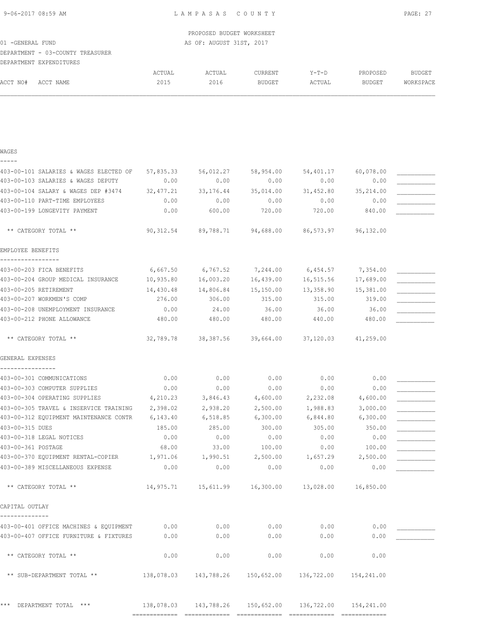PROPOSED BUDGET WORKSHEET 01 -GENERAL FUND **AS OF: AUGUST 31ST, 2017** DEPARTMENT - 03-COUNTY TREASURER DEPARTMENT EXPENDITURES ACTUAL ACTUAL CURRENT Y-T-D PROPOSED BUDGET ACCT NO# ACCT NAME 2015 2016 BUDGET ACTUAL BUDGET WORKSPACE

### WAGES

-----

| 403-00-103 SALARIES & WAGES DEPUTY<br>403-00-104 SALARY & WAGES DEP #3474<br>403-00-110 PART-TIME EMPLOYEES<br>403-00-199 LONGEVITY PAYMENT | 0.00<br>32, 477.21<br>0.00 | 0.00<br>33, 176. 44                                         | 0.00<br>35,014.00 | 0.00<br>31,452.80 | 0.00       |  |
|---------------------------------------------------------------------------------------------------------------------------------------------|----------------------------|-------------------------------------------------------------|-------------------|-------------------|------------|--|
|                                                                                                                                             |                            |                                                             |                   |                   |            |  |
|                                                                                                                                             |                            |                                                             |                   |                   | 35,214.00  |  |
|                                                                                                                                             |                            | 0.00                                                        | 0.00              | 0.00              | 0.00       |  |
|                                                                                                                                             | 0.00                       | 600.00                                                      | 720.00            | 720.00            | 840.00     |  |
| ** CATEGORY TOTAL **                                                                                                                        |                            | $90,312.54$ $89,788.71$ $94,688.00$ $86,573.97$ $96,132.00$ |                   |                   |            |  |
| EMPLOYEE BENEFITS                                                                                                                           |                            |                                                             |                   |                   |            |  |
| 403-00-203 FICA BENEFITS                                                                                                                    | 6,667.50                   | 6,767.52                                                    | 7,244.00          | 6,454.57          | 7,354.00   |  |
| 403-00-204 GROUP MEDICAL INSURANCE                                                                                                          | 10,935.80                  | 16,003.20                                                   | 16,439.00         | 16,515.56         | 17,689.00  |  |
| 403-00-205 RETIREMENT                                                                                                                       | 14,430.48                  | 14,806.84                                                   | 15,150.00         | 13,358.90         | 15,381.00  |  |
| 403-00-207 WORKMEN'S COMP                                                                                                                   | 276.00                     | 306.00                                                      | 315.00            | 315.00            | 319.00     |  |
| 403-00-208 UNEMPLOYMENT INSURANCE                                                                                                           | 0.00                       | 24.00                                                       | 36.00             | 36.00             | 36.00      |  |
| 403-00-212 PHONE ALLOWANCE                                                                                                                  | 480.00                     | 480.00                                                      | 480.00            | 440.00            | 480.00     |  |
| ** CATEGORY TOTAL **                                                                                                                        | 32,789.78                  | 38,387.56                                                   | 39,664.00         | 37,120.03         | 41,259.00  |  |
| GENERAL EXPENSES                                                                                                                            |                            |                                                             |                   |                   |            |  |
| 403-00-301 COMMUNICATIONS                                                                                                                   | 0.00                       | 0.00                                                        | 0.00              | 0.00              | 0.00       |  |
| 403-00-303 COMPUTER SUPPLIES                                                                                                                | 0.00                       | 0.00                                                        | 0.00              | 0.00              | 0.00       |  |
| 403-00-304 OPERATING SUPPLIES                                                                                                               | 4,210.23                   | 3,846.43                                                    | 4,600.00          | 2,232.08          | 4,600.00   |  |
| 403-00-305 TRAVEL & INSERVICE TRAINING                                                                                                      | 2,398.02                   | 2,938.20                                                    | 2,500.00          | 1,988.83          | 3,000.00   |  |
| 403-00-312 EQUIPMENT MAINTENANCE CONTR                                                                                                      | 6,143.40                   | 6,518.85                                                    | 6,300.00          | 6,844.80          | 6,300.00   |  |
| 403-00-315 DUES                                                                                                                             | 185.00                     | 285.00                                                      | 300.00            | 305.00            | 350.00     |  |
| 403-00-318 LEGAL NOTICES                                                                                                                    | 0.00                       | 0.00                                                        | 0.00              | 0.00              | 0.00       |  |
| 403-00-361 POSTAGE                                                                                                                          | 68.00                      | 33.00                                                       | 100.00            | 0.00              | 100.00     |  |
| 403-00-370 EQUIPMENT RENTAL-COPIER                                                                                                          | 1,971.06                   | 1,990.51                                                    | 2,500.00          | 1,657.29          | 2,500.00   |  |
| 403-00-389 MISCELLANEOUS EXPENSE                                                                                                            | 0.00                       | 0.00                                                        | 0.00              | 0.00              | 0.00       |  |
| ** CATEGORY TOTAL **                                                                                                                        |                            | $14,975.71$ $15,611.99$ $16,300.00$ $13,028.00$ $16,850.00$ |                   |                   |            |  |
| CAPITAL OUTLAY                                                                                                                              |                            |                                                             |                   |                   |            |  |
| 403-00-401 OFFICE MACHINES & EQUIPMENT                                                                                                      | 0.00                       | 0.00                                                        | 0.00              | 0.00              | 0.00       |  |
| 403-00-407 OFFICE FURNITURE & FIXTURES                                                                                                      | 0.00                       | 0.00                                                        | 0.00              | 0.00              | 0.00       |  |
| ** CATEGORY TOTAL **                                                                                                                        | 0.00                       | 0.00                                                        | 0.00              | 0.00              | 0.00       |  |
| ** SUB-DEPARTMENT TOTAL **                                                                                                                  | 138,078.03                 | 143,788.26                                                  | 150,652.00        | 136,722.00        | 154,241.00 |  |
| * * *<br>DEPARTMENT TOTAL ***                                                                                                               | 138,078.03                 | 143,788.26                                                  | 150,652.00        | 136,722.00        | 154,241.00 |  |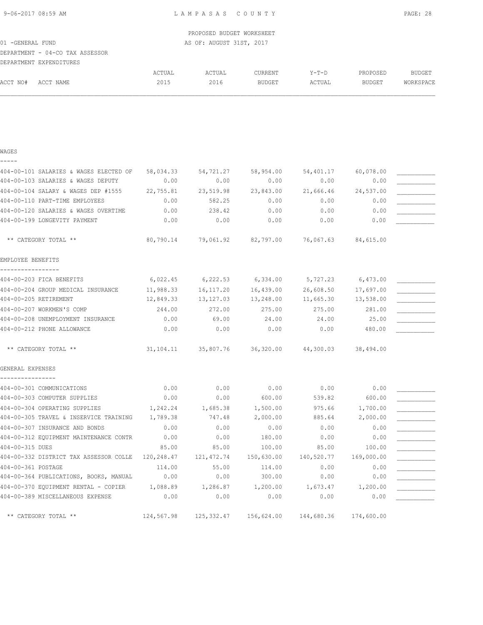| 9-06-2017 08:59 AM                     |            | LAMPASAS COUNTY           |                       |           |           | PAGE: 28      |
|----------------------------------------|------------|---------------------------|-----------------------|-----------|-----------|---------------|
|                                        |            | PROPOSED BUDGET WORKSHEET |                       |           |           |               |
| 01 - GENERAL FUND                      |            | AS OF: AUGUST 31ST, 2017  |                       |           |           |               |
| DEPARTMENT - 04-CO TAX ASSESSOR        |            |                           |                       |           |           |               |
| DEPARTMENT EXPENDITURES                |            |                           |                       |           |           |               |
|                                        | ACTUAL     | ACTUAL                    | CURRENT               | $Y-T-D$   | PROPOSED  | <b>BUDGET</b> |
| ACCT NO#<br>ACCT NAME                  | 2015       | 2016                      | BUDGET                | ACTUAL    | BUDGET    | WORKSPACE     |
|                                        |            |                           |                       |           |           |               |
| WAGES                                  |            |                           |                       |           |           |               |
| 404-00-101 SALARIES & WAGES ELECTED OF | 58,034.33  | 54,721.27                 | 58,954.00             | 54,401.17 | 60,078.00 |               |
| 404-00-103 SALARIES & WAGES DEPUTY     | 0.00       | 0.00                      | 0.00                  | 0.00      | 0.00      |               |
| 404-00-104 SALARY & WAGES DEP #1555    | 22,755.81  | 23,519.98                 | 23,843.00             | 21,666.46 | 24,537.00 |               |
| 404-00-110 PART-TIME EMPLOYEES         | 0.00       | 582.25                    | 0.00                  | 0.00      | 0.00      |               |
| 404-00-120 SALARIES & WAGES OVERTIME   | 0.00       | 238.42                    | 0.00                  | 0.00      | 0.00      |               |
| 404-00-199 LONGEVITY PAYMENT           | 0.00       | 0.00                      | 0.00                  | 0.00      | 0.00      |               |
| ** CATEGORY TOTAL **                   | 80,790.14  | 79,061.92                 | 82,797.00             | 76,067.63 | 84,615.00 |               |
| EMPLOYEE BENEFITS                      |            |                           |                       |           |           |               |
| 404-00-203 FICA BENEFITS               | 6,022.45   |                           | $6,222.53$ $6,334.00$ | 5,727.23  | 6,473.00  |               |
| 404-00-204 GROUP MEDICAL INSURANCE     | 11,988.33  | 16, 117.20                | 16,439.00             | 26,608.50 | 17,697.00 |               |
| 404-00-205 RETIREMENT                  | 12,849.33  | 13,127.03                 | 13,248.00             | 11,665.30 | 13,538.00 |               |
| 404-00-207 WORKMEN'S COMP              | 244.00     | 272.00                    | 275.00                | 275.00    | 281.00    |               |
| 404-00-208 UNEMPLOYMENT INSURANCE      | 0.00       | 69.00                     | 24.00                 | 24.00     | 25.00     |               |
| 404-00-212 PHONE ALLOWANCE             | 0.00       | 0.00                      | 0.00                  | 0.00      | 480.00    |               |
| ** CATEGORY TOTAL **                   | 31, 104.11 | 35,807.76                 | 36,320.00             | 44,300.03 | 38,494.00 |               |
| GENERAL EXPENSES                       |            |                           |                       |           |           |               |
| 404-00-301 COMMUNICATIONS              | 0.00       | 0.00                      | 0.00                  | 0.00      | 0.00      |               |
| 404-00-303 COMPUTER SUPPLIES           | 0.00       | 0.00                      | 600.00                | 539.82    | 600.00    |               |
| 404-00-304 OPERATING SUPPLIES          | 1,242.24   | 1,685.38                  | 1,500.00              | 975.66    | 1,700.00  |               |
| 404-00-305 TRAVEL & INSERVICE TRAINING | 1,789.38   | 747.48                    | 2,000.00              | 885.64    | 2,000.00  |               |
| 404-00-307 INSURANCE AND BONDS         | 0.00       | 0.00                      | 0.00                  | 0.00      | 0.00      |               |

404-00-312 EQUIPMENT MAINTENANCE CONTR 0.00 0.00 180.00 0.00 0.00 \_\_\_\_\_\_\_\_\_\_\_ 404-00-315 DUES 85.00 85.00 100.00 85.00 100.00 \_\_\_\_\_\_\_\_\_\_\_

404-00-370 EQUIPMENT RENTAL - COPIER 1,088.89 1,286.87 1,200.00 1,673.47 1,200.00 \_\_\_\_\_\_\_\_\_\_\_\_\_\_\_\_\_\_\_\_\_\_\_\_\_\_\_\_<br>404-00-389 MISCRIIANROUS EXPENSE

404-00-332 DISTRICT TAX ASSESSOR COLLE 120,248.47 121,472.74 150,630.00 140,520.77 169,000.00 404-00-361 POSTAGE 6 114.00 55.00 114.00 0.00 0.00

404-00-364 PUBLICATIONS, BOOKS, MANUAL 0.00 0.00 0.00 0.00 0.00 0.00 0.00<br>404-00-370 EQUIPMENT RENTAL - COPIER 1,088.89 1,286.87 1,200.00 1,673.47 1,200.00

404-00-389 MISCELLANEOUS EXPENSE 0.00 0.00 0.00 0.00 0.00 \_\_\_\_\_\_\_\_\_\_\_

\*\* CATEGORY TOTAL \*\* 124,567.98 125,332.47 156,624.00 144,680.36 174,600.00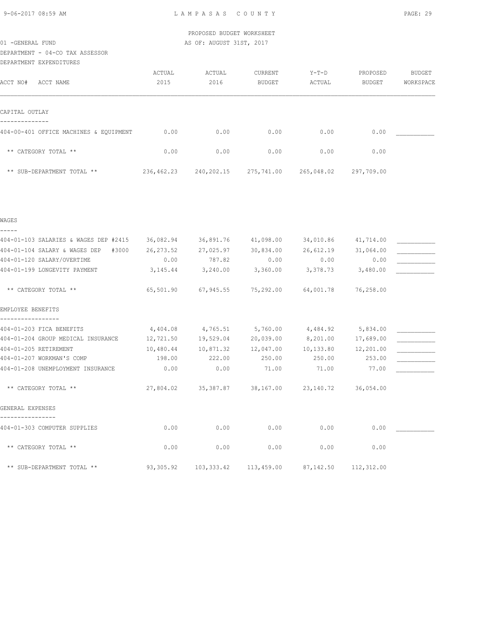## DEPARTMENT - 04-CO TAX ASSESSOR

DEPARTMENT EXPENDITURES

|                                        | ACTUAL     | ACTUAL     | CURRENT    | $Y-T-D$    | PROPOSED      | BUDGET    |
|----------------------------------------|------------|------------|------------|------------|---------------|-----------|
| ACCT NO#<br>ACCT NAME                  | 2015       | 2016       | BUDGET     | ACTUAL     | <b>BUDGET</b> | WORKSPACE |
|                                        |            |            |            |            |               |           |
| CAPITAL OUTLAY                         |            |            |            |            |               |           |
| 404-00-401 OFFICE MACHINES & EQUIPMENT | 0.00       | 0.00       | 0.00       | 0.00       | 0.00          |           |
| ** CATEGORY TOTAL **                   | 0.00       | 0.00       | 0.00       | 0.00       | 0.00          |           |
| ** SUB-DEPARTMENT TOTAL **             | 236,462.23 | 240,202.15 | 275,741.00 | 265,048.02 | 297,709.00    |           |

| WAGES                                          |           |             |                     |                    |                     |  |
|------------------------------------------------|-----------|-------------|---------------------|--------------------|---------------------|--|
| -----<br>404-01-103 SALARIES & WAGES DEP #2415 | 36,082.94 |             | 36,891.76 41,098.00 | 34,010.86          | 41,714.00           |  |
| 404-01-104 SALARY & WAGES DEP<br>#3000         | 26,273.52 | 27,025.97   | 30,834.00           | 26,612.19          | 31,064.00           |  |
| 404-01-120 SALARY/OVERTIME                     | 0.00      | 787.82      | 0.00                | 0.00               | 0.00                |  |
| 404-01-199 LONGEVITY PAYMENT                   | 3, 145.44 | 3,240.00    | 3,360.00            | 3,378.73           | 3,480.00            |  |
| ** CATEGORY TOTAL **                           | 65,501.90 |             | 67,945.55 75,292.00 | 64,001.78          | 76,258.00           |  |
| EMPLOYEE BENEFITS                              |           |             |                     |                    |                     |  |
| 404-01-203 FICA BENEFITS                       | 4,404.08  | 4,765.51    | 5,760.00            | 4,484.92           | 5,834.00            |  |
| 404-01-204 GROUP MEDICAL INSURANCE             | 12,721.50 |             | 19,529.04 20,039.00 | 8,201.00 17,689.00 |                     |  |
| 404-01-205 RETIREMENT                          | 10,480.44 |             | 10,871.32 12,047.00 |                    | 10,133.80 12,201.00 |  |
| 404-01-207 WORKMAN'S COMP                      | 198.00    | 222.00      | 250.00              | 250.00             | 253.00              |  |
| 404-01-208 UNEMPLOYMENT INSURANCE              | 0.00      | 0.00        | 71.00               | 71.00              | 77.00               |  |
| ** CATEGORY TOTAL **                           |           |             |                     |                    |                     |  |
| GENERAL EXPENSES                               |           |             |                     |                    |                     |  |
| 404-01-303 COMPUTER SUPPLIES                   | 0.00      | 0.00        | 0.00                | 0.00               | 0.00                |  |
| ** CATEGORY TOTAL **                           | 0.00      | 0.00        | 0.00                | 0.00               | 0.00                |  |
| ** SUB-DEPARTMENT TOTAL **                     | 93,305.92 | 103, 333.42 | 113,459.00          | 87,142.50          | 112,312.00          |  |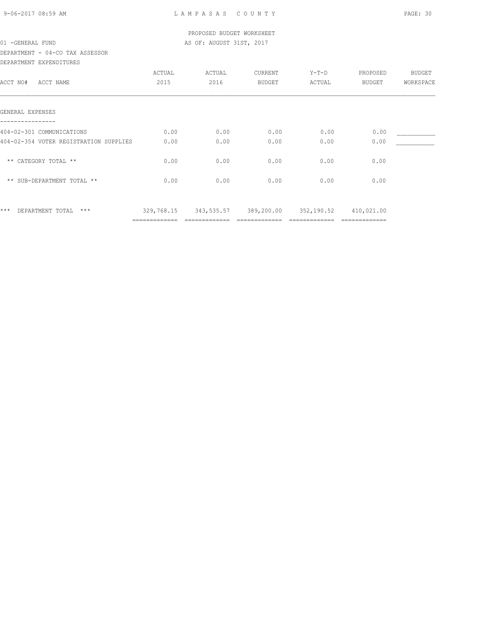### DEPARTMENT - 04-CO TAX ASSESSOR DEPARTMENT EXPENDITURES

| DEFAKIMENI EAFENDITUKES                |               |            |            |            |               |           |
|----------------------------------------|---------------|------------|------------|------------|---------------|-----------|
|                                        | ACTUAL        | ACTUAL     | CURRENT    | $Y-T-D$    | PROPOSED      | BUDGET    |
| ACCT NO#<br>ACCT NAME                  | 2015          | 2016       | BUDGET     | ACTUAL     | BUDGET        | WORKSPACE |
| GENERAL EXPENSES                       |               |            |            |            |               |           |
| 404-02-301 COMMUNICATIONS              | 0.00          | 0.00       | 0.00       | 0.00       | 0.00          |           |
| 404-02-354 VOTER REGISTRATION SUPPLIES | 0.00          | 0.00       | 0.00       | 0.00       | 0.00          |           |
| ** CATEGORY TOTAL **                   | 0.00          | 0.00       | 0.00       | 0.00       | 0.00          |           |
| ** SUB-DEPARTMENT TOTAL **             | 0.00          | 0.00       | 0.00       | 0.00       | 0.00          |           |
| $***$<br>$***$<br>DEPARTMENT TOTAL     | 329,768.15    | 343,535.57 | 389,200.00 | 352,190.52 | 410,021.00    |           |
|                                        | ============= |            |            |            | ============= |           |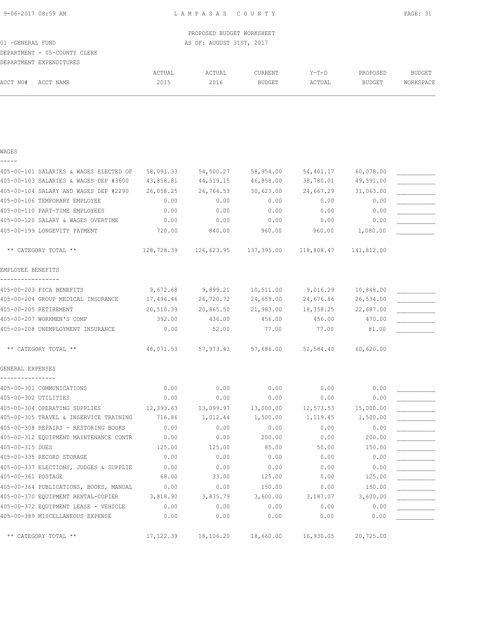|                   |                                        |           | PROPOSED BUDGET WORKSHEET |           |           |               |               |
|-------------------|----------------------------------------|-----------|---------------------------|-----------|-----------|---------------|---------------|
| 01 - GENERAL FUND |                                        |           | AS OF: AUGUST 31ST, 2017  |           |           |               |               |
|                   | DEPARTMENT - 05-COUNTY CLERK           |           |                           |           |           |               |               |
|                   | DEPARTMENT EXPENDITURES                |           |                           |           |           |               |               |
|                   |                                        | ACTUAL    | ACTUAL                    | CURRENT   | Y-T-D     | PROPOSED      | <b>BUDGET</b> |
| ACCT NO#          | ACCT NAME                              | 2015      | 2016                      | BUDGET    | ACTUAL    | <b>BUDGET</b> | WORKSPACE     |
|                   |                                        |           |                           |           |           |               |               |
|                   |                                        |           |                           |           |           |               |               |
|                   |                                        |           |                           |           |           |               |               |
|                   |                                        |           |                           |           |           |               |               |
|                   |                                        |           |                           |           |           |               |               |
| WAGES             |                                        |           |                           |           |           |               |               |
|                   |                                        |           |                           |           |           |               |               |
|                   | 405-00-101 SALARIES & WAGES ELECTED OF | 58,091.33 | 54,500.27                 | 58,954.00 | 54,401.17 | 60,078.00     |               |
|                   | 405-00-103 SALARIES & WAGES DEP #3600  | 43,858.81 | 44,519.15                 | 46,858.00 | 38,780.01 | 49,591.00     |               |
|                   |                                        |           |                           |           |           |               |               |

| 405-00-103 SALARIES & WAGES DEP #3600 43,858.81      |        | 44,519.15                                                   | 46,858.00           | 38,780.01             | 49,591.00           |  |
|------------------------------------------------------|--------|-------------------------------------------------------------|---------------------|-----------------------|---------------------|--|
| 405-00-104 SALARY AND WAGES DEP #2290 26,058.25      |        |                                                             | 26,764.53 30,623.00 |                       | 24,667.29 31,063.00 |  |
| 405-00-106 TEMPORARY EMPLOYEE                        | 0.00   | 0.00                                                        | 0.00                | 0.00                  | 0.00                |  |
| 405-00-110 PART-TIME EMPLOYEES                       | 0.00   | 0.00                                                        | 0.00                | 0.00                  | 0.00                |  |
| 405-00-120 SALARY & WAGES OVERTIME                   | 0.00   | 0.00                                                        | 0.00                | 0.00                  | 0.00                |  |
| 405-00-199 LONGEVITY PAYMENT                         | 720.00 | 840.00                                                      | 960.00              |                       | 960.00 1,080.00     |  |
| ** CATEGORY TOTAL **                                 |        | 128,728.39  126,623.95  137,395.00  118,808.47  141,812.00  |                     |                       |                     |  |
| EMPLOYEE BENEFITS                                    |        |                                                             |                     |                       |                     |  |
| -----------------<br>405-00-203 FICA BENEFITS        |        | $9,672.68$ $9,899.21$ $10,511.00$ $9,016.29$                |                     |                       | 10,848.00           |  |
| 405-00-204 GROUP MEDICAL INSURANCE                   |        | 17,496.46 26,720.72 24,659.00                               |                     | 24,676.86             | 26,534.00           |  |
| 405-00-205 RETIREMENT                                |        | 20,510.39  20,865.50  21,983.00  18,358.25                  |                     |                       | 22,687.00           |  |
| 405-00-207 WORKMEN'S COMP                            | 392.00 | 436.00                                                      | 456.00              |                       | 456.00 470.00       |  |
| 405-00-208 UNEMPLOYMENT INSURANCE                    | 0.00   | 52.00                                                       | 77.00               | 77.00                 | 81.00               |  |
| ** CATEGORY TOTAL **                                 |        | 48,071.53 57,973.43 57,686.00 52,584.40                     |                     |                       | 60,620.00           |  |
| GENERAL EXPENSES                                     |        |                                                             |                     |                       |                     |  |
| ----------------<br>405-00-301 COMMUNICATIONS        | 0.00   | 0.00                                                        | 0.00                | 0.00                  | 0.00                |  |
| 405-00-302 UTILITIES                                 | 0.00   | 0.00                                                        | 0.00                | 0.00                  | 0.00                |  |
| 405-00-304 OPERATING SUPPLIES                        |        | $12,393.63$ $13,099.97$ $13,000.00$ $12,573.53$             |                     |                       | 15,000.00           |  |
| 405-00-305 TRAVEL & INSERVICE TRAINING 716.86        |        | 1,012.44                                                    | 1,500.00            | 1,119.45              | 1,500.00            |  |
| 405-00-308 REPAIRS - RESTORING BOOKS                 | 0.00   | 0.00                                                        | 0.00                | 0.00                  | 0.00                |  |
| 405-00-312 EQUIPMENT MAINTENANCE CONTR               | 0.00   | 0.00                                                        | 200.00              | 0.00                  | 200.00              |  |
| 405-00-315 DUES                                      | 125.00 | 125.00                                                      | 85.00               | 50.00                 | 150.00              |  |
| 405-00-335 RECORD STORAGE                            | 0.00   | 0.00                                                        | 0.00                | 0.00                  | 0.00                |  |
| 405-00-337 ELECTIONS, JUDGES & SUPPLIE               | 0.00   | 0.00                                                        | 0.00                | 0.00                  | 0.00                |  |
| 405-00-361 POSTAGE                                   | 68.00  | 33.00                                                       | 125.00              | 0.00                  | 125.00              |  |
| 405-00-364 PUBLICATIONS, BOOKS, MANUAL               | 0.00   | 0.00                                                        | 150.00              | 0.00                  | 150.00              |  |
| 405-00-370 EQUIPMENT RENTAL-COPIER 3,818.90 3,835.79 |        |                                                             |                     | $3,600.00$ $3,187.07$ | 3,600.00            |  |
| 405-00-372 EQUIPMENT LEASE - VEHICLE                 | 0.00   | 0.00                                                        | 0.00                | 0.00                  | 0.00                |  |
| 405-00-389 MISCELLANEOUS EXPENSE                     | 0.00   | 0.00                                                        | 0.00                | 0.00                  | 0.00                |  |
| ** CATEGORY TOTAL **                                 |        | $17,122.39$ $18,106.20$ $18,660.00$ $16,930.05$ $20,725.00$ |                     |                       |                     |  |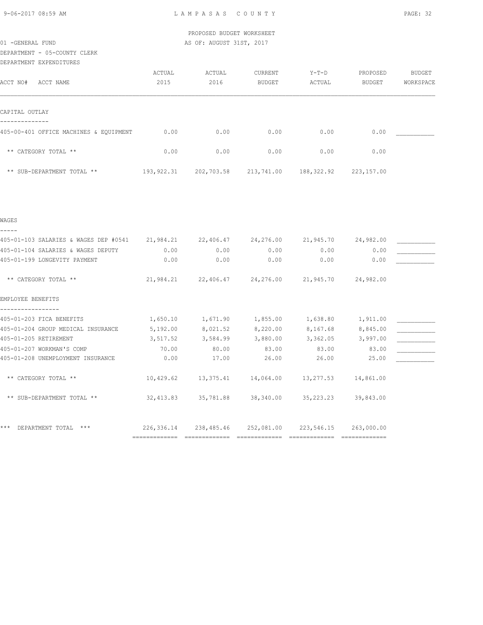DEPARTMENT - 05-COUNTY CLERK

|  | DEPARTMENT EXPENDITURES |
|--|-------------------------|
|--|-------------------------|

| ACCT NO#<br>ACCT NAME                  | ACTUAL<br>2015 | ACTUAL<br>2016 | CURRENT<br>BUDGET | $Y-T-D$<br>ACTUAL | PROPOSED<br>BUDGET | BUDGET<br>WORKSPACE |
|----------------------------------------|----------------|----------------|-------------------|-------------------|--------------------|---------------------|
| CAPITAL OUTLAY                         |                |                |                   |                   |                    |                     |
| 405-00-401 OFFICE MACHINES & EQUIPMENT | 0.00           | 0.00           | 0.00              | 0.00              | 0.00               |                     |
| ** CATEGORY TOTAL **                   | 0.00           | 0.00           | 0.00              | 0.00              | 0.00               |                     |
| ** SUB-DEPARTMENT TOTAL **             | 193, 922.31    | 202,703.58     | 213,741.00        | 188,322.92        | 223,157.00         |                     |

| WAGES                                                                                   |               |               |                                                       |                        |            |  |
|-----------------------------------------------------------------------------------------|---------------|---------------|-------------------------------------------------------|------------------------|------------|--|
| 405-01-103 SALARIES & WAGES DEP #0541 21,984.21 22,406.47 24,276.00 21,945.70 24,982.00 |               |               |                                                       |                        |            |  |
| 405-01-104 SALARIES & WAGES DEPUTY                                                      | 0.00          | 0.00          | 0.00                                                  | 0.00                   | 0.00       |  |
| 405-01-199 LONGEVITY PAYMENT                                                            | 0.00          | 0.00          | 0.00                                                  | 0.00                   | 0.00       |  |
| ** CATEGORY TOTAL **                                                                    |               |               | 21,984.21  22,406.47  24,276.00  21,945.70  24,982.00 |                        |            |  |
| EMPLOYEE BENEFITS                                                                       |               |               |                                                       |                        |            |  |
| 405-01-203 FICA BENEFITS                                                                | 1,650.10      | 1,671.90      | 1,855.00                                              | 1,638.80               | 1,911.00   |  |
| 405-01-204 GROUP MEDICAL INSURANCE                                                      | 5,192.00      | 8,021.52      | 8,220.00                                              | 8,167.68               | 8,845.00   |  |
| 405-01-205 RETIREMENT                                                                   | 3,517.52      | 3,584.99      | 3,880.00                                              | 3,362.05               | 3,997.00   |  |
| 405-01-207 WORKMAN'S COMP                                                               | 70.00         | 80.00         | 83.00                                                 | 83.00                  | 83.00      |  |
| 405-01-208 UNEMPLOYMENT INSURANCE                                                       | 0.00          | 17.00         | 26.00                                                 | 26.00                  | 25.00      |  |
| ** CATEGORY TOTAL **                                                                    | 10,429.62     | 13,375.41     |                                                       | 14,064.00    13,277.53 | 14,861.00  |  |
| ** SUB-DEPARTMENT TOTAL **                                                              | 32,413.83     |               | 35,781.88 38,340.00 35,223.23                         |                        | 39,843.00  |  |
| ***<br>DEPARTMENT TOTAL<br>$***$                                                        | 226,336.14    | 238,485.46    | 252,081.00                                            | 223,546.15             | 263,000.00 |  |
|                                                                                         | ============= | ============= |                                                       |                        |            |  |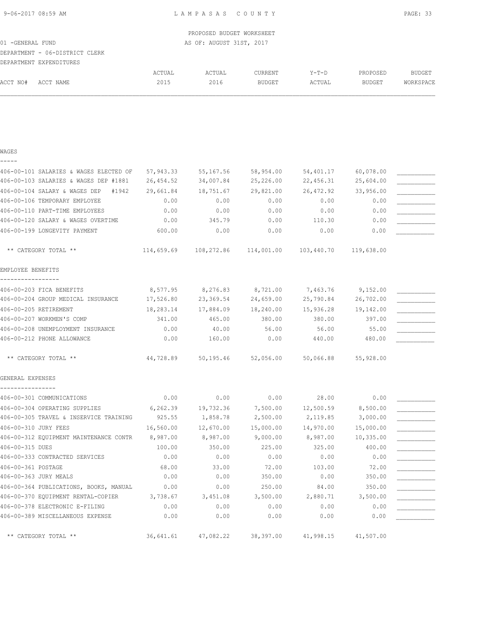|                                |        | PROPOSED BUDGET WORKSHEET |         |        |          |           |
|--------------------------------|--------|---------------------------|---------|--------|----------|-----------|
| 01 - GENERAL FUND              |        | AS OF: AUGUST 31ST, 2017  |         |        |          |           |
| DEPARTMENT - 06-DISTRICT CLERK |        |                           |         |        |          |           |
| DEPARTMENT EXPENDITURES        |        |                           |         |        |          |           |
|                                | ACTUAL | ACTUAL                    | CURRENT | Y-T-D  | PROPOSED | BUDGET    |
| ACCT NAME<br>ACCT NO#          | 2015   | 2016                      | BUDGET  | ACTUAL | BUDGET   | WORKSPACE |
|                                |        |                           |         |        |          |           |
|                                |        |                           |         |        |          |           |
|                                |        |                           |         |        |          |           |
|                                |        |                           |         |        |          |           |
|                                |        |                           |         |        |          |           |
| WAGES                          |        |                           |         |        |          |           |

| 406-00-101 SALARIES & WAGES ELECTED OF          | 57,943.33 | 55,167.56                                                        | 58,954.00           | 54,401.17 | 60,078.00 |  |
|-------------------------------------------------|-----------|------------------------------------------------------------------|---------------------|-----------|-----------|--|
| 406-00-103 SALARIES & WAGES DEP #1881           | 26,454.52 | 34,007.84                                                        | 25,226.00           | 22,456.31 | 25,604.00 |  |
| 406-00-104 SALARY & WAGES DEP #1942             | 29,661.84 | 18,751.67                                                        | 29,821.00           | 26,472.92 | 33,956.00 |  |
| 406-00-106 TEMPORARY EMPLOYEE                   | 0.00      | 0.00                                                             | 0.00                | 0.00      | 0.00      |  |
| 406-00-110 PART-TIME EMPLOYEES                  | 0.00      | 0.00                                                             | 0.00                | 0.00      | 0.00      |  |
| 406-00-120 SALARY & WAGES OVERTIME              | 0.00      | 345.79                                                           | 0.00                | 110.30    | 0.00      |  |
| 406-00-199 LONGEVITY PAYMENT                    | 600.00    | 0.00                                                             | 0.00                | 0.00      | 0.00      |  |
| ** CATEGORY TOTAL **                            |           | $114,659.69$ $108,272.86$ $114,001.00$ $103,440.70$ $119,638.00$ |                     |           |           |  |
| EMPLOYEE BENEFITS                               |           |                                                                  |                     |           |           |  |
| 406-00-203 FICA BENEFITS                        | 8,577.95  |                                                                  | 8,276.83 8,721.00   | 7,463.76  | 9,152.00  |  |
| 406-00-204 GROUP MEDICAL INSURANCE              | 17,526.80 | 23,369.54                                                        | 24,659.00           | 25,790.84 | 26,702.00 |  |
| 406-00-205 RETIREMENT                           | 18,283.14 |                                                                  | 17,884.09 18,240.00 | 15,936.28 | 19,142.00 |  |
| 406-00-207 WORKMEN'S COMP                       | 341.00    | 465.00                                                           | 380.00              | 380.00    | 397.00    |  |
| 406-00-208 UNEMPLOYMENT INSURANCE               | 0.00      | 40.00                                                            | 56.00               | 56.00     | 55.00     |  |
| 406-00-212 PHONE ALLOWANCE                      | 0.00      | 160.00                                                           | 0.00                | 440.00    | 480.00    |  |
| ** CATEGORY TOTAL **                            | 44,728.89 |                                                                  | 50,195.46 52,056.00 | 50,066.88 | 55,928.00 |  |
| GENERAL EXPENSES                                |           |                                                                  |                     |           |           |  |
| 406-00-301 COMMUNICATIONS                       | 0.00      | 0.00                                                             | 0.00                | 28.00     | 0.00      |  |
| 406-00-304 OPERATING SUPPLIES                   | 6, 262.39 | 19,732.36                                                        | 7,500.00            | 12,500.59 | 8,500.00  |  |
| 406-00-305 TRAVEL & INSERVICE TRAINING          | 925.55    | 1,858.78                                                         | 2,500.00            | 2,119.85  | 3,000.00  |  |
| 406-00-310 JURY FEES                            | 16,560.00 | 12,670.00                                                        | 15,000.00           | 14,970.00 | 15,000.00 |  |
| 406-00-312 EQUIPMENT MAINTENANCE CONTR 8,987.00 |           | 8,987.00                                                         | 9,000.00            | 8,987.00  | 10,335.00 |  |
| 406-00-315 DUES                                 | 100.00    | 350.00                                                           | 225.00              | 325.00    | 400.00    |  |
| 406-00-333 CONTRACTED SERVICES                  | 0.00      | 0.00                                                             | 0.00                | 0.00      | 0.00      |  |
| 406-00-361 POSTAGE                              | 68.00     | 33.00                                                            | 72.00               | 103.00    | 72.00     |  |
| 406-00-363 JURY MEALS                           | 0.00      | 0.00                                                             | 350.00              | 0.00      | 350.00    |  |
| 406-00-364 PUBLICATIONS, BOOKS, MANUAL          | 0.00      | 0.00                                                             | 250.00              | 84.00     | 350.00    |  |
| 406-00-370 EQUIPMENT RENTAL-COPIER 3,738.67     |           | 3,451.08                                                         | 3,500.00            | 2,880.71  | 3,500.00  |  |
| 406-00-378 ELECTRONIC E-FILING                  | 0.00      | 0.00                                                             | 0.00                | 0.00      | 0.00      |  |
| 406-00-389 MISCELLANEOUS EXPENSE                | 0.00      | 0.00                                                             | 0.00                | 0.00      | 0.00      |  |
| ** CATEGORY TOTAL **                            | 36,641.61 | 47,082.22                                                        | 38,397.00           | 41,998.15 | 41,507.00 |  |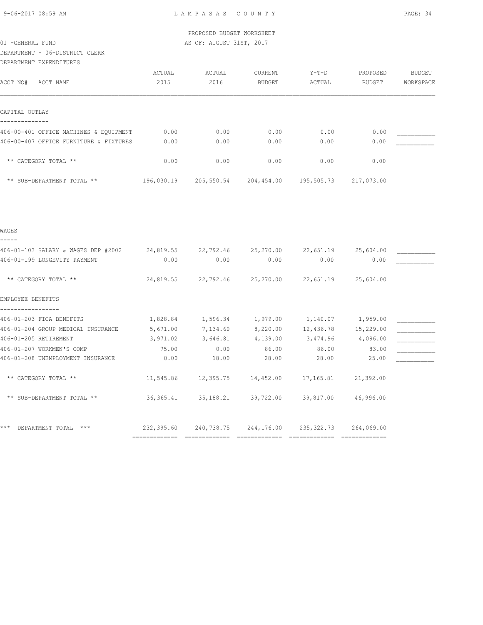# DEPARTMENT - 06-DISTRICT CLERK

DEPARTMENT EXPENDITURES

| DEFARIMENI EAFENDIIURES                |            |            |               |            |               |               |
|----------------------------------------|------------|------------|---------------|------------|---------------|---------------|
|                                        | ACTUAL     | ACTUAL     | CURRENT       | Y-T-D      | PROPOSED      | <b>BUDGET</b> |
| ACCT NO#<br>ACCT NAME                  | 2015       | 2016       | <b>BUDGET</b> | ACTUAL     | <b>BUDGET</b> | WORKSPACE     |
|                                        |            |            |               |            |               |               |
|                                        |            |            |               |            |               |               |
| CAPITAL OUTLAY                         |            |            |               |            |               |               |
| 406-00-401 OFFICE MACHINES & EQUIPMENT | 0.00       | 0.00       | 0.00          | 0.00       | 0.00          |               |
| 406-00-407 OFFICE FURNITURE & FIXTURES | 0.00       | 0.00       | 0.00          | 0.00       | 0.00          |               |
|                                        |            |            |               |            |               |               |
| ** CATEGORY TOTAL **                   | 0.00       | 0.00       | 0.00          | 0.00       | 0.00          |               |
| ** SUB-DEPARTMENT TOTAL **             | 196,030.19 | 205,550.54 | 204,454.00    | 195,505.73 | 217,073.00    |               |
|                                        |            |            |               |            |               |               |
|                                        |            |            |               |            |               |               |

| WAGES                               |               |                                                   |                                     |            |                     |  |
|-------------------------------------|---------------|---------------------------------------------------|-------------------------------------|------------|---------------------|--|
| 406-01-103 SALARY & WAGES DEP #2002 | 24,819.55     |                                                   | 22,792.46 25,270.00                 |            | 22,651.19 25,604.00 |  |
| 406-01-199 LONGEVITY PAYMENT        | 0.00          | 0.00                                              | 0.00                                | 0.00       | 0.00                |  |
| ** CATEGORY TOTAL **                |               | 24,819.55 22,792.46 25,270.00 22,651.19 25,604.00 |                                     |            |                     |  |
| EMPLOYEE BENEFITS                   |               |                                                   |                                     |            |                     |  |
| 406-01-203 FICA BENEFITS            | 1,828.84      | 1,596.34                                          | 1,979.00                            |            | 1,140.07 1,959.00   |  |
| 406-01-204 GROUP MEDICAL INSURANCE  | 5,671.00      | 7,134.60                                          | 8,220.00                            | 12,436.78  | 15,229.00           |  |
| 406-01-205 RETIREMENT               | 3,971.02      | 3,646.81                                          | 4,139.00                            | 3,474.96   | 4,096.00            |  |
| 406-01-207 WORKMEN'S COMP           | 75.00         | 0.00                                              | 86.00                               | 86.00      | 83.00               |  |
| 406-01-208 UNEMPLOYMENT INSURANCE   | 0.00          | 18.00                                             | 28.00                               | 28.00      | 25.00               |  |
| ** CATEGORY TOTAL **                | 11,545.86     |                                                   | 12,395.75    14,452.00    17,165.81 |            | 21,392.00           |  |
| ** SUB-DEPARTMENT TOTAL **          | 36, 365. 41   |                                                   | 35,188.21 39,722.00                 |            | 39,817.00 46,996.00 |  |
| DEPARTMENT TOTAL<br>$***$<br>* * *  | 232,395.60    |                                                   | 240,738.75 244,176.00               | 235,322.73 | 264,069.00          |  |
|                                     | ============= |                                                   |                                     |            |                     |  |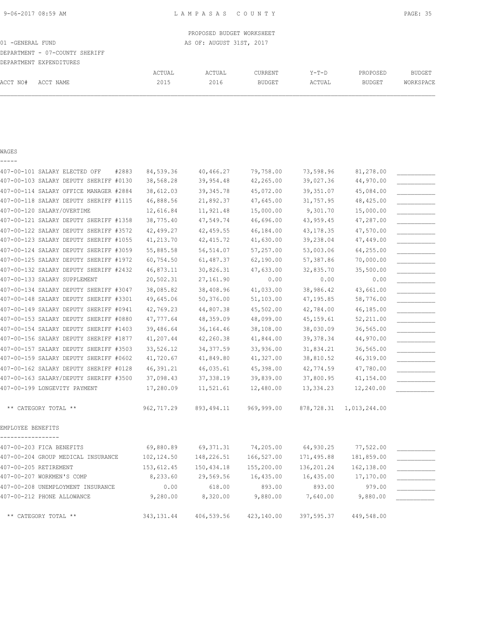PROPOSED BUDGET WORKSHEET 01 -GENERAL FUND **AS OF: AUGUST 31ST, 2017** DEPARTMENT - 07-COUNTY SHERIFF DEPARTMENT EXPENDITURES ACTUAL ACTUAL CURRENT Y-T-D PROPOSED BUDGET ACCT NO# ACCT NAME 2015 2016 BUDGET ACTUAL BUDGET WORKSPACE

### WAGES

| - | - | $\overline{\phantom{a}}$ | - |  |
|---|---|--------------------------|---|--|
|   |   |                          |   |  |

| 407-00-101 SALARY ELECTED OFF<br>#2883 | 84,539.36   | 40,466.27   | 79,758.00  | 73,598.96  | 81,278.00    |  |
|----------------------------------------|-------------|-------------|------------|------------|--------------|--|
| 407-00-103 SALARY DEPUTY SHERIFF #0130 | 38,568.28   | 39,954.48   | 42,265.00  | 39,027.36  | 44,970.00    |  |
| 407-00-114 SALARY OFFICE MANAGER #2884 | 38,612.03   | 39, 345.78  | 45,072.00  | 39, 351.07 | 45,084.00    |  |
| 407-00-118 SALARY DEPUTY SHERIFF #1115 | 46,888.56   | 21,892.37   | 47,645.00  | 31,757.95  | 48, 425.00   |  |
| 407-00-120 SALARY/OVERTIME             | 12,616.84   | 11,921.48   | 15,000.00  | 9,301.70   | 15,000.00    |  |
| 407-00-121 SALARY DEPUTY SHERIFF #1358 | 38,775.40   | 47,549.74   | 46,696.00  | 43,959.45  | 47,287.00    |  |
| 407-00-122 SALARY DEPUTY SHERIFF #3572 | 42,499.27   | 42,459.55   | 46,184.00  | 43, 178.35 | 47,570.00    |  |
| 407-00-123 SALARY DEPUTY SHERIFF #1055 | 41,213.70   | 42, 415.72  | 41,630.00  | 39,238.04  | 47,449.00    |  |
| 407-00-124 SALARY DEPUTY SHERIFF #3059 | 55,885.58   | 56, 514.07  | 57,257.00  | 53,003.06  | 64,255.00    |  |
| 407-00-125 SALARY DEPUTY SHERIFF #1972 | 60,754.50   | 61,487.37   | 62,190.00  | 57,387.86  | 70,000.00    |  |
| 407-00-132 SALARY DEPUTY SHERIFF #2432 | 46,873.11   | 30,826.31   | 47,633.00  | 32,835.70  | 35,500.00    |  |
| 407-00-133 SALARY SUPPLEMENT           | 20,502.31   | 27,161.90   | 0.00       | 0.00       | 0.00         |  |
| 407-00-134 SALARY DEPUTY SHERIFF #3047 | 38,085.82   | 38,408.96   | 41,033.00  | 38,986.42  | 43,661.00    |  |
| 407-00-148 SALARY DEPUTY SHERIFF #3301 | 49,645.06   | 50,376.00   | 51,103.00  | 47,195.85  | 58,776.00    |  |
| 407-00-149 SALARY DEPUTY SHERIFF #0941 | 42,769.23   | 44,807.38   | 45,502.00  | 42,784.00  | 46,185.00    |  |
| 407-00-153 SALARY DEPUTY SHERIFF #0880 | 47,777.64   | 48,359.09   | 48,099.00  | 45, 159.61 | 52, 211.00   |  |
| 407-00-154 SALARY DEPUTY SHERIFF #1403 | 39,486.64   | 36,164.46   | 38,108.00  | 38,030.09  | 36,565.00    |  |
| 407-00-156 SALARY DEPUTY SHERIFF #1877 | 41,207.44   | 42,260.38   | 41,844.00  | 39, 378.34 | 44,970.00    |  |
| 407-00-157 SALARY DEPUTY SHERIFF #3503 | 33,526.12   | 34, 377.59  | 33,936.00  | 31,834.21  | 36,565.00    |  |
| 407-00-159 SALARY DEPUTY SHERIFF #0602 | 41,720.67   | 41,849.80   | 41,327.00  | 38,810.52  | 46,319.00    |  |
| 407-00-162 SALARY DEPUTY SHERIFF #0128 | 46,391.21   | 46,035.61   | 45,398.00  | 42,774.59  | 47,780.00    |  |
| 407-00-163 SALARY/DEPUTY SHERIFF #3500 | 37,098.43   | 37,338.19   | 39,839.00  | 37,800.95  | 41,154.00    |  |
| 407-00-199 LONGEVITY PAYMENT           | 17,280.09   | 11,521.61   | 12,480.00  | 13, 334.23 | 12,240.00    |  |
| ** CATEGORY TOTAL **                   | 962,717.29  | 893, 494.11 | 969,999.00 | 878,728.31 | 1,013,244.00 |  |
| EMPLOYEE BENEFITS                      |             |             |            |            |              |  |
| 407-00-203 FICA BENEFITS               | 69,880.89   | 69, 371.31  | 74,205.00  | 64,930.25  | 77,522.00    |  |
| 407-00-204 GROUP MEDICAL INSURANCE     | 102, 124.50 | 148,226.51  | 166,527.00 | 171,495.88 | 181,859.00   |  |
| 407-00-205 RETIREMENT                  | 153,612.45  | 150,434.18  | 155,200.00 | 136,201.24 | 162,138.00   |  |
| 407-00-207 WORKMEN'S COMP              | 8,233.60    | 29,569.56   | 16,435.00  | 16,435.00  | 17,170.00    |  |
| 407-00-208 UNEMPLOYMENT INSURANCE      | 0.00        | 618.00      | 893.00     | 893.00     | 979.00       |  |
| 407-00-212 PHONE ALLOWANCE             | 9,280.00    | 8,320.00    | 9,880.00   | 7,640.00   | 9,880.00     |  |
| ** CATEGORY TOTAL **                   | 343, 131.44 | 406,539.56  | 423,140.00 | 397,595.37 | 449,548.00   |  |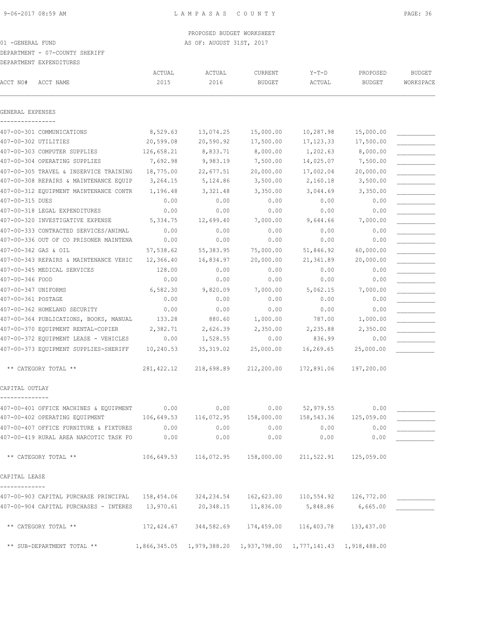PROPOSED BUDGET WORKSHEET

## 01 -GENERAL FUND AS OF: AUGUST 31ST, 2017

DEPARTMENT - 07-COUNTY SHERIFF

DEPARTMENT EXPENDITURES

|                     |                                                                                              | ACTUAL      | ACTUAL              | CURRENT       | $Y-T-D$                                                                                    | PROPOSED      | <b>BUDGET</b> |
|---------------------|----------------------------------------------------------------------------------------------|-------------|---------------------|---------------|--------------------------------------------------------------------------------------------|---------------|---------------|
| ACCT NO#            | ACCT NAME                                                                                    | 2015        | 2016                | <b>BUDGET</b> | ACTUAL                                                                                     | <b>BUDGET</b> | WORKSPACE     |
| GENERAL EXPENSES    |                                                                                              |             |                     |               |                                                                                            |               |               |
|                     |                                                                                              |             |                     |               |                                                                                            |               |               |
|                     | 407-00-301 COMMUNICATIONS                                                                    | 8,529.63    | 13,074.25           | 15,000.00     | 10,287.98                                                                                  | 15,000.00     |               |
|                     | 407-00-302 UTILITIES                                                                         | 20,599.08   | 20,590.92           | 17,500.00     | 17, 123.33                                                                                 | 17,500.00     |               |
|                     | 407-00-303 COMPUTER SUPPLIES                                                                 | 126,658.21  | 8,833.71            | 8,000.00      | 1,202.63                                                                                   | 8,000.00      |               |
|                     | 407-00-304 OPERATING SUPPLIES                                                                | 7,692.98    | 9,983.19            | 7,500.00      | 14,025.07                                                                                  | 7,500.00      |               |
|                     | 407-00-305 TRAVEL & INSERVICE TRAINING                                                       | 18,775.00   | 22,677.51           | 20,000.00     | 17,002.04                                                                                  | 20,000.00     |               |
|                     | 407-00-308 REPAIRS & MAINTENANCE EQUIP                                                       | 3,264.15    | 5,124.86            | 3,500.00      | 2,160.18                                                                                   | 3,500.00      |               |
|                     | 407-00-312 EQUIPMENT MAINTENANCE CONTR                                                       | 1,196.48    | 3,321.48            | 3,350.00      | 3,044.69                                                                                   | 3,350.00      |               |
| 407-00-315 DUES     |                                                                                              | 0.00        | 0.00                | 0.00          | 0.00                                                                                       | 0.00          |               |
|                     | 407-00-318 LEGAL EXPENDITURES                                                                | 0.00        | 0.00                | 0.00          | 0.00                                                                                       | 0.00          |               |
|                     | 407-00-320 INVESTIGATIVE EXPENSE                                                             | 5,334.75    | 12,699.40           | 7,000.00      | 9,644.66                                                                                   | 7,000.00      |               |
|                     | 407-00-333 CONTRACTED SERVICES/ANIMAL                                                        | 0.00        | 0.00                | 0.00          | 0.00                                                                                       | 0.00          |               |
|                     | 407-00-336 OUT OF CO PRISONER MAINTENA                                                       | 0.00        | 0.00                | 0.00          | 0.00                                                                                       | 0.00          |               |
|                     | 407-00-342 GAS & OIL                                                                         | 57,538.62   | 55,383.95           | 75,000.00     | 51,846.92                                                                                  | 60,000.00     |               |
|                     | 407-00-343 REPAIRS & MAINTENANCE VEHIC                                                       | 12,366.40   | 16,834.97           | 20,000.00     | 21,361.89                                                                                  | 20,000.00     |               |
|                     | 407-00-345 MEDICAL SERVICES                                                                  | 128.00      | 0.00                | 0.00          | 0.00                                                                                       | 0.00          |               |
| 407-00-346 FOOD     |                                                                                              | 0.00        | 0.00                | 0.00          | 0.00                                                                                       | 0.00          |               |
| 407-00-347 UNIFORMS |                                                                                              | 6,582.30    | 9,820.09            | 7,000.00      | 5,062.15                                                                                   | 7,000.00      |               |
| 407-00-361 POSTAGE  |                                                                                              | 0.00        | 0.00                | 0.00          | 0.00                                                                                       | 0.00          |               |
|                     | 407-00-362 HOMELAND SECURITY                                                                 | 0.00        | 0.00                | 0.00          | 0.00                                                                                       | 0.00          |               |
|                     | 407-00-364 PUBLICATIONS, BOOKS, MANUAL                                                       | 133.28      | 880.60              | 1,000.00      | 787.00                                                                                     | 1,000.00      |               |
|                     | 407-00-370 EQUIPMENT RENTAL-COPIER                                                           | 2,382.71    | 2,626.39            | 2,350.00      | 2,235.88                                                                                   | 2,350.00      |               |
|                     | 407-00-372 EQUIPMENT LEASE - VEHICLES                                                        | 0.00        | 1,528.55            | 0.00          | 836.99                                                                                     | 0.00          |               |
|                     | 407-00-373 EQUIPMENT SUPPLIES-SHERIFF                                                        | 10,240.53   | 35, 319.02          | 25,000.00     | 16,269.65                                                                                  | 25,000.00     |               |
|                     | ** CATEGORY TOTAL **                                                                         | 281, 422.12 | 218,698.89          | 212,200.00    | 172,891.06                                                                                 | 197,200.00    |               |
|                     |                                                                                              |             |                     |               |                                                                                            |               |               |
| CAPITAL OUTLAY      |                                                                                              |             |                     |               |                                                                                            |               |               |
|                     | 407-00-401 OFFICE MACHINES & EQUIPMENT                                                       | 0.00        | 0.00                | 0.00          | 52,979.55                                                                                  | 0.00          |               |
|                     | 407-00-402 OPERATING EQUIPMENT                                                               | 106,649.53  | 116,072.95          | 158,000.00    | 158,543.36                                                                                 | 125,059.00    |               |
|                     | 407-00-407 OFFICE FURNITURE & FIXTURES                                                       | 0.00        | 0.00                | 0.00          | 0.00                                                                                       | 0.00          |               |
|                     | 407-00-419 RURAL AREA NARCOTIC TASK FO                                                       | 0.00        | 0.00                | 0.00          | 0.00                                                                                       | 0.00          |               |
|                     | ** CATEGORY TOTAL **                                                                         |             |                     |               | $106,649.53$ $116,072.95$ $158,000.00$ $211,522.91$ $125,059.00$                           |               |               |
| CAPITAL LEASE       |                                                                                              |             |                     |               |                                                                                            |               |               |
|                     | 407-00-903 CAPITAL PURCHASE PRINCIPAL 158,454.06 324,234.54 162,623.00 110,554.92 126,772.00 |             |                     |               |                                                                                            |               |               |
|                     | 407-00-904 CAPITAL PURCHASES - INTERES                                                       |             | 13,970.61 20,348.15 | 11,836.00     | 5,848.86                                                                                   | 6,665.00      |               |
|                     | ** CATEGORY TOTAL **                                                                         |             |                     |               | 172, 424.67 344, 582.69 174, 459.00 116, 403.78 133, 437.00                                |               |               |
|                     |                                                                                              |             |                     |               |                                                                                            |               |               |
|                     | ** SUB-DEPARTMENT TOTAL **                                                                   |             |                     |               | $1,866,345.05 \quad 1,979,388.20 \quad 1,937,798.00 \quad 1,777,141.43 \quad 1,918,488.00$ |               |               |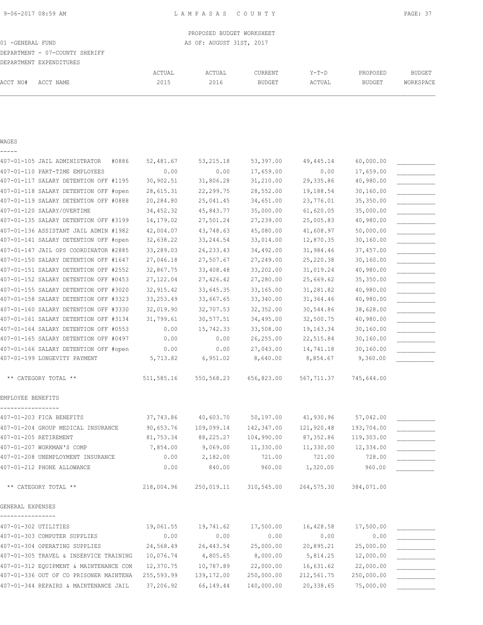PROPOSED BUDGET WORKSHEET 01 -GENERAL FUND **AS OF: AUGUST 31ST, 2017** DEPARTMENT - 07-COUNTY SHERIFF DEPARTMENT EXPENDITURES ACTUAL ACTUAL CURRENT Y-T-D PROPOSED BUDGET ACCT NO# ACCT NAME 2015 2016 BUDGET ACTUAL BUDGET WORKSPACE

# WAGES -----

| 407-01-105 JAIL ADMINISTRATOR<br>#0886 | 52,481.67  | 53, 215.18  | 53,397.00  | 49,445.14  | 60,000.00  |  |
|----------------------------------------|------------|-------------|------------|------------|------------|--|
| 407-01-110 PART-TIME EMPLOYEES         | 0.00       | 0.00        | 17,659.00  | 0.00       | 17,659.00  |  |
| 407-01-117 SALARY DETENTION OFF #1195  | 30, 902.51 | 31,806.28   | 31,210.00  | 29,335.86  | 40,980.00  |  |
| 407-01-118 SALARY DETENTION OFF #open  | 28,615.31  | 22, 299.75  | 28,552.00  | 19,188.54  | 30,160.00  |  |
| 407-01-119 SALARY DETENTION OFF #0888  | 20,284.80  | 25,041.45   | 34,651.00  | 23,776.01  | 35,350.00  |  |
| 407-01-120 SALARY/OVERTIME             | 34, 452.32 | 45,843.77   | 35,000.00  | 61,620.05  | 35,000.00  |  |
| 407-01-135 SALARY DETENTION OFF #3199  | 14,179.02  | 27,501.24   | 27,239.00  | 25,005.83  | 40,980.00  |  |
| 407-01-136 ASSISTANT JAIL ADMIN #1982  | 42,004.07  | 43,748.63   | 45,080.00  | 41,608.97  | 50,000.00  |  |
| 407-01-141 SALARY DETENTION OFF #open  | 32,638.22  | 33, 244.54  | 33,014.00  | 12,870.35  | 30,160.00  |  |
| 407-01-147 JAIL OPS COORDINATOR #2885  | 33,289.03  | 26, 233.43  | 34,492.00  | 31,984.46  | 37,457.00  |  |
| 407-01-150 SALARY DETENTION OFF #1647  | 27,046.18  | 27,507.67   | 27,249.00  | 25,220.38  | 30,160.00  |  |
| 407-01-151 SALARY DETENTION OFF #2552  | 32,867.75  | 33,408.48   | 33,202.00  | 31,019.24  | 40,980.00  |  |
| 407-01-152 SALARY DETENTION OFF #0453  | 27,122.04  | 27,426.42   | 27,280.00  | 25,669.62  | 35,350.00  |  |
| 407-01-155 SALARY DETENTION OFF #3020  | 32, 915.42 | 33,645.35   | 33,165.00  | 31,281.82  | 40,980.00  |  |
| 407-01-158 SALARY DETENTION OFF #3323  | 33, 253.49 | 33,667.65   | 33,340.00  | 31, 364.46 | 40,980.00  |  |
| 407-01-160 SALARY DETENTION OFF #3330  | 32,019.90  | 32,707.53   | 32, 352.00 | 30,544.86  | 38,628.00  |  |
| 407-01-161 SALARY DETENTION OFF #3134  | 31,799.61  | 30,577.51   | 34,495.00  | 32,500.75  | 40,980.00  |  |
| 407-01-164 SALARY DETENTION OFF #0553  | 0.00       | 15,742.33   | 33,508.00  | 19,163.34  | 30,160.00  |  |
| 407-01-165 SALARY DETENTION OFF #0497  | 0.00       | 0.00        | 26,255.00  | 22,515.84  | 30,160.00  |  |
| 407-01-166 SALARY DETENTION OFF #open  | 0.00       | 0.00        | 27,043.00  | 14,741.18  | 30,160.00  |  |
| 407-01-199 LONGEVITY PAYMENT           | 5,713.82   | 6,951.02    | 8,640.00   | 8,854.67   | 9,360.00   |  |
| ** CATEGORY TOTAL **                   | 511,585.16 | 550,568.23  | 656,823.00 | 567,711.37 | 745,644.00 |  |
| EMPLOYEE BENEFITS                      |            |             |            |            |            |  |
| 407-01-203 FICA BENEFITS               | 37,743.86  | 40,603.70   | 50, 197.00 | 41,930.96  | 57,042.00  |  |
| 407-01-204 GROUP MEDICAL INSURANCE     | 90,653.76  | 109,099.14  | 142,347.00 | 121,920.48 | 193,704.00 |  |
| 407-01-205 RETIREMENT                  | 81,753.34  | 88,225.27   | 104,990.00 | 87, 352.86 | 119,303.00 |  |
| 407-01-207 WORKMAN'S COMP              | 7,854.00   | 9,069.00    | 11,330.00  | 11,330.00  | 12,334.00  |  |
| 407-01-208 UNEMPLOYMENT INSURANCE      | 0.00       | 2,182.00    | 721.00     | 721.00     | 728.00     |  |
| 407-01-212 PHONE ALLOWANCE             | 0.00       | 840.00      | 960.00     | 1,320.00   | 960.00     |  |
| ** CATEGORY TOTAL **                   | 218,004.96 | 250,019.11  | 310,545.00 | 264,575.30 | 384,071.00 |  |
| GENERAL EXPENSES                       |            |             |            |            |            |  |
| 407-01-302 UTILITIES                   | 19,061.55  | 19,741.62   | 17,500.00  | 16,428.58  | 17,500.00  |  |
| 407-01-303 COMPUTER SUPPLIES           | 0.00       | 0.00        | 0.00       | 0.00       | 0.00       |  |
| 407-01-304 OPERATING SUPPLIES          | 24,568.49  | 26, 443.54  | 25,000.00  | 20,895.21  | 25,000.00  |  |
| 407-01-305 TRAVEL & INSERVICE TRAINING | 10,076.74  | 4,805.65    | 8,000.00   | 5,814.25   | 12,000.00  |  |
| 407-01-312 EQUIPMENT & MAINTENANCE CON | 12,370.75  | 10,787.89   | 22,000.00  | 16,631.62  | 22,000.00  |  |
| 407-01-336 OUT OF CO PRISONER MAINTENA | 255,593.99 | 139, 172.00 | 250,000.00 | 212,561.75 | 250,000.00 |  |
| 407-01-344 REPAIRS & MAINTENANCE JAIL  | 37,206.92  | 66,149.44   | 140,000.00 | 20,338.65  | 75,000.00  |  |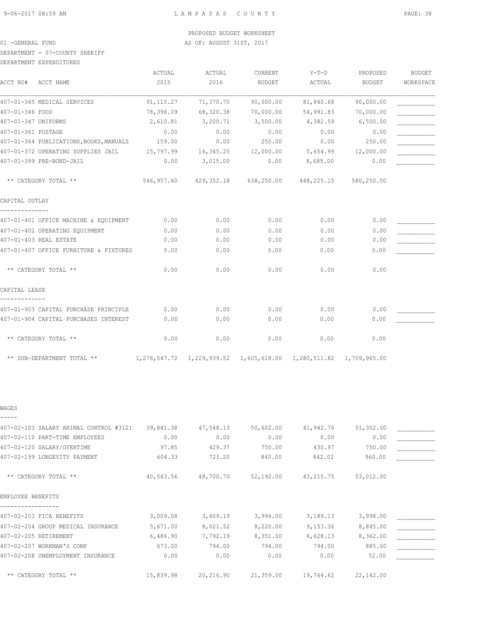DEPARTMENT - 07-COUNTY SHERIFF

DEPARTMENT EXPENDITURES

| ACCT NO#            | ACCT NAME                               | ACTUAL<br>2015 | ACTUAL<br>2016 | <b>CURRENT</b><br><b>BUDGET</b> | $Y-T-D$<br>ACTUAL | PROPOSED<br>BUDGET | <b>BUDGET</b><br>WORKSPACE |
|---------------------|-----------------------------------------|----------------|----------------|---------------------------------|-------------------|--------------------|----------------------------|
|                     | 407-01-345 MEDICAL SERVICES             | 91, 115.27     | 71,370.70      | 90,000.00                       | 81,840.68         | 90,000.00          |                            |
| 407-01-346 FOOD     |                                         | 78,396.09      | 68,320.38      | 70,000.00                       | 54,991.83         | 70,000.00          |                            |
| 407-01-347 UNIFORMS |                                         | 2,610.81       | 3,200.71       | 3,500.00                        | 4,382.59          | 6,500.00           |                            |
| 407-01-361 POSTAGE  |                                         | 0.00           | 0.00           | 0.00                            |                   |                    |                            |
|                     |                                         |                |                |                                 | 0.00              | 0.00               |                            |
|                     | 407-01-364 PUBLICATIONS, BOOKS, MANUALS | 159.00         | 0.00           | 250.00                          | 0.00              | 250.00             |                            |
|                     | 407-01-372 OPERATING SUPPLIES JAIL      | 15,797.99      | 16,345.25      | 12,000.00                       | 5,654.99          | 12,000.00          |                            |
|                     | 407-01-399 PRE-BOND-JAIL                | 0.00           | 3,015.00       | 0.00                            | 8,685.00          | 0.00               |                            |
|                     | ** CATEGORY TOTAL **                    | 546,957.60     | 429,352.18     | 638,250.00                      | 448,225.15        | 580,250.00         |                            |
| CAPITAL OUTLAY      |                                         |                |                |                                 |                   |                    |                            |
|                     | 407-01-401 OFFICE MACHINE & EQUIPMENT   | 0.00           | 0.00           | 0.00                            | 0.00              | 0.00               |                            |
|                     | 407-01-402 OPERATING EQUIPMENT          | 0.00           | 0.00           | 0.00                            | 0.00              | 0.00               |                            |
|                     | 407-01-403 REAL ESTATE                  | 0.00           | 0.00           | 0.00                            | 0.00              | 0.00               |                            |
|                     | 407-01-407 OFFICE FURNITURE & FIXTURES  | 0.00           | 0.00           | 0.00                            | 0.00              | 0.00               |                            |
|                     | ** CATEGORY TOTAL **                    | 0.00           | 0.00           | 0.00                            | 0.00              | 0.00               |                            |
| CAPITAL LEASE       |                                         |                |                |                                 |                   |                    |                            |
|                     | 407-01-903 CAPITAL PURCHASE PRINCIPLE   | 0.00           | 0.00           | 0.00                            | 0.00              | 0.00               |                            |
|                     | 407-01-904 CAPITAL PURCHASES INTEREST   | 0.00           | 0.00           | 0.00                            | 0.00              | 0.00               |                            |
|                     | ** CATEGORY TOTAL **                    | 0.00           | 0.00           | 0.00                            | 0.00              | 0.00               |                            |

\*\* SUB-DEPARTMENT TOTAL \*\* 1,276,547.72 1,229,939.52 1,605,618.00 1,280,511.82 1,709,965.00

WAGES

| 407-02-103 SALARY ANIMAL CONTROL #3121 | 39,841.38 | 47,548.13 | 50,602.00 | 41,942.76 | 51,302.00 |  |
|----------------------------------------|-----------|-----------|-----------|-----------|-----------|--|
| 407-02-110 PART-TIME EMPLOYEES         | 0.00      | 0.00      | 0.00      | 0.00      | 0.00      |  |
| 407-02-120 SALARY/OVERTIME             | 97.85     | 429.37    | 750.00    | 430.97    | 750.00    |  |
| 407-02-199 LONGEVITY PAYMENT           | 604.33    | 723.20    | 840.00    | 842.02    | 960.00    |  |
|                                        |           |           |           |           |           |  |
| ** CATEGORY TOTAL **                   | 40,543.56 | 48,700.70 | 52,192.00 | 43,215.75 | 53,012.00 |  |
|                                        |           |           |           |           |           |  |
| EMPLOYEE BENEFITS                      |           |           |           |           |           |  |
|                                        |           |           |           |           |           |  |
| 407-02-203 FICA BENEFITS               | 3,009.08  | 3,609.19  | 3,994.00  | 3,189.13  | 3,998.00  |  |
| 407-02-204 GROUP MEDICAL INSURANCE     | 5,671.00  | 8,021.52  | 8,220.00  | 9,153.36  | 8,845.00  |  |
| 407-02-205 RETIREMENT                  | 6,486.90  | 7,792.19  | 8,351.00  | 6,628.13  | 8,362.00  |  |
| 407-02-207 WORKMAN'S COMP              | 673.00    | 794.00    | 794.00    | 794.00    | 885.00    |  |
| 407-02-208 UNEMPLOYMENT INSURANCE      | 0.00      | 0.00      | 0.00      | 0.00      | 52.00     |  |
|                                        |           |           |           |           |           |  |
| ** CATEGORY TOTAL **                   | 15,839.98 | 20,216.90 | 21,359.00 | 19,764.62 | 22,142.00 |  |
|                                        |           |           |           |           |           |  |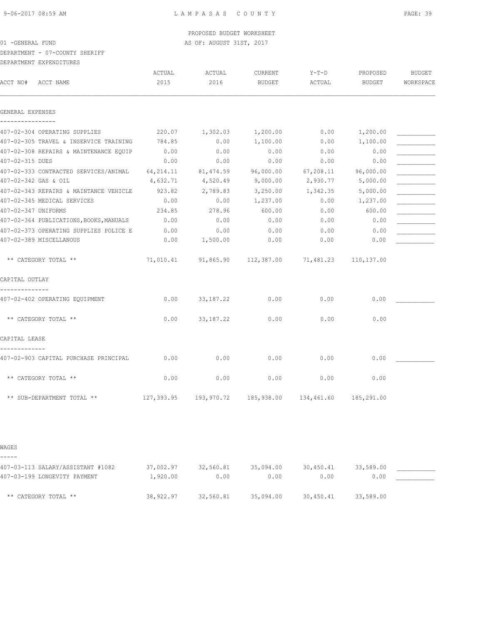PROPOSED BUDGET WORKSHEET

## 01 -GENERAL FUND **AS OF: AUGUST 31ST, 2017**

DEPARTMENT - 07-COUNTY SHERIFF

DEPARTMENT EXPENDITURES

|                  |                                         | ACTUAL    | ACTUAL      | <b>CURRENT</b>              | $Y-T-D$                                                    | PROPOSED          | <b>BUDGET</b> |
|------------------|-----------------------------------------|-----------|-------------|-----------------------------|------------------------------------------------------------|-------------------|---------------|
| ACCT NO#         | ACCT NAME                               | 2015      | 2016        | <b>BUDGET</b>               | ACTUAL                                                     | <b>BUDGET</b>     | WORKSPACE     |
| GENERAL EXPENSES |                                         |           |             |                             |                                                            |                   |               |
| . <u>.</u> .     | 407-02-304 OPERATING SUPPLIES           | 220.07    | 1,302.03    | 1,200.00                    | 0.00                                                       | 1,200.00          |               |
|                  | 407-02-305 TRAVEL & INSERVICE TRAINING  | 784.85    | 0.00        | 1,100.00                    | 0.00                                                       | 1,100.00          |               |
|                  | 407-02-308 REPAIRS & MAINTENANCE EQUIP  | 0.00      | 0.00        | 0.00                        | 0.00                                                       | 0.00              |               |
| 407-02-315 DUES  |                                         | 0.00      | 0.00        | 0.00                        | 0.00                                                       | 0.00              |               |
|                  | 407-02-333 CONTRACTED SERVICES/ANIMAL   | 64,214.11 | 81,474.59   | 96,000.00                   | 67, 208.11                                                 | 96,000.00         |               |
|                  | 407-02-342 GAS & OIL                    | 4,632.71  | 4,520.49    | 9,000.00                    | 2,930.77                                                   | 5,000.00          |               |
|                  | 407-02-343 REPAIRS & MAINTANCE VEHICLE  | 923.82    | 2,789.83    | 3,250.00                    | 1,342.35                                                   | 5,000.00          |               |
|                  | 407-02-345 MEDICAL SERVICES             | 0.00      | 0.00        | 1,237.00                    | 0.00                                                       | 1,237.00          |               |
|                  | 407-02-347 UNIFORMS                     | 234.85    | 278.96      | 600.00                      | 0.00                                                       | 600.00            |               |
|                  | 407-02-364 PUBLICATIONS, BOOKS, MANUALS | 0.00      | 0.00        | 0.00                        | 0.00                                                       | 0.00              |               |
|                  | 407-02-373 OPERATING SUPPLIES POLICE E  | 0.00      | 0.00        | 0.00                        | 0.00                                                       | 0.00              |               |
|                  | 407-02-389 MISCELLANOUS                 | 0.00      | 1,500.00    | 0.00                        | 0.00                                                       | 0.00              |               |
|                  | ** CATEGORY TOTAL **                    | 71,010.41 | 91,865.90   | 112,387.00                  | 71,481.23                                                  | 110,137.00        |               |
| CAPITAL OUTLAY   |                                         |           |             |                             |                                                            |                   |               |
| . <u>.</u> .     | 407-02-402 OPERATING EQUIPMENT          | 0.00      | 33, 187. 22 | 0.00                        | 0.00                                                       | 0.00              |               |
|                  | ** CATEGORY TOTAL **                    | 0.00      | 33, 187. 22 | 0.00                        | 0.00                                                       | 0.00              |               |
| CAPITAL LEASE    |                                         |           |             |                             |                                                            |                   |               |
| . <u>.</u>       | 407-02-903 CAPITAL PURCHASE PRINCIPAL   | 0.00      | 0.00        | 0.00                        | 0.00                                                       | 0.00              |               |
|                  | ** CATEGORY TOTAL **                    | 0.00      | 0.00        | 0.00                        | 0.00                                                       | 0.00              |               |
|                  | ** SUB-DEPARTMENT TOTAL **              |           |             |                             | 127,393.95  193,970.72  185,938.00  134,461.60  185,291.00 |                   |               |
|                  |                                         |           |             |                             |                                                            |                   |               |
| WAGES            |                                         |           |             |                             |                                                            |                   |               |
|                  |                                         |           |             |                             |                                                            |                   |               |
|                  | 407-03-113 SALARY/ASSISTANT #1082       | 37,002.97 | 0.00        | 32,560.81 35,094.00<br>0.00 | 30,450.41<br>0.00                                          | 33,589.00<br>0.00 |               |
|                  | 407-03-199 LONGEVITY PAYMENT            | 1,920.00  |             |                             |                                                            |                   |               |

\*\* CATEGORY TOTAL \*\* 38,922.97 32,560.81 35,094.00 30,450.41 33,589.00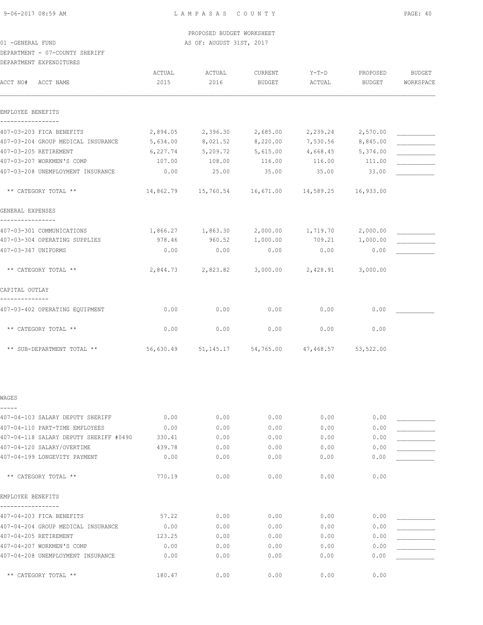DEPARTMENT - 07-COUNTY SHERIFF

| DEPARTMENT EXPENDITURES |  |
|-------------------------|--|

| ACCT NO#<br>ACCT NAME                  | ACTUAL<br>2015 | ACTUAL<br>2016                                            | CURRENT<br><b>BUDGET</b> | Y-T-D<br>ACTUAL   | PROPOSED<br><b>BUDGET</b> | <b>BUDGET</b><br>WORKSPACE |
|----------------------------------------|----------------|-----------------------------------------------------------|--------------------------|-------------------|---------------------------|----------------------------|
| EMPLOYEE BENEFITS                      |                |                                                           |                          |                   |                           |                            |
| 407-03-203 FICA BENEFITS               | 2,894.05       | 2,396.30                                                  | 2,685.00                 | 2,239.24          | 2,570.00                  |                            |
| 407-03-204 GROUP MEDICAL INSURANCE     | 5,634.00       | 8,021.52                                                  | 8,220.00                 | 7,530.56          | 8,845.00                  |                            |
| 407-03-205 RETIREMENT                  | 6,227.74       | 5,209.72                                                  | 5,615.00                 | 4,668.45          | 5,374.00                  |                            |
| 407-03-207 WORKMEN'S COMP              | 107.00         | 108.00                                                    | 116.00                   | 116.00            | 111.00                    |                            |
| 407-03-208 UNEMPLOYMENT INSURANCE      | 0.00           | 25.00                                                     | 35.00                    | 35.00             | 33.00                     |                            |
| ** CATEGORY TOTAL **                   |                | 14,862.79   15,760.54   16,671.00   14,589.25   16,933.00 |                          |                   |                           |                            |
| GENERAL EXPENSES                       |                |                                                           |                          |                   |                           |                            |
| 407-03-301 COMMUNICATIONS              |                | 1,866.27 1,863.30                                         |                          | 2,000.00 1,719.70 | 2,000.00                  |                            |
| 407-03-304 OPERATING SUPPLIES          | 978.46         | 960.52                                                    | 1,000.00                 | 709.21            | 1,000.00                  |                            |
| 407-03-347 UNIFORMS                    | 0.00           | 0.00                                                      | 0.00                     | 0.00              | 0.00                      |                            |
| ** CATEGORY TOTAL **                   |                | 2,844.73 2,823.82                                         |                          | 3,000.00 2,428.91 | 3,000.00                  |                            |
| CAPITAL OUTLAY                         |                |                                                           |                          |                   |                           |                            |
| 407-03-402 OPERATING EQUIPMENT         | 0.00           | 0.00                                                      | 0.00                     | 0.00              | 0.00                      |                            |
| ** CATEGORY TOTAL **                   | 0.00           | 0.00                                                      | 0.00                     | 0.00              | 0.00                      |                            |
| ** SUB-DEPARTMENT TOTAL **             |                | 56,630.49 51,145.17 54,765.00 47,468.57 53,522.00         |                          |                   |                           |                            |
| WAGES                                  |                |                                                           |                          |                   |                           |                            |
| 407-04-103 SALARY DEPUTY SHERIFF       | 0.00           | 0.00                                                      | 0.00                     | 0.00              | 0.00                      |                            |
| 407-04-110 PART-TIME EMPLOYEES         | 0.00           | 0.00                                                      | 0.00                     | 0.00              | 0.00                      |                            |
| 407-04-118 SALARY DEPUTY SHERIFF #0490 | 330.41         | 0.00                                                      | 0.00                     | 0.00              | 0.00                      |                            |
| 407-04-120 SALARY/OVERTIME             | 439.78         | 0.00                                                      | 0.00                     | 0.00              | 0.00                      |                            |
| 407-04-199 LONGEVITY PAYMENT           | 0.00           | 0.00                                                      | 0.00                     | 0.00              | 0.00                      |                            |
| ** CATEGORY TOTAL **                   | 770.19         | 0.00                                                      | 0.00                     | 0.00              | 0.00                      |                            |
| EMPLOYEE BENEFITS                      |                |                                                           |                          |                   |                           |                            |
| 407-04-203 FICA BENEFITS               | 57.22          | 0.00                                                      | 0.00                     | 0.00              | 0.00                      |                            |
| 407-04-204 GROUP MEDICAL INSURANCE     | 0.00           | 0.00                                                      | 0.00                     | 0.00              | 0.00                      |                            |
| 407-04-205 RETIREMENT                  | 123.25         | 0.00                                                      | 0.00                     | 0.00              | 0.00                      |                            |
| 407-04-207 WORKMEN'S COMP              | 0.00           | 0.00                                                      | 0.00                     | 0.00              | 0.00                      |                            |
| 407-04-208 UNEMPLOYMENT INSURANCE      | 0.00           | 0.00                                                      | 0.00                     | 0.00              | 0.00                      |                            |

\*\* CATEGORY TOTAL \*\* <br>180.47 0.00 0.00 0.00 0.00 0.00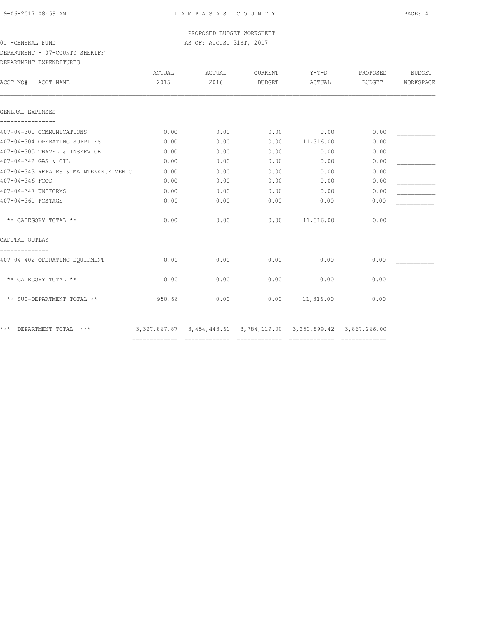DEPARTMENT - 07-COUNTY SHERIFF

| DEPARTMENT EXPENDITURES |
|-------------------------|
|                         |

| ACTUAL<br>ACTUAL<br>CURRENT<br>$Y-T-D$<br>BUDGET<br>PROPOSED<br>2015<br>2016<br>WORKSPACE<br>BUDGET<br>ACTUAL<br>BUDGET | ACCT NO#<br>ACCT NAME                  |
|-------------------------------------------------------------------------------------------------------------------------|----------------------------------------|
|                                                                                                                         |                                        |
|                                                                                                                         | GENERAL EXPENSES                       |
| 0.00<br>0.00<br>0.00<br>0.00<br>0.00                                                                                    | 407-04-301 COMMUNICATIONS              |
| 0.00<br>0.00<br>0.00<br>0.00<br>11,316.00                                                                               | 407-04-304 OPERATING SUPPLIES          |
| 0.00<br>0.00<br>0.00<br>0.00<br>0.00                                                                                    | 407-04-305 TRAVEL & INSERVICE          |
| 0.00<br>0.00<br>0.00<br>0.00<br>0.00                                                                                    | 407-04-342 GAS & OIL                   |
| 0.00<br>0.00<br>0.00<br>0.00<br>0.00                                                                                    | 407-04-343 REPAIRS & MAINTENANCE VEHIC |
| 0.00<br>0.00<br>0.00<br>0.00<br>0.00                                                                                    | 407-04-346 FOOD                        |
| 0.00<br>0.00<br>0.00<br>0.00<br>0.00                                                                                    | 407-04-347 UNIFORMS                    |
| 0.00<br>0.00<br>0.00<br>0.00<br>0.00                                                                                    | 407-04-361 POSTAGE                     |
| 0.00<br>0.00<br>0.00<br>11,316.00<br>0.00                                                                               | ** CATEGORY TOTAL **                   |
|                                                                                                                         | CAPITAL OUTLAY                         |
| 0.00<br>0.00<br>0.00<br>0.00<br>0.00                                                                                    | 407-04-402 OPERATING EQUIPMENT         |
| 0.00<br>0.00<br>0.00<br>0.00<br>0.00                                                                                    | ** CATEGORY TOTAL **                   |
| 11,316.00<br>950.66<br>0.00<br>0.00<br>0.00                                                                             | ** SUB-DEPARTMENT TOTAL **             |
| 3, 327, 867.87 3, 454, 443.61 3, 784, 119.00 3, 250, 899.42 3, 867, 266.00                                              | ***<br>DEPARTMENT TOTAL<br>$***$       |
|                                                                                                                         |                                        |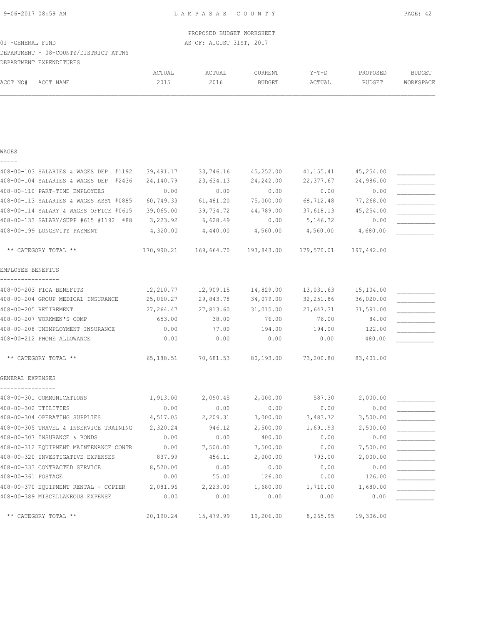# DEPARTMENT - 08-COUNTY/DISTRICT ATTNY

DEPARTMENT EXPENDITURES

|          | DBIANINDNI BAIBNDIIUNDU |        |        |               |         |               |           |
|----------|-------------------------|--------|--------|---------------|---------|---------------|-----------|
|          |                         | ACTUAL | ACTUAL | CURRENT       | $Y-T-D$ | PROPOSED      | BUDGET    |
| ACCT NO# | ACCT NAME               | 2015   | 2016   | <b>BUDGET</b> | ACTUAL  | <b>BUDGET</b> | WORKSPACE |
|          |                         |        |        |               |         |               |           |

## WAGES

| _ |  | ___ |  |
|---|--|-----|--|
|   |  |     |  |

| 408-00-103 SALARIES & WAGES DEP #1192    | 39,491.17 | 33,746.16                                                        | 45,252.00           | 41, 155. 41 | 45,254.00 |  |
|------------------------------------------|-----------|------------------------------------------------------------------|---------------------|-------------|-----------|--|
| 408-00-104 SALARIES & WAGES DEP<br>#2436 | 24,140.79 | 23,634.13                                                        | 24, 242.00          | 22,377.67   | 24,986.00 |  |
| 408-00-110 PART-TIME EMPLOYEES           | 0.00      | 0.00                                                             | 0.00                | 0.00        | 0.00      |  |
| 408-00-113 SALARIES & WAGES ASST #0885   | 60,749.33 | 61,481.20                                                        | 75,000.00           | 68,712.48   | 77,268.00 |  |
| 408-00-114 SALARY & WAGES OFFICE #0615   | 39,065.00 | 39,734.72                                                        | 44,789.00           | 37,618.13   | 45,254.00 |  |
| 408-00-133 SALARY/SUPP #615 #1192 #88    | 3,223.92  | 6,628.49                                                         | 0.00                | 5,146.32    | 0.00      |  |
| 408-00-199 LONGEVITY PAYMENT             | 4,320.00  | 4,440.00                                                         | 4,560.00            | 4,560.00    | 4,680.00  |  |
| ** CATEGORY TOTAL **                     |           | $170,990.21$ $169,664.70$ $193,843.00$ $179,570.01$ $197,442.00$ |                     |             |           |  |
| EMPLOYEE BENEFITS                        |           |                                                                  |                     |             |           |  |
| 408-00-203 FICA BENEFITS                 | 12,210.77 | 12,909.15                                                        | 14,829.00           | 13,031.63   | 15,104.00 |  |
| 408-00-204 GROUP MEDICAL INSURANCE       | 25,060.27 | 29,843.78                                                        | 34,079.00           | 32,251.86   | 36,020.00 |  |
| 408-00-205 RETIREMENT                    | 27,264.47 | 27,813.60                                                        | 31,015.00           | 27,647.31   | 31,591.00 |  |
| 408-00-207 WORKMEN'S COMP                | 653.00    | 38.00                                                            | 76.00               | 76.00       | 84.00     |  |
| 408-00-208 UNEMPLOYMENT INSURANCE        | 0.00      | 77.00                                                            | 194.00              | 194.00      | 122.00    |  |
| 408-00-212 PHONE ALLOWANCE               | 0.00      | 0.00                                                             | 0.00                | 0.00        | 480.00    |  |
| ** CATEGORY TOTAL **                     | 65,188.51 |                                                                  | 70,681.53 80,193.00 | 73,200.80   | 83,401.00 |  |
| GENERAL EXPENSES                         |           |                                                                  |                     |             |           |  |
| 408-00-301 COMMUNICATIONS                | 1,913.00  | 2,090.45                                                         | 2,000.00            | 587.30      | 2,000.00  |  |
| 408-00-302 UTILITIES                     | 0.00      | 0.00                                                             | 0.00                | 0.00        | 0.00      |  |
| 408-00-304 OPERATING SUPPLIES            | 4,517.05  | 2,209.31                                                         | 3,000.00            | 3,483.72    | 3,500.00  |  |
| 408-00-305 TRAVEL & INSERVICE TRAINING   | 2,320.24  | 946.12                                                           | 2,500.00            | 1,691.93    | 2,500.00  |  |
| 408-00-307 INSURANCE & BONDS             | 0.00      | 0.00                                                             | 400.00              | 0.00        | 0.00      |  |
| 408-00-312 EQUIPMENT MAINTENANCE CONTR   | 0.00      | 7,500.00                                                         | 7,500.00            | 0.00        | 7,500.00  |  |
| 408-00-320 INVESTIGATIVE EXPENSES        | 837.99    | 456.11                                                           | 2,000.00            | 793.00      | 2,000.00  |  |
| 408-00-333 CONTRACTED SERVICE            | 8,520.00  | 0.00                                                             | 0.00                | 0.00        | 0.00      |  |
| 408-00-361 POSTAGE                       | 0.00      | 55.00                                                            | 126.00              | 0.00        | 126.00    |  |
| 408-00-370 EQUIPMENT RENTAL - COPIER     | 2,081.96  | 2,223.00                                                         | 1,680.00            | 1,710.00    | 1,680.00  |  |
| 408-00-389 MISCELLANEOUS EXPENSE         | 0.00      | 0.00                                                             | 0.00                | 0.00        | 0.00      |  |
| ** CATEGORY TOTAL **                     |           | 20,190.24 15,479.99 19,206.00 8,265.95 19,306.00                 |                     |             |           |  |
|                                          |           |                                                                  |                     |             |           |  |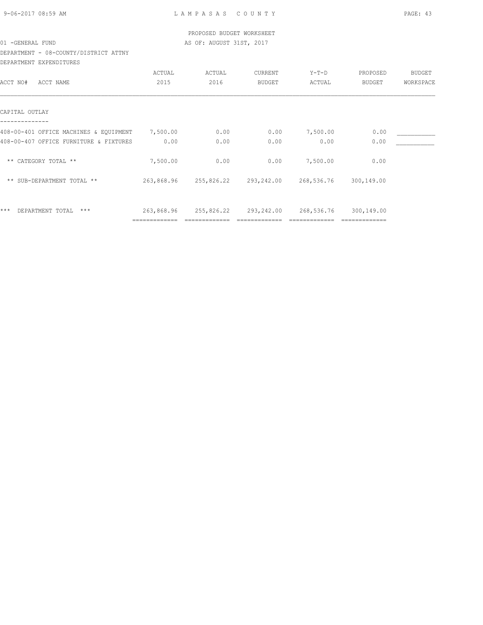| 9-06-2017 08:59 AM |  |
|--------------------|--|
|                    |  |

# DEPARTMENT - 08-COUNTY/DISTRICT ATTNY DEPARTMENT EXPENDITURES

|                                        | ACTUAL        | ACTUAL     | CURRENT       | $Y-T-D$    | PROPOSED   | <b>BUDGET</b> |
|----------------------------------------|---------------|------------|---------------|------------|------------|---------------|
| ACCT NAME<br>ACCT NO#                  | 2015          | 2016       | <b>BUDGET</b> | ACTUAL     | BUDGET     | WORKSPACE     |
|                                        |               |            |               |            |            |               |
| CAPITAL OUTLAY                         |               |            |               |            |            |               |
| 408-00-401 OFFICE MACHINES & EQUIPMENT | 7,500.00      | 0.00       | 0.00          | 7,500.00   | 0.00       |               |
| 408-00-407 OFFICE FURNITURE & FIXTURES | 0.00          | 0.00       | 0.00          | 0.00       | 0.00       |               |
| ** CATEGORY TOTAL **                   | 7,500.00      | 0.00       | 0.00          | 7,500.00   | 0.00       |               |
| ** SUB-DEPARTMENT TOTAL **             | 263,868.96    | 255,826.22 | 293,242.00    | 268,536.76 | 300,149.00 |               |
| ***<br>DEPARTMENT TOTAL<br>$***$       | 263,868.96    | 255,826.22 | 293,242.00    | 268,536.76 | 300,149.00 |               |
|                                        | ============= |            |               |            |            |               |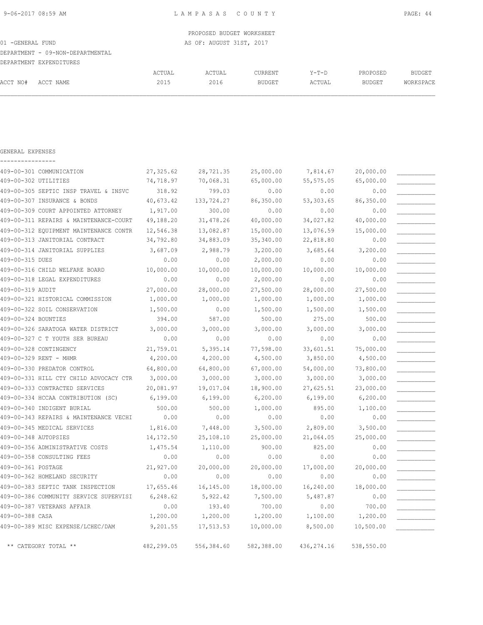PROPOSED BUDGET WORKSHEET 01 -GENERAL FUND **AS OF: AUGUST 31ST, 2017** DEPARTMENT - 09-NON-DEPARTMENTAL DEPARTMENT EXPENDITURES ACTUAL ACTUAL CURRENT Y-T-D PROPOSED BUDGET ACCT NO# ACCT NAME 2015 2016 BUDGET ACTUAL BUDGET WORKSPACE

| GENERAL EXPENSES                       |            |            |            |             |            |  |
|----------------------------------------|------------|------------|------------|-------------|------------|--|
| 409-00-301 COMMUNICATION               | 27,325.62  | 28,721.35  | 25,000.00  | 7,814.67    | 20,000.00  |  |
| 409-00-302 UTILITIES                   | 74,718.97  | 70,068.31  | 65,000.00  | 55,575.05   | 65,000.00  |  |
| 409-00-305 SEPTIC INSP TRAVEL & INSVC  | 318.92     | 799.03     | 0.00       | 0.00        | 0.00       |  |
| 409-00-307 INSURANCE & BONDS           | 40,673.42  | 133,724.27 | 86,350.00  | 53,303.65   | 86,350.00  |  |
| 409-00-309 COURT APPOINTED ATTORNEY    | 1,917.00   | 300.00     | 0.00       | 0.00        | 0.00       |  |
| 409-00-311 REPAIRS & MAINTENANCE-COURT | 49,188.20  | 31,478.26  | 40,000.00  | 34,027.82   | 40,000.00  |  |
| 409-00-312 EQUIPMENT MAINTENANCE CONTR | 12,546.38  | 13,082.87  | 15,000.00  | 13,076.59   | 15,000.00  |  |
| 409-00-313 JANITORIAL CONTRACT         | 34,792.80  | 34,883.09  | 35,340.00  | 22,818.80   | 0.00       |  |
| 409-00-314 JANITORIAL SUPPLIES         | 3,687.09   | 2,988.79   | 3,200.00   | 3,685.64    | 3,200.00   |  |
| 409-00-315 DUES                        | 0.00       | 0.00       | 2,000.00   | 0.00        | 0.00       |  |
| 409-00-316 CHILD WELFARE BOARD         | 10,000.00  | 10,000.00  | 10,000.00  | 10,000.00   | 10,000.00  |  |
| 409-00-318 LEGAL EXPENDITURES          | 0.00       | 0.00       | 2,000.00   | 0.00        | 0.00       |  |
| 409-00-319 AUDIT                       | 27,000.00  | 28,000.00  | 27,500.00  | 28,000.00   | 27,500.00  |  |
| 409-00-321 HISTORICAL COMMISSION       | 1,000.00   | 1,000.00   | 1,000.00   | 1,000.00    | 1,000.00   |  |
| 409-00-322 SOIL CONSERVATION           | 1,500.00   | 0.00       | 1,500.00   | 1,500.00    | 1,500.00   |  |
| 409-00-324 BOUNTIES                    | 394.00     | 587.00     | 500.00     | 275.00      | 500.00     |  |
| 409-00-326 SARATOGA WATER DISTRICT     | 3,000.00   | 3,000.00   | 3,000.00   | 3,000.00    | 3,000.00   |  |
| 409-00-327 C T YOUTH SER BUREAU        | 0.00       | 0.00       | 0.00       | 0.00        | 0.00       |  |
| 409-00-328 CONTINGENCY                 | 21,759.01  | 5,395.14   | 77,598.00  | 33,601.51   | 75,000.00  |  |
| 409-00-329 RENT - MHMR                 | 4,200.00   | 4,200.00   | 4,500.00   | 3,850.00    | 4,500.00   |  |
| 409-00-330 PREDATOR CONTROL            | 64,800.00  | 64,800.00  | 67,000.00  | 54,000.00   | 73,800.00  |  |
| 409-00-331 HILL CTY CHILD ADVOCACY CTR | 3,000.00   | 3,000.00   | 3,000.00   | 3,000.00    | 3,000.00   |  |
| 409-00-333 CONTRACTED SERVICES         | 20,081.97  | 19,017.04  | 18,900.00  | 27,625.51   | 23,000.00  |  |
| 409-00-334 HCCAA CONTRIBUTION (SC)     | 6, 199.00  | 6,199.00   | 6, 200.00  | 6,199.00    | 6, 200.00  |  |
| 409-00-340 INDIGENT BURIAL             | 500.00     | 500.00     | 1,000.00   | 895.00      | 1,100.00   |  |
| 409-00-343 REPAIRS & MAINTENANCE VECHI | 0.00       | 0.00       | 0.00       | 0.00        | 0.00       |  |
| 409-00-345 MEDICAL SERVICES            | 1,816.00   | 7,448.00   | 3,500.00   | 2,809.00    | 3,500.00   |  |
| 409-00-348 AUTOPSIES                   | 14, 172.50 | 25,108.10  | 25,000.00  | 21,064.05   | 25,000.00  |  |
| 409-00-356 ADMINISTRATIVE COSTS        | 1,475.54   | 1,110.00   | 900.00     | 825.00      | 0.00       |  |
| 409-00-358 CONSULTING FEES             | 0.00       | 0.00       | 0.00       | 0.00        | 0.00       |  |
| 409-00-361 POSTAGE                     | 21,927.00  | 20,000.00  | 20,000.00  | 17,000.00   | 20,000.00  |  |
| 409-00-362 HOMELAND SECURITY           | 0.00       | 0.00       | 0.00       | 0.00        | 0.00       |  |
| 409-00-383 SEPTIC TANK INSPECTION      | 17,655.46  | 16,145.00  | 18,000.00  | 16,240.00   | 18,000.00  |  |
| 409-00-386 COMMUNITY SERVICE SUPERVISI | 6,248.62   | 5,922.42   | 7,500.00   | 5,487.87    | 0.00       |  |
| 409-00-387 VETERANS AFFAIR             | 0.00       | 193.40     | 700.00     | 0.00        | 700.00     |  |
| 409-00-388 CASA                        | 1,200.00   | 1,200.00   | 1,200.00   | 1,100.00    | 1,200.00   |  |
| 409-00-389 MISC EXPENSE/LCHEC/DAM      | 9,201.55   | 17,513.53  | 10,000.00  | 8,500.00    | 10,500.00  |  |
| ** CATEGORY TOTAL **                   | 482,299.05 | 556,384.60 | 582,388.00 | 436, 274.16 | 538,550.00 |  |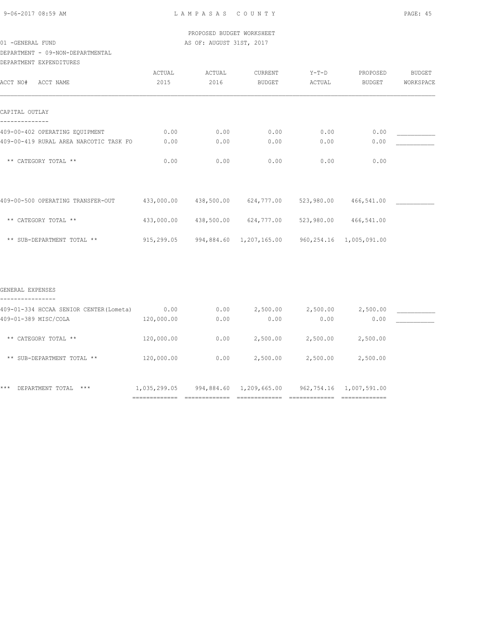DEPARTMENT - 09-NON-DEPARTMENTAL

| DEPARTMENT EXPENDITURES                |            |            |                                                 |            |            |           |
|----------------------------------------|------------|------------|-------------------------------------------------|------------|------------|-----------|
|                                        | ACTUAL     | ACTUAL     | CURRENT                                         | $Y-T-D$    | PROPOSED   | BUDGET    |
| ACCT NO#<br>ACCT NAME                  | 2015       | 2016       | <b>BUDGET</b>                                   | ACTUAL     | BUDGET     | WORKSPACE |
| CAPITAL OUTLAY                         |            |            |                                                 |            |            |           |
| 409-00-402 OPERATING EQUIPMENT         | 0.00       | 0.00       | 0.00                                            | 0.00       | 0.00       |           |
| 409-00-419 RURAL AREA NARCOTIC TASK FO | 0.00       | 0.00       | 0.00                                            | 0.00       | 0.00       |           |
| ** CATEGORY TOTAL **                   | 0.00       | 0.00       | 0.00                                            | 0.00       | 0.00       |           |
| 409-00-500 OPERATING TRANSFER-OUT      | 433,000.00 | 438,500.00 | 624,777.00                                      | 523,980.00 | 466,541.00 |           |
| ** CATEGORY TOTAL **                   | 433,000.00 | 438,500.00 | 624,777.00                                      | 523,980.00 | 466,541.00 |           |
| ** SUB-DEPARTMENT TOTAL **             | 915,299.05 |            | 994,884.60 1,207,165.00 960,254.16 1,005,091.00 |            |            |           |
|                                        |            |            |                                                 |            |            |           |
| GENERAL EXPENSES                       |            |            |                                                 |            |            |           |

| 409-01-334 HCCAA SENIOR CENTER (Lometa) | 0.00         | 0.00       | 2,500.00     | 2,500.00   | 2,500.00     |  |
|-----------------------------------------|--------------|------------|--------------|------------|--------------|--|
| 409-01-389 MISC/COLA                    | 120,000.00   | 0.00       | 0.00         | 0.00       | 0.00         |  |
| ** CATEGORY TOTAL **                    | 120,000.00   | 0.00       | 2,500.00     | 2,500.00   | 2,500.00     |  |
| SUB-DEPARTMENT TOTAL **<br>$***$        | 120,000.00   | 0.00       | 2,500.00     | 2,500.00   | 2,500.00     |  |
| $***$<br>$***$<br>DEPARTMENT TOTAL      | 1,035,299.05 | 994,884.60 | 1,209,665.00 | 962,754.16 | 1,007,591.00 |  |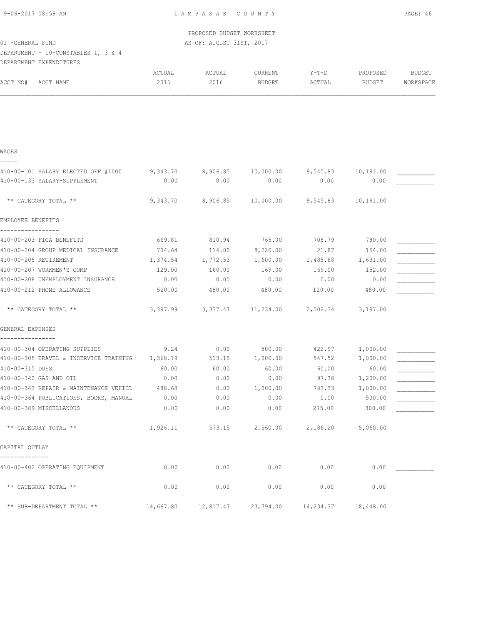| 9-06-2017 08:59 AM |  |
|--------------------|--|
|                    |  |

| 9-06-2017 08:59 AM                  |                   | LAMPASAS COUNTY           |               |          |               | PAGE: 46  |
|-------------------------------------|-------------------|---------------------------|---------------|----------|---------------|-----------|
|                                     |                   | PROPOSED BUDGET WORKSHEET |               |          |               |           |
| 01 - GENERAL FUND                   |                   | AS OF: AUGUST 31ST, 2017  |               |          |               |           |
| DEPARTMENT - 10-CONSTABLES 1, 3 & 4 |                   |                           |               |          |               |           |
| DEPARTMENT EXPENDITURES             |                   |                           |               |          |               |           |
|                                     | ACTUAL            | ACTUAL                    | CURRENT       | $Y-T-D$  | PROPOSED      | BUDGET    |
| ACCT NO#<br>ACCT NAME               | 2015              | 2016                      | <b>BUDGET</b> | ACTUAL   | <b>BUDGET</b> | WORKSPACE |
|                                     |                   |                           |               |          |               |           |
| WAGES<br>-----                      |                   |                           |               |          |               |           |
| 410-00-101 SALARY ELECTED OFF #1000 | 9,343.70 8,906.85 |                           | 10,000.00     | 9,545.83 | 10,191.00     |           |
| 410-00-133 SALARY-SUPPLEMENT        | 0.00              | 0.00                      | 0.00          | 0.00     | 0.00          |           |
| ** CATEGORY TOTAL **                | 9,343.70          | 8,906.85                  | 10,000.00     | 9,545.83 | 10,191.00     |           |

| EMPLOYEE BENEFITS                      |          |                                                             |                          |          |          |  |
|----------------------------------------|----------|-------------------------------------------------------------|--------------------------|----------|----------|--|
| 410-00-203 FICA BENEFITS               | 669.81   | 810.94                                                      | 765.00                   | 705.79   | 780.00   |  |
| 410-00-204 GROUP MEDICAL INSURANCE     | 704.64   | 114.00                                                      | 8,220.00                 | 21.87    | 154.00   |  |
| 410-00-205 RETIREMENT                  | 1,374.54 | 1,772.53                                                    | 1,600.00                 | 1,485.68 | 1,631.00 |  |
| 410-00-207 WORKMEN'S COMP              | 129.00   | 160.00                                                      | 169.00                   | 169.00   | 152.00   |  |
| 410-00-208 UNEMPLOYMENT INSURANCE      | 0.00     | 0.00                                                        | 0.00                     | 0.00     | 0.00     |  |
| 410-00-212 PHONE ALLOWANCE             | 520.00   | 480.00                                                      | 480.00                   | 120.00   | 480.00   |  |
| ** CATEGORY TOTAL **                   |          | 3,397.99 3,337.47 11,234.00 2,502.34 3,197.00               |                          |          |          |  |
| GENERAL EXPENSES                       |          |                                                             |                          |          |          |  |
| 410-00-304 OPERATING SUPPLIES          | 9.24     | 0.00                                                        | 500.00                   | 422.97   | 1,000.00 |  |
| 410-00-305 TRAVEL & INSERVICE TRAINING | 1,368.19 | 513.15                                                      | 1,000.00                 | 547.52   | 1,000.00 |  |
| 410-00-315 DUES                        | 60.00    | 60.00                                                       | 60.00                    | 60.00    | 60.00    |  |
| 410-00-342 GAS AND OIL                 | 0.00     | 0.00                                                        | 0.00                     | 97.38    | 1,200.00 |  |
| 410-00-343 REPAIR & MAINTENANCE VEHICL | 488.68   | 0.00                                                        | 1,000.00                 | 783.33   | 1,000.00 |  |
| 410-00-364 PUBLICATIONS, BOOKS, MANUAL | 0.00     | 0.00                                                        | 0.00                     | 0.00     | 500.00   |  |
| 410-00-389 MISCELLANOUS                | 0.00     | 0.00                                                        | 0.00                     | 275.00   | 300.00   |  |
| ** CATEGORY TOTAL **                   | 1,926.11 |                                                             | 573.15 2,560.00 2,186.20 |          | 5,060.00 |  |
| CAPITAL OUTLAY                         |          |                                                             |                          |          |          |  |
| 410-00-402 OPERATING EQUIPMENT         | 0.00     | 0.00                                                        | 0.00                     | 0.00     | 0.00     |  |
| ** CATEGORY TOTAL **                   | 0.00     | 0.00                                                        | 0.00                     | 0.00     | 0.00     |  |
| ** SUB-DEPARTMENT TOTAL **             |          | $14,667.80$ $12,817.47$ $23,794.00$ $14,234.37$ $18,448.00$ |                          |          |          |  |
|                                        |          |                                                             |                          |          |          |  |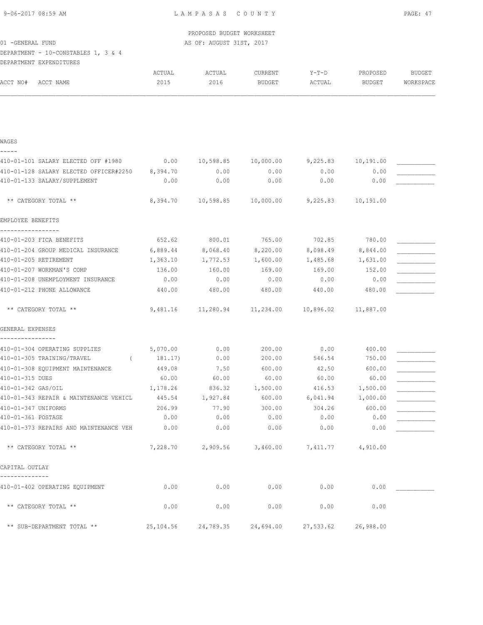| 9-06-2017 08:59 AM |  |
|--------------------|--|
|                    |  |

 PROPOSED BUDGET WORKSHEET 01 -GENERAL FUND **AS OF: AUGUST 31ST, 2017** 

DEPARTMENT - 10-CONSTABLES 1, 3 & 4

DEPARTMENT EXPENDITURES

|                                                                        | ACTUAL       | ACTUAL            | CURRENT                             | Y-T-D        | PROPOSED          | <b>BUDGET</b> |
|------------------------------------------------------------------------|--------------|-------------------|-------------------------------------|--------------|-------------------|---------------|
| ACCT NO#<br>ACCT NAME                                                  | 2015         | 2016              | <b>BUDGET</b>                       | ACTUAL       | <b>BUDGET</b>     | WORKSPACE     |
|                                                                        |              |                   |                                     |              |                   |               |
|                                                                        |              |                   |                                     |              |                   |               |
| WAGES                                                                  |              |                   |                                     |              |                   |               |
|                                                                        |              |                   |                                     |              |                   |               |
| 410-01-101 SALARY ELECTED OFF #1980                                    | 0.00         | 10,598.85         | 10,000.00                           | 9,225.83     | 10,191.00         |               |
| 410-01-128 SALARY ELECTED OFFICER#2250<br>410-01-133 SALARY/SUPPLEMENT | 8,394.70     | 0.00              | 0.00                                | 0.00         | 0.00              |               |
|                                                                        | 0.00         | 0.00              | 0.00                                | 0.00         | 0.00              |               |
| ** CATEGORY TOTAL **                                                   | 8,394.70     |                   | 10,598.85 10,000.00                 | 9,225.83     | 10,191.00         |               |
| EMPLOYEE BENEFITS                                                      |              |                   |                                     |              |                   |               |
| 410-01-203 FICA BENEFITS                                               |              | 652.62 800.01     | 765.00                              | 702.85       | 780.00            |               |
| 410-01-204 GROUP MEDICAL INSURANCE                                     | 6,889.44     | 8,068.40          | 8,220.00                            | 8,098.49     | 8,844.00          |               |
| 410-01-205 RETIREMENT                                                  | 1,363.10     | 1,772.53 1,600.00 |                                     |              | 1,485.68 1,631.00 |               |
| 410-01-207 WORKMAN'S COMP                                              | 136.00       | 160.00            | 169.00                              | 169.00       | 152.00            |               |
| 410-01-208 UNEMPLOYMENT INSURANCE                                      | 0.00         | 0.00              | 0.00                                | 0.00         | 0.00              |               |
| 410-01-212 PHONE ALLOWANCE                                             | 440.00       | 480.00            | 480.00                              | 440.00       | 480.00            |               |
| ** CATEGORY TOTAL **                                                   | 9,481.16     |                   | 11,280.94    11,234.00              | 10,896.02    | 11,887.00         |               |
| GENERAL EXPENSES                                                       |              |                   |                                     |              |                   |               |
| 410-01-304 OPERATING SUPPLIES                                          | 5,070.00     | 0.00              | 200.00                              | 0.00         | 400.00            |               |
| 410-01-305 TRAINING/TRAVEL                                             | 181.17)      | 0.00              | 200.00                              | 546.54       | 750.00            |               |
| 410-01-308 EQUIPMENT MAINTENANCE                                       | 449.08       | 7.50              | 600.00                              | 42.50        | 600.00            |               |
| 410-01-315 DUES                                                        | 60.00        | 60.00             | 60.00                               | 60.00        | 60.00             |               |
| 410-01-342 GAS/OIL                                                     | 1,178.26     | 836.32            | 1,500.00                            | 416.53       | 1,500.00          |               |
| 410-01-343 REPAIR & MAINTENANCE VEHICL                                 | 445.54       | 1,927.84          | 600.00                              | 6,041.94     | 1,000.00          |               |
| 410-01-347 UNIFORMS<br>410-01-361 POSTAGE                              | 206.99       | 77.90             | 300.00                              | 304.26       | 600.00            |               |
| 410-01-373 REPAIRS AND MAINTENANCE VEH                                 | 0.00<br>0.00 | 0.00<br>0.00      | 0.00<br>0.00                        | 0.00<br>0.00 | 0.00<br>0.00      |               |
| ** CATEGORY TOTAL **                                                   |              |                   | 7,228.70 2,909.56 3,460.00 7,411.77 |              | 4,910.00          |               |
| CAPITAL OUTLAY                                                         |              |                   |                                     |              |                   |               |
| 410-01-402 OPERATING EQUIPMENT                                         | 0.00         | 0.00              | 0.00                                | 0.00         | 0.00              |               |
| ** CATEGORY TOTAL **                                                   | 0.00         | 0.00              | 0.00                                | 0.00         | 0.00              |               |
| ** SUB-DEPARTMENT TOTAL **                                             | 25,104.56    | 24,789.35         | 24,694.00                           | 27,533.62    | 26,988.00         |               |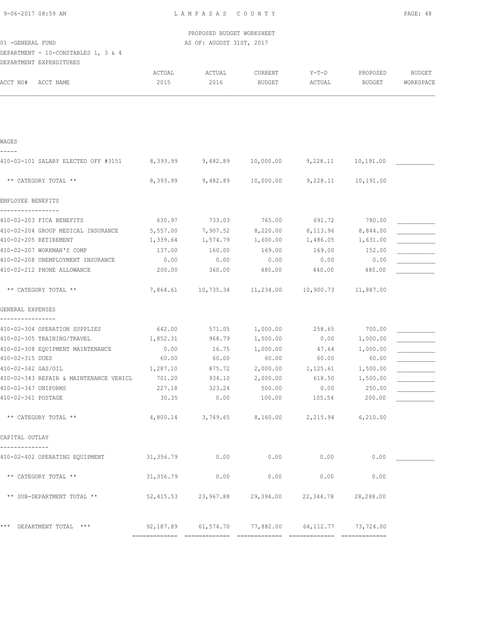| 9-06-2017 08:59 AM |  |
|--------------------|--|
|                    |  |

 PROPOSED BUDGET WORKSHEET 01 -GENERAL FUND AS OF: AUGUST 31ST, 2017

DEPARTMENT - 10-CONSTABLES 1, 3 & 4 DEPARTMENT EXPENDITURES

| ACCT NO#<br>ACCT NAME                             | ACTUAL<br>2015 | ACTUAL<br>2016                                    | CURRENT<br><b>BUDGET</b> | Y-T-D<br>ACTUAL            | PROPOSED<br>BUDGET | <b>BUDGET</b><br>WORKSPACE |
|---------------------------------------------------|----------------|---------------------------------------------------|--------------------------|----------------------------|--------------------|----------------------------|
|                                                   |                |                                                   |                          |                            |                    |                            |
| WAGES                                             |                |                                                   |                          |                            |                    |                            |
| 410-02-101 SALARY ELECTED OFF #3151               |                | 8,393.99 9,482.89 10,000.00                       |                          | 9,228.11                   | 10,191.00          |                            |
| ** CATEGORY TOTAL **                              |                | 8,393.99 9,482.89 10,000.00 9,228.11              |                          |                            | 10,191.00          |                            |
| EMPLOYEE BENEFITS                                 |                |                                                   |                          |                            |                    |                            |
| 410-02-203 FICA BENEFITS                          | 630.97         | 733.03                                            | 765.00                   | 691.72                     | 780.00             |                            |
| 410-02-204 GROUP MEDICAL INSURANCE                | 5,557.00       | 7,907.52                                          | 8,220.00                 | 8,113.96                   | 8,844.00           |                            |
| 410-02-205 RETIREMENT                             | 1,339.64       | 1,574.79                                          | 1,600.00                 | 1,486.05                   | 1,631.00           |                            |
| 410-02-207 WORKMAN'S COMP                         | 137.00         | 160.00                                            | 169.00                   | 169.00                     | 152.00             |                            |
| 410-02-208 UNEMPLOYMENT INSURANCE                 | 0.00           | 0.00                                              | 0.00                     | 0.00                       | 0.00               |                            |
| 410-02-212 PHONE ALLOWANCE                        | 200.00         | 360.00                                            | 480.00                   | 440.00                     | 480.00             |                            |
| ** CATEGORY TOTAL **                              | 7,864.61       | $10,735.34$ $11,234.00$ $10,900.73$ $11,887.00$   |                          |                            |                    |                            |
| GENERAL EXPENSES                                  |                |                                                   |                          |                            |                    |                            |
| ----------------<br>410-02-304 OPERATION SUPPLIES | 642.00         | 571.05                                            | 1,000.00                 | 258.65                     | 700.00             |                            |
| 410-02-305 TRAINING/TRAVEL                        | 1,852.31       | 968.79                                            | 1,500.00                 | 0.00                       | 1,000.00           |                            |
| 410-02-308 EQUIPMENT MAINTENANCE                  | 0.00           | 16.75                                             | 1,000.00                 | 47.64                      | 1,000.00           |                            |
| 410-02-315 DUES                                   | 60.00          | 60.00                                             | 60.00                    | 60.00                      | 60.00              |                            |
| 410-02-342 GAS/OIL                                | 1,287.10       | 875.72                                            | 2,000.00                 | 1,125.61                   | 1,500.00           |                            |
| 410-02-343 REPAIR & MAINTENANCE VEHICL            | 701.20         | 934.10                                            | 2,000.00                 | 618.50                     | 1,500.00           |                            |
| 410-02-347 UNIFORMS                               | 227.18         | 323.24                                            | 500.00                   | 0.00                       | 250.00             |                            |
| 410-02-361 POSTAGE                                | 30.35          | 0.00                                              | 100.00                   | 105.54                     | 200.00             |                            |
| ** CATEGORY TOTAL **                              | 4,800.14       | 3,749.65                                          |                          | 8,160.00 2,215.94 6,210.00 |                    |                            |
| CAPITAL OUTLAY                                    |                |                                                   |                          |                            |                    |                            |
|                                                   |                |                                                   |                          |                            |                    |                            |
| 410-02-402 OPERATING EQUIPMENT 31,356.79 0.00     |                |                                                   | 0.00                     | 0.00                       | 0.00               |                            |
| ** CATEGORY TOTAL **                              | 31,356.79      | 0.00                                              | 0.00                     | 0.00                       | 0.00               |                            |
| ** SUB-DEPARTMENT TOTAL **                        |                | 52,415.53 23,967.88 29,394.00 22,344.78 28,288.00 |                          |                            |                    |                            |
| *** DEPARTMENT TOTAL ***                          |                | 92,187.89 61,574.70 77,882.00 64,112.77 73,724.00 |                          |                            |                    |                            |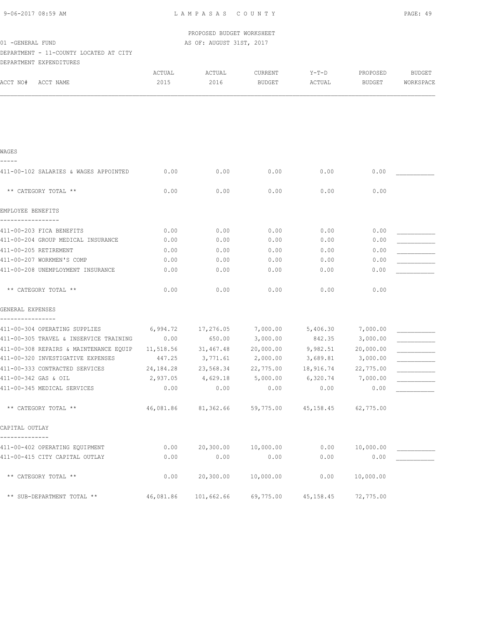| 9-06-2017 08:59 AM |  |
|--------------------|--|
|                    |  |

 PROPOSED BUDGET WORKSHEET 01 -GENERAL FUND AS OF: AUGUST 31ST, 2017

# DEPARTMENT - 11-COUNTY LOCATED AT CITY DEPARTMENT EXPENDITURES

| DELAKIMENI FYLEMDIIOKE2                   |                |                |                          |                   |                    |                            |
|-------------------------------------------|----------------|----------------|--------------------------|-------------------|--------------------|----------------------------|
| ACCT NO#<br>ACCT NAME                     | ACTUAL<br>2015 | ACTUAL<br>2016 | CURRENT<br><b>BUDGET</b> | $Y-T-D$<br>ACTUAL | PROPOSED<br>BUDGET | <b>BUDGET</b><br>WORKSPACE |
|                                           |                |                |                          |                   |                    |                            |
|                                           |                |                |                          |                   |                    |                            |
|                                           |                |                |                          |                   |                    |                            |
| WAGES                                     |                |                |                          |                   |                    |                            |
|                                           |                |                |                          |                   |                    |                            |
| 411-00-102 SALARIES & WAGES APPOINTED     | 0.00           | 0.00           | 0.00                     | 0.00              | 0.00               |                            |
| ** CATEGORY TOTAL **                      | 0.00           | 0.00           | 0.00                     | 0.00              | 0.00               |                            |
| EMPLOYEE BENEFITS                         |                |                |                          |                   |                    |                            |
| -------------<br>411-00-203 FICA BENEFITS | 0.00           | 0.00           | 0.00                     | 0.00              | 0.00               |                            |
| 411-00-204 GROUP MEDICAL INSURANCE        | 0.00           | 0.00           | 0.00                     | 0.00              | 0.00               |                            |
| 411-00-205 RETIREMENT                     | 0.00           | 0.00           | 0.00                     | 0.00              | 0.00               |                            |
| 411-00-207 WORKMEN'S COMP                 | 0.00           | 0.00           | 0.00                     | 0.00              | 0.00               |                            |
| 411-00-208 UNEMPLOYMENT INSURANCE         | 0.00           | 0.00           | 0.00                     | 0.00              | 0.00               |                            |
| ** CATEGORY TOTAL **                      | 0.00           | 0.00           | 0.00                     | 0.00              | 0.00               |                            |
| GENERAL EXPENSES                          |                |                |                          |                   |                    |                            |
| 411-00-304 OPERATING SUPPLIES             | 6,994.72       | 17,276.05      | 7,000.00                 | 5,406.30          | 7,000.00           |                            |
| 411-00-305 TRAVEL & INSERVICE TRAINING    | 0.00           | 650.00         | 3,000.00                 | 842.35            | 3,000.00           |                            |
| 411-00-308 REPAIRS & MAINTENANCE EQUIP    | 11,518.56      | 31,467.48      | 20,000.00                | 9,982.51          | 20,000.00          |                            |
| 411-00-320 INVESTIGATIVE EXPENSES         | 447.25         | 3,771.61       | 2,000.00                 | 3,689.81          | 3,000.00           |                            |
| 411-00-333 CONTRACTED SERVICES            | 24,184.28      | 23,568.34      | 22,775.00                | 18,916.74         | 22,775.00          |                            |
| 411-00-342 GAS & OIL                      | 2,937.05       | 4,629.18       | 5,000.00                 | 6,320.74          | 7,000.00           |                            |
| 411-00-345 MEDICAL SERVICES               | 0.00           | 0.00           | 0.00                     | 0.00              | 0.00               |                            |
| ** CATEGORY TOTAL **                      | 46,081.86      | 81,362.66      | 59,775.00                | 45,158.45         | 62,775.00          |                            |
| CAPITAL OUTLAY                            |                |                |                          |                   |                    |                            |
| 411-00-402 OPERATING EQUIPMENT            | 0.00           | 20,300.00      | 10,000.00                | 0.00              | 10,000.00          |                            |
| 411-00-415 CITY CAPITAL OUTLAY            | 0.00           | 0.00           | 0.00                     | 0.00              | 0.00               |                            |
| ** CATEGORY TOTAL **                      | 0.00           | 20,300.00      | 10,000.00                | 0.00              | 10,000.00          |                            |
| ** SUB-DEPARTMENT TOTAL **                | 46,081.86      | 101,662.66     | 69,775.00                | 45, 158.45        | 72,775.00          |                            |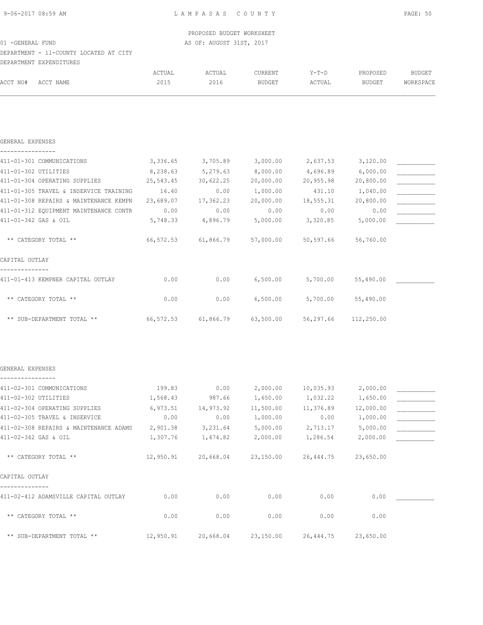DEPARTMENT - 11-COUNTY LOCATED AT CITY DEPARTMENT EXPENDITURES

|          | DULINININI UNIUNDIIONU |        |        |         |        |          |           |
|----------|------------------------|--------|--------|---------|--------|----------|-----------|
|          |                        | ACTUAL | ACTUAL | CURRENT | Y-T-D  | PROPOSED | BUDGET    |
| ACCT NO# | ACCT NAME              | 2015   | 2016   | BUDGET  | ACTUAL | BUDGET   | WORKSPACE |
|          |                        |        |        |         |        |          |           |
|          |                        |        |        |         |        |          |           |

| GENERAL EXPENSES                       |           |           |           |           |            |  |
|----------------------------------------|-----------|-----------|-----------|-----------|------------|--|
| 411-01-301 COMMUNICATIONS              | 3,336.65  | 3,705.89  | 3,000.00  | 2,637.53  | 3,120.00   |  |
| 411-01-302 UTILITIES                   | 8,238.63  | 5,279.63  | 8,000.00  | 4,696.89  | 6,000.00   |  |
| 411-01-304 OPERATING SUPPLIES          | 25,543.45 | 30,622.25 | 20,000.00 | 20,955.98 | 20,800.00  |  |
| 411-01-305 TRAVEL & INSERVICE TRAINING | 16.40     | 0.00      | 1,000.00  | 431.10    | 1,040.00   |  |
| 411-01-308 REPAIRS & MAINTENANCE KEMPN | 23,689.07 | 17,362.23 | 20,000.00 | 18,555.31 | 20,800.00  |  |
| 411-01-312 EQUIPMENT MAINTENANCE CONTR | 0.00      | 0.00      | 0.00      | 0.00      | 0.00       |  |
| 411-01-342 GAS & OIL                   | 5,748.33  | 4,896.79  | 5,000.00  | 3,320.85  | 5,000.00   |  |
| ** CATEGORY TOTAL **                   | 66,572.53 | 61,866.79 | 57,000.00 | 50,597.66 | 56,760.00  |  |
| CAPITAL OUTLAY                         |           |           |           |           |            |  |
| 411-01-413 KEMPNER CAPITAL OUTLAY      | 0.00      | 0.00      | 6,500.00  | 5,700.00  | 55,490.00  |  |
| ** CATEGORY TOTAL **                   | 0.00      | 0.00      | 6,500.00  | 5,700.00  | 55,490.00  |  |
| ** SUB-DEPARTMENT TOTAL **             | 66,572.53 | 61,866.79 | 63,500.00 | 56,297.66 | 112,250.00 |  |

### GENERAL EXPENSES ----------------

| 411-02-301 COMMUNICATIONS              | 199.83    | 0.00      | 2,000.00  | 10,035.93  | 2,000.00  |  |
|----------------------------------------|-----------|-----------|-----------|------------|-----------|--|
| 411-02-302 UTILITIES                   | 1,568.43  | 987.66    | 1,650.00  | 1,032.22   | 1,650.00  |  |
| 411-02-304 OPERATING SUPPLIES          | 6,973.51  | 14,973.92 | 11,500.00 | 11,376.89  | 12,000.00 |  |
| 411-02-305 TRAVEL & INSERVICE          | 0.00      | 0.00      | 1,000.00  | 0.00       | 1,000.00  |  |
| 411-02-308 REPAIRS & MAINTENANCE ADAMS | 2,901.38  | 3,231.64  | 5,000.00  | 2,713.17   | 5,000.00  |  |
| 411-02-342 GAS & OIL                   | 1,307.76  | 1,474.82  | 2,000.00  | 1,286.54   | 2,000.00  |  |
| ** CATEGORY TOTAL **                   | 12,950.91 | 20,668.04 | 23,150.00 | 26, 444.75 | 23,650.00 |  |
| CAPITAL OUTLAY                         |           |           |           |            |           |  |
| 411-02-412 ADAMSVILLE CAPITAL OUTLAY   | 0.00      | 0.00      | 0.00      | 0.00       | 0.00      |  |
| ** CATEGORY TOTAL **                   | 0.00      | 0.00      | 0.00      | 0.00       | 0.00      |  |
| ** SUB-DEPARTMENT TOTAL **             | 12,950.91 | 20,668.04 | 23,150.00 | 26,444.75  | 23,650.00 |  |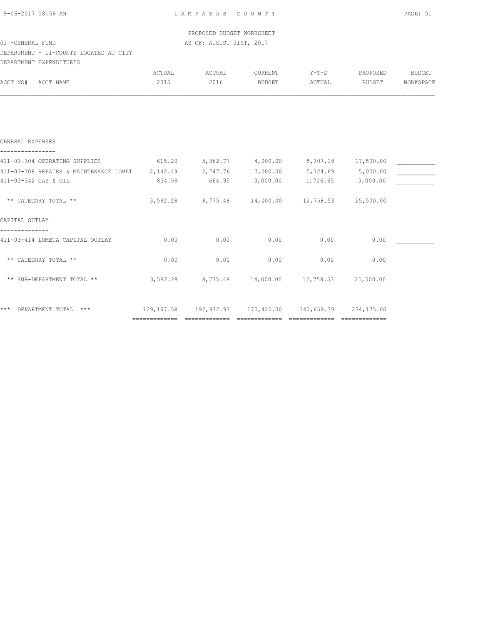| 9-06-2017 08:59 AM |  |
|--------------------|--|
|                    |  |

 PROPOSED BUDGET WORKSHEET 01 -GENERAL FUND AS OF: AUGUST 31ST, 2017

# DEPARTMENT - 11-COUNTY LOCATED AT CITY

| DEPARTMENT EXPENDITURES                |                             |          |                                                                                         |          |                     |               |
|----------------------------------------|-----------------------------|----------|-----------------------------------------------------------------------------------------|----------|---------------------|---------------|
|                                        | ACTUAL                      | ACTUAL   | CURRENT                                                                                 | $Y-T-D$  | PROPOSED            | <b>BUDGET</b> |
| ACCT NAME<br>ACCT NO#                  | 2015                        | 2016     | <b>BUDGET</b>                                                                           | ACTUAL   | BUDGET              | WORKSPACE     |
|                                        |                             |          |                                                                                         |          |                     |               |
|                                        |                             |          |                                                                                         |          |                     |               |
| GENERAL EXPENSES                       |                             |          |                                                                                         |          |                     |               |
| 411-03-304 OPERATING SUPPLIES          | 615.20                      |          | 5,362.77 4,000.00                                                                       |          | 5,307.19 17,500.00  |               |
| 411-03-308 REPAIRS & MAINTENANCE LOMET | 2,142.49                    | 2,747.76 | 7,000.00                                                                                | 5,724.69 | 5,000.00            |               |
| 411-03-342 GAS & OIL                   | 834.59                      | 664.95   | 3,000.00                                                                                | 1,726.65 | 3,000.00            |               |
| ** CATEGORY TOTAL **                   | 3,592.28                    |          | 8,775.48 14,000.00                                                                      |          | 12,758.53 25,500.00 |               |
| CAPITAL OUTLAY                         |                             |          |                                                                                         |          |                     |               |
| 411-03-414 LOMETA CAPITAL OUTLAY       | 0.00                        | 0.00     | 0.00                                                                                    | 0.00     | 0.00                |               |
| ** CATEGORY TOTAL **                   | 0.00                        | 0.00     | 0.00                                                                                    | 0.00     | 0.00                |               |
| ** SUB-DEPARTMENT TOTAL **             | 3,592.28                    |          | 8,775.48  14,000.00  12,758.53  25,500.00                                               |          |                     |               |
| ***<br>DEPARTMENT TOTAL ***            |                             |          |                                                                                         |          |                     |               |
|                                        | =========================== |          | 129,197.58 192,972.97 170,425.00 140,659.39 234,175.00<br>============================= |          | -------------       |               |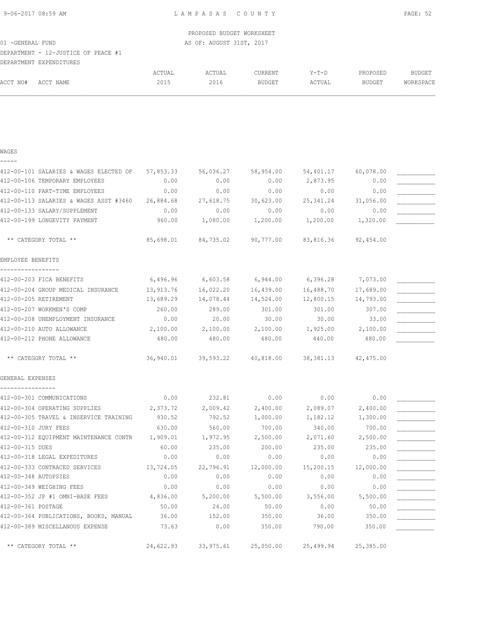9-06-2017 08:59 AM L A M P A S A S C O U N T Y PAGE: 52

|                                     | PROPOSED BUDGET WORKSHEET |  |
|-------------------------------------|---------------------------|--|
| 01 -GENERAL FUND                    | AS OF: AUGUST 31ST, 2017  |  |
| DEPARTMENT - 12-JUSTICE OF PEACE #1 |                           |  |
| DEPARTMENT EXPENDITURES             |                           |  |
|                                     |                           |  |

|          |              | ACTUAL | ACTUAL | CURRENT       | $V - T - D$ | PROPOSED      | <b>DIINCET</b><br>DUNGEI |
|----------|--------------|--------|--------|---------------|-------------|---------------|--------------------------|
| ACCT NO# | Δ∩∩ጥ<br>NAME | 2015   | 2016   | <b>BUDGET</b> | ACTUAL      | <b>BUDGET</b> | <b>MORKSPACE</b>         |
|          |              |        |        |               |             |               |                          |

## WAGES

-----

| 57,853.33                                        | 56,036.27 | 58,954.00 | 54,401.17  | 60,078.00 |                                                                                                                                                               |
|--------------------------------------------------|-----------|-----------|------------|-----------|---------------------------------------------------------------------------------------------------------------------------------------------------------------|
| 0.00                                             | 0.00      | 0.00      | 2,873.95   | 0.00      |                                                                                                                                                               |
| 0.00                                             | 0.00      | 0.00      | 0.00       | 0.00      |                                                                                                                                                               |
| 412-00-113 SALARIES & WAGES ASST #3460 26,884.68 | 27,618.75 | 30,623.00 | 25, 341.24 | 31,056.00 |                                                                                                                                                               |
| 0.00                                             | 0.00      | 0.00      | 0.00       | 0.00      |                                                                                                                                                               |
| 960.00                                           | 1,080.00  |           | 1,200.00   |           |                                                                                                                                                               |
| 85,698.01                                        |           |           |            |           |                                                                                                                                                               |
|                                                  |           |           |            |           |                                                                                                                                                               |
| 6,496.96                                         | 6,603.58  | 6,944.00  | 6,396.28   | 7,073.00  |                                                                                                                                                               |
| 13,913.76                                        | 16,022.20 | 16,439.00 | 16,488.70  | 17,689.00 |                                                                                                                                                               |
| 13,689.29                                        | 14,078.44 | 14,524.00 | 12,800.15  | 14,793.00 |                                                                                                                                                               |
| 260.00                                           | 289.00    | 301.00    | 301.00     | 307.00    |                                                                                                                                                               |
| 0.00                                             | 20.00     | 30.00     | 30.00      | 33.00     |                                                                                                                                                               |
| 2,100.00                                         |           | 2,100.00  |            |           |                                                                                                                                                               |
| 480.00                                           | 480.00    | 480.00    | 440.00     | 480.00    |                                                                                                                                                               |
| 36,940.01                                        |           |           |            |           |                                                                                                                                                               |
|                                                  |           |           |            |           |                                                                                                                                                               |
| 0.00                                             | 232.81    | 0.00      | 0.00       | 0.00      |                                                                                                                                                               |
| 2,373.72                                         | 2,009.42  | 2,400.00  | 2,089.07   | 2,400.00  |                                                                                                                                                               |
| 930.52                                           | 792.52    | 1,000.00  | 1,182.12   | 1,300.00  |                                                                                                                                                               |
| 630.00                                           | 560.00    | 700.00    | 340.00     | 700.00    |                                                                                                                                                               |
| 412-00-312 EQUIPMENT MAINTENANCE CONTR 1,909.01  | 1,972.95  | 2,500.00  | 2,071.60   | 2,500.00  |                                                                                                                                                               |
| 60.00                                            | 235.00    | 200.00    | 235.00     | 235.00    |                                                                                                                                                               |
| 0.00                                             | 0.00      | 0.00      | 0.00       | 0.00      |                                                                                                                                                               |
| 13,724.05                                        | 22,796.91 | 12,000.00 | 15,200.15  | 12,000.00 |                                                                                                                                                               |
| 0.00                                             | 0.00      | 0.00      | 0.00       | 0.00      |                                                                                                                                                               |
| 0.00                                             | 0.00      | 0.00      | 0.00       | 0.00      |                                                                                                                                                               |
| 4,836.00                                         | 5,200.00  | 5,500.00  | 3,556.00   | 5,500.00  |                                                                                                                                                               |
| 50.00                                            | 24.00     | 50.00     | 0.00       | 50.00     |                                                                                                                                                               |
| 36.00                                            | 152.00    | 350.00    | 36.00      | 350.00    |                                                                                                                                                               |
| 73.63                                            | 0.00      | 350.00    | 790.00     | 350.00    |                                                                                                                                                               |
| 24,622.93                                        |           |           |            |           |                                                                                                                                                               |
|                                                  |           | 2,100.00  | 1,200.00   | 1,925.00  | 1,320.00<br>84,735.02 90,777.00 83,816.36 92,454.00<br>2,100.00<br>39,593.22 40,818.00 38,381.13 42,475.00<br>$33,975.61$ $25,050.00$ $25,499.94$ $25,385.00$ |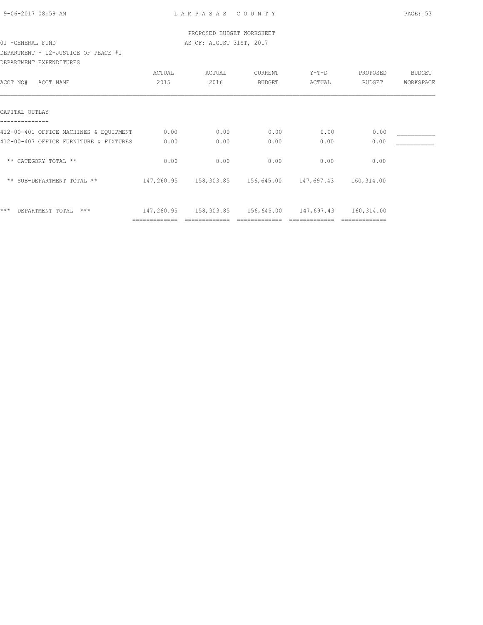| 9-06-2017 08:59 AM |  |
|--------------------|--|
|                    |  |

 PROPOSED BUDGET WORKSHEET 01 -GENERAL FUND AS OF: AUGUST 31ST, 2017

DEPARTMENT - 12-JUSTICE OF PEACE #1 DEPARTMENT EXPENDITURES

| ACCT NO#<br>ACCT NAME                  | ACTUAL<br>2015 | ACTUAL<br>2016                                    | CURRENT<br><b>BUDGET</b> | Y-T-D<br>ACTUAL | PROPOSED<br><b>BUDGET</b> | BUDGET<br>WORKSPACE |
|----------------------------------------|----------------|---------------------------------------------------|--------------------------|-----------------|---------------------------|---------------------|
| CAPITAL OUTLAY                         |                |                                                   |                          |                 |                           |                     |
| 412-00-401 OFFICE MACHINES & EQUIPMENT | 0.00           | 0.00                                              | 0.00                     | 0.00            | 0.00                      |                     |
| 412-00-407 OFFICE FURNITURE & FIXTURES | 0.00           | 0.00                                              | 0.00                     | 0.00            | 0.00                      |                     |
| ** CATEGORY TOTAL **                   | 0.00           | 0.00                                              | 0.00                     | 0.00            | 0.00                      |                     |
| ** SUB-DEPARTMENT TOTAL **             |                | 147,260.95   158,303.85   156,645.00   147,697.43 |                          |                 | 160,314.00                |                     |
| $***$<br>DEPARTMENT TOTAL<br>***       |                | 147,260.95 158,303.85 156,645.00 147,697.43       |                          |                 | 160,314.00                |                     |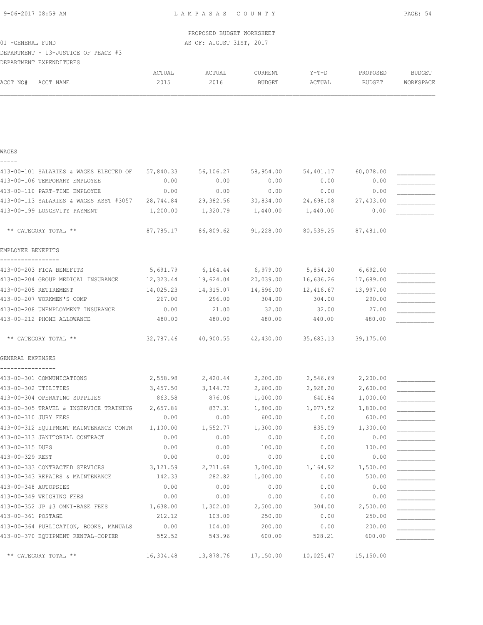9-06-2017 08:59 AM L A M P A S A S C O U N T Y PAGE: 54

 PROPOSED BUDGET WORKSHEET 01 -GENERAL FUND AS OF: AUGUST 31ST, 2017

DEPARTMENT - 13-JUSTICE OF PEACE #3 DEPARTMENT EXPENDITURES

| ---------------- | _________________ |        |                                                           |               |             |          |           |
|------------------|-------------------|--------|-----------------------------------------------------------|---------------|-------------|----------|-----------|
|                  |                   | ACTUAL | ACTUAL<br>the contract of the contract of the contract of | CURRENT       | $V - T - T$ | PROPOSED | BUDGET    |
| ACCT NO#         | ACCT NAME         | 2015   | 2016                                                      | <b>BUDGET</b> | ACTUAL      | BUDGET   | WORKSPACE |
|                  |                   |        |                                                           |               |             |          |           |

### WAGES -----

413-00-101 SALARIES & WAGES ELECTED OF 57,840.33 56,106.27 58,954.00 54,401.17 60,078.00 \_\_\_\_\_\_\_\_\_\_\_  $413-00-106$  TEMPORARY EMPLOYEE  $0.00$   $0.00$   $0.00$   $0.00$   $0.00$   $0.00$   $0.00$ 413-00-110 PART-TIME EMPLOYEE  $0.00$  0.00 0.00 0.00 0.00 0.00 413-00-113 SALARIES & WAGES ASST #3057 28,744.84 29,382.56 30,834.00 24,698.08 27,403.00 \_\_\_\_\_\_\_\_\_\_\_ 413-00-199 LONGEVITY PAYMENT  $1,200.00$   $1,320.79$   $1,440.00$   $1,440.00$   $0.00$  \*\* CATEGORY TOTAL \*\* 87,785.17 86,809.62 91,228.00 80,539.25 87,481.00 EMPLOYEE BENEFITS ----------------- 413-00-203 FICA BENEFITS  $5,691.79$   $6,164.44$   $6,979.00$   $5,854.20$   $6,692.00$ 413-00-204 GROUP MEDICAL INSURANCE 12,323.44 19,624.04 20,039.00 16,636.26 17,689.00 413-00-205 RETIREMENT 14,025.23 14,315.07 14,596.00 12,416.67 13,997.00 413-00-207 WORKMEN'S COMP 2867.00 296.00 304.00 304.00 304.00 290.00 413-00-208 UNEMPLOYMENT INSURANCE  $0.00$  21.00  $32.00$  32.00  $32.00$  27.00 413-00-212 PHONE ALLOWANCE 480.00 480.00 480.00 480.00 440.00 480.00 480.00 450.00 \*\* CATEGORY TOTAL \*\* 32,787.46 40,900.55 42,430.00 35,683.13 39,175.00 GENERAL EXPENSES ---------------- 413-00-301 COMMUNICATIONS  $2,558.98$   $2,420.44$   $2,200.00$   $2,546.69$   $2,200.00$ 413-00-302 UTILITIES 600.00 3,457.50 3,144.72 2,600.00 2,928.20 2,600.00 413-00-304 OPERATING SUPPLIES 663.58 876.06 1,000.00 640.84 1,000.00 413-00-305 TRAVEL & INSERVICE TRAINING  $2,657.86$  837.31  $1,800.00$   $1,077.52$  1,800.00 413-00-310 JURY FEES 600.00 0.00 0.00 0.00 600.00 0.00 600.00 600.00 600.00 413-00-312 EQUIPMENT MAINTENANCE CONTR 1,100.00 1,552.77 1,300.00 835.09 1,300.00 \_\_\_\_\_\_\_\_\_\_\_ 413-00-313 JANITORIAL CONTRACT  $0.00$   $0.00$   $0.00$   $0.00$   $0.00$   $0.00$  $413-00-315$  DUES  $0.00$   $0.00$   $100.00$   $0.00$   $0.00$   $0.00$   $0.00$   $100.00$ 413-00-329 RENT 0.00 0.00 0.00 0.00 0.00 \_\_\_\_\_\_\_\_\_\_\_ 413-00-333 CONTRACTED SERVICES 3,121.59 2,711.68 3,000.00 1,164.92 1,500.00 413-00-343 REPAIRS & MAINTENANCE  $142.33$  282.82  $1,000.00$  0.00 500.00 413-00-348 AUTOPSIES 0.00 0.00 0.00 0.00 0.00 \_\_\_\_\_\_\_\_\_\_\_ 413-00-349 WEIGHING FEES  $0.00$   $0.00$   $0.00$   $0.00$   $0.00$   $0.00$ 413-00-352 JP #3 OMNI-BASE FEES  $1,638.00$   $1,302.00$   $2,500.00$   $304.00$   $2,500.00$ 413-00-361 POSTAGE 212.12 103.00 250.00 0.00 250.00 250.00 413-00-364 PUBLICATION, BOOKS, MANUALS 0.00 104.00 200.00 0.00 0.00 200.00 413-00-370 EQUIPMENT RENTAL-COPIER 552.52 543.96 600.00 528.21 600.00 \*\* CATEGORY TOTAL \*\* 16,304.48 13,878.76 17,150.00 10,025.47 15,150.00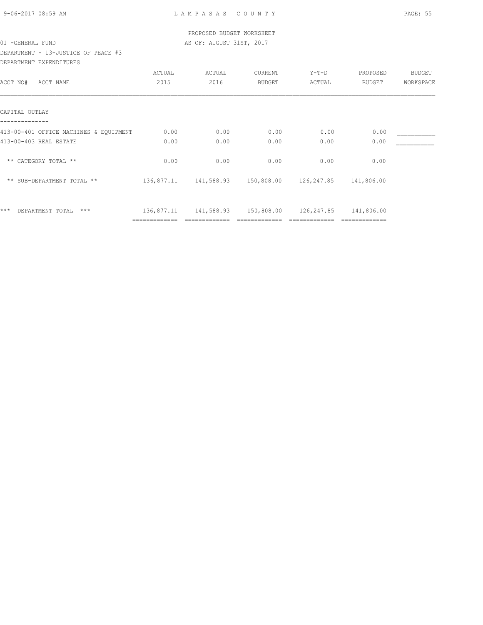| 9-06-2017 08:59 AM |  |
|--------------------|--|
|                    |  |

DEPARTMENT - 13-JUSTICE OF PEACE #3 DEPARTMENT EXPENDITURES

|                                        | ACTUAL | ACTUAL                                      | CURRENT       | $Y-T-D$               | PROPOSED   | BUDGET    |
|----------------------------------------|--------|---------------------------------------------|---------------|-----------------------|------------|-----------|
| ACCT NAME<br>ACCT NO#                  | 2015   | 2016                                        | <b>BUDGET</b> | ACTUAL                | BUDGET     | WORKSPACE |
|                                        |        |                                             |               |                       |            |           |
| CAPITAL OUTLAY                         |        |                                             |               |                       |            |           |
| 413-00-401 OFFICE MACHINES & EQUIPMENT | 0.00   | 0.00                                        | 0.00          | 0.00                  | 0.00       |           |
| 413-00-403 REAL ESTATE                 | 0.00   | 0.00                                        | 0.00          | 0.00                  | 0.00       |           |
| ** CATEGORY TOTAL **                   | 0.00   | 0.00                                        | 0.00          | 0.00                  | 0.00       |           |
| ** SUB-DEPARTMENT TOTAL **             |        | 136,877.11 141,588.93                       |               | 150,808.00 126,247.85 | 141,806.00 |           |
| ***<br>DEPARTMENT TOTAL<br>$***$       |        | 136,877.11 141,588.93 150,808.00 126,247.85 |               |                       | 141,806.00 |           |
|                                        |        |                                             |               |                       |            |           |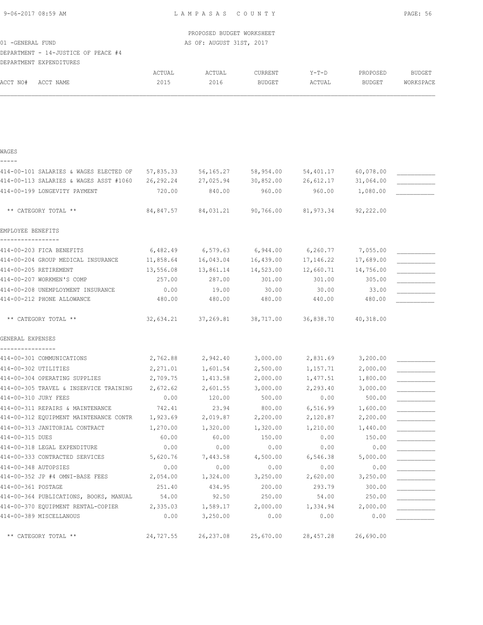| 9-06-2017 08:59 AM                                                   |           | LAMPASAS COUNTY           |                                                             |                     |           | PAGE: 56      |
|----------------------------------------------------------------------|-----------|---------------------------|-------------------------------------------------------------|---------------------|-----------|---------------|
|                                                                      |           | PROPOSED BUDGET WORKSHEET |                                                             |                     |           |               |
| 01 - GENERAL FUND                                                    |           | AS OF: AUGUST 31ST, 2017  |                                                             |                     |           |               |
| DEPARTMENT - 14-JUSTICE OF PEACE #4                                  |           |                           |                                                             |                     |           |               |
| DEPARTMENT EXPENDITURES                                              |           |                           |                                                             |                     |           |               |
|                                                                      | ACTUAL    | ACTUAL                    | CURRENT                                                     | Y-T-D               | PROPOSED  | <b>BUDGET</b> |
| ACCT NO#<br>ACCT NAME                                                | 2015      | 2016                      | BUDGET                                                      | ACTUAL              | BUDGET    | WORKSPACE     |
| WAGES                                                                |           |                           |                                                             |                     |           |               |
| 414-00-101 SALARIES & WAGES ELECTED OF 57,835.33 56,165.27 58,954.00 |           |                           |                                                             | 54,401.17 60,078.00 |           |               |
| 414-00-113 SALARIES & WAGES ASST #1060                               | 26,292.24 | 27,025.94 30,852.00       |                                                             | 26,612.17 31,064.00 |           |               |
| 414-00-199 LONGEVITY PAYMENT                                         | 720.00    | 840.00                    | 960.00                                                      | 960.00              | 1,080.00  |               |
| ** CATEGORY TOTAL **                                                 |           |                           | 84,847.57 84,031.21 90,766.00 81,973.34                     |                     | 92,222.00 |               |
| EMPLOYEE BENEFITS                                                    |           |                           |                                                             |                     |           |               |
| 414-00-203 FICA BENEFITS                                             |           |                           | $6,482.49$ $6,579.63$ $6,944.00$ $6,260.77$ $7,055.00$      |                     |           |               |
| 414-00-204 GROUP MEDICAL INSURANCE                                   |           |                           | $11,858.64$ $16,043.04$ $16,439.00$ $17,146.22$ $17,689.00$ |                     |           |               |
| 414-00-205 RETIREMENT                                                | 13,556.08 | 13,861.14 14,523.00       |                                                             | 12,660.71 14,756.00 |           |               |
| 414-00-207 WORKMEN'S COMP                                            | 257.00    | 287.00                    | 301.00                                                      | 301.00              | 305.00    |               |
| 414-00-208 UNEMPLOYMENT INSURANCE                                    | 0.00      | 19.00                     | 30.00                                                       | 30.00               | 33.00     |               |

414-00-212 PHONE ALLOWANCE 480.00 480.00 480.00 480.00 440.00 480.00 480.00 450.00

| ** CATEGORY TOTAL **                   | 32,634.21 | 37,269.81 | 38,717.00 | 36,838.70 | 40,318.00 |  |
|----------------------------------------|-----------|-----------|-----------|-----------|-----------|--|
| GENERAL EXPENSES                       |           |           |           |           |           |  |
|                                        |           |           |           |           |           |  |
| 414-00-301 COMMUNICATIONS              | 2,762.88  | 2,942.40  | 3,000.00  | 2,831.69  | 3,200.00  |  |
| 414-00-302 UTILITIES                   | 2,271.01  | 1,601.54  | 2,500.00  | 1,157.71  | 2,000.00  |  |
| 414-00-304 OPERATING SUPPLIES          | 2,709.75  | 1,413.58  | 2,000.00  | 1,477.51  | 1,800.00  |  |
| 414-00-305 TRAVEL & INSERVICE TRAINING | 2,672.62  | 2,601.55  | 3,000.00  | 2,293.40  | 3,000.00  |  |
| 414-00-310 JURY FEES                   | 0.00      | 120.00    | 500.00    | 0.00      | 500.00    |  |
| 414-00-311 REPAIRS & MAINTENANCE       | 742.41    | 23.94     | 800.00    | 6,516.99  | 1,600.00  |  |
| 414-00-312 EQUIPMENT MAINTENANCE CONTR | 1,923.69  | 2,019.87  | 2,200.00  | 2,120.87  | 2,200.00  |  |
| 414-00-313 JANITORIAL CONTRACT         | 1,270.00  | 1,320.00  | 1,320.00  | 1,210.00  | 1,440.00  |  |
| 414-00-315 DUES                        | 60.00     | 60.00     | 150.00    | 0.00      | 150.00    |  |
| 414-00-318 LEGAL EXPENDITURE           | 0.00      | 0.00      | 0.00      | 0.00      | 0.00      |  |
| 414-00-333 CONTRACTED SERVICES         | 5,620.76  | 7,443.58  | 4,500.00  | 6,546.38  | 5,000.00  |  |
| 414-00-348 AUTOPSIES                   | 0.00      | 0.00      | 0.00      | 0.00      | 0.00      |  |
| 414-00-352 JP #4 OMNI-BASE FEES        | 2,054.00  | 1,324.00  | 3,250.00  | 2,620.00  | 3,250.00  |  |
|                                        |           |           |           |           |           |  |

| 414-00-313 JANITORIAL CONTRACT         | 1,270.00  | 1,320.00  | 1,320.00  | 1,210.00  | 1,440.00  |  |
|----------------------------------------|-----------|-----------|-----------|-----------|-----------|--|
| 414-00-315 DUES                        | 60.00     | 60.00     | 150.00    | 0.00      | 150.00    |  |
| 414-00-318 LEGAL EXPENDITURE           | 0.00      | 0.00      | 0.00      | 0.00      | 0.00      |  |
| 414-00-333 CONTRACTED SERVICES         | 5,620.76  | 7,443.58  | 4,500.00  | 6,546.38  | 5,000.00  |  |
| 414-00-348 AUTOPSIES                   | 0.00      | 0.00      | 0.00      | 0.00      | 0.00      |  |
| 414-00-352 JP #4 OMNI-BASE FEES        | 2,054.00  | 1,324.00  | 3,250.00  | 2,620.00  | 3,250.00  |  |
| 414-00-361 POSTAGE                     | 251.40    | 434.95    | 200.00    | 293.79    | 300.00    |  |
| 414-00-364 PUBLICATIONS, BOOKS, MANUAL | 54.00     | 92.50     | 250.00    | 54.00     | 250.00    |  |
| 414-00-370 EQUIPMENT RENTAL-COPIER     | 2,335.03  | 1,589.17  | 2,000.00  | 1,334.94  | 2,000.00  |  |
| 414-00-389 MISCELLANOUS                | 0.00      | 3,250.00  | 0.00      | 0.00      | 0.00      |  |
|                                        |           |           |           |           |           |  |
| ** CATEGORY TOTAL **                   | 24,727.55 | 26,237.08 | 25,670.00 | 28,457.28 | 26,690.00 |  |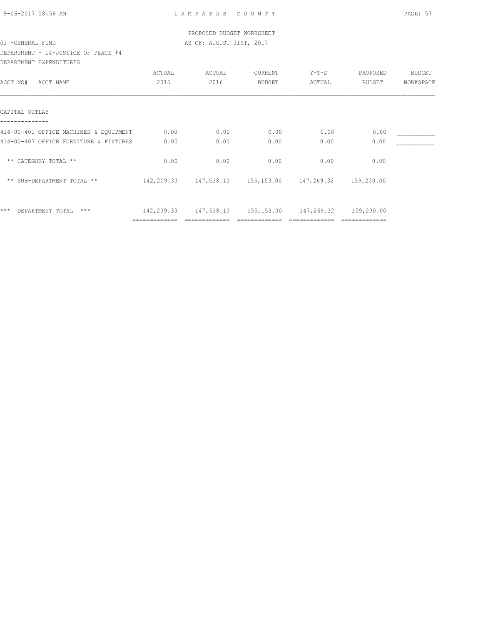| 9-06-2017 08:59 AM |  |
|--------------------|--|
|                    |  |

# DEPARTMENT - 14-JUSTICE OF PEACE #4 DEPARTMENT EXPENDITURES

| ACCT NO#<br>ACCT NAME                                                            | ACTUAL<br>2015 | ACTUAL<br>2016                                  | CURRENT<br><b>BUDGET</b>         | Y-T-D<br>ACTUAL | PROPOSED<br>BUDGET | <b>BUDGET</b><br>WORKSPACE |
|----------------------------------------------------------------------------------|----------------|-------------------------------------------------|----------------------------------|-----------------|--------------------|----------------------------|
| CAPITAL OUTLAY                                                                   |                |                                                 |                                  |                 |                    |                            |
| 414-00-401 OFFICE MACHINES & EQUIPMENT<br>414-00-407 OFFICE FURNITURE & FIXTURES | 0.00<br>0.00   | 0.00<br>0.00                                    | 0.00<br>0.00                     | 0.00<br>0.00    | 0.00<br>0.00       |                            |
| ** CATEGORY TOTAL **                                                             | 0.00           | 0.00                                            | 0.00                             | 0.00            | 0.00               |                            |
| ** SUB-DEPARTMENT TOTAL **                                                       | 142,209.33     |                                                 | 147,538.10 155,153.00 147,269.32 |                 | 159,230.00         |                            |
| $***$<br>DEPARTMENT TOTAL<br>$***$                                               |                | 142, 209.33 147, 538.10 155, 153.00 147, 269.32 |                                  |                 | 159,230.00         |                            |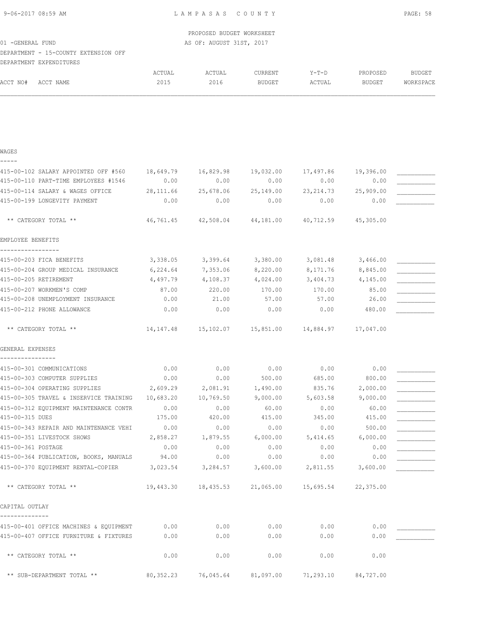|                  |                                      |        | PROPOSED BUDGET WORKSHEET |         |         |          |           |
|------------------|--------------------------------------|--------|---------------------------|---------|---------|----------|-----------|
| 01 -GENERAL FUND |                                      |        | AS OF: AUGUST 31ST, 2017  |         |         |          |           |
|                  | DEPARTMENT - 15-COUNTY EXTENSION OFF |        |                           |         |         |          |           |
|                  | DEPARTMENT EXPENDITURES              |        |                           |         |         |          |           |
|                  |                                      | ACTUAL | ACTUAL                    | CURRENT | $Y-T-D$ | PROPOSED | BUDGET    |
| ACCT NO#         | ACCT NAME                            | 2015   | 2016                      | BUDGET  | ACTUAL  | BUDGET   | WORKSPACE |
|                  |                                      |        |                           |         |         |          |           |
|                  |                                      |        |                           |         |         |          |           |

| WAGES                                                     |              |                                                             |                |                     |                |  |
|-----------------------------------------------------------|--------------|-------------------------------------------------------------|----------------|---------------------|----------------|--|
| 415-00-102 SALARY APPOINTED OFF #560                      | 18,649.79    | 16,829.98                                                   | 19,032.00      | 17,497.86           | 19,396.00      |  |
| 415-00-110 PART-TIME EMPLOYEES #1546                      | 0.00         | 0.00                                                        | 0.00           | 0.00                | 0.00           |  |
| 415-00-114 SALARY & WAGES OFFICE                          | 28,111.66    | 25,678.06                                                   | 25,149.00      | 23, 214.73          | 25,909.00      |  |
| 415-00-199 LONGEVITY PAYMENT                              | 0.00         | 0.00                                                        | 0.00           | 0.00                | 0.00           |  |
| ** CATEGORY TOTAL **                                      |              | 46,761.45 42,508.04                                         |                | 44,181.00 40,712.59 | 45,305.00      |  |
| EMPLOYEE BENEFITS                                         |              |                                                             |                |                     |                |  |
| 415-00-203 FICA BENEFITS                                  | 3,338.05     | 3,399.64                                                    | 3,380.00       | 3,081.48            | 3,466.00       |  |
| 415-00-204 GROUP MEDICAL INSURANCE                        | 6,224.64     | 7,353.06                                                    | 8,220.00       | 8,171.76            | 8,845.00       |  |
| 415-00-205 RETIREMENT                                     | 4,497.79     | 4,108.37                                                    | 4,024.00       | 3,404.73            | 4,145.00       |  |
| 415-00-207 WORKMEN'S COMP                                 | 87.00        | 220.00                                                      | 170.00         | 170.00              | 85.00          |  |
| 415-00-208 UNEMPLOYMENT INSURANCE                         | 0.00         | 21.00                                                       | 57.00          | 57.00               | 26.00          |  |
| 415-00-212 PHONE ALLOWANCE                                | 0.00         | 0.00                                                        | 0.00           | 0.00                | 480.00         |  |
| ** CATEGORY TOTAL **                                      |              | $14,147.48$ $15,102.07$ $15,851.00$ $14,884.97$ $17,047.00$ |                |                     |                |  |
| GENERAL EXPENSES                                          |              |                                                             |                |                     |                |  |
|                                                           |              | 0.00                                                        |                |                     |                |  |
| 415-00-301 COMMUNICATIONS<br>415-00-303 COMPUTER SUPPLIES | 0.00<br>0.00 | 0.00                                                        | 0.00<br>500.00 | 0.00<br>685.00      | 0.00<br>800.00 |  |
| 415-00-304 OPERATING SUPPLIES                             | 2,609.29     | 2,081.91                                                    | 1,490.00       | 835.76              | 2,000.00       |  |
| 415-00-305 TRAVEL & INSERVICE TRAINING                    | 10,683.20    | 10,769.50                                                   | 9,000.00       | 5,603.58            | 9,000.00       |  |
| 415-00-312 EQUIPMENT MAINTENANCE CONTR                    | 0.00         | 0.00                                                        | 60.00          | 0.00                | 60.00          |  |
| 415-00-315 DUES                                           | 175.00       | 420.00                                                      | 415.00         | 345.00              | 415.00         |  |
| 415-00-343 REPAIR AND MAINTENANCE VEHI                    | 0.00         | 0.00                                                        | 0.00           | 0.00                | 500.00         |  |
| 415-00-351 LIVESTOCK SHOWS                                | 2,858.27     | 1,879.55                                                    | 6,000.00       | 5,414.65            | 6,000.00       |  |
| 415-00-361 POSTAGE                                        | 0.00         | 0.00                                                        | 0.00           | 0.00                | 0.00           |  |
| 415-00-364 PUBLICATION, BOOKS, MANUALS 94.00              |              | 0.00                                                        | 0.00           | 0.00                | 0.00           |  |
| 415-00-370 EQUIPMENT RENTAL-COPIER 3,023.54               |              | 3,284.57                                                    | 3,600.00       | 2,811.55            | 3,600.00       |  |
| ** CATEGORY TOTAL **                                      |              | 19,443.30 18,435.53 21,065.00                               |                | 15,695.54           | 22,375.00      |  |
| CAPITAL OUTLAY                                            |              |                                                             |                |                     |                |  |
| 415-00-401 OFFICE MACHINES & EQUIPMENT                    | 0.00         | 0.00                                                        | 0.00           | 0.00                | 0.00           |  |
| 415-00-407 OFFICE FURNITURE & FIXTURES                    | 0.00         | 0.00                                                        | 0.00           | 0.00                | 0.00           |  |
| ** CATEGORY TOTAL **                                      | 0.00         | 0.00                                                        | 0.00           | 0.00                | 0.00           |  |
| ** SUB-DEPARTMENT TOTAL **                                | 80, 352.23   | 76,045.64                                                   | 81,097.00      | 71,293.10           | 84,727.00      |  |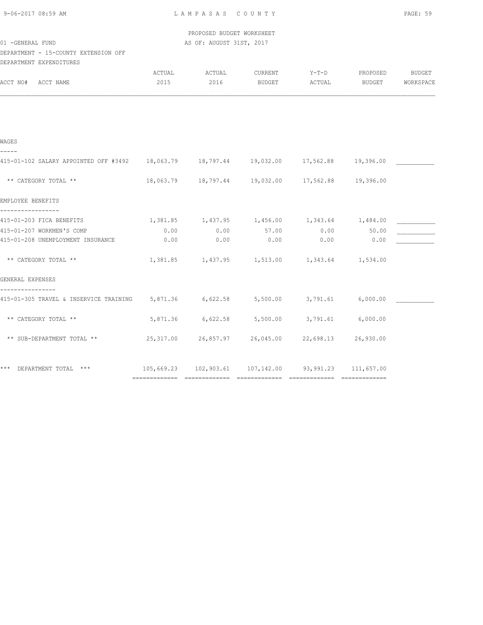| 9-06-2017 08:59 AM |  |
|--------------------|--|
|                    |  |

 PROPOSED BUDGET WORKSHEET 01 -GENERAL FUND AS OF: AUGUST 31ST, 2017

### DEPARTMENT - 15-COUNTY EXTENSION OFF DEPARTMENT EXPENDITURES

|      |                | CURRENT        |                                                                          |        | <b>BUDGET</b>                                                                                                                                                                                                                                                                                                                                                                                                                                                                                                                |
|------|----------------|----------------|--------------------------------------------------------------------------|--------|------------------------------------------------------------------------------------------------------------------------------------------------------------------------------------------------------------------------------------------------------------------------------------------------------------------------------------------------------------------------------------------------------------------------------------------------------------------------------------------------------------------------------|
|      |                | BUDGET         | ACTUAL                                                                   | BUDGET | WORKSPACE                                                                                                                                                                                                                                                                                                                                                                                                                                                                                                                    |
|      |                |                |                                                                          |        |                                                                                                                                                                                                                                                                                                                                                                                                                                                                                                                              |
|      |                |                |                                                                          |        |                                                                                                                                                                                                                                                                                                                                                                                                                                                                                                                              |
|      |                |                |                                                                          |        |                                                                                                                                                                                                                                                                                                                                                                                                                                                                                                                              |
|      |                |                |                                                                          |        |                                                                                                                                                                                                                                                                                                                                                                                                                                                                                                                              |
|      |                |                |                                                                          |        |                                                                                                                                                                                                                                                                                                                                                                                                                                                                                                                              |
|      |                |                |                                                                          |        |                                                                                                                                                                                                                                                                                                                                                                                                                                                                                                                              |
|      |                |                |                                                                          |        |                                                                                                                                                                                                                                                                                                                                                                                                                                                                                                                              |
|      |                |                |                                                                          |        |                                                                                                                                                                                                                                                                                                                                                                                                                                                                                                                              |
| 0.00 |                |                |                                                                          | 50.00  |                                                                                                                                                                                                                                                                                                                                                                                                                                                                                                                              |
| 0.00 | 0.00           | 0.00           | 0.00                                                                     | 0.00   |                                                                                                                                                                                                                                                                                                                                                                                                                                                                                                                              |
|      |                |                |                                                                          |        |                                                                                                                                                                                                                                                                                                                                                                                                                                                                                                                              |
|      |                |                |                                                                          |        |                                                                                                                                                                                                                                                                                                                                                                                                                                                                                                                              |
|      |                |                |                                                                          |        |                                                                                                                                                                                                                                                                                                                                                                                                                                                                                                                              |
|      |                |                |                                                                          |        |                                                                                                                                                                                                                                                                                                                                                                                                                                                                                                                              |
|      |                |                |                                                                          |        |                                                                                                                                                                                                                                                                                                                                                                                                                                                                                                                              |
|      |                |                |                                                                          |        |                                                                                                                                                                                                                                                                                                                                                                                                                                                                                                                              |
|      | ACTUAL<br>2015 | ACTUAL<br>2016 | $0.00$ 57.00<br>415-01-305 TRAVEL & INSERVICE TRAINING 5,871.36 6,622.58 |        | $Y-T-D$<br>PROPOSED<br>415-01-102 SALARY APPOINTED OFF #3492 18,063.79 18,797.44 19,032.00 17,562.88 19,396.00<br>18,063.79  18,797.44  19,032.00  17,562.88  19,396.00<br>$1,381.85$ $1,437.95$ $1,456.00$ $1,343.64$ $1,484.00$<br>0.00<br>1,381.85 1,437.95 1,513.00 1,343.64 1,534.00<br>5,500.00 3,791.61 6,000.00<br>5,871.36 6,622.58 5,500.00 3,791.61 6,000.00<br>25,317.00  26,857.97  26,045.00  22,698.13  26,930.00<br>*** DEPARTMENT TOTAL *** $105,669.23$ $102,903.61$ $107,142.00$ $93,991.23$ $111,657.00$ |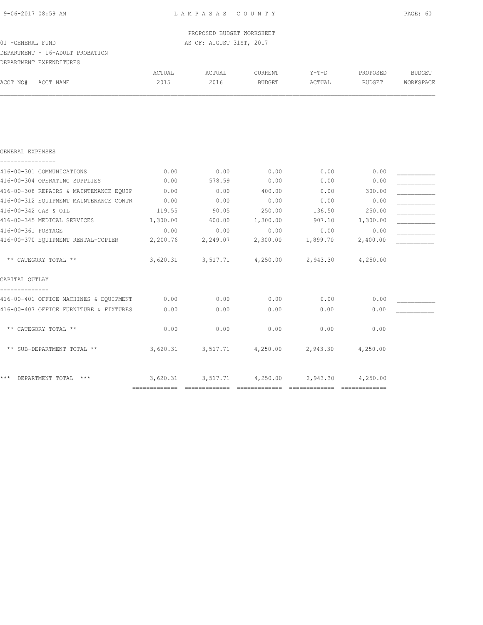--------------

| 9-06-2017 08:59 AM                                         |          | LAMPASAS COUNTY           |                                             |          |          | PAGE: 60      |
|------------------------------------------------------------|----------|---------------------------|---------------------------------------------|----------|----------|---------------|
|                                                            |          | PROPOSED BUDGET WORKSHEET |                                             |          |          |               |
| 01 -GENERAL FUND                                           |          | AS OF: AUGUST 31ST, 2017  |                                             |          |          |               |
| DEPARTMENT - 16-ADULT PROBATION<br>DEPARTMENT EXPENDITURES |          |                           |                                             |          |          |               |
|                                                            | ACTUAL   | ACTUAL                    | CURRENT                                     | Y-T-D    | PROPOSED | <b>BUDGET</b> |
| ACCT NO#<br>ACCT NAME                                      | 2015     | 2016                      | BUDGET                                      | ACTUAL   | BUDGET   | WORKSPACE     |
|                                                            |          |                           |                                             |          |          |               |
|                                                            |          |                           |                                             |          |          |               |
|                                                            |          |                           |                                             |          |          |               |
| GENERAL EXPENSES                                           |          |                           |                                             |          |          |               |
| 416-00-301 COMMUNICATIONS                                  | 0.00     | 0.00                      | 0.00                                        | 0.00     | 0.00     |               |
| 416-00-304 OPERATING SUPPLIES                              | 0.00     | 578.59                    | 0.00                                        | 0.00     | 0.00     |               |
| 416-00-308 REPAIRS & MAINTENANCE EQUIP                     | 0.00     | 0.00                      | 400.00                                      | 0.00     | 300.00   |               |
| 416-00-312 EQUIPMENT MAINTENANCE CONTR                     | 0.00     | 0.00                      | 0.00                                        | 0.00     | 0.00     |               |
| 416-00-342 GAS & OIL                                       | 119.55   | 90.05                     | 250.00                                      | 136.50   | 250.00   |               |
| 416-00-345 MEDICAL SERVICES                                | 1,300.00 | 600.00                    | 1,300.00                                    | 907.10   | 1,300.00 |               |
| 416-00-361 POSTAGE                                         | 0.00     | 0.00                      | 0.00                                        | 0.00     | 0.00     |               |
| 416-00-370 EQUIPMENT RENTAL-COPIER                         | 2,200.76 | 2,249.07                  | 2,300.00                                    | 1,899.70 | 2,400.00 |               |
| ** CATEGORY TOTAL **                                       |          |                           | $3,620.31$ $3,517.71$ $4,250.00$ $2,943.30$ |          | 4,250.00 |               |
| CAPITAL OUTLAY                                             |          |                           |                                             |          |          |               |

416-00-401 OFFICE MACHINES & EQUIPMENT 0.00 0.00 0.00 0.00 0.00 0.00 0.00 416-00-407 OFFICE FURNITURE & FIXTURES  $0.00$  0.00 0.00 0.00 0.00 0.00 0.00

============= ============= ============= ============= =============

\*\* CATEGORY TOTAL \*\* 0.00 0.00 0.00 0.00 0.00

\*\* SUB-DEPARTMENT TOTAL \*\* 3,620.31 3,517.71 4,250.00 2,943.30 4,250.00

\*\*\* DEPARTMENT TOTAL \*\*\* 3,620.31 3,517.71 4,250.00 2,943.30 4,250.00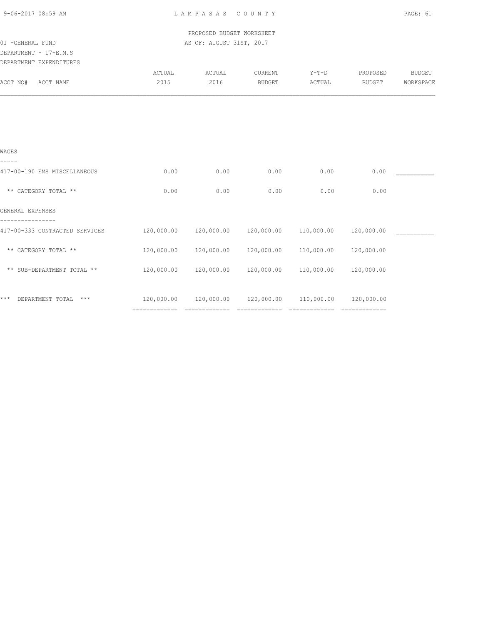PROPOSED BUDGET WORKSHEET 01 -GENERAL FUND AS OF: AUGUST 31ST, 2017

# DEPARTMENT - 17-E.M.S

| DEPARTMENT EXPENDITURES |
|-------------------------|

| ACTUAL     | ACTUAL        | CURRENT       | $Y-T-D$    | PROPOSED      | <b>BUDGET</b> |
|------------|---------------|---------------|------------|---------------|---------------|
| 2015       | 2016          | <b>BUDGET</b> | ACTUAL     | <b>BUDGET</b> | WORKSPACE     |
|            |               |               |            |               |               |
|            |               |               |            |               |               |
|            |               |               |            |               |               |
|            |               |               |            |               |               |
| 0.00       | 0.00          | 0.00          | 0.00       | 0.00          |               |
| 0.00       | 0.00          | 0.00          | 0.00       | 0.00          |               |
|            |               |               |            |               |               |
| 120,000.00 | 120,000.00    | 120,000.00    | 110,000.00 | 120,000.00    |               |
| 120,000.00 | 120,000.00    | 120,000.00    | 110,000.00 | 120,000.00    |               |
| 120,000.00 | 120,000.00    | 120,000.00    | 110,000.00 | 120,000.00    |               |
|            |               |               |            |               |               |
| 120,000.00 | 120,000.00    | 120,000.00    | 110,000.00 | 120,000.00    |               |
|            | ============= |               | FEEEEEEE   | ============= | ============= |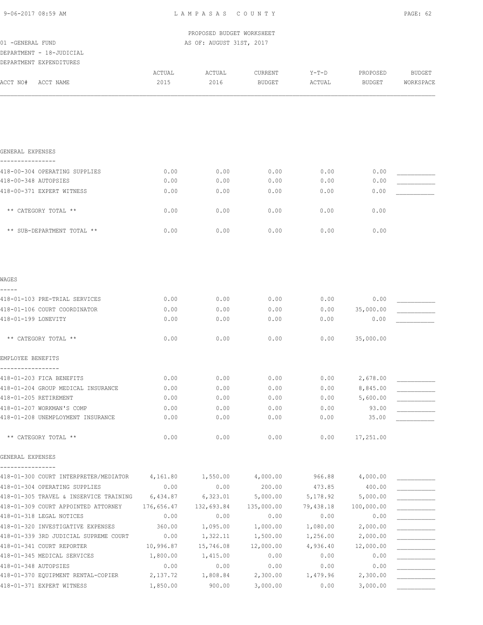PROPOSED BUDGET WORKSHEET 01 -GENERAL FUND **AS OF: AUGUST 31ST, 2017** 

DEPARTMENT - 18-JUDICIAL

| DEPARTMENT EXPENDITURES                                  |                       |                       |                          |                   |                           |                            |
|----------------------------------------------------------|-----------------------|-----------------------|--------------------------|-------------------|---------------------------|----------------------------|
| ACCT NO#<br>ACCT NAME                                    | ACTUAL<br>2015        | ACTUAL<br>2016        | CURRENT<br><b>BUDGET</b> | $Y-T-D$<br>ACTUAL | PROPOSED<br><b>BUDGET</b> | <b>BUDGET</b><br>WORKSPACE |
|                                                          |                       |                       |                          |                   |                           |                            |
|                                                          |                       |                       |                          |                   |                           |                            |
| GENERAL EXPENSES                                         |                       |                       |                          |                   |                           |                            |
| 418-00-304 OPERATING SUPPLIES                            | 0.00                  | 0.00                  | 0.00                     | 0.00              | 0.00                      |                            |
| 418-00-348 AUTOPSIES                                     | 0.00                  | 0.00                  | 0.00                     | 0.00              | 0.00                      |                            |
| 418-00-371 EXPERT WITNESS                                | 0.00                  | 0.00                  | 0.00                     | 0.00              | 0.00                      |                            |
| ** CATEGORY TOTAL **                                     | 0.00                  | 0.00                  | 0.00                     | 0.00              | 0.00                      |                            |
| ** SUB-DEPARTMENT TOTAL **                               | 0.00                  | 0.00                  | 0.00                     | 0.00              | 0.00                      |                            |
| WAGES                                                    |                       |                       |                          |                   |                           |                            |
|                                                          |                       |                       |                          |                   |                           |                            |
| 418-01-103 PRE-TRIAL SERVICES                            | 0.00                  | 0.00                  | 0.00                     | 0.00              | 0.00                      |                            |
| 418-01-106 COURT COORDINATOR                             | 0.00                  | 0.00                  | 0.00                     | 0.00              | 35,000.00                 |                            |
| 418-01-199 LONEVITY                                      | 0.00                  | 0.00                  | 0.00                     | 0.00              | 0.00                      |                            |
| ** CATEGORY TOTAL **                                     | 0.00                  | 0.00                  | 0.00                     | 0.00              | 35,000.00                 |                            |
| EMPLOYEE BENEFITS                                        |                       |                       |                          |                   |                           |                            |
| 418-01-203 FICA BENEFITS                                 | 0.00                  | 0.00                  | 0.00                     | 0.00              | 2,678.00                  |                            |
| 418-01-204 GROUP MEDICAL INSURANCE                       | 0.00                  | 0.00                  | 0.00                     | 0.00              | 8,845.00                  |                            |
| 418-01-205 RETIREMENT                                    | 0.00                  | 0.00                  | 0.00                     | 0.00              | 5,600.00                  |                            |
| 418-01-207 WORKMAN'S COMP                                | 0.00                  | 0.00                  | 0.00                     | 0.00              | 93.00                     |                            |
| 418-01-208 UNEMPLOYMENT INSURANCE                        | 0.00                  | 0.00                  | 0.00                     | 0.00              | 35.00                     |                            |
| ** CATEGORY TOTAL **                                     | 0.00                  | 0.00                  | 0.00                     | 0.00              | 17,251.00                 |                            |
| GENERAL EXPENSES                                         |                       |                       |                          |                   |                           |                            |
| 418-01-300 COURT INTERPRETER/MEDIATOR                    | 4,161.80              | 1,550.00              | 4,000.00                 | 966.88            | 4,000.00                  |                            |
| 418-01-304 OPERATING SUPPLIES                            | 0.00                  | 0.00                  | 200.00                   | 473.85            | 400.00                    |                            |
| 418-01-305 TRAVEL & INSERVICE TRAINING                   | 6,434.87              | 6,323.01              | 5,000.00                 | 5,178.92          | 5,000.00                  |                            |
| 418-01-309 COURT APPOINTED ATTORNEY                      | 176,656.47            | 132,693.84            | 135,000.00               | 79,438.18         | 100,000.00                |                            |
| 418-01-318 LEGAL NOTICES                                 | 0.00                  | 0.00                  | 0.00                     | 0.00              | 0.00                      |                            |
| 418-01-320 INVESTIGATIVE EXPENSES                        | 360.00                | 1,095.00              | 1,000.00                 | 1,080.00          | 2,000.00                  |                            |
| 418-01-339 3RD JUDICIAL SUPREME COURT                    | 0.00                  | 1,322.11              | 1,500.00                 | 1,256.00          | 2,000.00                  |                            |
| 418-01-341 COURT REPORTER<br>418-01-345 MEDICAL SERVICES | 10,996.87<br>1,800.00 | 15,746.08<br>1,415.00 | 12,000.00<br>0.00        | 4,936.40<br>0.00  | 12,000.00<br>0.00         |                            |
| 418-01-348 AUTOPSIES                                     | 0.00                  | 0.00                  | 0.00                     | 0.00              | 0.00                      |                            |
| 418-01-370 EQUIPMENT RENTAL-COPIER                       | 2,137.72              | 1,808.84              | 2,300.00                 | 1,479.96          | 2,300.00                  |                            |

418-01-371 EXPERT WITNESS 1,850.00 900.00 3,000.00 0.00 3,000.00 \_\_\_\_\_\_\_\_\_\_\_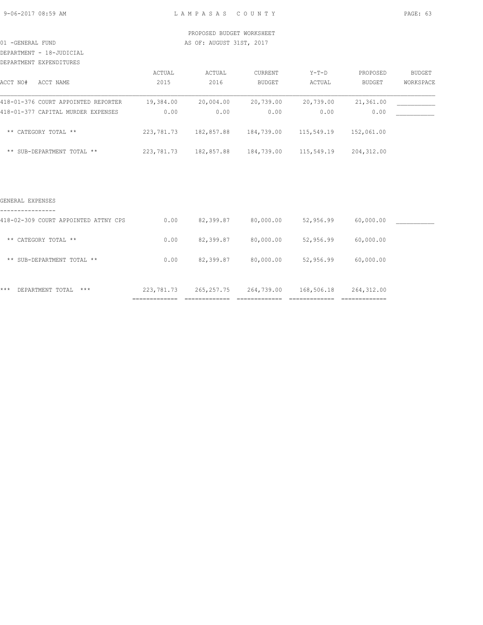DEPARTMENT - 18-JUDICIAL

### DEPARTMENT EXPENDITURES

| ACCT NO#<br>ACCT NAME               | ACTUAL<br>2015 | ACTUAL<br>2016 | CURRENT<br><b>BUDGET</b> | $Y-T-D$<br>ACTUAL | PROPOSED<br><b>BUDGET</b> | <b>BUDGET</b><br>WORKSPACE |
|-------------------------------------|----------------|----------------|--------------------------|-------------------|---------------------------|----------------------------|
| 418-01-376 COURT APPOINTED REPORTER | 19,384.00      | 20,004.00      | 20,739.00                | 20,739.00         | 21,361.00                 |                            |
| 418-01-377 CAPITAL MURDER EXPENSES  | 0.00           | 0.00           | 0.00                     | 0.00              | 0.00                      |                            |
| ** CATEGORY TOTAL **                | 223,781.73     | 182,857.88     | 184,739.00               | 115,549.19        | 152,061.00                |                            |
| ** SUB-DEPARTMENT TOTAL **          | 223,781.73     | 182,857.88     | 184,739.00               | 115,549.19        | 204,312.00                |                            |

### GENERAL EXPENSES

| $***$<br>$***$<br>DEPARTMENT TOTAL                       | 223,781.73 | 265, 257. 75 | 264,739.00 | 168,506.18 | 264,312.00 |  |
|----------------------------------------------------------|------------|--------------|------------|------------|------------|--|
| ** SUB-DEPARTMENT TOTAL **                               | 0.00       | 82,399.87    | 80,000.00  | 52,956.99  | 60,000.00  |  |
| ** CATEGORY TOTAL **                                     | 0.00       | 82,399.87    | 80,000.00  | 52,956.99  | 60,000.00  |  |
| ----------------<br>418-02-309 COURT APPOINTED ATTNY CPS | 0.00       | 82,399.87    | 80,000.00  | 52,956.99  | 60,000.00  |  |
|                                                          |            |              |            |            |            |  |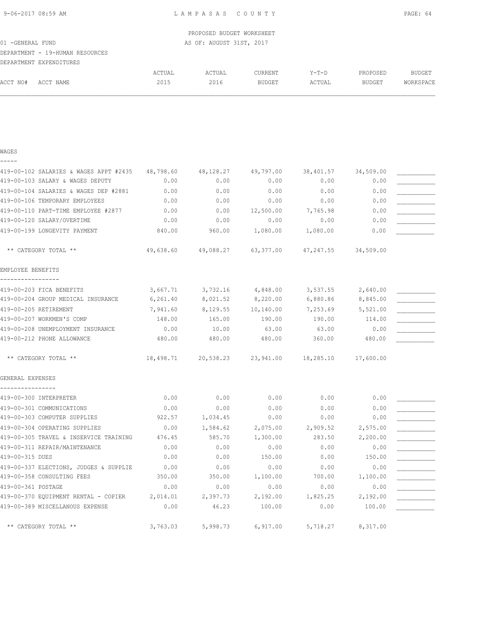|                  |                                 |        | PROPOSED BUDGET WORKSHEET |         |         |          |           |
|------------------|---------------------------------|--------|---------------------------|---------|---------|----------|-----------|
| 01 -GENERAL FUND |                                 |        | AS OF: AUGUST 31ST, 2017  |         |         |          |           |
|                  | DEPARTMENT - 19-HUMAN RESOURCES |        |                           |         |         |          |           |
|                  | DEPARTMENT EXPENDITURES         |        |                           |         |         |          |           |
|                  |                                 | ACTUAL | ACTUAL                    | CURRENT | $Y-T-D$ | PROPOSED | BUDGET    |
| ACCT NO#         | ACCT NAME                       | 2015   | 2016                      | BUDGET  | ACTUAL  | BUDGET   | WORKSPACE |
|                  |                                 |        |                           |         |         |          |           |

WAGES -----

| 419-00-102 SALARIES & WAGES APPT #2435        | 48,798.60 | 48,128.27                                  | 49,797.00 | 38,401.57 | 34,509.00 |  |
|-----------------------------------------------|-----------|--------------------------------------------|-----------|-----------|-----------|--|
| 419-00-103 SALARY & WAGES DEPUTY              | 0.00      | 0.00                                       | 0.00      | 0.00      | 0.00      |  |
| 419-00-104 SALARIES & WAGES DEP #2881         | 0.00      | 0.00                                       | 0.00      | 0.00      | 0.00      |  |
| 419-00-106 TEMPORARY EMPLOYEES                | 0.00      | 0.00                                       | 0.00      | 0.00      | 0.00      |  |
| 419-00-110 PART-TIME EMPLOYEE #2877           | 0.00      | 0.00                                       | 12,500.00 | 7,765.98  | 0.00      |  |
| 419-00-120 SALARY/OVERTIME                    | 0.00      | 0.00                                       | 0.00      | 0.00      | 0.00      |  |
| 419-00-199 LONGEVITY PAYMENT                  | 840.00    | 960.00                                     | 1,080.00  | 1,080.00  | 0.00      |  |
| ** CATEGORY TOTAL **                          |           | 49,638.60 49,088.27                        | 63,377.00 | 47,247.55 | 34,509.00 |  |
| EMPLOYEE BENEFITS                             |           |                                            |           |           |           |  |
| 419-00-203 FICA BENEFITS                      | 3,667.71  | 3,732.16                                   | 4,848.00  | 3,537.55  | 2,640.00  |  |
| 419-00-204 GROUP MEDICAL INSURANCE            | 6, 261.40 | 8,021.52                                   | 8,220.00  | 6,880.86  | 8,845.00  |  |
| 419-00-205 RETIREMENT                         | 7,941.60  | 8,129.55                                   | 10,140.00 | 7,253.69  | 5,521.00  |  |
| 419-00-207 WORKMEN'S COMP                     | 148.00    | 165.00                                     | 190.00    | 190.00    | 114.00    |  |
| 419-00-208 UNEMPLOYMENT INSURANCE             | 0.00      | 10.00                                      | 63.00     | 63.00     | 0.00      |  |
| 419-00-212 PHONE ALLOWANCE                    | 480.00    | 480.00                                     | 480.00    | 360.00    | 480.00    |  |
| ** CATEGORY TOTAL **                          | 18,498.71 | 20,538.23  23,941.00  18,285.10  17,600.00 |           |           |           |  |
| GENERAL EXPENSES                              |           |                                            |           |           |           |  |
|                                               |           |                                            |           |           |           |  |
| 419-00-300 INTERPRETER                        | 0.00      | 0.00                                       | 0.00      | 0.00      | 0.00      |  |
| 419-00-301 COMMUNICATIONS                     | 0.00      | 0.00                                       | 0.00      | 0.00      | 0.00      |  |
| 419-00-303 COMPUTER SUPPLIES                  | 922.57    | 1,034.45                                   | 0.00      | 0.00      | 0.00      |  |
| 419-00-304 OPERATING SUPPLIES                 | 0.00      | 1,584.62                                   | 2,075.00  | 2,909.52  | 2,575.00  |  |
| 419-00-305 TRAVEL & INSERVICE TRAINING        | 476.45    | 585.70                                     | 1,300.00  | 283.50    | 2,200.00  |  |
| 419-00-311 REPAIR/MAINTENANCE                 | 0.00      | 0.00                                       | 0.00      | 0.00      | 0.00      |  |
| 419-00-315 DUES                               | 0.00      | 0.00                                       | 150.00    | 0.00      | 150.00    |  |
| 419-00-337 ELECTIONS, JUDGES & SUPPLIE        | 0.00      | 0.00                                       | 0.00      | 0.00      | 0.00      |  |
| 419-00-358 CONSULTING FEES                    | 350.00    | 350.00                                     | 1,100.00  | 700.00    | 1,100.00  |  |
| 419-00-361 POSTAGE                            | 0.00      | 0.00                                       | 0.00      | 0.00      | 0.00      |  |
| 419-00-370 EQUIPMENT RENTAL - COPIER 2,014.01 |           | 2,397.73                                   | 2,192.00  | 1,825.25  | 2,192.00  |  |
| 419-00-389 MISCELLANOUS EXPENSE               | 0.00      | 46.23                                      | 100.00    | 0.00      | 100.00    |  |
| ** CATEGORY TOTAL **                          | 3,763.03  | 5,998.73                                   | 6,917.00  | 5,718.27  | 8,317.00  |  |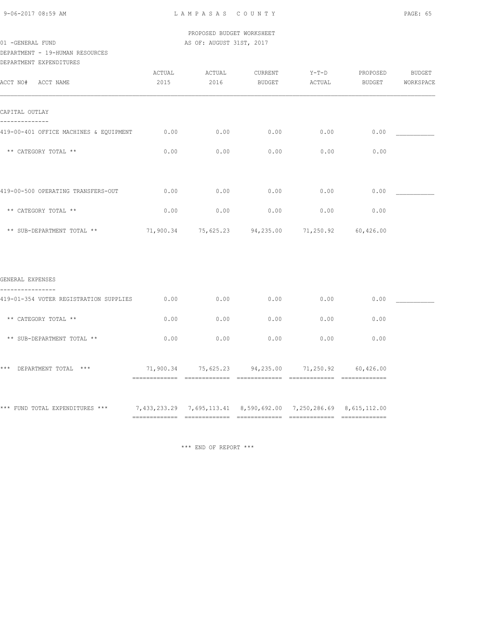9-06-2017 08:59 AM L A M P A S A S C O U N T Y PAGE: 65

 PROPOSED BUDGET WORKSHEET 01 -GENERAL FUND **AS OF: AUGUST 31ST, 2017** 

DEPARTMENT - 19-HUMAN RESOURCES DEPARTMENT EXPENDITURES

| DELARIMENI PYLEMDIIOKES                |                |                |                   |                                                   |                    |                     |
|----------------------------------------|----------------|----------------|-------------------|---------------------------------------------------|--------------------|---------------------|
| ACCT NO#<br>ACCT NAME                  | ACTUAL<br>2015 | ACTUAL<br>2016 | CURRENT<br>BUDGET | $Y-T-D$<br>ACTUAL                                 | PROPOSED<br>BUDGET | BUDGET<br>WORKSPACE |
| CAPITAL OUTLAY                         |                |                |                   |                                                   |                    |                     |
| 419-00-401 OFFICE MACHINES & EQUIPMENT | 0.00           | 0.00           | 0.00              | 0.00                                              | 0.00               |                     |
| ** CATEGORY TOTAL **                   | 0.00           | 0.00           | 0.00              | 0.00                                              | 0.00               |                     |
| 419-00-500 OPERATING TRANSFERS-OUT     | 0.00           | 0.00           | 0.00              | 0.00                                              | 0.00               |                     |
| ** CATEGORY TOTAL **                   | 0.00           | 0.00           | 0.00              | 0.00                                              | 0.00               |                     |
| ** SUB-DEPARTMENT TOTAL **             |                |                |                   | 71,900.34 75,625.23 94,235.00 71,250.92           | 60,426.00          |                     |
| GENERAL EXPENSES                       |                |                |                   |                                                   |                    |                     |
| 419-01-354 VOTER REGISTRATION SUPPLIES | 0.00           | 0.00           | 0.00              | 0.00                                              | 0.00               |                     |
| ** CATEGORY TOTAL **                   | 0.00           | 0.00           | 0.00              | 0.00                                              | 0.00               |                     |
| ** SUB-DEPARTMENT TOTAL **             | 0.00           | 0.00           | 0.00              | 0.00                                              | 0.00               |                     |
| *** DEPARTMENT TOTAL ***               |                |                |                   | 71,900.34 75,625.23 94,235.00 71,250.92 60,426.00 |                    |                     |
|                                        |                |                |                   |                                                   |                    |                     |

\*\*\* FUND TOTAL EXPENDITURES \*\*\* 7,433,233.29 7,695,113.41 8,590,692.00 7,250,286.69 8,615,112.00 ============= ============= ============= ============= =============

\*\*\* END OF REPORT \*\*\*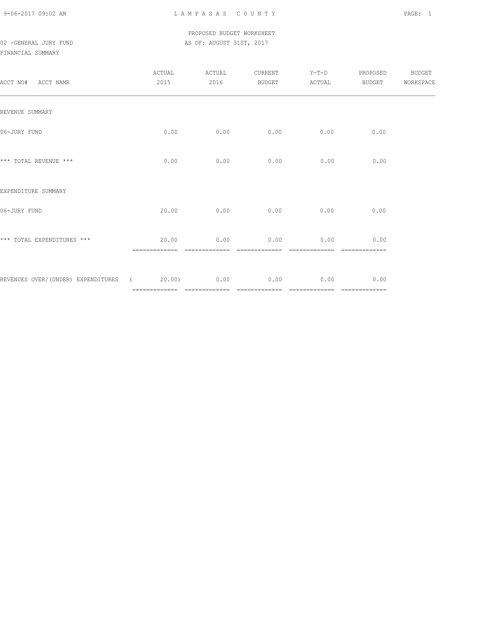9-06-2017 09:02 AM L A M P A S A S C O U N T Y PAGE: 1

# PROPOSED BUDGET WORKSHEET 02 -GENERAL JURY FUND **AS OF: AUGUST 31ST, 2017**

# FINANCIAL SUMMARY

| ACCT NO# ACCT NAME                              | ACTUAL<br>2015 | ACTUAL<br>2016                | CURRENT<br>BUDGET      | $Y-T-D$<br>ACTUAL     | PROPOSED<br><b>BUDGET</b> | BUDGET<br>WORKSPACE |
|-------------------------------------------------|----------------|-------------------------------|------------------------|-----------------------|---------------------------|---------------------|
| REVENUE SUMMARY                                 |                |                               |                        |                       |                           |                     |
| 06-JURY FUND                                    | 0.00           | 0.00                          | 0.00                   | 0.00                  | 0.00                      |                     |
| *** TOTAL REVENUE ***                           | 0.00           | 0.00                          | 0.00                   | 0.00                  | 0.00                      |                     |
| EXPENDITURE SUMMARY                             |                |                               |                        |                       |                           |                     |
| 06-JURY FUND                                    | 20.00          | 0.00                          | 0.00                   | 0.00                  | 0.00                      |                     |
| *** TOTAL EXPENDITURES ***                      | 20.00          | 0.00                          | 0.00                   | 0.00                  | 0.00<br>====              |                     |
| REVENUES OVER/(UNDER) EXPENDITURES (20.00) 0.00 |                | ============================= | 0.00<br>-------------- | 0.00<br>============= | 0.00<br>=============     |                     |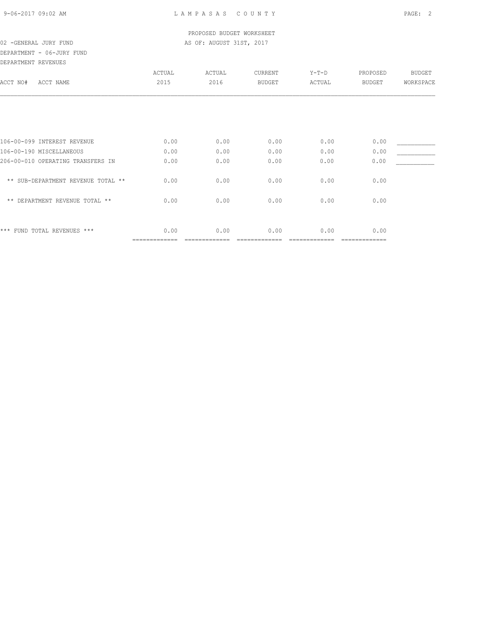DEPARTMENT - 06-JURY FUND

DEPARTMENT REVENUES

| DEFANIMENI NEVENUEO                |               |        |               |         |               |               |
|------------------------------------|---------------|--------|---------------|---------|---------------|---------------|
|                                    | ACTUAL        | ACTUAL | CURRENT       | $Y-T-D$ | PROPOSED      | <b>BUDGET</b> |
| ACCT NAME<br>ACCT NO#              | 2015          | 2016   | <b>BUDGET</b> | ACTUAL  | <b>BUDGET</b> | WORKSPACE     |
|                                    |               |        |               |         |               |               |
|                                    |               |        |               |         |               |               |
| 106-00-099 INTEREST REVENUE        | 0.00          | 0.00   | 0.00          | 0.00    | 0.00          |               |
| 106-00-190 MISCELLANEOUS           | 0.00          | 0.00   | 0.00          | 0.00    | 0.00          |               |
| 206-00-010 OPERATING TRANSFERS IN  | 0.00          | 0.00   | 0.00          | 0.00    | 0.00          |               |
| ** SUB-DEPARTMENT REVENUE TOTAL ** | 0.00          | 0.00   | 0.00          | 0.00    | 0.00          |               |
| ** DEPARTMENT REVENUE TOTAL **     | 0.00          | 0.00   | 0.00          | 0.00    | 0.00          |               |
|                                    |               |        |               |         |               |               |
| ***<br>FUND TOTAL REVENUES ***     | 0.00          | 0.00   | 0.00          | 0.00    | 0.00          |               |
|                                    | ============= |        |               |         | ==========    |               |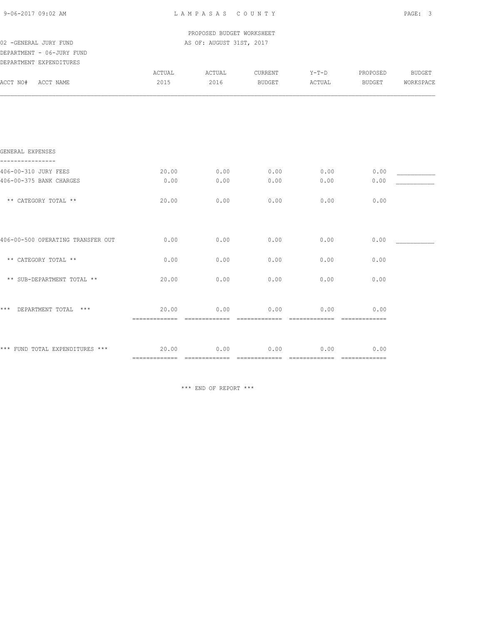| 9-06-2017 09:02 AM |  |  |
|--------------------|--|--|
|                    |  |  |

 PROPOSED BUDGET WORKSHEET 02 -GENERAL JURY FUND **AS OF: AUGUST 31ST, 2017** 

DEPARTMENT - 06-JURY FUND

| DEPARTMENT EXPENDITURES           |                                       |        |                                                                                                                                                                                                                                                                                                                                                                                                                                                                                                |                                                                                                                                                                                                                                                                                                                                                                                                                                                                                                |                      |               |
|-----------------------------------|---------------------------------------|--------|------------------------------------------------------------------------------------------------------------------------------------------------------------------------------------------------------------------------------------------------------------------------------------------------------------------------------------------------------------------------------------------------------------------------------------------------------------------------------------------------|------------------------------------------------------------------------------------------------------------------------------------------------------------------------------------------------------------------------------------------------------------------------------------------------------------------------------------------------------------------------------------------------------------------------------------------------------------------------------------------------|----------------------|---------------|
|                                   | ACTUAL                                | ACTUAL | CURRENT                                                                                                                                                                                                                                                                                                                                                                                                                                                                                        | $Y-T-D$                                                                                                                                                                                                                                                                                                                                                                                                                                                                                        | PROPOSED             | <b>BUDGET</b> |
| ACCT NO#<br>ACCT NAME             | 2015                                  | 2016   | BUDGET                                                                                                                                                                                                                                                                                                                                                                                                                                                                                         | ACTUAL                                                                                                                                                                                                                                                                                                                                                                                                                                                                                         | BUDGET               | WORKSPACE     |
|                                   |                                       |        |                                                                                                                                                                                                                                                                                                                                                                                                                                                                                                |                                                                                                                                                                                                                                                                                                                                                                                                                                                                                                |                      |               |
| GENERAL EXPENSES                  |                                       |        |                                                                                                                                                                                                                                                                                                                                                                                                                                                                                                |                                                                                                                                                                                                                                                                                                                                                                                                                                                                                                |                      |               |
| 406-00-310 JURY FEES              | 20.00                                 | 0.00   | 0.00                                                                                                                                                                                                                                                                                                                                                                                                                                                                                           | 0.00                                                                                                                                                                                                                                                                                                                                                                                                                                                                                           | 0.00                 |               |
| 406-00-375 BANK CHARGES           | 0.00                                  | 0.00   | 0.00                                                                                                                                                                                                                                                                                                                                                                                                                                                                                           | 0.00                                                                                                                                                                                                                                                                                                                                                                                                                                                                                           | 0.00                 |               |
| ** CATEGORY TOTAL **              | 20.00                                 | 0.00   | 0.00                                                                                                                                                                                                                                                                                                                                                                                                                                                                                           | 0.00                                                                                                                                                                                                                                                                                                                                                                                                                                                                                           | 0.00                 |               |
| 406-00-500 OPERATING TRANSFER OUT | 0.00                                  | 0.00   | 0.00                                                                                                                                                                                                                                                                                                                                                                                                                                                                                           | 0.00                                                                                                                                                                                                                                                                                                                                                                                                                                                                                           | 0.00                 |               |
| ** CATEGORY TOTAL **              | 0.00                                  | 0.00   | 0.00                                                                                                                                                                                                                                                                                                                                                                                                                                                                                           | 0.00                                                                                                                                                                                                                                                                                                                                                                                                                                                                                           | 0.00                 |               |
| ** SUB-DEPARTMENT TOTAL **        | 20.00                                 | 0.00   | 0.00                                                                                                                                                                                                                                                                                                                                                                                                                                                                                           | 0.00                                                                                                                                                                                                                                                                                                                                                                                                                                                                                           | 0.00                 |               |
| $***$<br>DEPARTMENT TOTAL ***     | 20.00<br>============================ | 0.00   | 0.00<br>$\begin{array}{cccccccccccccc} \multicolumn{2}{c}{} & \multicolumn{2}{c}{} & \multicolumn{2}{c}{} & \multicolumn{2}{c}{} & \multicolumn{2}{c}{} & \multicolumn{2}{c}{} & \multicolumn{2}{c}{} & \multicolumn{2}{c}{} & \multicolumn{2}{c}{} & \multicolumn{2}{c}{} & \multicolumn{2}{c}{} & \multicolumn{2}{c}{} & \multicolumn{2}{c}{} & \multicolumn{2}{c}{} & \multicolumn{2}{c}{} & \multicolumn{2}{c}{} & \multicolumn{2}{c}{} & \multicolumn{2}{c}{} & \multicolumn{2}{c}{} & \$ | 0.00<br>$\begin{array}{cccccccccccccc} \multicolumn{2}{c}{} & \multicolumn{2}{c}{} & \multicolumn{2}{c}{} & \multicolumn{2}{c}{} & \multicolumn{2}{c}{} & \multicolumn{2}{c}{} & \multicolumn{2}{c}{} & \multicolumn{2}{c}{} & \multicolumn{2}{c}{} & \multicolumn{2}{c}{} & \multicolumn{2}{c}{} & \multicolumn{2}{c}{} & \multicolumn{2}{c}{} & \multicolumn{2}{c}{} & \multicolumn{2}{c}{} & \multicolumn{2}{c}{} & \multicolumn{2}{c}{} & \multicolumn{2}{c}{} & \multicolumn{2}{c}{} & \$ | 0.00<br>essessessess |               |
| *** FUND TOTAL EXPENDITURES ***   | 20.00<br>============================ | 0.00   | 0.00                                                                                                                                                                                                                                                                                                                                                                                                                                                                                           | 0.00                                                                                                                                                                                                                                                                                                                                                                                                                                                                                           | 0.00                 |               |

\*\*\* END OF REPORT \*\*\*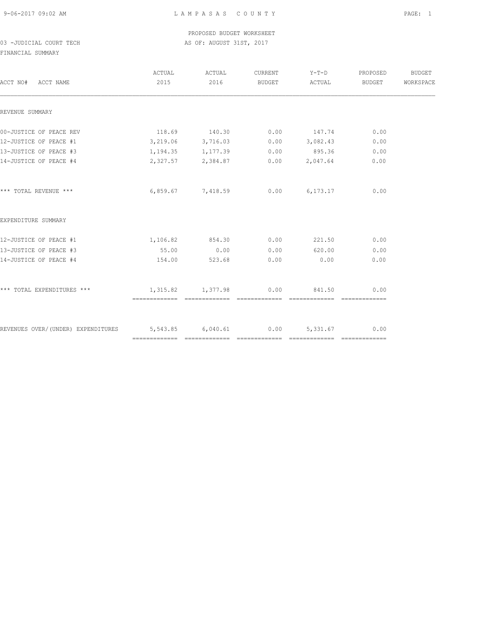9-06-2017 09:02 AM L A M P A S A S C O U N T Y PAGE: 1

# PROPOSED BUDGET WORKSHEET 03 -JUDICIAL COURT TECH AS OF: AUGUST 31ST, 2017

FINANCIAL SUMMARY

| 118.69 140.30<br>3,219.06 3,716.03<br>1, 194. 35 1, 177. 39<br>2,327.57 2,384.87 |      | $0.00$ 147.74<br>$0.00$ $3,082.43$<br>$0.00$ 895.36                    | 0.00<br>0.00<br>0.00 |                                                                                                                          |
|----------------------------------------------------------------------------------|------|------------------------------------------------------------------------|----------------------|--------------------------------------------------------------------------------------------------------------------------|
|                                                                                  |      |                                                                        |                      |                                                                                                                          |
|                                                                                  |      |                                                                        |                      |                                                                                                                          |
|                                                                                  |      |                                                                        |                      |                                                                                                                          |
|                                                                                  |      |                                                                        |                      |                                                                                                                          |
|                                                                                  |      |                                                                        |                      |                                                                                                                          |
|                                                                                  |      | $0.00$ 2,047.64                                                        | 0.00                 |                                                                                                                          |
|                                                                                  |      |                                                                        | 0.00                 |                                                                                                                          |
|                                                                                  |      |                                                                        |                      |                                                                                                                          |
|                                                                                  |      |                                                                        | 0.00                 |                                                                                                                          |
|                                                                                  | 0.00 |                                                                        | 0.00                 |                                                                                                                          |
| 523.68                                                                           | 0.00 | 0.00                                                                   | 0.00                 |                                                                                                                          |
|                                                                                  |      |                                                                        | 0.00                 |                                                                                                                          |
|                                                                                  |      |                                                                        |                      |                                                                                                                          |
| 55.00<br>154.00                                                                  |      | 6,859.67 7,418.59<br>1,106.82 854.30 0.00<br>0.00<br>1,315.82 1,377.98 | 0.00                 | $0.00$ 6,173.17<br>221.50<br>620.00<br>841.50<br>REVENUES OVER/(UNDER) EXPENDITURES 5,543.85 6,040.61 0.00 5,331.67 0.00 |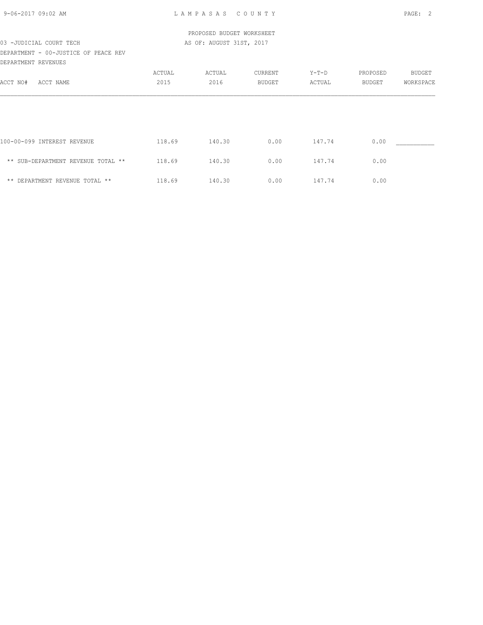| 9-06-2017 09:02 AM |  |
|--------------------|--|
|                    |  |

# PROPOSED BUDGET WORKSHEET 03 -JUDICIAL COURT TECH **AS OF: AUGUST 31ST, 2017**

DEPARTMENT - 00-JUSTICE OF PEACE REV DEPARTMENT REVENUES

|                                    | ACTUAL | ACTUAL | CURRENT       | $Y-T-D$ | PROPOSED | <b>BUDGET</b> |
|------------------------------------|--------|--------|---------------|---------|----------|---------------|
| ACCT NO#<br>ACCT NAME              | 2015   | 2016   | <b>BUDGET</b> | ACTUAL  | BUDGET   | WORKSPACE     |
|                                    |        |        |               |         |          |               |
|                                    |        |        |               |         |          |               |
|                                    |        |        |               |         |          |               |
| 100-00-099 INTEREST REVENUE        | 118.69 | 140.30 | 0.00          | 147.74  | 0.00     |               |
| ** SUB-DEPARTMENT REVENUE TOTAL ** | 118.69 | 140.30 | 0.00          | 147.74  | 0.00     |               |
| ** DEPARTMENT REVENUE TOTAL **     | 118.69 | 140.30 | 0.00          | 147.74  | 0.00     |               |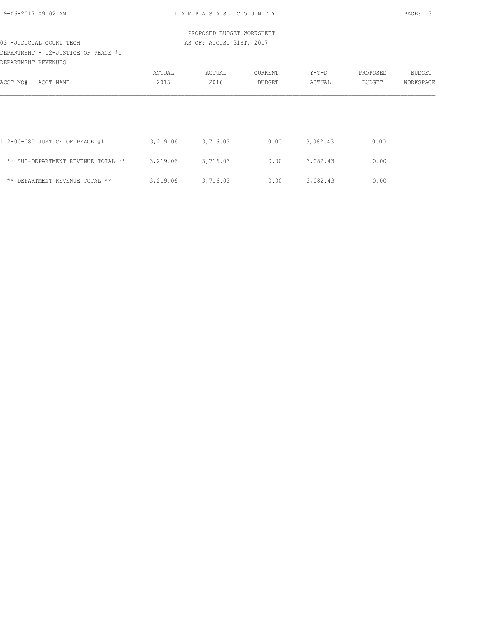| 9-06-2017 09:02 AM |  |
|--------------------|--|
|                    |  |
|                    |  |

 PROPOSED BUDGET WORKSHEET 03 -JUDICIAL COURT TECH **AS OF: AUGUST 31ST, 2017** 

DEPARTMENT - 12-JUSTICE OF PEACE #1 DEPARTMENT REVENUES

|                                    | ACTUAL   | ACTUAL   | CURRENT | $Y-T-D$  | PROPOSED      | BUDGET    |
|------------------------------------|----------|----------|---------|----------|---------------|-----------|
| ACCT NO#<br>ACCT NAME              | 2015     | 2016     | BUDGET  | ACTUAL   | <b>BUDGET</b> | WORKSPACE |
|                                    |          |          |         |          |               |           |
|                                    |          |          |         |          |               |           |
|                                    |          |          |         |          |               |           |
|                                    |          |          |         |          |               |           |
| 112-00-080 JUSTICE OF PEACE #1     | 3,219.06 | 3,716.03 | 0.00    | 3,082.43 | 0.00          |           |
| ** SUB-DEPARTMENT REVENUE TOTAL ** | 3,219.06 | 3,716.03 | 0.00    | 3,082.43 | 0.00          |           |
|                                    |          |          |         |          |               |           |
| ** DEPARTMENT REVENUE TOTAL **     | 3,219.06 | 3,716.03 | 0.00    | 3,082.43 | 0.00          |           |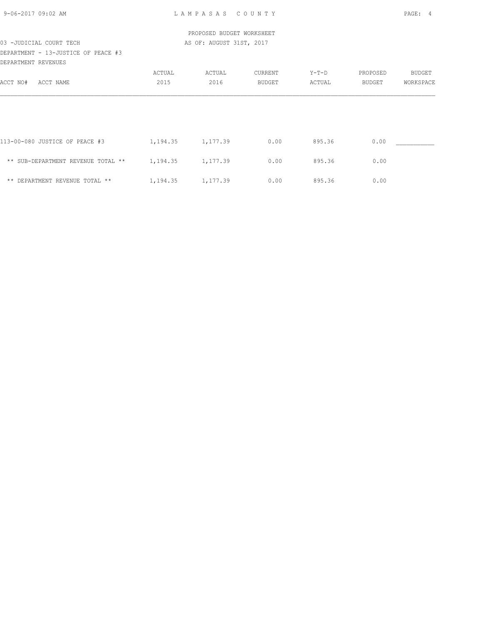| 9-06-2017 09:02 AM |  |
|--------------------|--|
|                    |  |
|                    |  |

# PROPOSED BUDGET WORKSHEET 03 -JUDICIAL COURT TECH **AS OF: AUGUST 31ST, 2017**

DEPARTMENT - 13-JUSTICE OF PEACE #3 DEPARTMENT REVENUES

| DUITININI IU VUNGUO            |                                    |          |               |         |               |           |
|--------------------------------|------------------------------------|----------|---------------|---------|---------------|-----------|
|                                | ACTUAL                             | ACTUAL   | CURRENT       | $Y-T-D$ | PROPOSED      | BUDGET    |
| ACCT NAME                      | 2015                               | 2016     | <b>BUDGET</b> | ACTUAL  | <b>BUDGET</b> | WORKSPACE |
|                                |                                    |          |               |         |               |           |
|                                |                                    |          |               |         |               |           |
|                                |                                    |          |               |         |               |           |
|                                |                                    |          |               |         |               |           |
| 113-00-080 JUSTICE OF PEACE #3 | 1,194.35                           | 1,177.39 | 0.00          | 895.36  | 0.00          |           |
|                                |                                    |          |               |         |               |           |
|                                |                                    |          |               |         |               |           |
| ** DEPARTMENT REVENUE TOTAL ** | 1,194.35                           | 1,177.39 | 0.00          | 895.36  | 0.00          |           |
|                                | ** SUB-DEPARTMENT REVENUE TOTAL ** | 1,194.35 | 1,177.39      | 0.00    | 895.36        | 0.00      |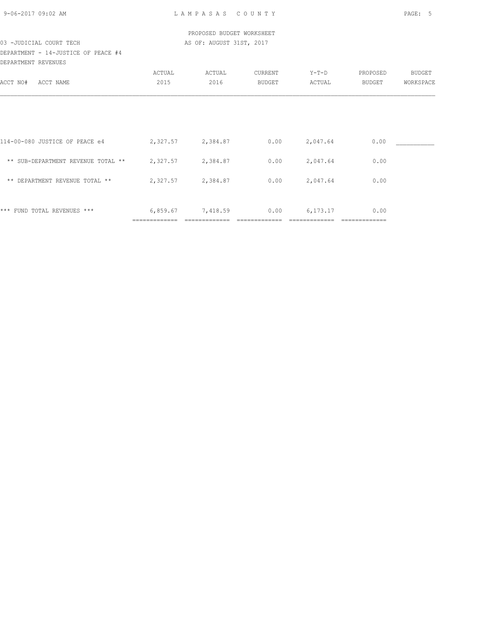| 9-06-2017 09:02 AM |  |
|--------------------|--|
|                    |  |
|                    |  |

 PROPOSED BUDGET WORKSHEET 03 -JUDICIAL COURT TECH AS OF: AUGUST 31ST, 2017

## DEPARTMENT - 14-JUSTICE OF PEACE #4 DEPARTMENT REVENUES

| --------------                     |          |          |         |          |          |               |
|------------------------------------|----------|----------|---------|----------|----------|---------------|
|                                    | ACTUAL   | ACTUAL   | CURRENT | $Y-T-D$  | PROPOSED | <b>BUDGET</b> |
| ACCT NO#<br>ACCT NAME              | 2015     | 2016     | BUDGET  | ACTUAL   | BUDGET   | WORKSPACE     |
|                                    |          |          |         |          |          |               |
|                                    |          |          |         |          |          |               |
| 114-00-080 JUSTICE OF PEACE e4     | 2,327.57 | 2,384.87 | 0.00    | 2,047.64 | 0.00     |               |
| ** SUB-DEPARTMENT REVENUE TOTAL ** | 2,327.57 | 2,384.87 | 0.00    | 2,047.64 | 0.00     |               |
| ** DEPARTMENT REVENUE TOTAL **     | 2,327.57 | 2,384.87 | 0.00    | 2,047.64 | 0.00     |               |
| *** FUND TOTAL REVENUES ***        | 6,859.67 | 7,418.59 | 0.00    | 6,173.17 | 0.00     |               |
|                                    |          |          |         |          |          |               |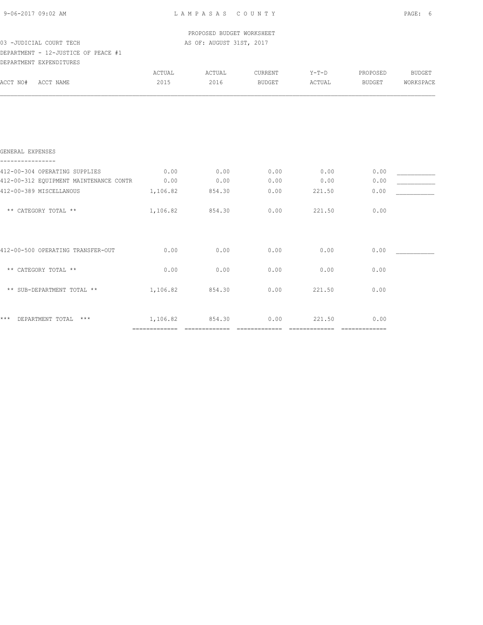|  | 9-06-2017 09:02 AM |  |
|--|--------------------|--|
|  |                    |  |

 PROPOSED BUDGET WORKSHEET 03 -JUDICIAL COURT TECH AS OF: AUGUST 31ST, 2017

## DEPARTMENT - 12-JUSTICE OF PEACE #1 DEPARTMENT EXPENDITURES

| DEFAKTMENT EXFENDITUKES                     |          |        |         |         |          |               |
|---------------------------------------------|----------|--------|---------|---------|----------|---------------|
|                                             | ACTUAL   | ACTUAL | CURRENT | $Y-T-D$ | PROPOSED | <b>BUDGET</b> |
| ACCT NO#<br>ACCT NAME                       | 2015     | 2016   | BUDGET  | ACTUAL  | BUDGET   | WORKSPACE     |
|                                             |          |        |         |         |          |               |
|                                             |          |        |         |         |          |               |
|                                             |          |        |         |         |          |               |
| GENERAL EXPENSES                            |          |        |         |         |          |               |
| 412-00-304 OPERATING SUPPLIES               | 0.00     | 0.00   | 0.00    | 0.00    | 0.00     |               |
| 412-00-312 EQUIPMENT MAINTENANCE CONTR 0.00 |          | 0.00   | 0.00    | 0.00    | 0.00     |               |
| 412-00-389 MISCELLANOUS                     | 1,106.82 | 854.30 | 0.00    | 221.50  | 0.00     |               |
| ** CATEGORY TOTAL **                        | 1,106.82 | 854.30 | 0.00    | 221.50  | 0.00     |               |
| 412-00-500 OPERATING TRANSFER-OUT           | 0.00     | 0.00   | 0.00    | 0.00    | 0.00     |               |
| ** CATEGORY TOTAL **                        | 0.00     | 0.00   | 0.00    | 0.00    | 0.00     |               |
| ** SUB-DEPARTMENT TOTAL **                  | 1,106.82 | 854.30 | 0.00    | 221.50  | 0.00     |               |
| ***<br>DEPARTMENT TOTAL ***                 | 1,106.82 | 854.30 | 0.00    | 221.50  | 0.00     |               |
|                                             |          |        |         |         |          |               |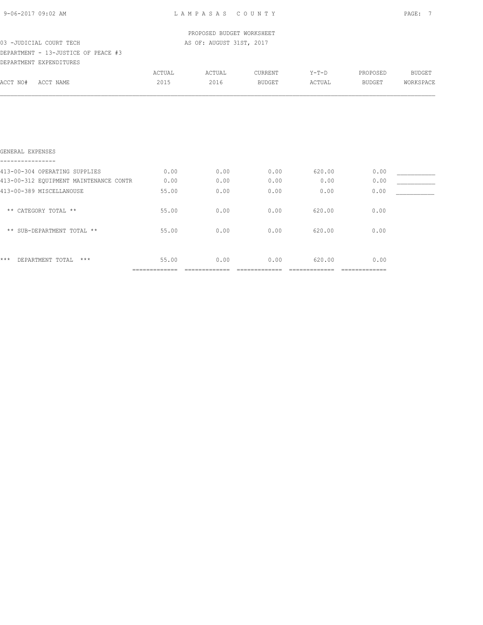|  | 9-06-2017 09:02 AM |  |
|--|--------------------|--|
|  |                    |  |

#### PROPOSED BUDGET WORKSHEET 03 -JUDICIAL COURT TECH **AS OF: AUGUST 31ST, 2017**

## DEPARTMENT - 13-JUSTICE OF PEACE #3 DEPARTMENT EXPENDITURES

|                                        | ACTUAL | ACTUAL | CURRENT | $Y-T-D$ | PROPOSED      | <b>BUDGET</b> |
|----------------------------------------|--------|--------|---------|---------|---------------|---------------|
| ACCT NO#<br>ACCT NAME                  | 2015   | 2016   | BUDGET  | ACTUAL  | <b>BUDGET</b> | WORKSPACE     |
|                                        |        |        |         |         |               |               |
|                                        |        |        |         |         |               |               |
|                                        |        |        |         |         |               |               |
|                                        |        |        |         |         |               |               |
| GENERAL EXPENSES                       |        |        |         |         |               |               |
| 413-00-304 OPERATING SUPPLIES          | 0.00   | 0.00   | 0.00    | 620.00  | 0.00          |               |
| 413-00-312 EQUIPMENT MAINTENANCE CONTR | 0.00   | 0.00   | 0.00    | 0.00    | 0.00          |               |
| 413-00-389 MISCELLANOUSE               | 55.00  | 0.00   | 0.00    | 0.00    | 0.00          |               |
| ** CATEGORY TOTAL **                   | 55.00  | 0.00   | 0.00    | 620.00  | 0.00          |               |
| ** SUB-DEPARTMENT TOTAL **             | 55.00  | 0.00   | 0.00    | 620.00  | 0.00          |               |

\*\*\* DEPARTMENT TOTAL \*\*\* 55.00 0.00 0.00 620.00 0.00 ============= ============= ============= ============= =============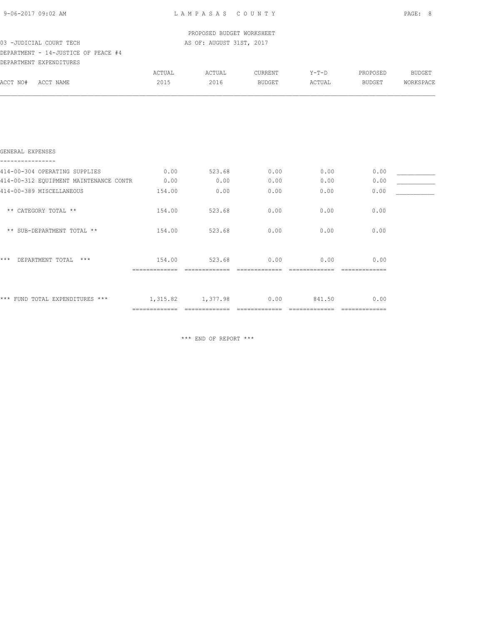|  | 9-06-2017 09:02 AM |  |
|--|--------------------|--|
|  |                    |  |

 PROPOSED BUDGET WORKSHEET 03 -JUDICIAL COURT TECH **AS OF: AUGUST 31ST, 2017** 

## DEPARTMENT - 14-JUSTICE OF PEACE #4 DEPARTMENT EXPENDITURES

| DELWKIMEMI PVLEMNIIAKES                |        |        |               |        |          |               |
|----------------------------------------|--------|--------|---------------|--------|----------|---------------|
|                                        | ACTUAL | ACTUAL | CURRENT       | Y-T-D  | PROPOSED | <b>BUDGET</b> |
| ACCT NO#<br>ACCT NAME                  | 2015   | 2016   | <b>BUDGET</b> | ACTUAL | BUDGET   | WORKSPACE     |
|                                        |        |        |               |        |          |               |
|                                        |        |        |               |        |          |               |
|                                        |        |        |               |        |          |               |
| GENERAL EXPENSES                       |        |        |               |        |          |               |
| 414-00-304 OPERATING SUPPLIES          | 0.00   | 523.68 | 0.00          | 0.00   | 0.00     |               |
| 414-00-312 EQUIPMENT MAINTENANCE CONTR | 0.00   | 0.00   | 0.00          | 0.00   | 0.00     |               |
| 414-00-389 MISCELLANEOUS               | 154.00 | 0.00   | 0.00          | 0.00   | 0.00     |               |
| ** CATEGORY TOTAL **                   | 154.00 | 523.68 | 0.00          | 0.00   | 0.00     |               |
| ** SUB-DEPARTMENT TOTAL **             | 154.00 | 523.68 | 0.00          | 0.00   | 0.00     |               |
| $***$                                  |        |        |               |        |          |               |
| $***$<br>DEPARTMENT TOTAL              | 154.00 | 523.68 | 0.00          | 0.00   | 0.00     |               |

| *** FUND TOTAL EXPENDITURES *** | 1,315.82 | 1,377.98 | 0.00 | 841.50 | 0.00 |
|---------------------------------|----------|----------|------|--------|------|
|                                 |          |          |      |        |      |

\*\*\* END OF REPORT \*\*\*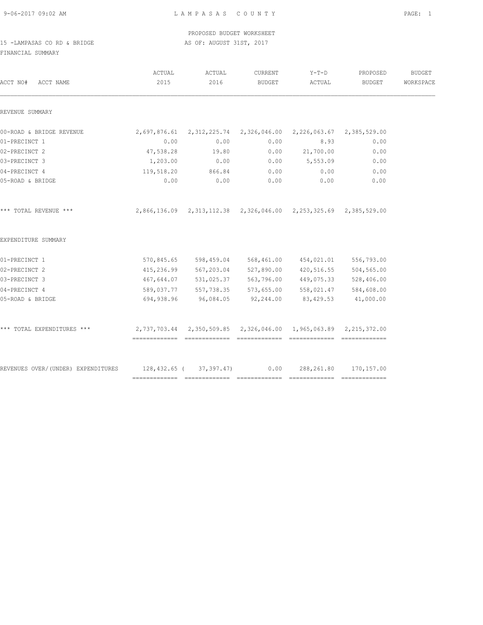PROPOSED BUDGET WORKSHEET 15 -LAMPASAS CO RD & BRIDGE AS OF: AUGUST 31ST, 2017

FINANCIAL SUMMARY

| ACTUAL<br>2015 | ACTUAL<br>2016 | CURRENT<br>BUDGET        | $Y-T-D$<br>ACTUAL                                                      | PROPOSED<br>BUDGET | <b>BUDGET</b><br>WORKSPACE                                                                                                                                                                                                                                                                                                                                                                                                                                                      |
|----------------|----------------|--------------------------|------------------------------------------------------------------------|--------------------|---------------------------------------------------------------------------------------------------------------------------------------------------------------------------------------------------------------------------------------------------------------------------------------------------------------------------------------------------------------------------------------------------------------------------------------------------------------------------------|
|                |                |                          |                                                                        |                    |                                                                                                                                                                                                                                                                                                                                                                                                                                                                                 |
|                |                |                          |                                                                        |                    |                                                                                                                                                                                                                                                                                                                                                                                                                                                                                 |
| 0.00           | 0.00           | 0.00                     |                                                                        | 0.00               |                                                                                                                                                                                                                                                                                                                                                                                                                                                                                 |
| 47,538.28      | 19.80          | 0.00                     | 21,700.00                                                              | 0.00               |                                                                                                                                                                                                                                                                                                                                                                                                                                                                                 |
| 1,203.00       | 0.00           | 0.00                     | 5,553.09                                                               | 0.00               |                                                                                                                                                                                                                                                                                                                                                                                                                                                                                 |
|                | 866.84         | 0.00                     | 0.00                                                                   | 0.00               |                                                                                                                                                                                                                                                                                                                                                                                                                                                                                 |
| 0.00           | 0.00           | 0.00                     | 0.00                                                                   | 0.00               |                                                                                                                                                                                                                                                                                                                                                                                                                                                                                 |
|                |                |                          |                                                                        |                    |                                                                                                                                                                                                                                                                                                                                                                                                                                                                                 |
|                |                |                          |                                                                        |                    |                                                                                                                                                                                                                                                                                                                                                                                                                                                                                 |
|                |                |                          |                                                                        |                    |                                                                                                                                                                                                                                                                                                                                                                                                                                                                                 |
|                |                |                          |                                                                        | 504,565.00         |                                                                                                                                                                                                                                                                                                                                                                                                                                                                                 |
|                |                |                          |                                                                        | 528,406.00         |                                                                                                                                                                                                                                                                                                                                                                                                                                                                                 |
|                |                |                          |                                                                        |                    |                                                                                                                                                                                                                                                                                                                                                                                                                                                                                 |
|                |                | 92,244.00                |                                                                        | 41,000.00          |                                                                                                                                                                                                                                                                                                                                                                                                                                                                                 |
|                |                |                          |                                                                        |                    |                                                                                                                                                                                                                                                                                                                                                                                                                                                                                 |
|                |                |                          |                                                                        |                    |                                                                                                                                                                                                                                                                                                                                                                                                                                                                                 |
|                |                | 119,518.20<br>694,938.96 | 96,084.05<br>REVENUES OVER/(UNDER) EXPENDITURES 128,432.65 (37,397.47) | 0.00               | 2,697,876.61  2,312,225.74  2,326,046.00  2,226,063.67  2,385,529.00<br>8.93<br>2,866,136.09 2,313,112.38 2,326,046.00 2,253,325.69 2,385,529.00<br>570,845.65 598,459.04 568,461.00 454,021.01 556,793.00<br>415,236.99 567,203.04 527,890.00 420,516.55<br>467,644.07 531,025.37 563,796.00 449,075.33<br>589,037.77 557,738.35 573,655.00 558,021.47 584,608.00<br>83, 429.53<br>2,737,703.44 2,350,509.85 2,326,046.00 1,965,063.89 2,215,372.00<br>288, 261.80 170, 157.00 |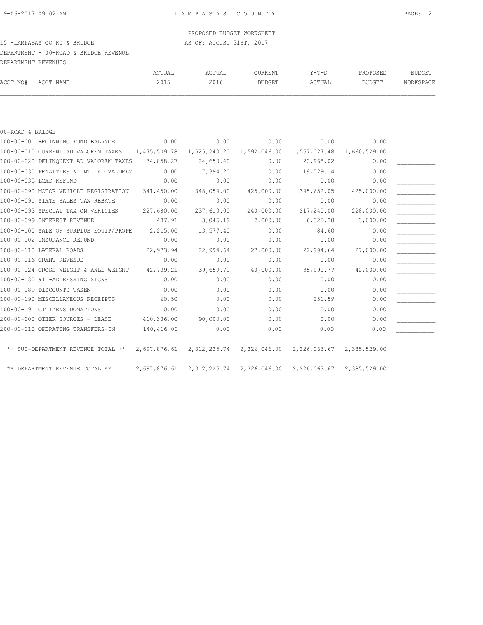## PROPOSED BUDGET WORKSHEET

## 15 -LAMPASAS CO RD & BRIDGE AS OF: AUGUST 31ST, 2017

DEPARTMENT - 00-ROAD & BRIDGE REVENUE

|          | DEPARTMENT REVENUES |        |        |               |         |               |           |
|----------|---------------------|--------|--------|---------------|---------|---------------|-----------|
|          |                     | ACTUAL | ACTUAL | CURRENT       | $Y-T-D$ | PROPOSED      | BUDGET    |
| ACCT NO# | ACCT NAME           | 2015   | 2016   | <b>BUDGET</b> | ACTUAL  | <b>BUDGET</b> | WORKSPACE |

#### 00-ROAD & BRIDGE

| 100-00-001 BEGINNING FUND BALANCE                | 0.00         | 0.00                                                             | 0.00                      | 0.00                      | 0.00         |  |
|--------------------------------------------------|--------------|------------------------------------------------------------------|---------------------------|---------------------------|--------------|--|
| 100-00-010 CURRENT AD VALOREM TAXES 1,475,509.78 |              |                                                                  | 1,525,240.20 1,592,046.00 | 1,557,027.48              | 1,660,529.00 |  |
| 100-00-020 DELINQUENT AD VALOREM TAXES           | 34,058.27    | 24,650.40                                                        | 0.00                      | 20,968.02                 | 0.00         |  |
| 100-00-030 PENALTIES & INT. AD VALOREM           | 0.00         | 7,394.20                                                         | 0.00                      | 19,529.14                 | 0.00         |  |
| 100-00-035 LCAD REFUND                           | 0.00         | 0.00                                                             | 0.00                      | 0.00                      | 0.00         |  |
| 100-00-090 MOTOR VEHICLE REGISTRATION            | 341,450.00   | 348,054.00                                                       | 425,000.00                | 345,652.05                | 425,000.00   |  |
| 100-00-091 STATE SALES TAX REBATE                | 0.00         | 0.00                                                             | 0.00                      | 0.00                      | 0.00         |  |
| 100-00-093 SPECIAL TAX ON VEHICLES               | 227,680.00   | 237,610.00                                                       | 240,000.00                | 217,240.00                | 228,000.00   |  |
| 100-00-099 INTEREST REVENUE                      | 437.91       | 3,045.19                                                         | 2,000.00                  | 6,325.38                  | 3,000.00     |  |
| 100-00-100 SALE OF SURPLUS EQUIP/PROPE           | 2,215.00     | 13,577.40                                                        | 0.00                      | 84.60                     | 0.00         |  |
| 100-00-102 INSURANCE REFUND                      | 0.00         | 0.00                                                             | 0.00                      | 0.00                      | 0.00         |  |
| 100-00-110 LATERAL ROADS                         | 22,973.94    | 22,994.64                                                        | 27,000.00                 | 22,994.64                 | 27,000.00    |  |
| 100-00-116 GRANT REVENUE                         | 0.00         | 0.00                                                             | 0.00                      | 0.00                      | 0.00         |  |
| 100-00-124 GROSS WEIGHT & AXLE WEIGHT            | 42,739.21    | 39,659.71                                                        | 40,000.00                 | 35,990.77                 | 42,000.00    |  |
| 100-00-130 911-ADDRESSING SIGNS                  | 0.00         | 0.00                                                             | 0.00                      | 0.00                      | 0.00         |  |
| 100-00-189 DISCOUNTS TAKEN                       | 0.00         | 0.00                                                             | 0.00                      | 0.00                      | 0.00         |  |
| 100-00-190 MISCELLANEOUS RECEIPTS                | 60.50        | 0.00                                                             | 0.00                      | 251.59                    | 0.00         |  |
| 100-00-191 CITIZENS DONATIONS                    | 0.00         | 0.00                                                             | 0.00                      | 0.00                      | 0.00         |  |
| 200-00-000 OTHER SOURCES - LEASE                 | 410,336.00   | 90,000.00                                                        | 0.00                      | 0.00                      | 0.00         |  |
| 200-00-010 OPERATING TRANSFERS-IN                | 140,416.00   | 0.00                                                             | 0.00                      | 0.00                      | 0.00         |  |
| ** SUB-DEPARTMENT REVENUE TOTAL **               | 2,697,876.61 |                                                                  | 2,312,225.74 2,326,046.00 | 2,226,063.67 2,385,529.00 |              |  |
| ** DEPARTMENT REVENUE TOTAL **                   |              | 2,697,876.61 2,312,225.74 2,326,046.00 2,226,063.67 2,385,529.00 |                           |                           |              |  |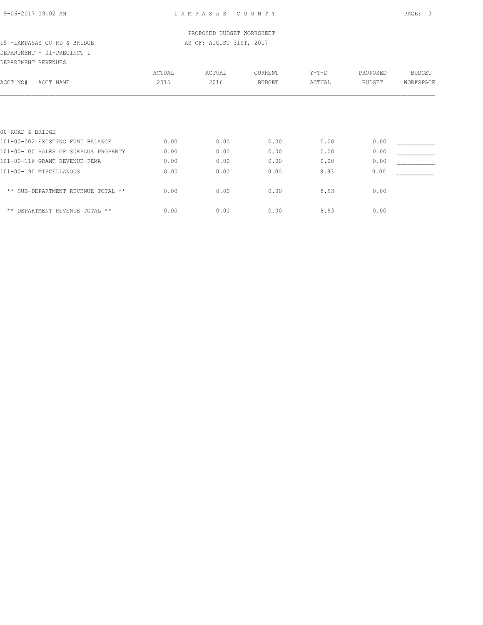## DEPARTMENT - 01-PRECINCT 1 DEPARTMENT REVENUES

| DEFAKIMENI KEVENUES                  |        |        |               |         |               |               |
|--------------------------------------|--------|--------|---------------|---------|---------------|---------------|
|                                      | ACTUAL | ACTUAL | CURRENT       | $Y-T-D$ | PROPOSED      | <b>BUDGET</b> |
| ACCT NO#<br>ACCT NAME                | 2015   | 2016   | <b>BUDGET</b> | ACTUAL  | <b>BUDGET</b> | WORKSPACE     |
|                                      |        |        |               |         |               |               |
|                                      |        |        |               |         |               |               |
|                                      |        |        |               |         |               |               |
|                                      |        |        |               |         |               |               |
| 00-ROAD & BRIDGE                     |        |        |               |         |               |               |
| 101-00-002 EXISTING FUND BALANCE     | 0.00   | 0.00   | 0.00          | 0.00    | 0.00          |               |
| 101-00-100 SALES OF SURPLUS PROPERTY | 0.00   | 0.00   | 0.00          | 0.00    | 0.00          |               |
| 101-00-116 GRANT REVENUE-FEMA        | 0.00   | 0.00   | 0.00          | 0.00    | 0.00          |               |
| 101-00-190 MISCELLANOUS              | 0.00   | 0.00   | 0.00          | 8.93    | 0.00          |               |
| ** SUB-DEPARTMENT REVENUE TOTAL **   | 0.00   | 0.00   | 0.00          | 8.93    | 0.00          |               |
|                                      |        |        |               |         |               |               |
| ** DEPARTMENT REVENUE TOTAL **       | 0.00   | 0.00   | 0.00          | 8.93    | 0.00          |               |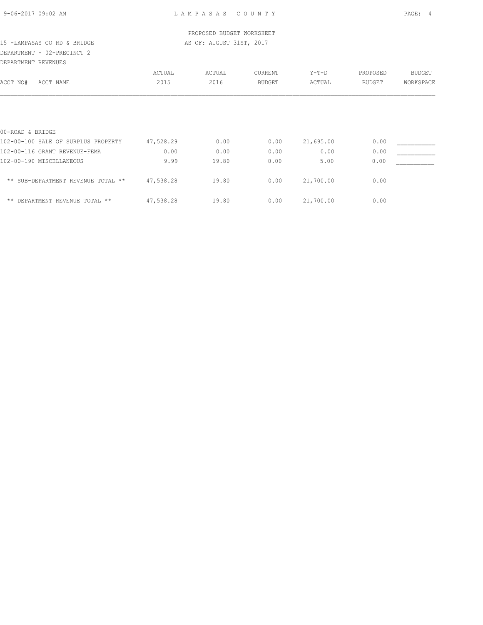## DEPARTMENT - 02-PRECINCT 2 DEPARTMENT REVENUES

| DEFARIMENI KEVENUES                 |           |        |                |           |               |               |
|-------------------------------------|-----------|--------|----------------|-----------|---------------|---------------|
|                                     | ACTUAL    | ACTUAL | <b>CURRENT</b> | $Y-T-D$   | PROPOSED      | <b>BUDGET</b> |
| ACCT NO#<br>ACCT NAME               | 2015      | 2016   | <b>BUDGET</b>  | ACTUAL    | <b>BUDGET</b> | WORKSPACE     |
|                                     |           |        |                |           |               |               |
|                                     |           |        |                |           |               |               |
| 00-ROAD & BRIDGE                    |           |        |                |           |               |               |
| 102-00-100 SALE OF SURPLUS PROPERTY | 47,528.29 | 0.00   | 0.00           | 21,695.00 | 0.00          |               |
| 102-00-116 GRANT REVENUE-FEMA       | 0.00      | 0.00   | 0.00           | 0.00      | 0.00          |               |
| 102-00-190 MISCELLANEOUS            | 9.99      | 19.80  | 0.00           | 5.00      | 0.00          |               |
| ** SUB-DEPARTMENT REVENUE TOTAL **  | 47,538.28 | 19.80  | 0.00           | 21,700.00 | 0.00          |               |
| ** DEPARTMENT REVENUE TOTAL **      | 47,538.28 | 19.80  | 0.00           | 21,700.00 | 0.00          |               |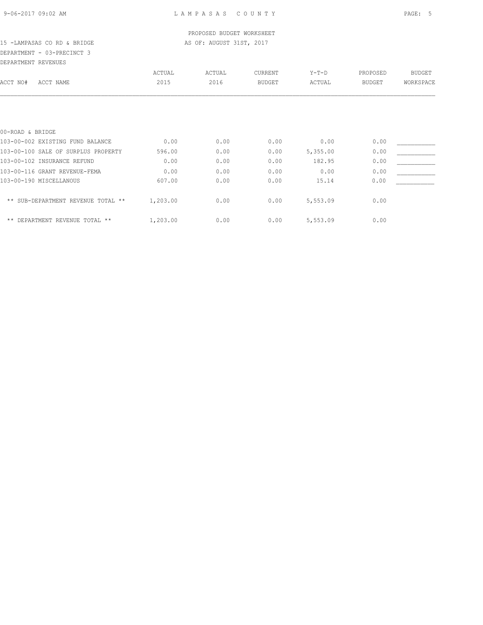## DEPARTMENT - 03-PRECINCT 3

| DEPARTMENT REVENUES                 |          |        |               |          |               |               |
|-------------------------------------|----------|--------|---------------|----------|---------------|---------------|
|                                     | ACTUAL   | ACTUAL | CURRENT       | $Y-T-D$  | PROPOSED      | <b>BUDGET</b> |
| ACCT NO#<br>ACCT NAME               | 2015     | 2016   | <b>BUDGET</b> | ACTUAL   | <b>BUDGET</b> | WORKSPACE     |
|                                     |          |        |               |          |               |               |
| 00-ROAD & BRIDGE                    |          |        |               |          |               |               |
| 103-00-002 EXISTING FUND BALANCE    | 0.00     | 0.00   | 0.00          | 0.00     | 0.00          |               |
| 103-00-100 SALE OF SURPLUS PROPERTY | 596.00   | 0.00   | 0.00          | 5,355.00 | 0.00          |               |
| 103-00-102 INSURANCE REFUND         | 0.00     | 0.00   | 0.00          | 182.95   | 0.00          |               |
| 103-00-116 GRANT REVENUE-FEMA       | 0.00     | 0.00   | 0.00          | 0.00     | 0.00          |               |
| 103-00-190 MISCELLANOUS             | 607.00   | 0.00   | 0.00          | 15.14    | 0.00          |               |
| ** SUB-DEPARTMENT REVENUE TOTAL **  | 1,203.00 | 0.00   | 0.00          | 5,553.09 | 0.00          |               |
| ** DEPARTMENT REVENUE TOTAL **      | 1,203.00 | 0.00   | 0.00          | 5,553.09 | 0.00          |               |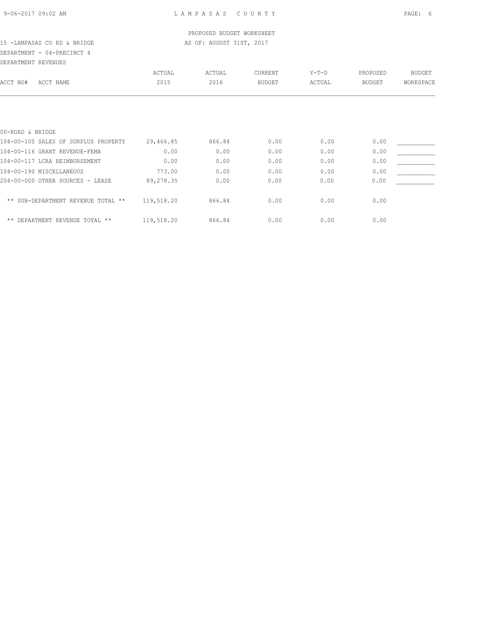## PROPOSED BUDGET WORKSHEET

## 15 -LAMPASAS CO RD & BRIDGE **AS OF: AUGUST 31ST, 2017** DEPARTMENT - 04-PRECINCT 4

DEPARTMENT REVENUES

| DEFARIMENI KEVENUES                  |            |        |               |         |          |               |
|--------------------------------------|------------|--------|---------------|---------|----------|---------------|
|                                      | ACTUAL     | ACTUAL | CURRENT       | $Y-T-D$ | PROPOSED | <b>BUDGET</b> |
| ACCT NO#<br>ACCT NAME                | 2015       | 2016   | <b>BUDGET</b> | ACTUAL  | BUDGET   | WORKSPACE     |
|                                      |            |        |               |         |          |               |
| 00-ROAD & BRIDGE                     |            |        |               |         |          |               |
| 104-00-100 SALES OF SURPLUS PROPERTY | 29,466.85  | 866.84 | 0.00          | 0.00    | 0.00     |               |
| 104-00-116 GRANT REVENUE-FEMA        | 0.00       | 0.00   | 0.00          | 0.00    | 0.00     |               |
| 104-00-117 LCRA REIMBURSEMENT        | 0.00       | 0.00   | 0.00          | 0.00    | 0.00     |               |
| 104-00-190 MISCELLANEOUS             | 773.00     | 0.00   | 0.00          | 0.00    | 0.00     |               |
| 204-00-000 OTHER SOURCES - LEASE     | 89,278.35  | 0.00   | 0.00          | 0.00    | 0.00     |               |
| ** SUB-DEPARTMENT REVENUE TOTAL **   | 119,518.20 | 866.84 | 0.00          | 0.00    | 0.00     |               |
| $***$<br>DEPARTMENT REVENUE TOTAL ** | 119,518.20 | 866.84 | 0.00          | 0.00    | 0.00     |               |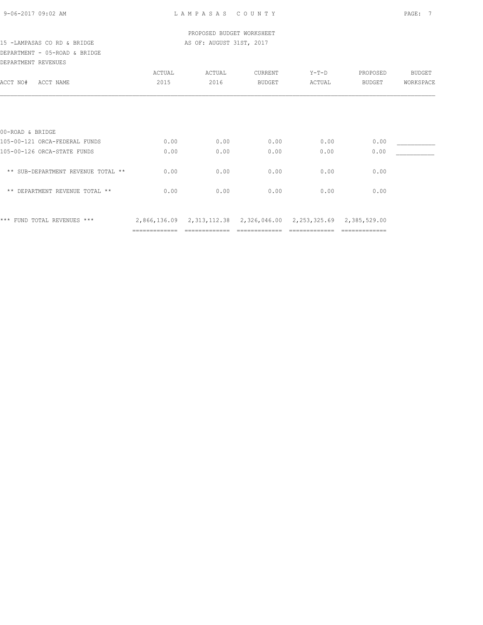## DEPARTMENT - 05-ROAD & BRIDGE DEPARTMENT REVENUES

| DELARITENI REVENUEJ                |               |        |                           |         |                               |           |
|------------------------------------|---------------|--------|---------------------------|---------|-------------------------------|-----------|
|                                    | ACTUAL        | ACTUAL | CURRENT                   | $Y-T-D$ | PROPOSED                      | BUDGET    |
| ACCT NO#<br>ACCT NAME              | 2015          | 2016   | <b>BUDGET</b>             | ACTUAL  | BUDGET                        | WORKSPACE |
|                                    |               |        |                           |         |                               |           |
|                                    |               |        |                           |         |                               |           |
| 00-ROAD & BRIDGE                   |               |        |                           |         |                               |           |
| 105-00-121 ORCA-FEDERAL FUNDS      | 0.00          | 0.00   | 0.00                      | 0.00    | 0.00                          |           |
| 105-00-126 ORCA-STATE FUNDS        | 0.00          | 0.00   | 0.00                      | 0.00    | 0.00                          |           |
| ** SUB-DEPARTMENT REVENUE TOTAL ** | 0.00          | 0.00   | 0.00                      | 0.00    | 0.00                          |           |
| ** DEPARTMENT REVENUE TOTAL **     | 0.00          | 0.00   | 0.00                      | 0.00    | 0.00                          |           |
| *** FUND TOTAL REVENUES ***        | 2,866,136.09  |        | 2,313,112.38 2,326,046.00 |         | 2, 253, 325.69 2, 385, 529.00 |           |
|                                    | ============= |        |                           |         | =============                 |           |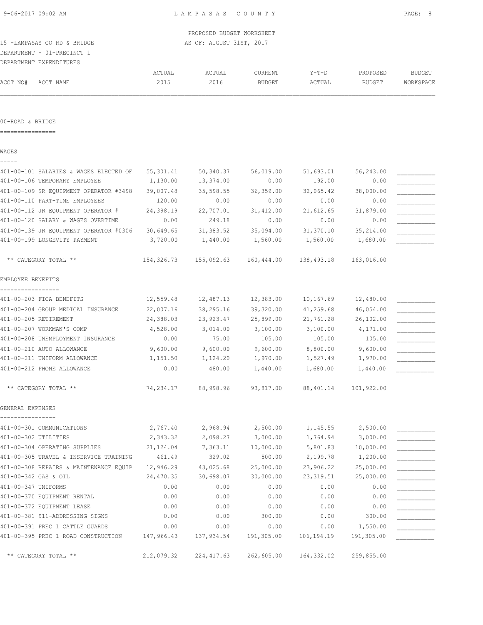DEPARTMENT - 01-PRECINCT 1

|          | DEPARTMENT EXPENDITURES |        |        |               |         |               |           |
|----------|-------------------------|--------|--------|---------------|---------|---------------|-----------|
|          |                         | ACTUAL | ACTUAL | CURRENT       | $Y-T-D$ | PROPOSED      | BUDGET    |
| ACCT NO# | ACCT NAME               | 2015   | 2016   | <b>BUDGET</b> | ACTUAL  | <b>BUDGET</b> | WORKSPACE |
|          |                         |        |        |               |         |               |           |

#### 00-ROAD & BRIDGE

================

WAGES

| 401-00-101 SALARIES & WAGES ELECTED OF | 55, 301.41 | 50,340.37   | 56,019.00  | 51,693.01    | 56,243.00  |  |
|----------------------------------------|------------|-------------|------------|--------------|------------|--|
| 401-00-106 TEMPORARY EMPLOYEE          | 1,130.00   | 13,374.00   | 0.00       | 192.00       | 0.00       |  |
| 401-00-109 SR EQUIPMENT OPERATOR #3498 | 39,007.48  | 35,598.55   | 36,359.00  | 32,065.42    | 38,000.00  |  |
| 401-00-110 PART-TIME EMPLOYEES         | 120.00     | 0.00        | 0.00       | 0.00         | 0.00       |  |
| 401-00-112 JR EQUIPMENT OPERATOR #     | 24,398.19  | 22,707.01   | 31,412.00  | 21,612.65    | 31,879.00  |  |
| 401-00-120 SALARY & WAGES OVERTIME     | 0.00       | 249.18      | 0.00       | 0.00         | 0.00       |  |
| 401-00-139 JR EQUIPMENT OPERATOR #0306 | 30,649.65  | 31, 383.52  | 35,094.00  | 31,370.10    | 35, 214.00 |  |
| 401-00-199 LONGEVITY PAYMENT           | 3,720.00   | 1,440.00    | 1,560.00   | 1,560.00     | 1,680.00   |  |
| ** CATEGORY TOTAL **                   | 154,326.73 | 155,092.63  | 160,444.00 | 138,493.18   | 163,016.00 |  |
| EMPLOYEE BENEFITS                      |            |             |            |              |            |  |
| 401-00-203 FICA BENEFITS               | 12,559.48  | 12,487.13   | 12,383.00  | 10,167.69    | 12,480.00  |  |
| 401-00-204 GROUP MEDICAL INSURANCE     | 22,007.16  | 38,295.16   | 39,320.00  | 41,259.68    | 46,054.00  |  |
| 401-00-205 RETIREMENT                  | 24,388.03  | 23,923.47   | 25,899.00  | 21,761.28    | 26, 102.00 |  |
| 401-00-207 WORKMAN'S COMP              | 4,528.00   | 3,014.00    | 3,100.00   | 3,100.00     | 4,171.00   |  |
| 401-00-208 UNEMPLOYMENT INSURANCE      | 0.00       | 75.00       | 105.00     | 105.00       | 105.00     |  |
| 401-00-210 AUTO ALLOWANCE              | 9,600.00   | 9,600.00    | 9,600.00   | 8,800.00     | 9,600.00   |  |
| 401-00-211 UNIFORM ALLOWANCE           | 1,151.50   | 1,124.20    | 1,970.00   | 1,527.49     | 1,970.00   |  |
| 401-00-212 PHONE ALLOWANCE             | 0.00       | 480.00      | 1,440.00   | 1,680.00     | 1,440.00   |  |
| ** CATEGORY TOTAL **                   | 74,234.17  | 88,998.96   | 93,817.00  | 88,401.14    | 101,922.00 |  |
| GENERAL EXPENSES                       |            |             |            |              |            |  |
| 401-00-301 COMMUNICATIONS              | 2,767.40   | 2,968.94    | 2,500.00   | 1,145.55     | 2,500.00   |  |
| 401-00-302 UTILITIES                   | 2,343.32   | 2,098.27    | 3,000.00   | 1,764.94     | 3,000.00   |  |
| 401-00-304 OPERATING SUPPLIES          | 21, 124.04 | 7,363.11    | 10,000.00  | 5,801.83     | 10,000.00  |  |
| 401-00-305 TRAVEL & INSERVICE TRAINING | 461.49     | 329.02      | 500.00     | 2,199.78     | 1,200.00   |  |
| 401-00-308 REPAIRS & MAINTENANCE EQUIP | 12,946.29  | 43,025.68   | 25,000.00  | 23,906.22    | 25,000.00  |  |
| 401-00-342 GAS & OIL                   | 24,470.35  | 30,698.07   | 30,000.00  | 23, 319.51   | 25,000.00  |  |
| 401-00-347 UNIFORMS                    | 0.00       | 0.00        | 0.00       | 0.00         | 0.00       |  |
| 401-00-370 EQUIPMENT RENTAL            | 0.00       | 0.00        | 0.00       | 0.00         | 0.00       |  |
| 401-00-372 EOUIPMENT LEASE             | 0.00       | 0.00        | 0.00       | 0.00         | 0.00       |  |
| 401-00-381 911-ADDRESSING SIGNS        | 0.00       | 0.00        | 300.00     | 0.00         | 300.00     |  |
| 401-00-391 PREC 1 CATTLE GUARDS        | 0.00       | 0.00        | 0.00       | 0.00         | 1,550.00   |  |
| 401-00-395 PREC 1 ROAD CONSTRUCTION    | 147,966.43 | 137,934.54  | 191,305.00 | 106, 194. 19 | 191,305.00 |  |
| ** CATEGORY TOTAL **                   | 212,079.32 | 224, 417.63 | 262,605.00 | 164, 332.02  | 259,855.00 |  |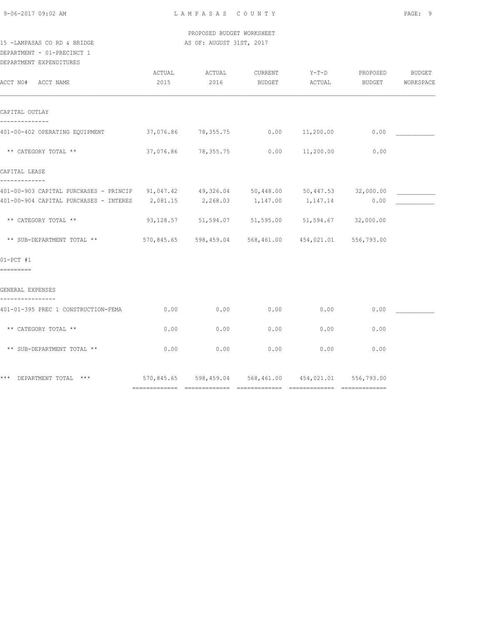PROPOSED BUDGET WORKSHEET 15 -LAMPASAS CO RD & BRIDGE AS OF: AUGUST 31ST, 2017

# DEPARTMENT - 01-PRECINCT 1

DEPARTMENT EXPENDITURES

| ACCT NO# ACCT NAME                                                                                                                                                             | ACTUAL<br>2015 | ACTUAL<br>2016      | CURRENT<br>BUDGET | $Y-T-D$<br>ACTUAL                                      | PROPOSED<br>BUDGET | BUDGET<br>WORKSPACE |
|--------------------------------------------------------------------------------------------------------------------------------------------------------------------------------|----------------|---------------------|-------------------|--------------------------------------------------------|--------------------|---------------------|
| CAPITAL OUTLAY                                                                                                                                                                 |                |                     |                   |                                                        |                    |                     |
| 401-00-402 OPERATING EQUIPMENT                                                                                                                                                 |                |                     |                   | $37,076.86$ $78,355.75$ 0.00 $11,200.00$               | 0.00               |                     |
| ** CATEGORY TOTAL **                                                                                                                                                           |                | 37,076.86 78,355.75 | 0.00              | 11,200.00                                              | 0.00               |                     |
| CAPITAL LEASE                                                                                                                                                                  |                |                     |                   |                                                        |                    |                     |
| -------------<br>401-00-903 CAPITAL PURCHASES - PRINCIP 91,047.42 49,326.04 50,448.00 50,447.53 32,000.00<br>401-00-904 CAPITAL PURCHASES - INTERES 2,081.15 2,268.03 1,147.00 |                |                     |                   | 1, 147.14                                              | 0.00               |                     |
| ** CATEGORY TOTAL **                                                                                                                                                           |                |                     |                   | 93,128.57 51,594.07 51,595.00 51,594.67 32,000.00      |                    |                     |
| ** SUB-DEPARTMENT TOTAL **                                                                                                                                                     |                |                     |                   | 570,845.65 598,459.04 568,461.00 454,021.01 556,793.00 |                    |                     |
| $01-PCT$ #1<br>=========                                                                                                                                                       |                |                     |                   |                                                        |                    |                     |
| GENERAL EXPENSES                                                                                                                                                               |                |                     |                   |                                                        |                    |                     |
| 401-01-395 PREC 1 CONSTRUCTION-FEMA                                                                                                                                            | 0.00           | 0.00                | 0.00              | 0.00                                                   | 0.00               |                     |
| ** CATEGORY TOTAL **                                                                                                                                                           | 0.00           | 0.00                | 0.00              | 0.00                                                   | 0.00               |                     |
| ** SUB-DEPARTMENT TOTAL **                                                                                                                                                     | 0.00           | 0.00                | 0.00              | 0.00                                                   | 0.00               |                     |
| *** DEPARTMENT TOTAL *** 670,845.65 598,459.04 568,461.00 454,021.01 556,793.00                                                                                                |                |                     |                   |                                                        |                    |                     |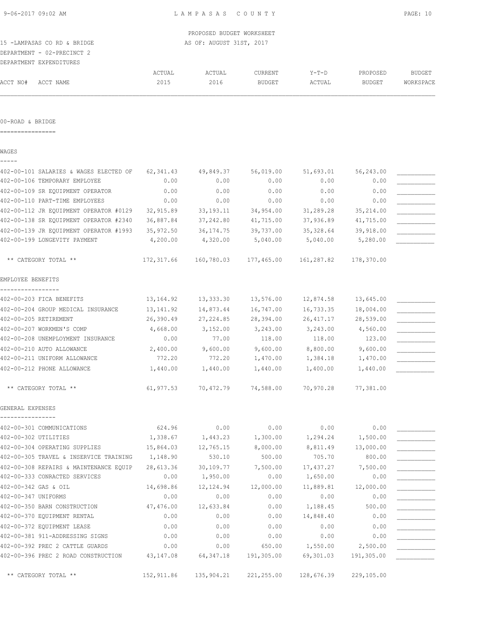DEPARTMENT - 02-PRECINCT 2

|          | DEPARTMENT EXPENDITURES |        |        |         |               |               |           |
|----------|-------------------------|--------|--------|---------|---------------|---------------|-----------|
|          |                         | ACTUAL | ACTUAL | CURRENT | $Y-T-D$       | PROPOSED      | BUDGET    |
| ACCT NO# | ACCT NAME               | 2015   | 2016   | BUDGET  | <b>\CTUAL</b> | <b>BUDGET</b> | WORKSPACE |

#### 00-ROAD & BRIDGE

================

|  | × |  |  |
|--|---|--|--|
|  |   |  |  |

| 402-00-101 SALARIES & WAGES ELECTED OF | 62, 341.43 | 49,849.37   | 56,019.00  | 51,693.01  | 56,243.00  |  |
|----------------------------------------|------------|-------------|------------|------------|------------|--|
| 402-00-106 TEMPORARY EMPLOYEE          | 0.00       | 0.00        | 0.00       | 0.00       | 0.00       |  |
| 402-00-109 SR EQUIPMENT OPERATOR       | 0.00       | 0.00        | 0.00       | 0.00       | 0.00       |  |
| 402-00-110 PART-TIME EMPLOYEES         | 0.00       | 0.00        | 0.00       | 0.00       | 0.00       |  |
| 402-00-112 JR EQUIPMENT OPERATOR #0129 | 32,915.89  | 33, 193. 11 | 34,954.00  | 31,289.28  | 35, 214.00 |  |
| 402-00-138 SR EQUIPMENT OPERATOR #2340 | 36,887.84  | 37,242.80   | 41,715.00  | 37,936.89  | 41,715.00  |  |
| 402-00-139 JR EQUIPMENT OPERATOR #1993 | 35,972.50  | 36, 174. 75 | 39,737.00  | 35,328.64  | 39,918.00  |  |
| 402-00-199 LONGEVITY PAYMENT           | 4,200.00   | 4,320.00    | 5,040.00   | 5,040.00   | 5,280.00   |  |
| ** CATEGORY TOTAL **                   | 172,317.66 | 160,780.03  | 177,465.00 | 161,287.82 | 178,370.00 |  |
| EMPLOYEE BENEFITS                      |            |             |            |            |            |  |
| 402-00-203 FICA BENEFITS               | 13,164.92  | 13,333.30   | 13,576.00  | 12,874.58  | 13,645.00  |  |
| 402-00-204 GROUP MEDICAL INSURANCE     | 13, 141.92 | 14,873.44   | 16,747.00  | 16,733.35  | 18,004.00  |  |
| 402-00-205 RETIREMENT                  | 26,390.49  | 27, 224.85  | 28,394.00  | 26, 417.17 | 28,539.00  |  |
| 402-00-207 WORKMEN'S COMP              | 4,668.00   | 3,152.00    | 3,243.00   | 3,243.00   | 4,560.00   |  |
| 402-00-208 UNEMPLOYMENT INSURANCE      | 0.00       | 77.00       | 118.00     | 118.00     | 123.00     |  |
| 402-00-210 AUTO ALLOWANCE              | 2,400.00   | 9,600.00    | 9,600.00   | 8,800.00   | 9,600.00   |  |
| 402-00-211 UNIFORM ALLOWANCE           | 772.20     | 772.20      | 1,470.00   | 1,384.18   | 1,470.00   |  |
| 402-00-212 PHONE ALLOWANCE             | 1,440.00   | 1,440.00    | 1,440.00   | 1,400.00   | 1,440.00   |  |
| ** CATEGORY TOTAL **                   | 61,977.53  | 70,472.79   | 74,588.00  | 70,970.28  | 77,381.00  |  |
| GENERAL EXPENSES                       |            |             |            |            |            |  |
| 402-00-301 COMMUNICATIONS              | 624.96     | 0.00        | 0.00       | 0.00       | 0.00       |  |
| 402-00-302 UTILITIES                   | 1,338.67   | 1,443.23    | 1,300.00   | 1,294.24   | 1,500.00   |  |
| 402-00-304 OPERATING SUPPLIES          | 15,864.03  | 12,765.15   | 8,000.00   | 8,811.49   | 13,000.00  |  |
| 402-00-305 TRAVEL & INSERVICE TRAINING | 1,148.90   | 530.10      | 500.00     | 705.70     | 800.00     |  |
| 402-00-308 REPAIRS & MAINTENANCE EQUIP | 28,613.36  | 30,109.77   | 7,500.00   | 17,437.27  | 7,500.00   |  |
| 402-00-333 CONRACTED SERVICES          | 0.00       | 1,950.00    | 0.00       | 1,650.00   | 0.00       |  |
| 402-00-342 GAS & OIL                   | 14,698.86  | 12, 124.94  | 12,000.00  | 11,889.81  | 12,000.00  |  |
| 402-00-347 UNIFORMS                    | 0.00       | 0.00        | 0.00       | 0.00       | 0.00       |  |
| 402-00-350 BARN CONSTRUCTION           | 47,476.00  | 12,633.84   | 0.00       | 1,188.45   | 500.00     |  |
| 402-00-370 EQUIPMENT RENTAL            | 0.00       | 0.00        | 0.00       | 14,848.40  | 0.00       |  |
| 402-00-372 EOUIPMENT LEASE             | 0.00       | 0.00        | 0.00       | 0.00       | 0.00       |  |
| 402-00-381 911-ADDRESSING SIGNS        | 0.00       | 0.00        | 0.00       | 0.00       | 0.00       |  |
| 402-00-392 PREC 2 CATTLE GUARDS        | 0.00       | 0.00        | 650.00     | 1,550.00   | 2,500.00   |  |

402-00-396 PREC 2 ROAD CONSTRUCTION 43,147.08 64,347.18 191,305.00 69,301.03 191,305.00 \_\_\_\_\_\_\_\_\_\_\_

\*\* CATEGORY TOTAL \*\* 152,911.86 135,904.21 221,255.00 128,676.39 229,105.00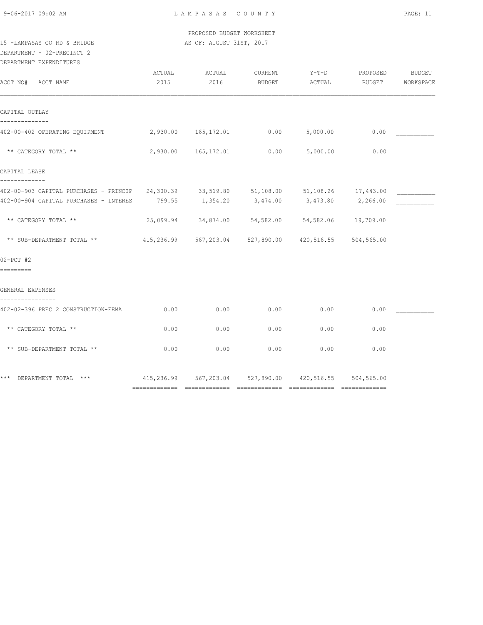PROPOSED BUDGET WORKSHEET 15 -LAMPASAS CO RD & BRIDGE AS OF: AUGUST 31ST, 2017

DEPARTMENT - 02-PRECINCT 2

DEPARTMENT EXPENDITURES

| ACCT NO# ACCT NAME                                                                                                                                                  | ACTUAL<br>2015 | ACTUAL<br>2016                                             | CURRENT<br>BUDGET | $Y-T-D$<br>ACTUAL | PROPOSED<br>BUDGET | <b>BUDGET</b><br>WORKSPACE |
|---------------------------------------------------------------------------------------------------------------------------------------------------------------------|----------------|------------------------------------------------------------|-------------------|-------------------|--------------------|----------------------------|
| CAPITAL OUTLAY                                                                                                                                                      |                |                                                            |                   |                   |                    |                            |
| 402-00-402 OPERATING EQUIPMENT 2,930.00 165,172.01 0.00                                                                                                             |                |                                                            |                   | 5,000.00          | 0.00               |                            |
| ** CATEGORY TOTAL **                                                                                                                                                |                | 2,930.00 165,172.01 0.00                                   |                   | 5,000.00          | 0.00               |                            |
| CAPITAL LEASE                                                                                                                                                       |                |                                                            |                   |                   |                    |                            |
| -------------<br>402-00-903 CAPITAL PURCHASES - PRINCIP 24,300.39 33,519.80 51,108.00 51,108.26 17,443.00<br>402-00-904 CAPITAL PURCHASES - INTERES 799.55 1,354.20 |                |                                                            | 3,474.00          |                   | 3,473.80 2,266.00  |                            |
| ** CATEGORY TOTAL **                                                                                                                                                |                | 25,099.94 34,874.00 54,582.00 54,582.06 19,709.00          |                   |                   |                    |                            |
| ** SUB-DEPARTMENT TOTAL **                                                                                                                                          |                | 415,236.99 567,203.04 527,890.00                           |                   | 420,516.55        | 504,565.00         |                            |
| $02-PCT$ #2<br>=========                                                                                                                                            |                |                                                            |                   |                   |                    |                            |
| GENERAL EXPENSES                                                                                                                                                    |                |                                                            |                   |                   |                    |                            |
| 402-02-396 PREC 2 CONSTRUCTION-FEMA                                                                                                                                 | 0.00           | 0.00                                                       | 0.00              | 0.00              | 0.00               |                            |
| ** CATEGORY TOTAL **                                                                                                                                                | 0.00           | 0.00                                                       | 0.00              | 0.00              | 0.00               |                            |
| ** SUB-DEPARTMENT TOTAL **                                                                                                                                          | 0.00           | 0.00                                                       | 0.00              | 0.00              | 0.00               |                            |
| *** DEPARTMENT TOTAL ***                                                                                                                                            |                | 415,236.99  567,203.04  527,890.00  420,516.55  504,565.00 |                   |                   |                    |                            |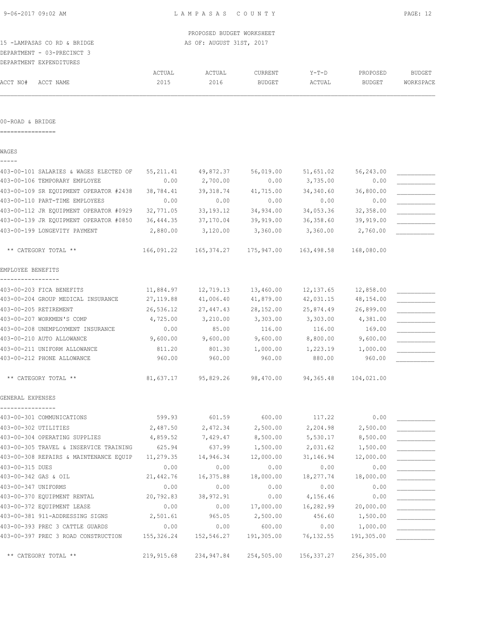# DEPARTMENT - 03-PRECINCT 3

|          | DEPARTMENT EXPENDITURES |        |        |               |         |               |           |
|----------|-------------------------|--------|--------|---------------|---------|---------------|-----------|
|          |                         | ACTUAL | ACTUAL | CURRENT       | $Y-T-D$ | PROPOSED      | BUDGET    |
| ACCT NO# | ACCT NAME               | 2015   | 2016   | <b>BUDGET</b> | ACTUAL  | <b>BUDGET</b> | WORKSPACE |

### 00-ROAD & BRIDGE

================

### WAGES

| - | __ | $\overline{\phantom{a}}$ |  |
|---|----|--------------------------|--|
|   |    |                          |  |

| 403-00-101 SALARIES & WAGES ELECTED OF | 55, 211.41 | 49,872.37    | 56,019.00  | 51,651.02  | 56,243.00  |  |
|----------------------------------------|------------|--------------|------------|------------|------------|--|
| 403-00-106 TEMPORARY EMPLOYEE          | 0.00       | 2,700.00     | 0.00       | 3,735.00   | 0.00       |  |
| 403-00-109 SR EQUIPMENT OPERATOR #2438 | 38,784.41  | 39, 318.74   | 41,715.00  | 34,340.60  | 36,800.00  |  |
| 403-00-110 PART-TIME EMPLOYEES         | 0.00       | 0.00         | 0.00       | 0.00       | 0.00       |  |
| 403-00-112 JR EQUIPMENT OPERATOR #0929 | 32,771.05  | 33, 193. 12  | 34,934.00  | 34,053.36  | 32,358.00  |  |
| 403-00-139 JR EQUIPMENT OPERATOR #0850 | 36, 444.35 | 37,170.04    | 39,919.00  | 36,358.60  | 39,919.00  |  |
| 403-00-199 LONGEVITY PAYMENT           | 2,880.00   | 3,120.00     | 3,360.00   | 3,360.00   | 2,760.00   |  |
| ** CATEGORY TOTAL **                   | 166,091.22 | 165, 374. 27 | 175,947.00 | 163,498.58 | 168,080.00 |  |
| EMPLOYEE BENEFITS                      |            |              |            |            |            |  |
|                                        |            |              |            |            |            |  |
| 403-00-203 FICA BENEFITS               | 11,884.97  | 12,719.13    | 13,460.00  | 12, 137.65 | 12,858.00  |  |
| 403-00-204 GROUP MEDICAL INSURANCE     | 27, 119.88 | 41,006.40    | 41,879.00  | 42,031.15  | 48,154.00  |  |
| 403-00-205 RETIREMENT                  | 26,536.12  | 27,447.43    | 28,152.00  | 25,874.49  | 26,899.00  |  |
| 403-00-207 WORKMEN'S COMP              | 4,725.00   | 3,210.00     | 3,303.00   | 3,303.00   | 4,381.00   |  |
| 403-00-208 UNEMPLOYMENT INSURANCE      | 0.00       | 85.00        | 116.00     | 116.00     | 169.00     |  |
| 403-00-210 AUTO ALLOWANCE              | 9,600.00   | 9,600.00     | 9,600.00   | 8,800.00   | 9,600.00   |  |
| 403-00-211 UNIFORM ALLOWANCE           | 811.20     | 801.30       | 1,000.00   | 1,223.19   | 1,000.00   |  |
| 403-00-212 PHONE ALLOWANCE             | 960.00     | 960.00       | 960.00     | 880.00     | 960.00     |  |
| ** CATEGORY TOTAL **                   | 81,637.17  | 95,829.26    | 98,470.00  | 94,365.48  | 104,021.00 |  |
| GENERAL EXPENSES                       |            |              |            |            |            |  |
| 403-00-301 COMMUNICATIONS              | 599.93     | 601.59       | 600.00     | 117.22     | 0.00       |  |
| 403-00-302 UTILITIES                   | 2,487.50   | 2,472.34     | 2,500.00   | 2,204.98   | 2,500.00   |  |
| 403-00-304 OPERATING SUPPLIES          | 4,859.52   | 7,429.47     | 8,500.00   | 5,530.17   | 8,500.00   |  |
| 403-00-305 TRAVEL & INSERVICE TRAINING | 625.94     | 637.99       | 1,500.00   | 2,031.62   | 1,500.00   |  |
| 403-00-308 REPAIRS & MAINTENANCE EQUIP | 11,279.35  | 14,946.34    | 12,000.00  | 31, 146.94 | 12,000.00  |  |
| 403-00-315 DUES                        | 0.00       | 0.00         | 0.00       | 0.00       | 0.00       |  |
| 403-00-342 GAS & OIL                   | 21,442.76  | 16,375.88    | 18,000.00  | 18,277.74  | 18,000.00  |  |
| 403-00-347 UNIFORMS                    | 0.00       | 0.00         | 0.00       | 0.00       | 0.00       |  |
| 403-00-370 EQUIPMENT RENTAL            | 20,792.83  | 38,972.91    | 0.00       | 4,156.46   | 0.00       |  |
| 403-00-372 EQUIPMENT LEASE             | 0.00       | 0.00         | 17,000.00  | 16,282.99  | 20,000.00  |  |
| 403-00-381 911-ADDRESSING SIGNS        | 2,501.61   | 965.05       | 2,500.00   | 456.60     | 1,500.00   |  |
| 403-00-393 PREC 3 CATTLE GUARDS        | 0.00       | 0.00         | 600.00     | 0.00       | 1,000.00   |  |
| 403-00-397 PREC 3 ROAD CONSTRUCTION    | 155,326.24 | 152,546.27   | 191,305.00 | 76, 132.55 | 191,305.00 |  |
| ** CATEGORY TOTAL **                   | 219,915.68 | 234,947.84   | 254,505.00 | 156,337.27 | 256,305.00 |  |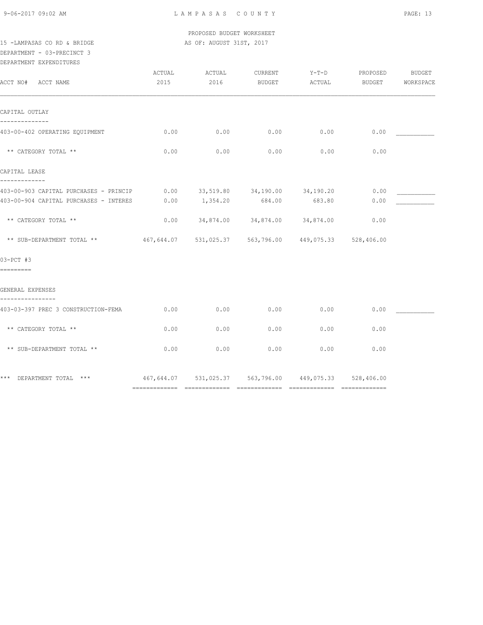PROPOSED BUDGET WORKSHEET

15 -LAMPASAS CO RD & BRIDGE AS OF: AUGUST 31ST, 2017 DEPARTMENT - 03-PRECINCT 3

DEPARTMENT EXPENDITURES

| ACCT NO# ACCT NAME                                                               | ACTUAL<br>2015 | ACTUAL<br>2016 | CURRENT<br>BUDGET | $Y-T-D$<br>ACTUAL                                      | PROPOSED<br>BUDGET | BUDGET<br>WORKSPACE |
|----------------------------------------------------------------------------------|----------------|----------------|-------------------|--------------------------------------------------------|--------------------|---------------------|
| CAPITAL OUTLAY                                                                   |                |                |                   |                                                        |                    |                     |
| 403-00-402 OPERATING EQUIPMENT                                                   | 0.00           | 0.00           | 0.00              | 0.00                                                   | 0.00               |                     |
| ** CATEGORY TOTAL **                                                             | 0.00           | 0.00           | 0.00              | 0.00                                                   | 0.00               |                     |
| CAPITAL LEASE<br>-------------                                                   |                |                |                   |                                                        |                    |                     |
| 403-00-903 CAPITAL PURCHASES - PRINCIP<br>403-00-904 CAPITAL PURCHASES - INTERES | 0.00<br>0.00   | 1,354.20       | 684.00            | 33,519.80 34,190.00 34,190.20<br>683.80                | 0.00<br>0.00       |                     |
|                                                                                  |                |                |                   |                                                        |                    |                     |
| ** CATEGORY TOTAL **                                                             | 0.00           |                |                   | 34,874.00 34,874.00 34,874.00                          | 0.00               |                     |
| ** SUB-DEPARTMENT TOTAL ** $467,644.07$                                          |                |                |                   | 531,025.37 563,796.00 449,075.33 528,406.00            |                    |                     |
| 03-PCT #3<br>---------                                                           |                |                |                   |                                                        |                    |                     |
| GENERAL EXPENSES                                                                 |                |                |                   |                                                        |                    |                     |
| ----------------<br>403-03-397 PREC 3 CONSTRUCTION-FEMA                          | 0.00           | 0.00           | 0.00              | 0.00                                                   | 0.00               |                     |
| ** CATEGORY TOTAL **                                                             | 0.00           | 0.00           | 0.00              | 0.00                                                   | 0.00               |                     |
| ** SUB-DEPARTMENT TOTAL **                                                       | 0.00           | 0.00           | 0.00              | 0.00                                                   | 0.00               |                     |
| *** DEPARTMENT TOTAL ***                                                         |                |                |                   | 467,644.07 531,025.37 563,796.00 449,075.33 528,406.00 |                    |                     |
|                                                                                  |                |                |                   |                                                        |                    |                     |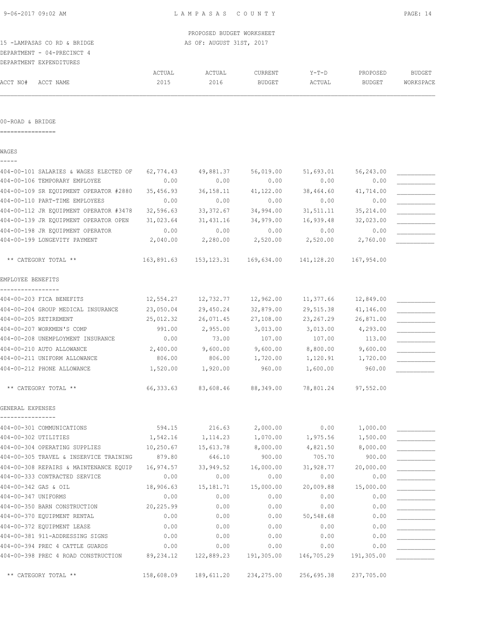DEPARTMENT - 04-PRECINCT 4

|          | DEPARTMENT EXPENDITURES |        |               |                |            |          |               |
|----------|-------------------------|--------|---------------|----------------|------------|----------|---------------|
|          |                         | ACTUAL | <b>ACTUAL</b> | <b>TURRENT</b> | $Y-T-D$    | PROPOSED | <b>BUDGET</b> |
| ACCT NO# | ACCT NAME               | 2015   | 2016          | BUDGET         | ה התדרי ה' | BUDGET   | WORKSPACE     |
|          |                         |        |               |                |            |          |               |

#### 00-ROAD & BRIDGE

================

|  | ×<br>۰, |  |  |
|--|---------|--|--|
|  |         |  |  |

| 404-00-101 SALARIES & WAGES ELECTED OF        | 62,774.43  | 49,881.37                                                  | 56,019.00  | 51,693.01   | 56,243.00  |  |
|-----------------------------------------------|------------|------------------------------------------------------------|------------|-------------|------------|--|
| 404-00-106 TEMPORARY EMPLOYEE                 | 0.00       | 0.00                                                       | 0.00       | 0.00        | 0.00       |  |
| 404-00-109 SR EQUIPMENT OPERATOR #2880        | 35,456.93  | 36, 158. 11                                                | 41,122.00  | 38,464.60   | 41,714.00  |  |
| 404-00-110 PART-TIME EMPLOYEES                | 0.00       | 0.00                                                       | 0.00       | 0.00        | 0.00       |  |
| 404-00-112 JR EQUIPMENT OPERATOR #3478        | 32,596.63  | 33, 372.67                                                 | 34,994.00  | 31,511.11   | 35, 214.00 |  |
| 404-00-139 JR EQUIPMENT OPERATOR OPEN         | 31,023.64  | 31,431.16                                                  | 34,979.00  | 16,939.48   | 32,023.00  |  |
| 404-00-198 JR EQUIPMENT OPERATOR              | 0.00       | 0.00                                                       | 0.00       | 0.00        | 0.00       |  |
| 404-00-199 LONGEVITY PAYMENT                  | 2,040.00   | 2,280.00                                                   | 2,520.00   | 2,520.00    | 2,760.00   |  |
| ** CATEGORY TOTAL **                          |            | 163,891.63  153,123.31  169,634.00  141,128.20  167,954.00 |            |             |            |  |
| EMPLOYEE BENEFITS                             |            |                                                            |            |             |            |  |
| -----------------<br>404-00-203 FICA BENEFITS | 12,554.27  | 12,732.77                                                  | 12,962.00  | 11,377.66   | 12,849.00  |  |
| 404-00-204 GROUP MEDICAL INSURANCE            | 23,050.04  | 29,450.24                                                  | 32,879.00  | 29,515.38   | 41,146.00  |  |
| 404-00-205 RETIREMENT                         | 25,012.32  | 26,071.45                                                  | 27,108.00  | 23, 267. 29 | 26,871.00  |  |
| 404-00-207 WORKMEN'S COMP                     | 991.00     | 2,955.00                                                   | 3,013.00   | 3,013.00    | 4,293.00   |  |
| 404-00-208 UNEMPLOYMENT INSURANCE             | 0.00       | 73.00                                                      | 107.00     | 107.00      | 113.00     |  |
| 404-00-210 AUTO ALLOWANCE                     | 2,400.00   | 9,600.00                                                   | 9,600.00   | 8,800.00    | 9,600.00   |  |
| 404-00-211 UNIFORM ALLOWANCE                  | 806.00     | 806.00                                                     | 1,720.00   | 1,120.91    | 1,720.00   |  |
| 404-00-212 PHONE ALLOWANCE                    | 1,520.00   | 1,920.00                                                   | 960.00     | 1,600.00    | 960.00     |  |
| ** CATEGORY TOTAL **                          | 66,333.63  | 83,608.46                                                  | 88,349.00  | 78,801.24   | 97,552.00  |  |
| GENERAL EXPENSES                              |            |                                                            |            |             |            |  |
| 404-00-301 COMMUNICATIONS                     | 594.15     | 216.63                                                     | 2,000.00   | 0.00        | 1,000.00   |  |
| 404-00-302 UTILITIES                          | 1,542.16   | 1,114.23                                                   | 1,070.00   | 1,975.56    | 1,500.00   |  |
| 404-00-304 OPERATING SUPPLIES                 | 10, 250.67 | 15,613.78                                                  | 8,000.00   | 4,821.50    | 8,000.00   |  |
| 404-00-305 TRAVEL & INSERVICE TRAINING        | 879.80     | 646.10                                                     | 900.00     | 705.70      | 900.00     |  |
| 404-00-308 REPAIRS & MAINTENANCE EQUIP        | 16,974.57  | 33,949.52                                                  | 16,000.00  | 31,928.77   | 20,000.00  |  |
| 404-00-333 CONTRACTED SERVICE                 | 0.00       | 0.00                                                       | 0.00       | 0.00        | 0.00       |  |
| 404-00-342 GAS & OIL                          | 18,906.63  | 15, 181. 71                                                | 15,000.00  | 20,009.88   | 15,000.00  |  |
| 404-00-347 UNIFORMS                           | 0.00       | 0.00                                                       | 0.00       | 0.00        | 0.00       |  |
| 404-00-350 BARN CONSTRUCTION                  | 20,225.99  | 0.00                                                       | 0.00       | 0.00        | 0.00       |  |
| 404-00-370 EQUIPMENT RENTAL                   | 0.00       | 0.00                                                       | 0.00       | 50,548.68   | 0.00       |  |
| 404-00-372 EQUIPMENT LEASE                    | 0.00       | 0.00                                                       | 0.00       | 0.00        | 0.00       |  |
| 404-00-381 911-ADDRESSING SIGNS               | 0.00       | 0.00                                                       | 0.00       | 0.00        | 0.00       |  |
| 404-00-394 PREC 4 CATTLE GUARDS               | 0.00       | 0.00                                                       | 0.00       | 0.00        | 0.00       |  |
| 404-00-398 PREC 4 ROAD CONSTRUCTION           | 89, 234.12 | 122,889.23                                                 | 191,305.00 | 146,705.29  | 191,305.00 |  |

\*\* CATEGORY TOTAL \*\* 158,608.09 189,611.20 234,275.00 256,695.38 237,705.00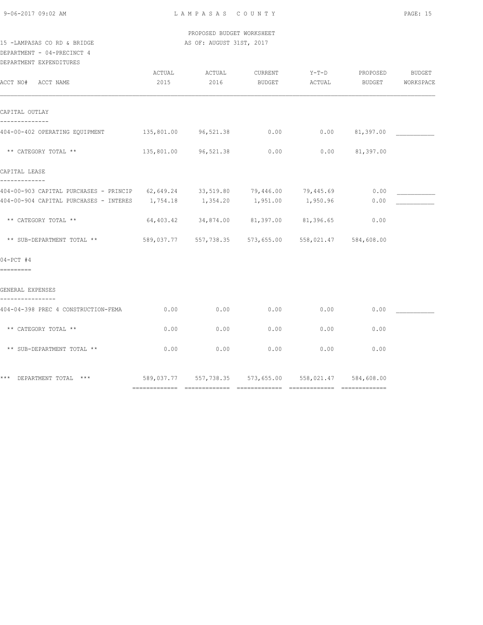PROPOSED BUDGET WORKSHEET 15 -LAMPASAS CO RD & BRIDGE AS OF: AUGUST 31ST, 2017

DEPARTMENT - 04-PRECINCT 4

DEPARTMENT EXPENDITURES

| ACCT NO# ACCT NAME                                                                                                                                           | ACTUAL<br>2015 | ACTUAL<br>2016                                         | CURRENT<br>BUDGET | $Y-T-D$<br>ACTUAL | PROPOSED<br><b>BUDGET</b> | <b>BUDGET</b><br>WORKSPACE |
|--------------------------------------------------------------------------------------------------------------------------------------------------------------|----------------|--------------------------------------------------------|-------------------|-------------------|---------------------------|----------------------------|
| CAPITAL OUTLAY                                                                                                                                               |                |                                                        |                   |                   |                           |                            |
| 404-00-402 OPERATING EQUIPMENT 135,801.00 96,521.38 0.00                                                                                                     |                |                                                        |                   |                   | $0.00$ $81,397.00$        |                            |
| ** CATEGORY TOTAL **                                                                                                                                         |                | 135,801.00 96,521.38                                   | 0.00              |                   | $0.00$ $81,397.00$        |                            |
| CAPITAL LEASE                                                                                                                                                |                |                                                        |                   |                   |                           |                            |
| 404-00-903 CAPITAL PURCHASES - PRINCIP 62,649.24 33,519.80 79,446.00 79,445.69<br>404-00-904 CAPITAL PURCHASES - INTERES 1,754.18 1,354.20 1,951.00 1,950.96 |                |                                                        |                   |                   | 0.00<br>0.00              |                            |
| ** CATEGORY TOTAL **                                                                                                                                         |                | $64,403.42$ $34,874.00$ $81,397.00$ $81,396.65$        |                   |                   | 0.00                      |                            |
| ** SUB-DEPARTMENT TOTAL **                                                                                                                                   |                | 589,037.77 557,738.35 573,655.00 558,021.47 584,608.00 |                   |                   |                           |                            |
| $04-PCT$ #4                                                                                                                                                  |                |                                                        |                   |                   |                           |                            |
| =========                                                                                                                                                    |                |                                                        |                   |                   |                           |                            |
| GENERAL EXPENSES                                                                                                                                             |                |                                                        |                   |                   |                           |                            |
| 404-04-398 PREC 4 CONSTRUCTION-FEMA                                                                                                                          | 0.00           | 0.00                                                   | 0.00              | 0.00              | 0.00                      |                            |
| ** CATEGORY TOTAL **                                                                                                                                         | 0.00           | 0.00                                                   | 0.00              | 0.00              | 0.00                      |                            |
| ** SUB-DEPARTMENT TOTAL **                                                                                                                                   | 0.00           | 0.00                                                   | 0.00              | 0.00              | 0.00                      |                            |
| *** DEPARTMENT TOTAL *** 589,037.77 557,738.35 573,655.00 558,021.47 584,608.00                                                                              |                |                                                        |                   |                   |                           |                            |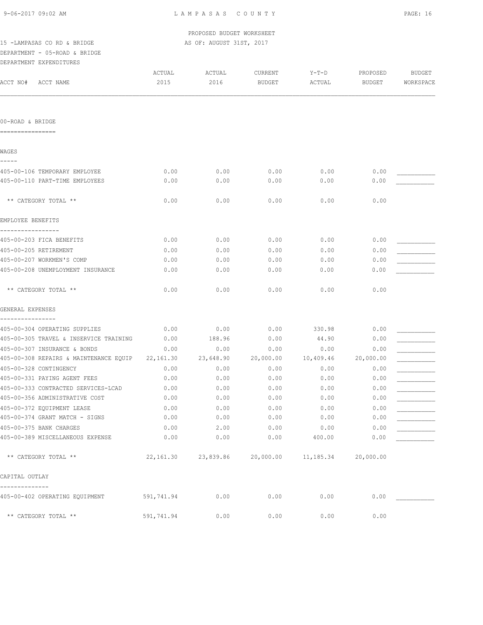PROPOSED BUDGET WORKSHEET 15 -LAMPASAS CO RD & BRIDGE AS OF: AUGUST 31ST, 2017

## DEPARTMENT - 05-ROAD & BRIDGE DEPARTMENT EXPENDITURES

| ACCT NO#<br>ACCT NAME                       | ACTUAL<br>2015 | ACTUAL<br>2016 | CURRENT<br><b>BUDGET</b> | $Y-T-D$<br>ACTUAL | PROPOSED<br><b>BUDGET</b> | <b>BUDGET</b><br>WORKSPACE |
|---------------------------------------------|----------------|----------------|--------------------------|-------------------|---------------------------|----------------------------|
|                                             |                |                |                          |                   |                           |                            |
| 00-ROAD & BRIDGE                            |                |                |                          |                   |                           |                            |
| ----------------                            |                |                |                          |                   |                           |                            |
| WAGES<br>-----                              |                |                |                          |                   |                           |                            |
| 405-00-106 TEMPORARY EMPLOYEE               | 0.00           | 0.00           | 0.00                     | 0.00              | 0.00                      |                            |
| 405-00-110 PART-TIME EMPLOYEES              | 0.00           | 0.00           | 0.00                     | 0.00              | 0.00                      |                            |
| ** CATEGORY TOTAL **                        | 0.00           | 0.00           | 0.00                     | 0.00              | 0.00                      |                            |
| EMPLOYEE BENEFITS                           |                |                |                          |                   |                           |                            |
| 405-00-203 FICA BENEFITS                    | 0.00           | 0.00           | 0.00                     | 0.00              | 0.00                      |                            |
| 405-00-205 RETIREMENT                       | 0.00           | 0.00           | 0.00                     | 0.00              | 0.00                      |                            |
| 405-00-207 WORKMEN'S COMP                   | 0.00           | 0.00           | 0.00                     | 0.00              | 0.00                      |                            |
| 405-00-208 UNEMPLOYMENT INSURANCE           | 0.00           | 0.00           | 0.00                     | 0.00              | 0.00                      |                            |
| ** CATEGORY TOTAL **                        | 0.00           | 0.00           | 0.00                     | 0.00              | 0.00                      |                            |
| GENERAL EXPENSES                            |                |                |                          |                   |                           |                            |
| ----------<br>405-00-304 OPERATING SUPPLIES | 0.00           | 0.00           | 0.00                     | 330.98            | 0.00                      |                            |
| 405-00-305 TRAVEL & INSERVICE TRAINING      | 0.00           | 188.96         | 0.00                     | 44.90             | 0.00                      |                            |
| 405-00-307 INSURANCE & BONDS                | 0.00           | 0.00           | 0.00                     | 0.00              | 0.00                      |                            |
| 405-00-308 REPAIRS & MAINTENANCE EQUIP      | 22,161.30      | 23,648.90      | 20,000.00                | 10,409.46         | 20,000.00                 |                            |
| 405-00-328 CONTINGENCY                      | 0.00           | 0.00           | 0.00                     | 0.00              | 0.00                      |                            |
| 405-00-331 PAYING AGENT FEES                | 0.00           | 0.00           | 0.00                     | 0.00              | 0.00                      |                            |
| 405-00-333 CONTRACTED SERVICES-LCAD         | 0.00           | 0.00           | 0.00                     | 0.00              | 0.00                      |                            |
| 405-00-356 ADMINISTRATIVE COST              | 0.00           | 0.00           | 0.00                     | 0.00              | 0.00                      |                            |
| 405-00-372 EQUIPMENT LEASE                  | 0.00           | 0.00           | 0.00                     | 0.00              | 0.00                      |                            |
| 405-00-374 GRANT MATCH - SIGNS              | 0.00           | 0.00           | 0.00                     | 0.00              | 0.00                      |                            |
| 405-00-375 BANK CHARGES                     | 0.00           | 2.00           | 0.00                     | 0.00              | 0.00                      |                            |
| 405-00-389 MISCELLANEOUS EXPENSE            | 0.00           | 0.00           | 0.00                     | 400.00            | 0.00                      |                            |
| ** CATEGORY TOTAL **                        | 22,161.30      | 23,839.86      | 20,000.00                | 11,185.34         | 20,000.00                 |                            |
| CAPITAL OUTLAY                              |                |                |                          |                   |                           |                            |
| 405-00-402 OPERATING EQUIPMENT              | 591,741.94     | 0.00           | 0.00                     | 0.00              | 0.00                      |                            |
| ** CATEGORY TOTAL **                        | 591,741.94     | 0.00           | 0.00                     | 0.00              | 0.00                      |                            |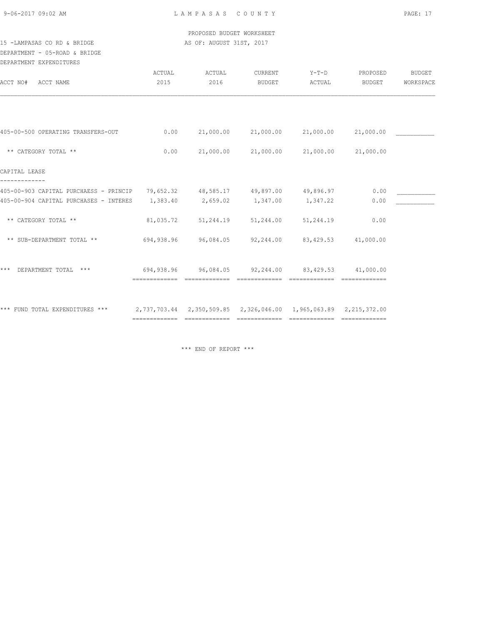PROPOSED BUDGET WORKSHEET 15 -LAMPASAS CO RD & BRIDGE AS OF: AUGUST 31ST, 2017

DEPARTMENT - 05-ROAD & BRIDGE

| DEPARTMENT EXPENDITURES                                                        |                |                                 |                     |                                                                               |                    |                     |
|--------------------------------------------------------------------------------|----------------|---------------------------------|---------------------|-------------------------------------------------------------------------------|--------------------|---------------------|
| ACCT NAME<br>ACCT NO#                                                          | ACTUAL<br>2015 | ACTUAL<br>2016                  | CURRENT<br>BUDGET   | Y-T-D<br>ACTUAL                                                               | PROPOSED<br>BUDGET | BUDGET<br>WORKSPACE |
|                                                                                |                |                                 |                     |                                                                               |                    |                     |
| 405-00-500 OPERATING TRANSFERS-OUT                                             | 0.00           |                                 | 21,000.00 21,000.00 | 21,000.00                                                                     | 21,000.00          |                     |
| ** CATEGORY TOTAL **                                                           | 0.00           |                                 | 21,000.00 21,000.00 | 21,000.00                                                                     | 21,000.00          |                     |
| CAPITAL LEASE                                                                  |                |                                 |                     |                                                                               |                    |                     |
| 405-00-903 CAPITAL PURCHAESS - PRINCIP 79,652.32 48,585.17 49,897.00 49,896.97 |                |                                 |                     |                                                                               | 0.00               |                     |
| 405-00-904 CAPITAL PURCHASES - INTERES                                         | 1,383.40       | 2,659.02 1,347.00               |                     | 1,347.22                                                                      | 0.00               |                     |
| ** CATEGORY TOTAL **                                                           | 81,035.72      | 51,244.19                       | 51,244.00           | 51,244.19                                                                     | 0.00               |                     |
| ** SUB-DEPARTMENT TOTAL **                                                     | 694,938.96     |                                 | 96,084.05 92,244.00 | 83,429.53                                                                     | 41,000.00          |                     |
| DEPARTMENT TOTAL ***<br>***                                                    |                | ------------------------------- |                     | $694,938.96$ $96,084.05$ $92,244.00$ $83,429.53$ $41,000.00$<br>============= |                    |                     |
| *** FUND TOTAL EXPENDITURES ***                                                |                |                                 |                     |                                                                               |                    |                     |

\*\*\* END OF REPORT \*\*\*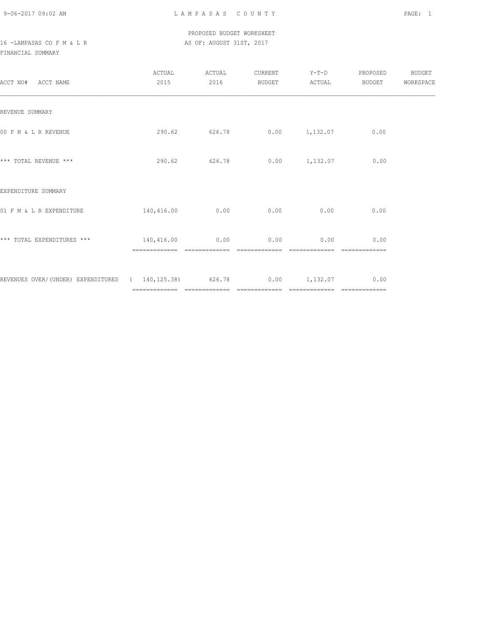## PROPOSED BUDGET WORKSHEET 16 -LAMPASAS CO F M & L R AS OF: AUGUST 31ST, 2017

FINANCIAL SUMMARY

| ACCT NO# ACCT NAME                                                    | ACTUAL<br>2015 | ACTUAL<br>2016 | CURRENT<br>BUDGET | $Y-T-D$<br>ACTUAL              | PROPOSED<br>BUDGET | BUDGET<br>WORKSPACE |
|-----------------------------------------------------------------------|----------------|----------------|-------------------|--------------------------------|--------------------|---------------------|
| REVENUE SUMMARY                                                       |                |                |                   |                                |                    |                     |
| 00 F M & L R REVENUE                                                  | 290.62         | 626.78         |                   | $0.00$ 1, 132.07               | 0.00               |                     |
| *** TOTAL REVENUE ***                                                 | 290.62         | 626.78         |                   | $0.00$ $1,132.07$              | 0.00               |                     |
| EXPENDITURE SUMMARY                                                   |                |                |                   |                                |                    |                     |
| 01 F M & L R EXPENDITURE                                              | 140,416.00     | 0.00           | 0.00              | 0.00                           | 0.00               |                     |
| *** TOTAL EXPENDITURES ***                                            | 140,416.00     | 0.00           | 0.00              | 0.00                           | 0.00               |                     |
| REVENUES OVER/(UNDER) EXPENDITURES ( 140,125.38) 626.78 0.00 1,132.07 |                |                |                   | ------------------------------ | 0.00               |                     |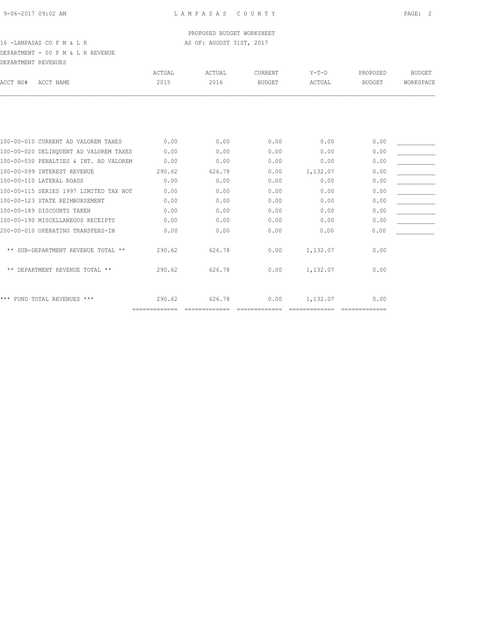## DEPARTMENT - 00 F M & L R REVENUE DEPARTMENT REVENUES

| DIILINLEILINI INDVIDNOIDU              |               |        |                |          |               |               |
|----------------------------------------|---------------|--------|----------------|----------|---------------|---------------|
|                                        | <b>ACTUAL</b> | ACTUAL | <b>CURRENT</b> | $Y-T-D$  | PROPOSED      | <b>BUDGET</b> |
| ACCT NAME                              | 2015          | 2016   | <b>BUDGET</b>  | ACTUAL   | <b>BUDGET</b> | WORKSPACE     |
|                                        |               |        |                |          |               |               |
| 100-00-010 CURRENT AD VALOREM TAXES    | 0.00          | 0.00   | 0.00           | 0.00     | 0.00          |               |
| 100-00-020 DELINOUENT AD VALOREM TAXES | 0.00          | 0.00   | 0.00           | 0.00     | 0.00          |               |
| 100-00-030 PENALTIES & INT. AD VALOREM | 0.00          | 0.00   | 0.00           | 0.00     | 0.00          |               |
| 100-00-099 INTEREST REVENUE            | 290.62        | 626.78 | 0.00           | 1,132.07 | 0.00          |               |
| 100-00-110 LATERAL ROADS               | 0.00          | 0.00   | 0.00           | 0.00     | 0.00          |               |
| 100-00-115 SERIES 1997 LIMITED TAX NOT | 0.00          | 0.00   | 0.00           | 0.00     | 0.00          |               |
| 100-00-123 STATE REIMBURSEMENT         | 0.00          | 0.00   | 0.00           | 0.00     | 0.00          |               |
| 100-00-189 DISCOUNTS TAKEN             | 0.00          | 0.00   | 0.00           | 0.00     | 0.00          |               |
| 100-00-190 MISCELLANEOUS RECEIPTS      | 0.00          | 0.00   | 0.00           | 0.00     | 0.00          |               |
| 200-00-010 OPERATING TRANSFERS-IN      | 0.00          | 0.00   | 0.00           | 0.00     | 0.00          |               |
| ** SUB-DEPARTMENT REVENUE TOTAL **     | 290.62        | 626.78 | 0.00           | 1,132.07 | 0.00          |               |
| ** DEPARTMENT REVENUE TOTAL **         | 290.62        | 626.78 | 0.00           | 1,132.07 | 0.00          |               |
| *** FUND TOTAL REVENUES ***            | 290.62        | 626.78 | 0.00           | 1,132.07 | 0.00          |               |
|                                        |               |        |                |          |               | ============= |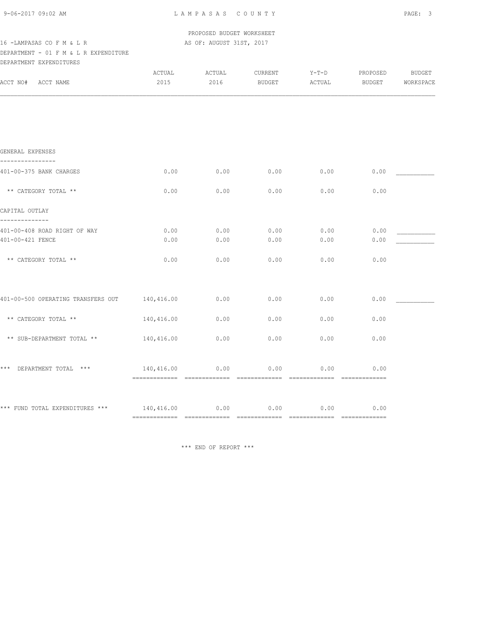| 9-06-2017 09:02 AM |  |
|--------------------|--|
|                    |  |

 PROPOSED BUDGET WORKSHEET 16 -LAMPASAS CO F M & L R AS OF: AUGUST 31ST, 2017

## DEPARTMENT - 01 F M & L R EXPENDITURE

| DEPARTMENT EXPENDITURES            |                               |                |                   |                   |                                                                                                                                                                                                                                                                                                                                                                                                                                                                               |                            |
|------------------------------------|-------------------------------|----------------|-------------------|-------------------|-------------------------------------------------------------------------------------------------------------------------------------------------------------------------------------------------------------------------------------------------------------------------------------------------------------------------------------------------------------------------------------------------------------------------------------------------------------------------------|----------------------------|
| ACCT NO#<br>ACCT NAME              | ACTUAL<br>2015                | ACTUAL<br>2016 | CURRENT<br>BUDGET | $Y-T-D$<br>ACTUAL | PROPOSED<br>BUDGET                                                                                                                                                                                                                                                                                                                                                                                                                                                            | <b>BUDGET</b><br>WORKSPACE |
|                                    |                               |                |                   |                   |                                                                                                                                                                                                                                                                                                                                                                                                                                                                               |                            |
|                                    |                               |                |                   |                   |                                                                                                                                                                                                                                                                                                                                                                                                                                                                               |                            |
| GENERAL EXPENSES                   |                               |                |                   |                   |                                                                                                                                                                                                                                                                                                                                                                                                                                                                               |                            |
|                                    |                               |                |                   |                   |                                                                                                                                                                                                                                                                                                                                                                                                                                                                               |                            |
| 401-00-375 BANK CHARGES            | 0.00                          | 0.00           | 0.00              | 0.00              | 0.00                                                                                                                                                                                                                                                                                                                                                                                                                                                                          |                            |
| ** CATEGORY TOTAL **               | 0.00                          | 0.00           | 0.00              | 0.00              | 0.00                                                                                                                                                                                                                                                                                                                                                                                                                                                                          |                            |
| CAPITAL OUTLAY                     |                               |                |                   |                   |                                                                                                                                                                                                                                                                                                                                                                                                                                                                               |                            |
| 401-00-408 ROAD RIGHT OF WAY       | 0.00                          | 0.00           | 0.00              | 0.00              | 0.00                                                                                                                                                                                                                                                                                                                                                                                                                                                                          |                            |
| 401-00-421 FENCE                   | 0.00                          | 0.00           | 0.00              | 0.00              | 0.00                                                                                                                                                                                                                                                                                                                                                                                                                                                                          |                            |
| ** CATEGORY TOTAL **               | 0.00                          | 0.00           | 0.00              | 0.00              | 0.00                                                                                                                                                                                                                                                                                                                                                                                                                                                                          |                            |
|                                    |                               |                |                   |                   |                                                                                                                                                                                                                                                                                                                                                                                                                                                                               |                            |
| 401-00-500 OPERATING TRANSFERS OUT | 140,416.00                    | 0.00           | 0.00              | 0.00              | 0.00                                                                                                                                                                                                                                                                                                                                                                                                                                                                          |                            |
| ** CATEGORY TOTAL **               | 140,416.00                    | 0.00           | 0.00              | 0.00              | 0.00                                                                                                                                                                                                                                                                                                                                                                                                                                                                          |                            |
| ** SUB-DEPARTMENT TOTAL **         | 140,416.00                    | 0.00           | 0.00              | 0.00              | 0.00                                                                                                                                                                                                                                                                                                                                                                                                                                                                          |                            |
| *** DEPARTMENT TOTAL ***           | 140,416.00 0.00               |                | 0.00              | 0.00              | 0.00                                                                                                                                                                                                                                                                                                                                                                                                                                                                          |                            |
|                                    |                               |                |                   |                   | $\begin{array}{cccccc} \multicolumn{2}{c}{{\color{red}z}} & \multicolumn{2}{c}{{\color{red}z}} & \multicolumn{2}{c}{{\color{red}z}} & \multicolumn{2}{c}{{\color{red}z}} & \multicolumn{2}{c}{{\color{red}z}} & \multicolumn{2}{c}{{\color{red}z}} & \multicolumn{2}{c}{{\color{red}z}} & \multicolumn{2}{c}{{\color{red}z}} & \multicolumn{2}{c}{{\color{red}z}} & \multicolumn{2}{c}{{\color{red}z}} & \multicolumn{2}{c}{{\color{red}z}} & \multicolumn{2}{c}{{\color{red$ |                            |
| *** FUND TOTAL EXPENDITURES ***    | 140,416.00                    | 0.00           | 0.00              | 0.00              | 0.00                                                                                                                                                                                                                                                                                                                                                                                                                                                                          |                            |
|                                    | ============================= |                |                   |                   |                                                                                                                                                                                                                                                                                                                                                                                                                                                                               |                            |

\*\*\* END OF REPORT \*\*\*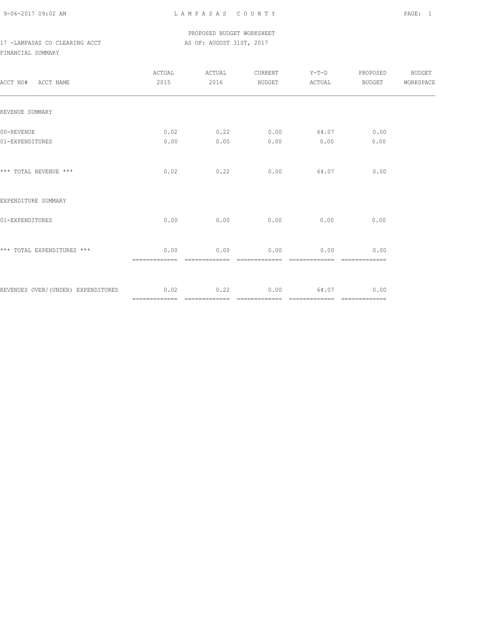### PROPOSED BUDGET WORKSHEET 17 -LAMPASAS CO CLEARING ACCT AS OF: AUGUST 31ST, 2017

# FINANCIAL SUMMARY

| ACCT NO# ACCT NAME                      | ACTUAL<br>2015        | ACTUAL<br>2016        | CURRENT<br>BUDGET     | $Y-T-D$<br>ACTUAL     | PROPOSED<br>BUDGET    | BUDGET<br>WORKSPACE |
|-----------------------------------------|-----------------------|-----------------------|-----------------------|-----------------------|-----------------------|---------------------|
| REVENUE SUMMARY                         |                       |                       |                       |                       |                       |                     |
| 00-REVENUE<br>01-EXPENDITURES           | 0.02<br>0.00          | 0.22<br>0.00          | 0.00<br>0.00          | 64.07<br>0.00         | 0.00<br>0.00          |                     |
| *** TOTAL REVENUE ***                   | 0.02                  | 0.22                  | 0.00                  | 64.07                 | 0.00                  |                     |
| EXPENDITURE SUMMARY                     |                       |                       |                       |                       |                       |                     |
| 01-EXPENDITURES                         | 0.00                  | 0.00                  | 0.00                  | 0.00                  | 0.00                  |                     |
| *** TOTAL EXPENDITURES ***              | 0.00<br>============= | 0.00<br>============= | 0.00<br>============= | 0.00<br>============= | 0.00<br>============= |                     |
| REVENUES OVER/(UNDER) EXPENDITURES 0.02 |                       | 0.22                  | 0.00                  | 64.07                 | 0.00                  |                     |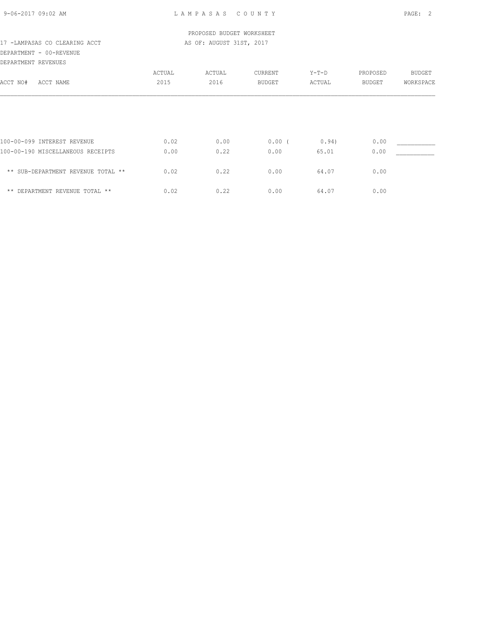## PROPOSED BUDGET WORKSHEET 17 -LAMPASAS CO CLEARING ACCT AS OF: AUGUST 31ST, 2017

## DEPARTMENT - 00-REVENUE

| DEPARTMENT REVENUES                |        |        |               |         |               |               |
|------------------------------------|--------|--------|---------------|---------|---------------|---------------|
|                                    | ACTUAL | ACTUAL | CURRENT       | $Y-T-D$ | PROPOSED      | <b>BUDGET</b> |
| ACCT NO#<br>ACCT NAME              | 2015   | 2016   | <b>BUDGET</b> | ACTUAL  | <b>BUDGET</b> | WORKSPACE     |
|                                    |        |        |               |         |               |               |
|                                    |        |        |               |         |               |               |
| 100-00-099 INTEREST REVENUE        | 0.02   | 0.00   | $0.00$ (      | 0.94)   | 0.00          |               |
| 100-00-190 MISCELLANEOUS RECEIPTS  | 0.00   | 0.22   | 0.00          | 65.01   | 0.00          |               |
| ** SUB-DEPARTMENT REVENUE TOTAL ** | 0.02   | 0.22   | 0.00          | 64.07   | 0.00          |               |
| ** DEPARTMENT REVENUE TOTAL **     | 0.02   | 0.22   | 0.00          | 64.07   | 0.00          |               |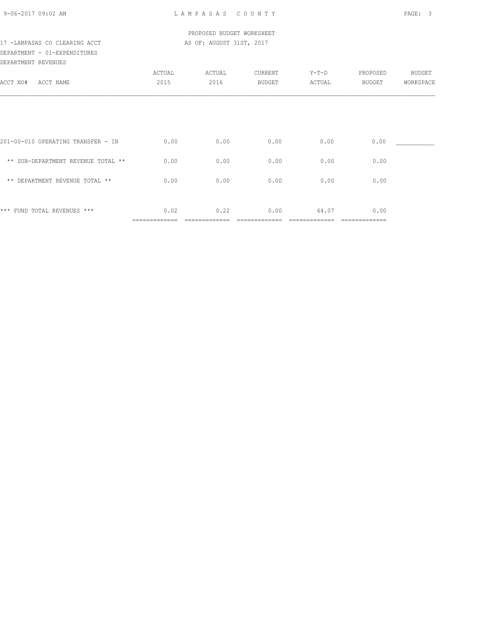### PROPOSED BUDGET WORKSHEET 17 -LAMPASAS CO CLEARING ACCT AS OF: AUGUST 31ST, 2017

## DEPARTMENT - 01-EXPENDITURES DEPARTMENT REVENUES

| DELWULMENT VENOEO                  |        |        |               |         |               |               |
|------------------------------------|--------|--------|---------------|---------|---------------|---------------|
|                                    | ACTUAL | ACTUAL | CURRENT       | $Y-T-D$ | PROPOSED      | <b>BUDGET</b> |
| ACCT NO#<br>ACCT NAME              | 2015   | 2016   | <b>BUDGET</b> | ACTUAL  | BUDGET        | WORKSPACE     |
|                                    |        |        |               |         |               |               |
|                                    |        |        |               |         |               |               |
|                                    |        |        |               |         |               |               |
| 201-00-010 OPERATING TRANSFER - IN | 0.00   | 0.00   | 0.00          | 0.00    | 0.00          |               |
|                                    |        |        |               |         |               |               |
| ** SUB-DEPARTMENT REVENUE TOTAL ** | 0.00   | 0.00   | 0.00          | 0.00    | 0.00          |               |
| ** DEPARTMENT REVENUE TOTAL **     | 0.00   | 0.00   | 0.00          | 0.00    | 0.00          |               |
|                                    |        |        |               |         |               |               |
|                                    |        |        |               |         |               |               |
| *** FUND TOTAL REVENUES ***        | 0.02   | 0.22   | 0.00          | 64.07   | 0.00          |               |
|                                    |        |        |               |         | ============= |               |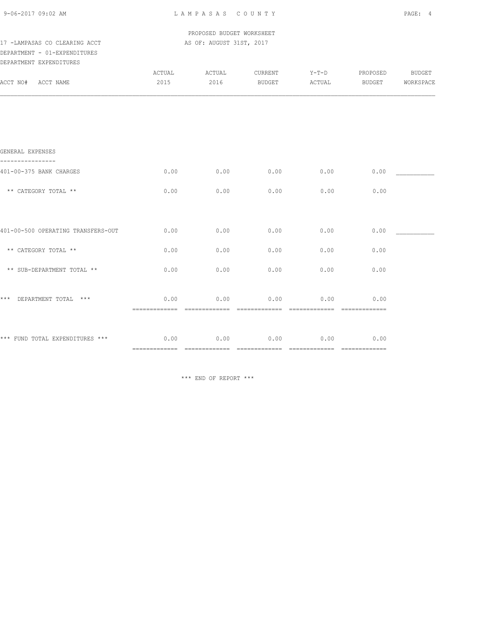| 9-06-2017 09:02 AM |  |  |
|--------------------|--|--|
|--------------------|--|--|

 PROPOSED BUDGET WORKSHEET 17 -LAMPASAS CO CLEARING ACCT AS OF: AUGUST 31ST, 2017

## DEPARTMENT - 01-EXPENDITURES DEPARTMENT EXPENDITURES

| DEPARTMENT EXPENDITURES              |                |                |                   |                        |                                                                                                                                                                                                                                                                                                                                                                                                                                                                                                |                     |
|--------------------------------------|----------------|----------------|-------------------|------------------------|------------------------------------------------------------------------------------------------------------------------------------------------------------------------------------------------------------------------------------------------------------------------------------------------------------------------------------------------------------------------------------------------------------------------------------------------------------------------------------------------|---------------------|
| ACCT NO# ACCT NAME                   | ACTUAL<br>2015 | ACTUAL<br>2016 | CURRENT<br>BUDGET | $Y-T-D$<br>ACTUAL      | PROPOSED<br>BUDGET                                                                                                                                                                                                                                                                                                                                                                                                                                                                             | BUDGET<br>WORKSPACE |
|                                      |                |                |                   |                        |                                                                                                                                                                                                                                                                                                                                                                                                                                                                                                |                     |
|                                      |                |                |                   |                        |                                                                                                                                                                                                                                                                                                                                                                                                                                                                                                |                     |
|                                      |                |                |                   |                        |                                                                                                                                                                                                                                                                                                                                                                                                                                                                                                |                     |
| GENERAL EXPENSES                     |                |                |                   |                        |                                                                                                                                                                                                                                                                                                                                                                                                                                                                                                |                     |
| 401-00-375 BANK CHARGES              | 0.00           | 0.00           | 0.00              | 0.00                   | 0.00                                                                                                                                                                                                                                                                                                                                                                                                                                                                                           |                     |
| ** CATEGORY TOTAL **                 | 0.00           | 0.00           | 0.00              | 0.00                   | 0.00                                                                                                                                                                                                                                                                                                                                                                                                                                                                                           |                     |
|                                      |                |                |                   |                        |                                                                                                                                                                                                                                                                                                                                                                                                                                                                                                |                     |
| 401-00-500 OPERATING TRANSFERS-OUT   | 0.00           | 0.00           | 0.00              | 0.00                   | 0.00                                                                                                                                                                                                                                                                                                                                                                                                                                                                                           |                     |
| ** CATEGORY TOTAL **                 | 0.00           | 0.00           | 0.00              | 0.00                   | 0.00                                                                                                                                                                                                                                                                                                                                                                                                                                                                                           |                     |
| ** SUB-DEPARTMENT TOTAL **           | 0.00           | 0.00           | 0.00              | 0.00                   | 0.00                                                                                                                                                                                                                                                                                                                                                                                                                                                                                           |                     |
|                                      |                |                |                   |                        |                                                                                                                                                                                                                                                                                                                                                                                                                                                                                                |                     |
| *** DEPARTMENT TOTAL ***             | 0.00           | 0.00           | 0.00              | 0.00<br>-------------- | 0.00<br>$\begin{array}{cccccccccccccc} \multicolumn{2}{c}{} & \multicolumn{2}{c}{} & \multicolumn{2}{c}{} & \multicolumn{2}{c}{} & \multicolumn{2}{c}{} & \multicolumn{2}{c}{} & \multicolumn{2}{c}{} & \multicolumn{2}{c}{} & \multicolumn{2}{c}{} & \multicolumn{2}{c}{} & \multicolumn{2}{c}{} & \multicolumn{2}{c}{} & \multicolumn{2}{c}{} & \multicolumn{2}{c}{} & \multicolumn{2}{c}{} & \multicolumn{2}{c}{} & \multicolumn{2}{c}{} & \multicolumn{2}{c}{} & \multicolumn{2}{c}{} & \$ |                     |
|                                      |                |                |                   |                        |                                                                                                                                                                                                                                                                                                                                                                                                                                                                                                |                     |
| *** FUND TOTAL EXPENDITURES *** 0.00 |                | 0.00           | 0.00              | 0.00                   | 0.00                                                                                                                                                                                                                                                                                                                                                                                                                                                                                           |                     |
|                                      |                |                |                   |                        |                                                                                                                                                                                                                                                                                                                                                                                                                                                                                                |                     |

\*\*\* END OF REPORT \*\*\*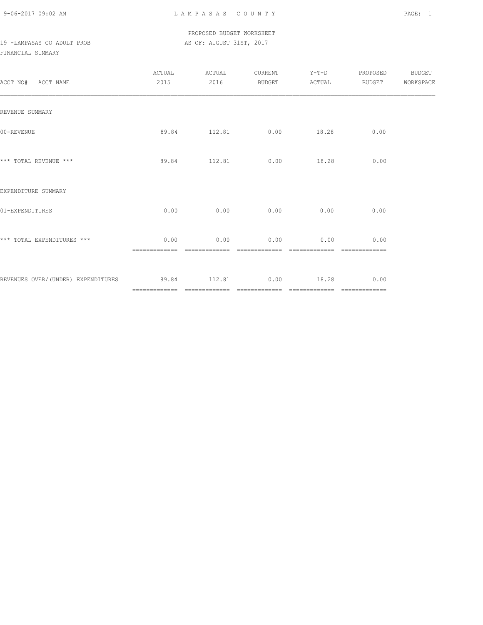### PROPOSED BUDGET WORKSHEET 19 -LAMPASAS CO ADULT PROB AS OF: AUGUST 31ST, 2017

### FINANCIAL SUMMARY

| ACCT NO# ACCT NAME                                         | ACTUAL<br>2015 | ACTUAL<br>2016 |                            | CURRENT Y-T-D                     | PROPOSED<br>BUDGET ACTUAL BUDGET WORKSPACE | <b>BUDGET</b> |
|------------------------------------------------------------|----------------|----------------|----------------------------|-----------------------------------|--------------------------------------------|---------------|
| REVENUE SUMMARY                                            |                |                |                            |                                   |                                            |               |
| 00-REVENUE                                                 |                |                | 89.84 112.81 0.00 18.28    |                                   | 0.00                                       |               |
| *** TOTAL REVENUE ***                                      |                |                | 89.84 112.81 0.00 18.28    |                                   | 0.00                                       |               |
| EXPENDITURE SUMMARY                                        |                |                |                            |                                   |                                            |               |
| 01-EXPENDITURES                                            |                |                | $0.00$ 0.00 0.00 0.00 0.00 |                                   | 0.00                                       |               |
| *** TOTAL EXPENDITURES ***                                 | 0.00           | 0.00           | 0.00                       | 0.00                              | 0.00                                       |               |
| REVENUES OVER/(UNDER) EXPENDITURES 89.84 112.81 0.00 18.28 |                |                |                            | _________________________________ | 0.00                                       |               |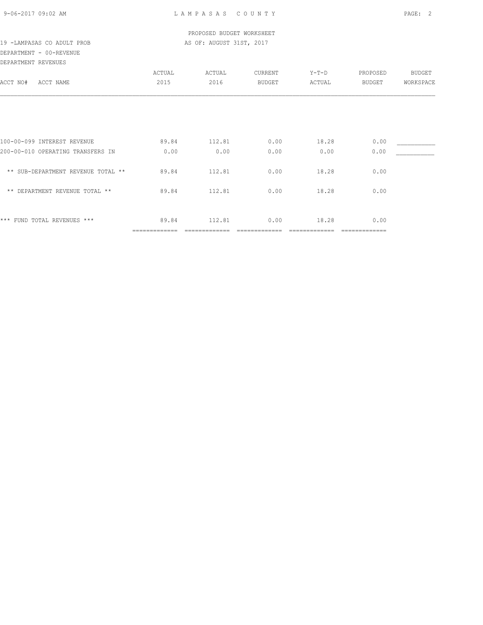| 9-06-2017 09:02 AM |  |
|--------------------|--|
|                    |  |

### PROPOSED BUDGET WORKSHEET 19 -LAMPASAS CO ADULT PROB AS OF: AUGUST 31ST, 2017

# DEPARTMENT - 00-REVENUE

| DEPARTMENT REVENUES                |               |        |         |        |               |               |
|------------------------------------|---------------|--------|---------|--------|---------------|---------------|
|                                    | ACTUAL        | ACTUAL | CURRENT | Y-T-D  | PROPOSED      | <b>BUDGET</b> |
| ACCT NO#<br>ACCT NAME              | 2015          | 2016   | BUDGET  | ACTUAL | BUDGET        | WORKSPACE     |
|                                    |               |        |         |        |               |               |
|                                    |               |        |         |        |               |               |
|                                    |               |        |         |        |               |               |
| 100-00-099 INTEREST REVENUE        | 89.84         | 112.81 | 0.00    | 18.28  | 0.00          |               |
| 200-00-010 OPERATING TRANSFERS IN  | 0.00          | 0.00   | 0.00    | 0.00   | 0.00          |               |
| ** SUB-DEPARTMENT REVENUE TOTAL ** | 89.84         | 112.81 | 0.00    | 18.28  | 0.00          |               |
| ** DEPARTMENT REVENUE TOTAL **     | 89.84         | 112.81 | 0.00    | 18.28  | 0.00          |               |
|                                    |               |        |         |        |               |               |
| *** FUND TOTAL REVENUES ***        | 89.84         | 112.81 | 0.00    | 18.28  | 0.00          |               |
|                                    | ------------- |        |         |        | ============= |               |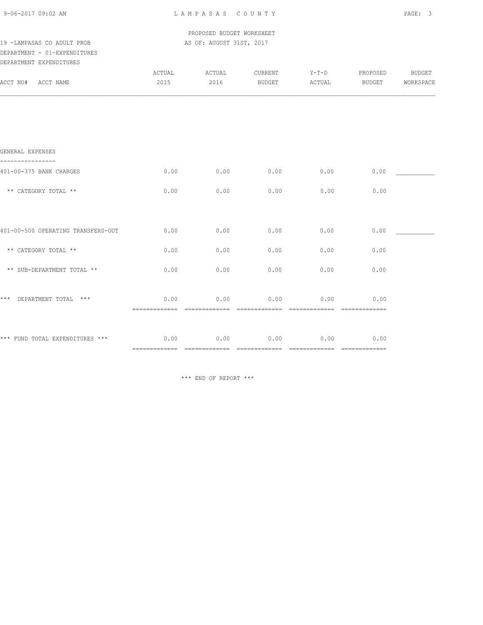PROPOSED BUDGET WORKSHEET 19 -LAMPASAS CO ADULT PROB **AS OF: AUGUST 31ST, 2017** 

## DEPARTMENT - 01-EXPENDITURES

|          | DEPARTMENT EXPENDITURES |        |        |               |         |          |           |
|----------|-------------------------|--------|--------|---------------|---------|----------|-----------|
|          |                         | ACTUAL | ACTUAL | CURRENT       | $Y-T-D$ | PROPOSED | BUDGET    |
| ACCT NO# | ACCT NAME               | 2015   | 2016   | <b>BUDGET</b> | ACTUAL  | BUDGET   | WORKSPACE |
|          |                         |        |        |               |         |          |           |
|          |                         |        |        |               |         |          |           |
|          |                         |        |        |               |         |          |           |
|          |                         |        |        |               |         |          |           |
|          |                         |        |        |               |         |          |           |
|          |                         |        |        |               |         |          |           |

### GENERAL EXPENSES

| 401-00-375 BANK CHARGES            | 0.00 | 0.00 | 0.00 | 0.00 | 0.00            |  |
|------------------------------------|------|------|------|------|-----------------|--|
| ** CATEGORY TOTAL **               | 0.00 | 0.00 | 0.00 | 0.00 | 0.00            |  |
|                                    |      |      |      |      |                 |  |
| 401-00-500 OPERATING TRANSFERS-OUT | 0.00 | 0.00 | 0.00 | 0.00 | 0.00            |  |
| ** CATEGORY TOTAL **               | 0.00 | 0.00 | 0.00 | 0.00 | 0.00            |  |
| ** SUB-DEPARTMENT TOTAL **         | 0.00 | 0.00 | 0.00 | 0.00 | 0.00            |  |
| $***$<br>DEPARTMENT TOTAL<br>$***$ | 0.00 | 0.00 | 0.00 | 0.00 | 0.00            |  |
| *** FUND TOTAL EXPENDITURES ***    | 0.00 | 0.00 | 0.00 | 0.00 | 0.00<br>======= |  |

\*\*\* END OF REPORT \*\*\*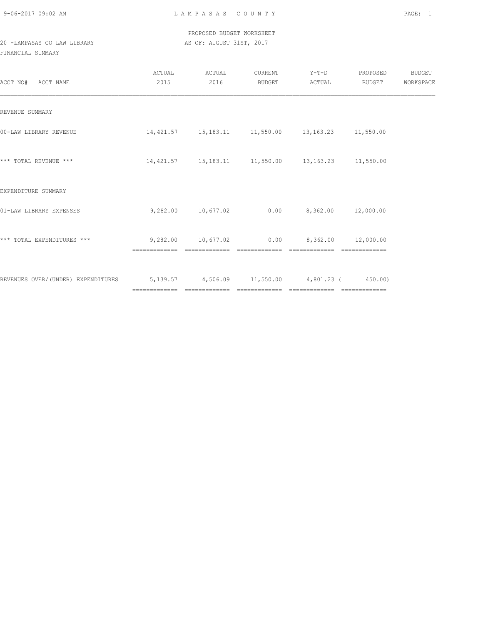## PROPOSED BUDGET WORKSHEET 20 -LAMPASAS CO LAW LIBRARY AS OF: AUGUST 31ST, 2017

### FINANCIAL SUMMARY

| ACCT NO# ACCT NAME                                                               | ACTUAL<br>2015 | ACTUAL<br>2016 | CURRENT<br>BUDGET | Y-T-D PROPOSED<br>ACTUAL                                    | BUDGET | BUDGET<br>WORKSPACE |
|----------------------------------------------------------------------------------|----------------|----------------|-------------------|-------------------------------------------------------------|--------|---------------------|
| REVENUE SUMMARY                                                                  |                |                |                   |                                                             |        |                     |
| 00-LAW LIBRARY REVENUE                                                           |                |                |                   | $14,421.57$ $15,183.11$ $11,550.00$ $13,163.23$ $11,550.00$ |        |                     |
| *** TOTAL REVENUE ***                                                            |                |                |                   | $14,421.57$ $15,183.11$ $11,550.00$ $13,163.23$ $11,550.00$ |        |                     |
| EXPENDITURE SUMMARY                                                              |                |                |                   |                                                             |        |                     |
| 01-LAW LIBRARY EXPENSES                                                          |                |                |                   | $9,282.00$ 10,677.02 0.00 8,362.00 12,000.00                |        |                     |
| *** TOTAL EXPENDITURES ***                                                       |                |                | =============     |                                                             |        |                     |
| REVENUES OVER/(UNDER) EXPENDITURES 5,139.57 4,506.09 11,550.00 4,801.23 (350.00) |                |                |                   |                                                             |        |                     |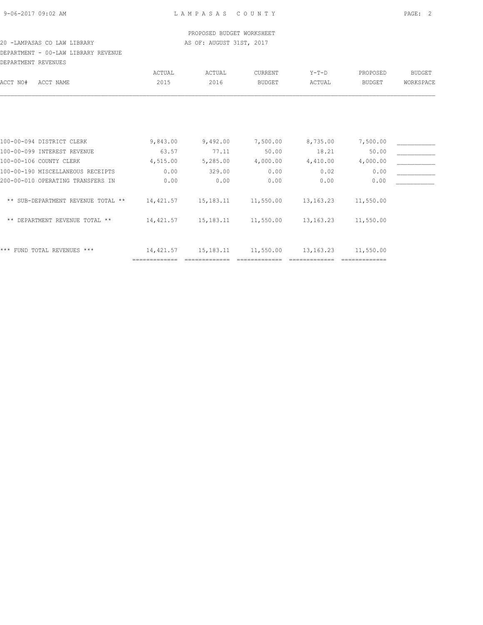### PROPOSED BUDGET WORKSHEET 20 -LAMPASAS CO LAW LIBRARY AS OF: AUGUST 31ST, 2017

## DEPARTMENT - 00-LAW LIBRARY REVENUE DEPARTMENT REVENUES

| DELARINENI KEVENUEJ                |           |           |                |                        |               |               |
|------------------------------------|-----------|-----------|----------------|------------------------|---------------|---------------|
|                                    | ACTUAL    | ACTUAL    | <b>CURRENT</b> | $Y-T-D$                | PROPOSED      | <b>BUDGET</b> |
| ACCT NAME                          | 2015      | 2016      | <b>BUDGET</b>  | ACTUAL                 | <b>BUDGET</b> | WORKSPACE     |
|                                    |           |           |                |                        |               |               |
|                                    |           |           |                |                        |               |               |
| 100-00-094 DISTRICT CLERK          | 9,843.00  | 9,492.00  | 7,500.00       | 8,735.00               | 7,500.00      |               |
| 100-00-099 INTEREST REVENUE        | 63.57     | 77.11     | 50.00          | 18.21                  | 50.00         |               |
| 100-00-106 COUNTY CLERK            | 4,515.00  | 5,285.00  | 4,000.00       | 4,410.00               | 4,000.00      |               |
| 100-00-190 MISCELLANEOUS RECEIPTS  | 0.00      | 329.00    | 0.00           | 0.02                   | 0.00          |               |
| 200-00-010 OPERATING TRANSFERS IN  | 0.00      | 0.00      | 0.00           | 0.00                   | 0.00          |               |
| ** SUB-DEPARTMENT REVENUE TOTAL ** | 14,421.57 |           | 11,550.00      | 13, 163. 23            | 11,550.00     |               |
| ** DEPARTMENT REVENUE TOTAL **     | 14,421.57 |           | 11,550.00      | 13, 163. 23            | 11,550.00     |               |
| *** FUND TOTAL REVENUES ***        | 14,421.57 | 15,183.11 | 11,550.00      | 13, 163. 23            | 11,550.00     |               |
|                                    |           |           |                | 15,183.11<br>15,183.11 |               |               |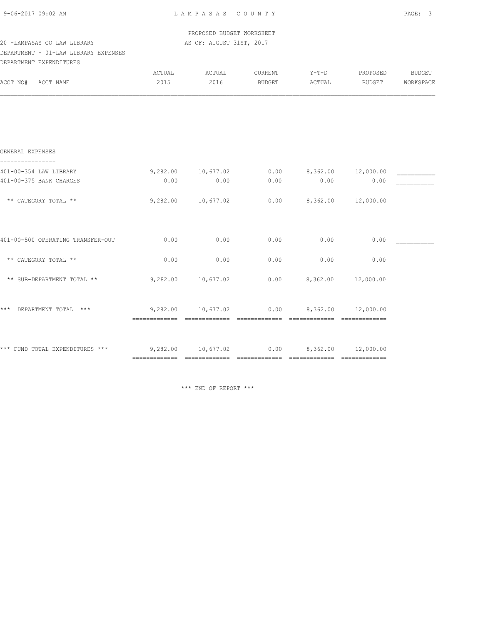| 9-06-2017 09:02 AM |  |
|--------------------|--|
|                    |  |

 PROPOSED BUDGET WORKSHEET 20 -LAMPASAS CO LAW LIBRARY AS OF: AUGUST 31ST, 2017

## DEPARTMENT - 01-LAW LIBRARY EXPENSES

| DEPARTMENT EXPENDITURES           |                |                    |                   |                               |                    |                            |
|-----------------------------------|----------------|--------------------|-------------------|-------------------------------|--------------------|----------------------------|
| ACCT NO#<br>ACCT NAME             | ACTUAL<br>2015 | ACTUAL<br>2016     | CURRENT<br>BUDGET | $Y-T-D$<br>ACTUAL             | PROPOSED<br>BUDGET | <b>BUDGET</b><br>WORKSPACE |
|                                   |                |                    |                   |                               |                    |                            |
| GENERAL EXPENSES                  |                |                    |                   |                               |                    |                            |
| 401-00-354 LAW LIBRARY            | 9,282.00       | 10,677.02          | 0.00              | 8,362.00 12,000.00            |                    |                            |
| 401-00-375 BANK CHARGES           | 0.00           | 0.00               | 0.00              | 0.00                          | 0.00               |                            |
| ** CATEGORY TOTAL **              | 9,282.00       | 10,677.02          | 0.00              |                               | 8,362.00 12,000.00 |                            |
| 401-00-500 OPERATING TRANSFER-OUT | 0.00           | 0.00               | 0.00              | 0.00                          | 0.00               |                            |
| ** CATEGORY TOTAL **              | 0.00           | 0.00               | 0.00              | 0.00                          | 0.00               |                            |
| ** SUB-DEPARTMENT TOTAL **        | 9,282.00       | 10,677.02          | 0.00              |                               | 8,362.00 12,000.00 |                            |
| DEPARTMENT TOTAL ***<br>***       |                | 9,282.00 10,677.02 |                   | $0.00$ $8,362.00$ $12,000.00$ |                    |                            |
|                                   |                |                    |                   |                               |                    |                            |

\*\*\* FUND TOTAL EXPENDITURES \*\*\* 9,282.00 10,677.02 0.00 8,362.00 12,000.00

\*\*\* END OF REPORT \*\*\*

============= ============= ============= ============= =============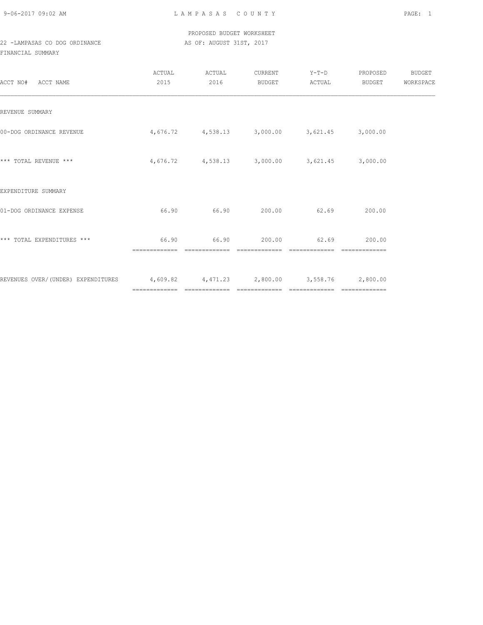## PROPOSED BUDGET WORKSHEET 22 -LAMPASAS CO DOG ORDINANCE AS OF: AUGUST 31ST, 2017

## FINANCIAL SUMMARY

| ACCT NO#<br>ACCT NAME                                                           | ACTUAL<br>2015 | ACTUAL<br>2016 | CURRENT<br>BUDGET             | Y-T-D PROPOSED<br>ACTUAL                               | BUDGET | BUDGET<br>WORKSPACE |
|---------------------------------------------------------------------------------|----------------|----------------|-------------------------------|--------------------------------------------------------|--------|---------------------|
| REVENUE SUMMARY                                                                 |                |                |                               |                                                        |        |                     |
| 00-DOG ORDINANCE REVENUE                                                        |                |                |                               | $4,676.72$ $4,538.13$ $3,000.00$ $3,621.45$ $3,000.00$ |        |                     |
| *** TOTAL REVENUE ***                                                           |                |                |                               | $4,676.72$ $4,538.13$ $3,000.00$ $3,621.45$ $3,000.00$ |        |                     |
| EXPENDITURE SUMMARY                                                             |                |                |                               |                                                        |        |                     |
| 01-DOG ORDINANCE EXPENSE                                                        | 66.90          | 66.90 200.00   |                               | 62.69                                                  | 200.00 |                     |
| *** TOTAL EXPENDITURES ***                                                      | 66.90          |                | 66.90 200.00<br>============= | 62.69                                                  | 200.00 |                     |
| REVENUES OVER/(UNDER) EXPENDITURES 4,609.82 4,471.23 2,800.00 3,558.76 2,800.00 |                |                |                               |                                                        |        |                     |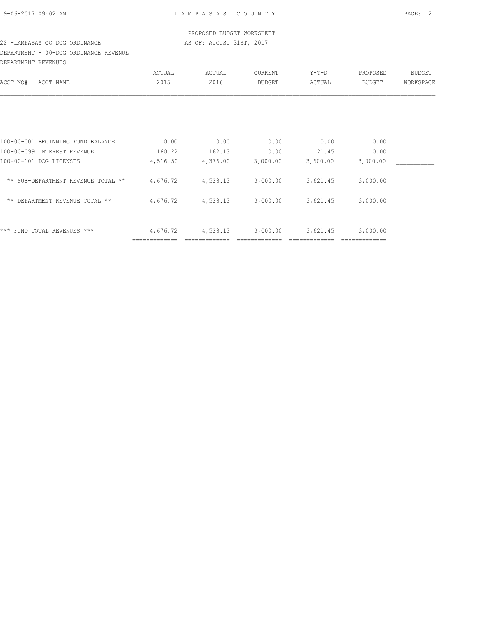### PROPOSED BUDGET WORKSHEET 22 -LAMPASAS CO DOG ORDINANCE AS OF: AUGUST 31ST, 2017

## DEPARTMENT - 00-DOG ORDINANCE REVENUE DEPARTMENT REVENUES

| DBLANINENI KEVENUBU                  |          |          |               |          |               |               |
|--------------------------------------|----------|----------|---------------|----------|---------------|---------------|
|                                      | ACTUAL   | ACTUAL   | CURRENT       | $Y-T-D$  | PROPOSED      | <b>BUDGET</b> |
| ACCT NAME<br>ACCT NO#                | 2015     | 2016     | <b>BUDGET</b> | ACTUAL   | <b>BUDGET</b> | WORKSPACE     |
|                                      |          |          |               |          |               |               |
|                                      |          |          |               |          |               |               |
| 100-00-001 BEGINNING FUND BALANCE    | 0.00     | 0.00     | 0.00          | 0.00     | 0.00          |               |
| 100-00-099 INTEREST REVENUE          | 160.22   | 162.13   | 0.00          | 21.45    | 0.00          |               |
| 100-00-101 DOG LICENSES              | 4,516.50 | 4,376.00 | 3,000.00      | 3,600.00 | 3,000.00      |               |
| ** SUB-DEPARTMENT REVENUE TOTAL **   | 4,676.72 | 4,538.13 | 3,000.00      | 3,621.45 | 3,000.00      |               |
| DEPARTMENT REVENUE TOTAL **<br>$***$ | 4,676.72 | 4,538.13 | 3,000.00      | 3,621.45 | 3,000.00      |               |
|                                      |          |          |               |          |               |               |
| ***<br>FUND TOTAL REVENUES ***       | 4,676.72 | 4,538.13 | 3,000.00      | 3,621.45 | 3,000.00      |               |
|                                      |          |          |               |          |               |               |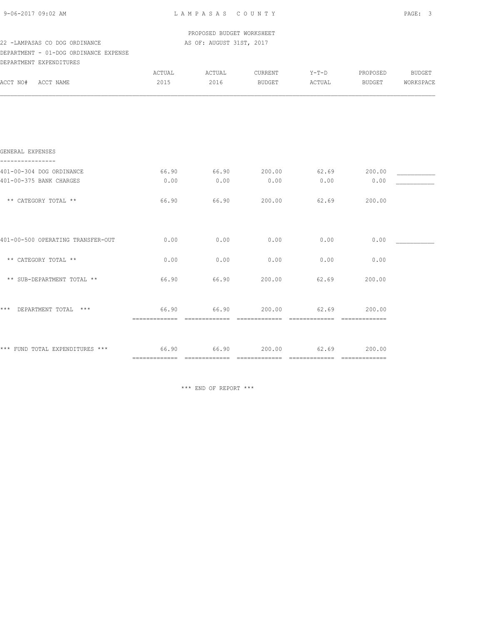| 9-06-2017 09:02 AM |  |
|--------------------|--|
|                    |  |

L A M P A S A S C O U N T Y PAGE: 3

PROPOSED BUDGET WORKSHEET

#### 22 -LAMPASAS CO DOG ORDINANCE AS OF: AUGUST 31ST, 2017 DEPARTMENT - 01-DOG ORDINANCE EXPENSE

| DEPARTMENT - UI-DOG ORDINANCE EXPENSE<br>DEPARTMENT EXPENDITURES |                |                |                   |                 |                    |                            |
|------------------------------------------------------------------|----------------|----------------|-------------------|-----------------|--------------------|----------------------------|
| ACCT NO#<br>ACCT NAME                                            | ACTUAL<br>2015 | ACTUAL<br>2016 | CURRENT<br>BUDGET | Y-T-D<br>ACTUAL | PROPOSED<br>BUDGET | <b>BUDGET</b><br>WORKSPACE |
|                                                                  |                |                |                   |                 |                    |                            |
|                                                                  |                |                |                   |                 |                    |                            |
| GENERAL EXPENSES                                                 |                |                |                   |                 |                    |                            |
| 401-00-304 DOG ORDINANCE                                         | 66.90          | 66.90          | 200.00            | 62.69           | 200.00             |                            |
| 401-00-375 BANK CHARGES                                          | 0.00           | 0.00           | 0.00              | 0.00            | 0.00               |                            |
| ** CATEGORY TOTAL **                                             | 66.90          | 66.90          | 200.00            | 62.69           | 200.00             |                            |
|                                                                  |                |                | 0.00              |                 | 0.00               |                            |
| 401-00-500 OPERATING TRANSFER-OUT                                | 0.00           | 0.00           |                   | 0.00            |                    |                            |
| ** CATEGORY TOTAL **                                             | 0.00           | 0.00           | 0.00              | 0.00            | 0.00               |                            |
| ** SUB-DEPARTMENT TOTAL **                                       | 66.90          | 66.90          | 200.00            | 62.69           | 200.00             |                            |
|                                                                  |                |                |                   |                 |                    |                            |

| $***$ | DEPARTMENT TOTAL ***            |  | 66.90 | 66.90 | 200.00 | 62.69 | 200.00 |
|-------|---------------------------------|--|-------|-------|--------|-------|--------|
|       |                                 |  |       |       |        |       |        |
|       |                                 |  |       |       |        |       |        |
|       |                                 |  |       |       |        |       |        |
|       | *** FUND TOTAL EXPENDITURES *** |  | 66.90 | 66.90 | 200.00 | 62.69 | 200.00 |
|       |                                 |  |       |       |        |       |        |
|       |                                 |  |       |       |        |       |        |

\*\*\* END OF REPORT \*\*\*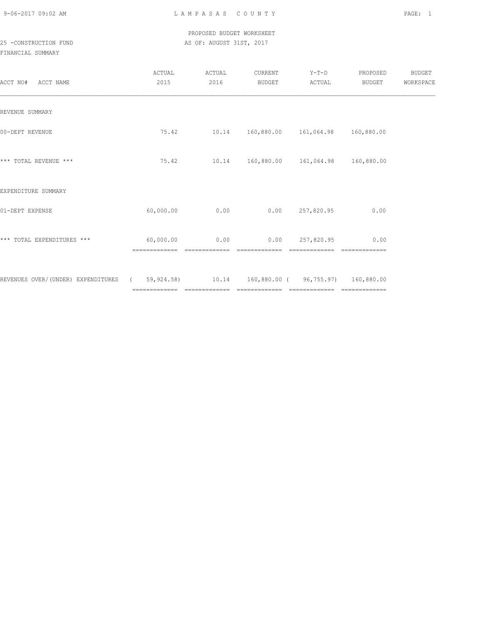### PROPOSED BUDGET WORKSHEET 25 -CONSTRUCTION FUND **AS OF: AUGUST 31ST, 2017**

| ACCT NO# ACCT NAME                                                                     | ACTUAL<br>2015 | ACTUAL<br>2016                    | CURRENT<br>BUDGET                         | $Y-T-D$<br>ACTUAL | PROPOSED<br>BUDGET | BUDGET<br>WORKSPACE |
|----------------------------------------------------------------------------------------|----------------|-----------------------------------|-------------------------------------------|-------------------|--------------------|---------------------|
| REVENUE SUMMARY                                                                        |                |                                   |                                           |                   |                    |                     |
| 00-DEPT REVENUE                                                                        | 75.42          |                                   | 10.14  160,880.00  161,064.98  160,880.00 |                   |                    |                     |
| *** TOTAL REVENUE ***                                                                  | 75.42          |                                   | 10.14  160,880.00  161,064.98  160,880.00 |                   |                    |                     |
| EXPENDITURE SUMMARY                                                                    |                |                                   |                                           |                   |                    |                     |
| 01-DEPT EXPENSE                                                                        | 60,000.00      | 0.00                              |                                           | 0.00 257,820.95   | 0.00               |                     |
| *** TOTAL EXPENDITURES ***                                                             |                | $60,000.00$ 0.00<br>============= | --------------                            | 0.00 257,820.95   | 0.00               |                     |
| REVENUES OVER/(UNDER) EXPENDITURES (69,924.58) 10.14 160,880.00 (96,755.97) 160,880.00 |                |                                   |                                           |                   |                    |                     |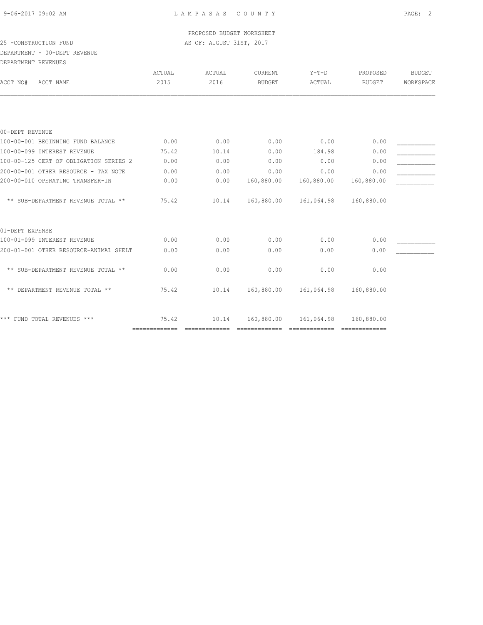PROPOSED BUDGET WORKSHEET 25 -CONSTRUCTION FUND **AS OF: AUGUST 31ST, 2017** 

# DEPARTMENT - 00-DEPT REVENUE

DEPARTMENT REVENUES

| DEFAKIMENI KEVENUES                    |               |               |                |            |               |               |
|----------------------------------------|---------------|---------------|----------------|------------|---------------|---------------|
|                                        | ACTUAL        | ACTUAL        | <b>CURRENT</b> | $Y-T-D$    | PROPOSED      | <b>BUDGET</b> |
| ACCT NAME<br>ACCT NO#                  | 2015          | 2016          | <b>BUDGET</b>  | ACTUAL     | BUDGET        | WORKSPACE     |
|                                        |               |               |                |            |               |               |
| 00-DEPT REVENUE                        |               |               |                |            |               |               |
| 100-00-001 BEGINNING FUND BALANCE      | 0.00          | 0.00          | 0.00           | 0.00       | 0.00          |               |
| 100-00-099 INTEREST REVENUE            | 75.42         | 10.14         | 0.00           | 184.98     | 0.00          |               |
| 100-00-125 CERT OF OBLIGATION SERIES 2 | 0.00          | 0.00          | 0.00           | 0.00       | 0.00          |               |
| 200-00-001 OTHER RESOURCE - TAX NOTE   | 0.00          | 0.00          | 0.00           | 0.00       | 0.00          |               |
| 200-00-010 OPERATING TRANSFER-IN       | 0.00          | 0.00          | 160,880.00     | 160,880.00 | 160,880.00    |               |
| ** SUB-DEPARTMENT REVENUE TOTAL **     | 75.42         | 10.14         | 160,880.00     | 161,064.98 | 160,880.00    |               |
| 01-DEPT EXPENSE                        |               |               |                |            |               |               |
| 100-01-099 INTEREST REVENUE            | 0.00          | 0.00          | 0.00           | 0.00       | 0.00          |               |
| 200-01-001 OTHER RESOURCE-ANIMAL SHELT | 0.00          | 0.00          | 0.00           | 0.00       | 0.00          |               |
| ** SUB-DEPARTMENT REVENUE TOTAL **     | 0.00          | 0.00          | 0.00           | 0.00       | 0.00          |               |
| ** DEPARTMENT REVENUE TOTAL **         | 75.42         | 10.14         | 160,880.00     | 161,064.98 | 160,880.00    |               |
| *** FUND TOTAL REVENUES ***            | 75.42         | 10.14         | 160,880.00     | 161,064.98 | 160,880.00    |               |
|                                        | ------------- | ------------- | -------------- |            | ============= |               |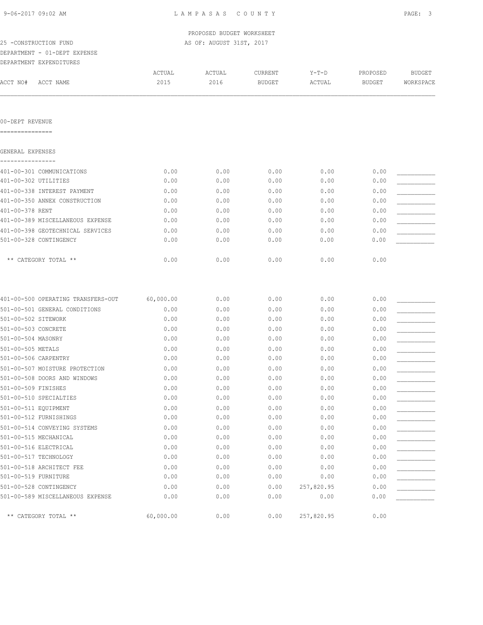PROPOSED BUDGET WORKSHEET 25 -CONSTRUCTION FUND **AS OF: AUGUST 31ST, 2017** 

### DEPARTMENT - 01-DEPT EXPENSE

| DEPARTMENT EXPENDITURES |  |
|-------------------------|--|

| ACCT NO#<br>ACCT NAME       | ACTUAL<br>2015       | ACTUAL<br>2016       | CURRENT<br><b>BUDGET</b> | $Y-T-D$<br>ACTUAL    | PROPOSED<br><b>BUDGET</b> | <b>BUDGET</b><br>WORKSPACE |
|-----------------------------|----------------------|----------------------|--------------------------|----------------------|---------------------------|----------------------------|
|                             |                      |                      |                          |                      |                           |                            |
| 00-DEPT REVENUE             |                      |                      |                          |                      |                           |                            |
| ----------                  |                      |                      |                          |                      |                           |                            |
| GENERAL EXPENSES            |                      |                      |                          |                      |                           |                            |
| 401-00-301 COMMUNICATIONS   | 0.00                 | 0.00                 | 0.00                     | 0.00                 | 0.00                      |                            |
| 401-00-302 UTILITIES        | 0.00                 | 0.00                 | 0.00                     | 0.00                 | 0.00                      |                            |
| 401-00-338 INTEREST PAYMENT | 0.00                 | 0.00                 | 0.00                     | 0.00                 | 0.00                      |                            |
|                             | $\sim$ $\sim$ $\sim$ | $\sim$ $\sim$ $\sim$ | $\sim$ $\sim$ $\sim$     | $\sim$ $\sim$ $\sim$ | $\sim$ $\sim$ $\sim$      |                            |

| 0.00 | 0.00 | 0.00 | 0.00 | 0.00                 |
|------|------|------|------|----------------------|
| 0.00 | 0.00 | 0.00 | 0.00 | 0.00                 |
| 0.00 | 0.00 | 0.00 | 0.00 | 0.00                 |
| 0.00 | 0.00 | 0.00 | 0.00 | 0.00                 |
| 0.00 | 0.00 | 0.00 | 0.00 | 0.00                 |
|      |      |      |      |                      |
| 0.00 |      |      |      | 0.00                 |
|      |      |      |      | 0.00<br>0.00<br>0.00 |

|                       | 401-00-500 OPERATING TRANSFERS-OUT | 60,000.00 | 0.00 | 0.00 | 0.00       | 0.00 |  |
|-----------------------|------------------------------------|-----------|------|------|------------|------|--|
|                       | 501-00-501 GENERAL CONDITIONS      | 0.00      | 0.00 | 0.00 | 0.00       | 0.00 |  |
| 501-00-502 SITEWORK   |                                    | 0.00      | 0.00 | 0.00 | 0.00       | 0.00 |  |
| 501-00-503 CONCRETE   |                                    | 0.00      | 0.00 | 0.00 | 0.00       | 0.00 |  |
| 501-00-504 MASONRY    |                                    | 0.00      | 0.00 | 0.00 | 0.00       | 0.00 |  |
| 501-00-505 METALS     |                                    | 0.00      | 0.00 | 0.00 | 0.00       | 0.00 |  |
| 501-00-506 CARPENTRY  |                                    | 0.00      | 0.00 | 0.00 | 0.00       | 0.00 |  |
|                       | 501-00-507 MOISTURE PROTECTION     | 0.00      | 0.00 | 0.00 | 0.00       | 0.00 |  |
|                       | 501-00-508 DOORS AND WINDOWS       | 0.00      | 0.00 | 0.00 | 0.00       | 0.00 |  |
| 501-00-509 FINISHES   |                                    | 0.00      | 0.00 | 0.00 | 0.00       | 0.00 |  |
|                       | 501-00-510 SPECIALTIES             | 0.00      | 0.00 | 0.00 | 0.00       | 0.00 |  |
| 501-00-511 EOUIPMENT  |                                    | 0.00      | 0.00 | 0.00 | 0.00       | 0.00 |  |
|                       | 501-00-512 FURNISHINGS             | 0.00      | 0.00 | 0.00 | 0.00       | 0.00 |  |
|                       | 501-00-514 CONVEYING SYSTEMS       | 0.00      | 0.00 | 0.00 | 0.00       | 0.00 |  |
| 501-00-515 MECHANICAL |                                    | 0.00      | 0.00 | 0.00 | 0.00       | 0.00 |  |
| 501-00-516 ELECTRICAL |                                    | 0.00      | 0.00 | 0.00 | 0.00       | 0.00 |  |
| 501-00-517 TECHNOLOGY |                                    | 0.00      | 0.00 | 0.00 | 0.00       | 0.00 |  |
|                       | 501-00-518 ARCHITECT FEE           | 0.00      | 0.00 | 0.00 | 0.00       | 0.00 |  |
| 501-00-519 FURNITURE  |                                    | 0.00      | 0.00 | 0.00 | 0.00       | 0.00 |  |
|                       | 501-00-528 CONTINGENCY             | 0.00      | 0.00 | 0.00 | 257,820.95 | 0.00 |  |
|                       | 501-00-589 MISCELLANEOUS EXPENSE   | 0.00      | 0.00 | 0.00 | 0.00       | 0.00 |  |
|                       | ** CATEGORY TOTAL **               | 60,000.00 | 0.00 | 0.00 | 257,820.95 | 0.00 |  |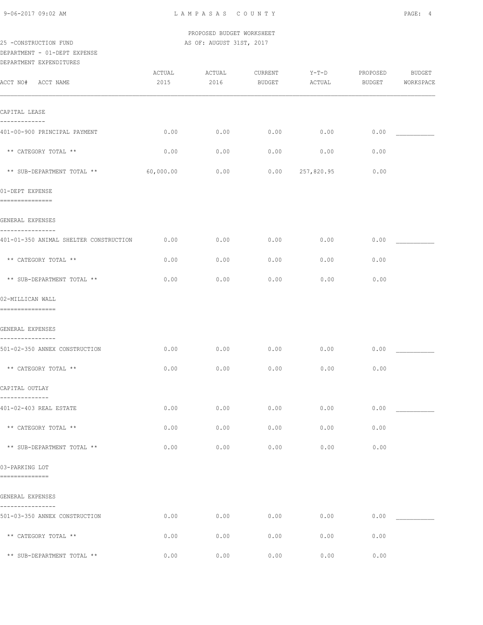PROPOSED BUDGET WORKSHEET 25 -CONSTRUCTION FUND **AS OF: AUGUST 31ST, 2017** 

# DEPARTMENT - 01-DEPT EXPENSE

| DEPARTMENT EXPENDITURES                         |                |                |                   |                   |                    |                            |
|-------------------------------------------------|----------------|----------------|-------------------|-------------------|--------------------|----------------------------|
| ACCT NO#<br>ACCT NAME                           | ACTUAL<br>2015 | ACTUAL<br>2016 | CURRENT<br>BUDGET | $Y-T-D$<br>ACTUAL | PROPOSED<br>BUDGET | <b>BUDGET</b><br>WORKSPACE |
| CAPITAL LEASE                                   |                |                |                   |                   |                    |                            |
| -----------<br>401-00-900 PRINCIPAL PAYMENT     | 0.00           | 0.00           | 0.00              | 0.00              | 0.00               |                            |
| ** CATEGORY TOTAL **                            | 0.00           | 0.00           | 0.00              | 0.00              | 0.00               |                            |
| ** SUB-DEPARTMENT TOTAL **                      | 60,000.00      | 0.00           | 0.00              | 257,820.95        | 0.00               |                            |
| 01-DEPT EXPENSE<br>---------------              |                |                |                   |                   |                    |                            |
| GENERAL EXPENSES                                |                |                |                   |                   |                    |                            |
| 401-01-350 ANIMAL SHELTER CONSTRUCTION          | 0.00           | 0.00           | 0.00              | 0.00              | 0.00               |                            |
| ** CATEGORY TOTAL **                            | 0.00           | 0.00           | 0.00              | 0.00              | 0.00               |                            |
| ** SUB-DEPARTMENT TOTAL **                      | 0.00           | 0.00           | 0.00              | 0.00              | 0.00               |                            |
| 02-MILLICAN WALL<br>================            |                |                |                   |                   |                    |                            |
| GENERAL EXPENSES                                |                |                |                   |                   |                    |                            |
| --------------<br>501-02-350 ANNEX CONSTRUCTION | 0.00           | 0.00           | 0.00              | 0.00              | 0.00               |                            |
| ** CATEGORY TOTAL **                            | 0.00           | 0.00           | 0.00              | 0.00              | 0.00               |                            |
| CAPITAL OUTLAY                                  |                |                |                   |                   |                    |                            |
| --------------<br>401-02-403 REAL ESTATE        | 0.00           | 0.00           | 0.00              | 0.00              | 0.00               |                            |
| ** CATEGORY TOTAL **                            | 0.00           | 0.00           | 0.00              | 0.00              | 0.00               |                            |
| ** SUB-DEPARTMENT TOTAL **                      | 0.00           | 0.00           | 0.00              | 0.00              | 0.00               |                            |
| 03-PARKING LOT<br>==============                |                |                |                   |                   |                    |                            |
| GENERAL EXPENSES                                |                |                |                   |                   |                    |                            |
| 501-03-350 ANNEX CONSTRUCTION                   | 0.00           | 0.00           | 0.00              | 0.00              | 0.00               |                            |
| ** CATEGORY TOTAL **                            | 0.00           | 0.00           | 0.00              | 0.00              | 0.00               |                            |
| ** SUB-DEPARTMENT TOTAL **                      | 0.00           | 0.00           | 0.00              | 0.00              | 0.00               |                            |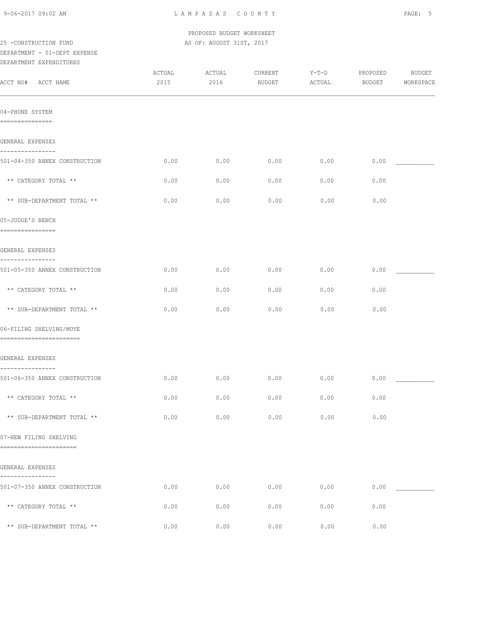PROPOSED BUDGET WORKSHEET 25 -CONSTRUCTION FUND **AS OF: AUGUST 31ST, 2017** 

### DEPARTMENT - 01-DEPT EXPENSE DEPARTMENT EXPENDITURES

| ACCT NO# ACCT NAME                                           | ACTUAL<br>2015 | ACTUAL<br>2016 | CURRENT<br><b>BUDGET</b> | Y-T-D<br>ACTUAL | PROPOSED<br>BUDGET | <b>BUDGET</b><br>WORKSPACE |
|--------------------------------------------------------------|----------------|----------------|--------------------------|-----------------|--------------------|----------------------------|
| 04-PHONE SYSTEM<br>===============                           |                |                |                          |                 |                    |                            |
| GENERAL EXPENSES                                             |                |                |                          |                 |                    |                            |
| ----------------<br>501-04-350 ANNEX CONSTRUCTION            | 0.00           | 0.00           | 0.00                     | 0.00            | 0.00               |                            |
| ** CATEGORY TOTAL **                                         | 0.00           | 0.00           | 0.00                     | 0.00            | 0.00               |                            |
| ** SUB-DEPARTMENT TOTAL **                                   | 0.00           | 0.00           | 0.00                     | 0.00            | 0.00               |                            |
| 05-JUDGE'S BENCH<br>================                         |                |                |                          |                 |                    |                            |
| GENERAL EXPENSES                                             |                |                |                          |                 |                    |                            |
| ----------------<br>501-05-350 ANNEX CONSTRUCTION            | 0.00           | 0.00           | 0.00                     | 0.00            | 0.00               |                            |
| ** CATEGORY TOTAL **                                         | 0.00           | 0.00           | 0.00                     | 0.00            | 0.00               |                            |
| ** SUB-DEPARTMENT TOTAL **                                   | 0.00           | 0.00           | 0.00                     | 0.00            | 0.00               |                            |
| 06-FILING SHELVING/MOVE<br>=======================           |                |                |                          |                 |                    |                            |
| GENERAL EXPENSES                                             |                |                |                          |                 |                    |                            |
| ----------------<br>501-06-350 ANNEX CONSTRUCTION            | 0.00           | 0.00           | 0.00                     | 0.00            | 0.00               |                            |
| ** CATEGORY TOTAL **                                         | 0.00           | 0.00           | 0.00                     | 0.00            | 0.00               |                            |
| $^{\star\,\star\,}$ SUB-DEPARTMENT TOTAL $^{\star\,\star\,}$ | 0.00           | 0.00           | 0.00                     | 0.00            | 0.00               |                            |
| 07-NEW FILING SHELVING<br>=======================            |                |                |                          |                 |                    |                            |
| GENERAL EXPENSES                                             |                |                |                          |                 |                    |                            |
| . <u>.</u> .<br>501-07-350 ANNEX CONSTRUCTION                | 0.00           | 0.00           | 0.00                     | 0.00            | 0.00               |                            |
| ** CATEGORY TOTAL **                                         | 0.00           | 0.00           | 0.00                     | 0.00            | 0.00               |                            |
| ** SUB-DEPARTMENT TOTAL **                                   | 0.00           | 0.00           | 0.00                     | 0.00            | 0.00               |                            |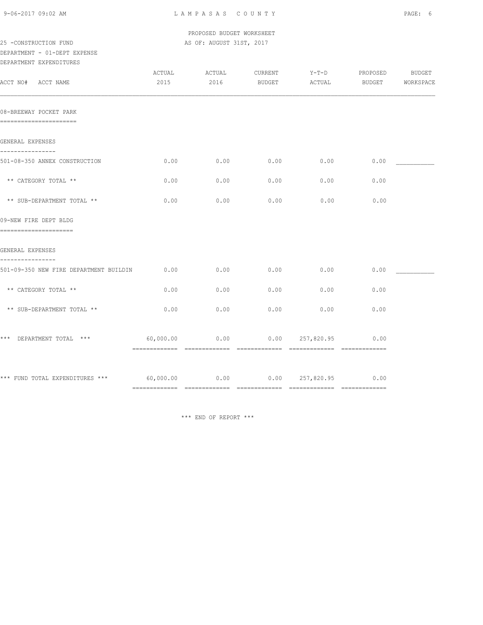| 9-06-2017 09:02 AM |  |
|--------------------|--|
|                    |  |

L A M P A S A S C O U N T Y PAGE: 6

 PROPOSED BUDGET WORKSHEET 25 -CONSTRUCTION FUND **AS OF: AUGUST 31ST, 2017** 

# DEPARTMENT - 01-DEPT EXPENSE

| DEPARTMENT EXPENDITURES                                    |                |                |                   |                   |                    |                     |
|------------------------------------------------------------|----------------|----------------|-------------------|-------------------|--------------------|---------------------|
| ACCT NO# ACCT NAME                                         | ACTUAL<br>2015 | ACTUAL<br>2016 | CURRENT<br>BUDGET | $Y-T-D$<br>ACTUAL | PROPOSED<br>BUDGET | BUDGET<br>WORKSPACE |
| 08-BREEWAY POCKET PARK<br>======================           |                |                |                   |                   |                    |                     |
| GENERAL EXPENSES                                           |                |                |                   |                   |                    |                     |
| ----------------<br>501-08-350 ANNEX CONSTRUCTION          | 0.00           | 0.00           | 0.00              | 0.00              | 0.00               |                     |
| ** CATEGORY TOTAL **                                       | 0.00           | 0.00           | 0.00              | 0.00              | 0.00               |                     |
| ** SUB-DEPARTMENT TOTAL **                                 | 0.00           | 0.00           | 0.00              | 0.00              | 0.00               |                     |
| 09-NEW FIRE DEPT BLDG                                      |                |                |                   |                   |                    |                     |
| =====================<br>GENERAL EXPENSES                  |                |                |                   |                   |                    |                     |
| ----------------<br>501-09-350 NEW FIRE DEPARTMENT BUILDIN | 0.00           | 0.00           | 0.00              | 0.00              | 0.00               |                     |
| ** CATEGORY TOTAL **                                       | 0.00           | 0.00           | 0.00              | 0.00              | 0.00               |                     |
| ** SUB-DEPARTMENT TOTAL **                                 | 0.00           | 0.00           | 0.00              | 0.00              | 0.00               |                     |
| *** DEPARTMENT TOTAL ***                                   | 60,000.00      | 0.00           |                   | 0.00 257,820.95   | 0.00               |                     |
| *** FUND TOTAL EXPENDITURES *** 60,000.00                  |                | 0.00           |                   | 0.00 257,820.95   | 0.00               |                     |

\*\*\* END OF REPORT \*\*\*

============= ============= ============= ============= =============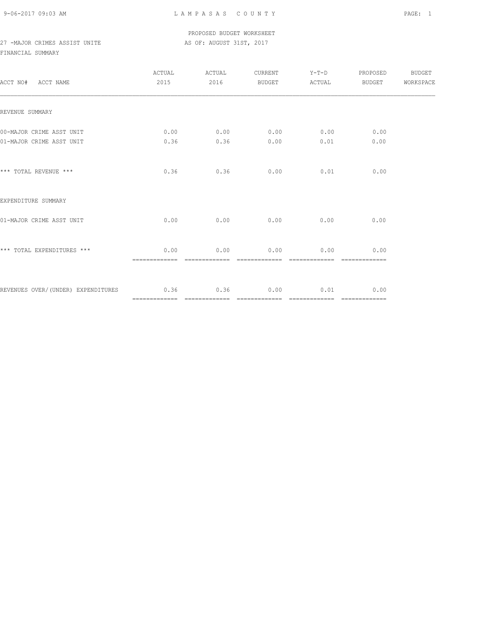### PROPOSED BUDGET WORKSHEET 27 -MAJOR CRIMES ASSIST UNITE AS OF: AUGUST 31ST, 2017

| ACCT NO# ACCT NAME                                | ACTUAL ACTUAL<br>2015 | 2016 | BUDGET ACTUAL                             | CURRENT Y-T-D                 | PROPOSED BUDGET<br>BUDGET | WORKSPACE |
|---------------------------------------------------|-----------------------|------|-------------------------------------------|-------------------------------|---------------------------|-----------|
| REVENUE SUMMARY                                   |                       |      |                                           |                               |                           |           |
| 00-MAJOR CRIME ASST UNIT                          | 0.00                  |      | $0.00$ $0.00$ $0.00$ $0.00$ $0.00$ $0.00$ |                               |                           |           |
| 01-MAJOR CRIME ASST UNIT                          | 0.36                  | 0.36 | 0.00                                      | 0.01                          | 0.00                      |           |
| *** TOTAL REVENUE ***                             | 0.36                  | 0.36 |                                           | $0.00$ 0.01                   | 0.00                      |           |
| EXPENDITURE SUMMARY                               |                       |      |                                           |                               |                           |           |
| 01-MAJOR CRIME ASST UNIT                          | 0.00                  |      | $0.00$ $0.00$ $0.00$ $0.00$               |                               | 0.00                      |           |
| *** TOTAL EXPENDITURES ***                        | 0.00                  | 0.00 |                                           | $0.00$ 0.00<br>-------------- | 0.00<br>=============     |           |
| REVENUES OVER/(UNDER) EXPENDITURES 0.36 0.36 0.00 |                       |      |                                           | $0.01$ 0.00                   |                           |           |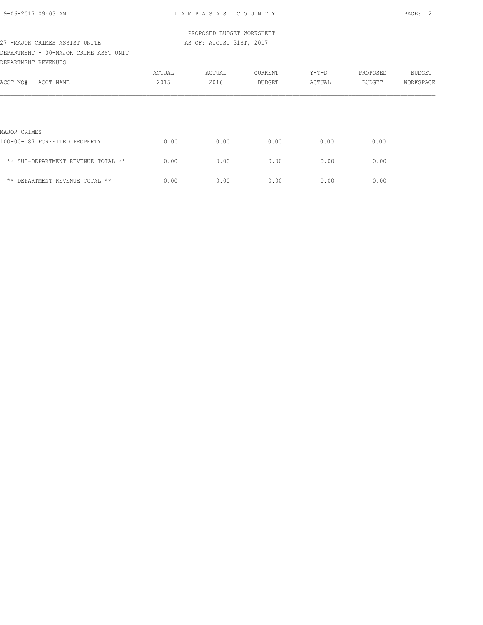### PROPOSED BUDGET WORKSHEET 27 -MAJOR CRIMES ASSIST UNITE AS OF: AUGUST 31ST, 2017

### DEPARTMENT - 00-MAJOR CRIME ASST UNIT DEPARTMENT REVENUES

| DEFARIMENI KEVENUES                |        |        |         |         |          |               |
|------------------------------------|--------|--------|---------|---------|----------|---------------|
|                                    | ACTUAL | ACTUAL | CURRENT | $Y-T-D$ | PROPOSED | <b>BUDGET</b> |
| ACCT NO#<br>ACCT NAME              | 2015   | 2016   | BUDGET  | ACTUAL  | BUDGET   | WORKSPACE     |
|                                    |        |        |         |         |          |               |
|                                    |        |        |         |         |          |               |
|                                    |        |        |         |         |          |               |
| MAJOR CRIMES                       |        |        |         |         |          |               |
| 100-00-187 FORFEITED PROPERTY      | 0.00   | 0.00   | 0.00    | 0.00    | 0.00     |               |
| ** SUB-DEPARTMENT REVENUE TOTAL ** | 0.00   | 0.00   | 0.00    | 0.00    | 0.00     |               |
| ** DEPARTMENT REVENUE TOTAL **     | 0.00   | 0.00   | 0.00    | 0.00    | 0.00     |               |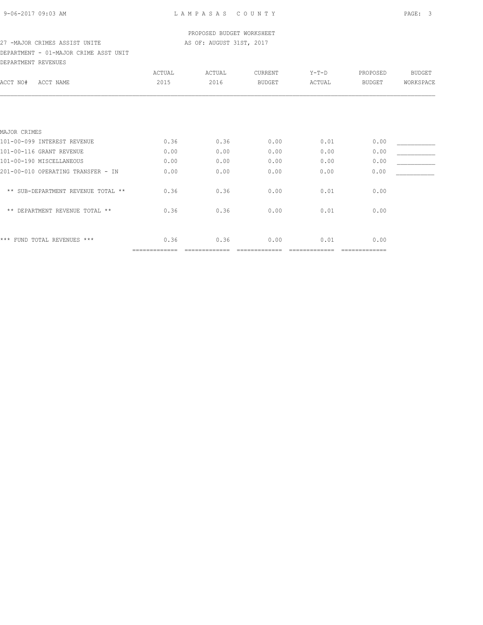# PROPOSED BUDGET WORKSHEET

# 27 -MAJOR CRIMES ASSIST UNITE AS OF: AUGUST 31ST, 2017

DEPARTMENT - 01-MAJOR CRIME ASST UNIT DEPARTMENT REVENUES

|                                    | ACTUAL        | ACTUAL | CURRENT       | Y-T-D  | PROPOSED      | <b>BUDGET</b> |
|------------------------------------|---------------|--------|---------------|--------|---------------|---------------|
| ACCT NO#<br>ACCT NAME              | 2015          | 2016   | <b>BUDGET</b> | ACTUAL | BUDGET        | WORKSPACE     |
|                                    |               |        |               |        |               |               |
|                                    |               |        |               |        |               |               |
| MAJOR CRIMES                       |               |        |               |        |               |               |
| 101-00-099 INTEREST REVENUE        | 0.36          | 0.36   | 0.00          | 0.01   | 0.00          |               |
| 101-00-116 GRANT REVENUE           | 0.00          | 0.00   | 0.00          | 0.00   | 0.00          |               |
| 101-00-190 MISCELLANEOUS           | 0.00          | 0.00   | 0.00          | 0.00   | 0.00          |               |
| 201-00-010 OPERATING TRANSFER - IN | 0.00          | 0.00   | 0.00          | 0.00   | 0.00          |               |
| ** SUB-DEPARTMENT REVENUE TOTAL ** | 0.36          | 0.36   | 0.00          | 0.01   | 0.00          |               |
| ** DEPARTMENT REVENUE TOTAL **     | 0.36          | 0.36   | 0.00          | 0.01   | 0.00          |               |
| *** FUND TOTAL REVENUES ***        | 0.36          | 0.36   | 0.00          | 0.01   | 0.00          |               |
|                                    | ============= |        |               |        | ============= |               |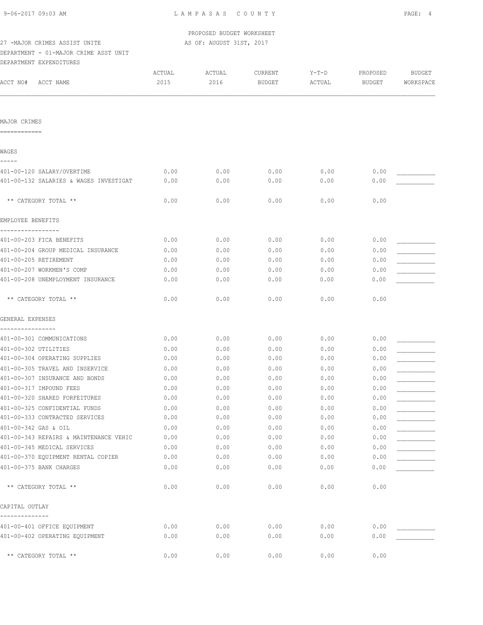|  |  |  | 9-06-2017 09:03 AM |  |
|--|--|--|--------------------|--|
|--|--|--|--------------------|--|

L A M P A S A S C O U N T Y PAGE: 4

PROPOSED BUDGET WORKSHEET

## 27 -MAJOR CRIMES ASSIST UNITE AS OF: AUGUST 31ST, 2017

DEPARTMENT - 01-MAJOR CRIME ASST UNIT DEPARTMENT EXPENDITURES

| ACCT NO#<br>ACCT NAME                                            | ACTUAL<br>2015 | ACTUAL<br>2016 | CURRENT<br><b>BUDGET</b> | $Y-T-D$<br>ACTUAL | PROPOSED<br><b>BUDGET</b> | <b>BUDGET</b><br>WORKSPACE |
|------------------------------------------------------------------|----------------|----------------|--------------------------|-------------------|---------------------------|----------------------------|
|                                                                  |                |                |                          |                   |                           |                            |
| MAJOR CRIMES                                                     |                |                |                          |                   |                           |                            |
| ============                                                     |                |                |                          |                   |                           |                            |
| WAGES                                                            |                |                |                          |                   |                           |                            |
| 401-00-120 SALARY/OVERTIME                                       | 0.00           | 0.00           | 0.00                     | 0.00              | 0.00                      |                            |
| 401-00-132 SALARIES & WAGES INVESTIGAT                           | 0.00           | 0.00           | 0.00                     | 0.00              | 0.00                      |                            |
| ** CATEGORY TOTAL **                                             | 0.00           | 0.00           | 0.00                     | 0.00              | 0.00                      |                            |
| EMPLOYEE BENEFITS                                                |                |                |                          |                   |                           |                            |
| 401-00-203 FICA BENEFITS                                         | 0.00           | 0.00           | 0.00                     | 0.00              | 0.00                      |                            |
| 401-00-204 GROUP MEDICAL INSURANCE                               | 0.00           | 0.00           | 0.00                     | 0.00              | 0.00                      |                            |
| 401-00-205 RETIREMENT                                            | 0.00           | 0.00           | 0.00                     | 0.00              | 0.00                      |                            |
| 401-00-207 WORKMEN'S COMP                                        | 0.00           | 0.00           | 0.00                     | 0.00              | 0.00                      |                            |
| 401-00-208 UNEMPLOYMENT INSURANCE                                | 0.00           | 0.00           | 0.00                     | 0.00              | 0.00                      |                            |
| ** CATEGORY TOTAL **                                             | 0.00           | 0.00           | 0.00                     | 0.00              | 0.00                      |                            |
| GENERAL EXPENSES                                                 |                |                |                          |                   |                           |                            |
|                                                                  |                |                |                          |                   |                           |                            |
| 401-00-301 COMMUNICATIONS                                        | 0.00           | 0.00           | 0.00                     | 0.00              | 0.00                      |                            |
| 401-00-302 UTILITIES                                             | 0.00           | 0.00           | 0.00                     | 0.00              | 0.00                      |                            |
| 401-00-304 OPERATING SUPPLIES<br>401-00-305 TRAVEL AND INSERVICE | 0.00<br>0.00   | 0.00<br>0.00   | 0.00<br>0.00             | 0.00<br>0.00      | 0.00<br>0.00              |                            |
| 401-00-307 INSURANCE AND BONDS                                   | 0.00           | 0.00           | 0.00                     | 0.00              | 0.00                      |                            |
| 401-00-317 IMPOUND FEES                                          | 0.00           | 0.00           | 0.00                     | 0.00              | 0.00                      |                            |
| 401-00-320 SHARED FORFEITURES                                    | 0.00           | 0.00           | 0.00                     | 0.00              | 0.00                      |                            |
| 401-00-325 CONFIDENTIAL FUNDS                                    | 0.00           | 0.00           | 0.00                     | 0.00              | 0.00                      |                            |
| 401-00-333 CONTRACTED SERVICES                                   | 0.00           | 0.00           | 0.00                     | 0.00              | 0.00                      |                            |
| 401-00-342 GAS & OIL                                             | 0.00           | 0.00           | 0.00                     | 0.00              | 0.00                      |                            |
| 401-00-343 REPAIRS & MAINTENANCE VEHIC                           | 0.00           | 0.00           | 0.00                     | 0.00              | 0.00                      |                            |
| 401-00-345 MEDICAL SERVICES                                      | 0.00           | 0.00           | 0.00                     | 0.00              | 0.00                      |                            |
| 401-00-370 EQUIPMENT RENTAL COPIER                               | 0.00           | 0.00           | 0.00                     | 0.00              | 0.00                      |                            |
| 401-00-375 BANK CHARGES                                          | 0.00           | 0.00           | 0.00                     | 0.00              | 0.00                      |                            |
| ** CATEGORY TOTAL **                                             | 0.00           | 0.00           | 0.00                     | 0.00              | 0.00                      |                            |
| CAPITAL OUTLAY                                                   |                |                |                          |                   |                           |                            |
| 401-00-401 OFFICE EQUIPMENT                                      | 0.00           | 0.00           | 0.00                     | 0.00              | 0.00                      |                            |
| 401-00-402 OPERATING EQUIPMENT                                   | 0.00           | 0.00           | 0.00                     | 0.00              | 0.00                      |                            |
| ** CATEGORY TOTAL **                                             | 0.00           | 0.00           | 0.00                     | 0.00              | 0.00                      |                            |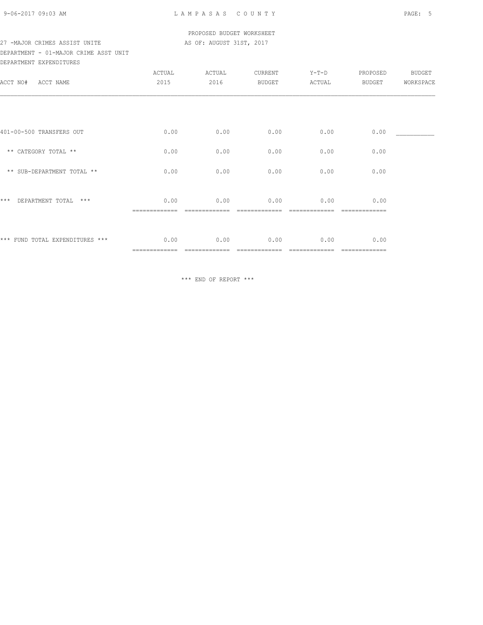### PROPOSED BUDGET WORKSHEET 27 -MAJOR CRIMES ASSIST UNITE AS OF: AUGUST 31ST, 2017

# DEPARTMENT - 01-MAJOR CRIME ASST UNIT

| DEPARTMENT EXPENDITURES         |                       |                |                          |                   |                    |                            |
|---------------------------------|-----------------------|----------------|--------------------------|-------------------|--------------------|----------------------------|
| ACCT NO# ACCT NAME              | ACTUAL<br>2015        | ACTUAL<br>2016 | CURRENT<br><b>BUDGET</b> | $Y-T-D$<br>ACTUAL | PROPOSED<br>BUDGET | <b>BUDGET</b><br>WORKSPACE |
|                                 |                       |                |                          |                   |                    |                            |
| 401-00-500 TRANSFERS OUT        | 0.00                  | 0.00           | 0.00                     | 0.00              | 0.00               |                            |
| ** CATEGORY TOTAL **            | 0.00                  | 0.00           | 0.00                     | 0.00              | 0.00               |                            |
| ** SUB-DEPARTMENT TOTAL **      | 0.00                  | 0.00           | 0.00                     | 0.00              | 0.00               |                            |
| *** DEPARTMENT TOTAL ***        | 0.00                  | 0.00           | 0.00                     | 0.00              | 0.00               |                            |
| *** FUND TOTAL EXPENDITURES *** | 0.00<br>============= | 0.00           | 0.00                     | 0.00              | 0.00               |                            |

\*\*\* END OF REPORT \*\*\*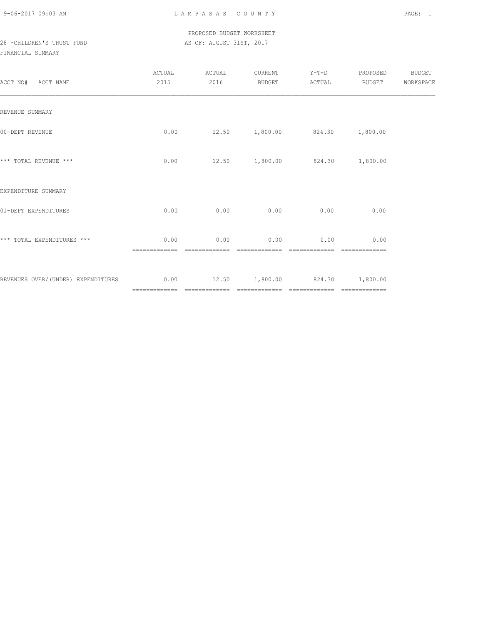### PROPOSED BUDGET WORKSHEET 28 -CHILDREN'S TRUST FUND AS OF: AUGUST 31ST, 2017

| ACCT NO# ACCT NAME                                                       | ACTUAL<br>2015 | ACTUAL<br>2016 | CURRENT<br>BUDGET | $Y-T-D$<br>ACTUAL              | PROPOSED<br><b>BUDGET</b> | <b>BUDGET</b><br>WORKSPACE |
|--------------------------------------------------------------------------|----------------|----------------|-------------------|--------------------------------|---------------------------|----------------------------|
| REVENUE SUMMARY                                                          |                |                |                   |                                |                           |                            |
| 00-DEPT REVENUE                                                          | 0.00           |                |                   | 12.50 1,800.00 824.30 1,800.00 |                           |                            |
| *** TOTAL REVENUE ***                                                    | 0.00           |                |                   | 12.50 1,800.00 824.30 1,800.00 |                           |                            |
| EXPENDITURE SUMMARY                                                      |                |                |                   |                                |                           |                            |
| 01-DEPT EXPENDITURES                                                     | 0.00           | 0.00           | 0.00              | 0.00                           | 0.00                      |                            |
| *** TOTAL EXPENDITURES ***                                               | 0.00           | 0.00           | 0.00              | 0.00                           | 0.00                      |                            |
| REVENUES OVER/(UNDER) EXPENDITURES $0.00$ 12.50 1,800.00 824.30 1,800.00 |                |                |                   |                                | --------------            |                            |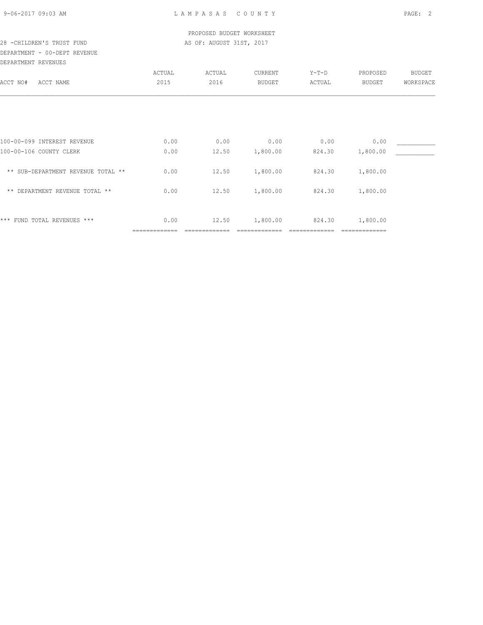### PROPOSED BUDGET WORKSHEET 28 -CHILDREN'S TRUST FUND **AS OF: AUGUST 31ST, 2017**

### DEPARTMENT - 00-DEPT REVENUE DEPARTMENT REVENUES

| DEFARIMENI KEVENUES                |        |        |               |         |                           |               |
|------------------------------------|--------|--------|---------------|---------|---------------------------|---------------|
|                                    | ACTUAL | ACTUAL | CURRENT       | $Y-T-D$ | PROPOSED                  | <b>BUDGET</b> |
| ACCT NO#<br>ACCT NAME              | 2015   | 2016   | <b>BUDGET</b> | ACTUAL  | <b>BUDGET</b>             | WORKSPACE     |
|                                    |        |        |               |         |                           |               |
|                                    |        |        |               |         |                           |               |
| 100-00-099 INTEREST REVENUE        | 0.00   | 0.00   | 0.00          | 0.00    | 0.00                      |               |
| 100-00-106 COUNTY CLERK            | 0.00   | 12.50  | 1,800.00      | 824.30  | 1,800.00                  |               |
| ** SUB-DEPARTMENT REVENUE TOTAL ** | 0.00   | 12.50  | 1,800.00      | 824.30  | 1,800.00                  |               |
| ** DEPARTMENT REVENUE TOTAL **     | 0.00   | 12.50  | 1,800.00      | 824.30  | 1,800.00                  |               |
|                                    |        |        |               |         |                           |               |
| *** FUND TOTAL REVENUES ***        | 0.00   | 12.50  | 1,800.00      | 824.30  | 1,800.00<br>============= |               |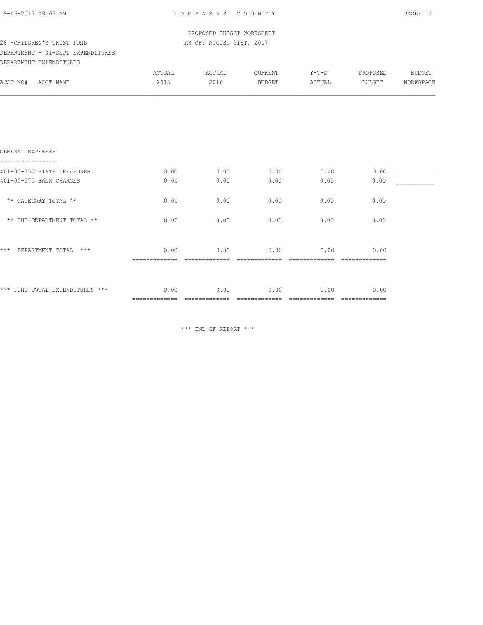L A M P A S A S C O U N T Y PAGE: 3

 PROPOSED BUDGET WORKSHEET 28 -CHILDREN'S TRUST FUND AS OF: AUGUST 31ST, 2017

### DEPARTMENT - 01-DEPT EXPENDITURES

| ---<br>------------           | .<br>$\sim$ |  |  |  |
|-------------------------------|-------------|--|--|--|
|                               |             |  |  |  |
| <b>BRBSSMITHS RUBBUSTBERG</b> |             |  |  |  |

| DEPARTMENT EXPENDITURES    |                |                |                          |                   |                           |                            |
|----------------------------|----------------|----------------|--------------------------|-------------------|---------------------------|----------------------------|
| ACCT NO#<br>ACCT NAME      | ACTUAL<br>2015 | ACTUAL<br>2016 | CURRENT<br><b>BUDGET</b> | $Y-T-D$<br>ACTUAL | PROPOSED<br><b>BUDGET</b> | <b>BUDGET</b><br>WORKSPACE |
|                            |                |                |                          |                   |                           |                            |
|                            |                |                |                          |                   |                           |                            |
|                            |                |                |                          |                   |                           |                            |
| GENERAL EXPENSES           |                |                |                          |                   |                           |                            |
| 401-00-355 STATE TREASURER | 0.00           | 0.00           | 0.00                     | 0.00              | 0.00                      |                            |
| 401-00-375 BANK CHARGES    | 0.00           | 0.00           | 0.00                     | 0.00              | 0.00                      |                            |
| ** CATEGORY TOTAL **       | 0.00           | 0.00           | 0.00                     | 0.00              | 0.00                      |                            |
| ** SUB-DEPARTMENT TOTAL ** | 0.00           | 0.00           | 0.00                     | 0.00              | 0.00                      |                            |
| $***$<br>$***$             |                |                |                          |                   |                           |                            |
| DEPARTMENT TOTAL           | 0.00           | 0.00           | 0.00                     | 0.00              | 0.00                      |                            |

\*\*\* FUND TOTAL EXPENDITURES \*\*\* 0.00 0.00 0.00 0.00 0.00

\*\*\* END OF REPORT \*\*\*

============= ============= ============= ============= =============

============= ============= ============= ============= =============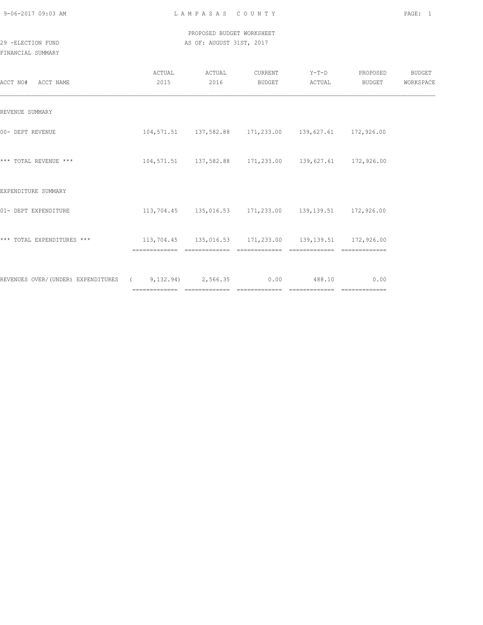### PROPOSED BUDGET WORKSHEET 29 -ELECTION FUND **AS OF: AUGUST 31ST, 2017**

| ACCT NO#<br>ACCT NAME                                  | ACTUAL<br>2015                                                                    | ACTUAL<br>2016 | CURRENT<br>BUDGET | $Y-T-D$<br>ACTUAL                                          | PROPOSED<br>BUDGET | <b>BUDGET</b><br>WORKSPACE |
|--------------------------------------------------------|-----------------------------------------------------------------------------------|----------------|-------------------|------------------------------------------------------------|--------------------|----------------------------|
| REVENUE SUMMARY                                        |                                                                                   |                |                   |                                                            |                    |                            |
| 00- DEPT REVENUE                                       |                                                                                   |                |                   | 104,571.51  137,582.88  171,233.00  139,627.61  172,926.00 |                    |                            |
| *** TOTAL REVENUE ***                                  |                                                                                   |                |                   | 104,571.51  137,582.88  171,233.00  139,627.61  172,926.00 |                    |                            |
| EXPENDITURE SUMMARY                                    |                                                                                   |                |                   |                                                            |                    |                            |
| 01- DEPT EXPENDITURE                                   |                                                                                   |                |                   | 113,704.45 135,016.53 171,233.00 139,139.51 172,926.00     |                    |                            |
| *** TOTAL EXPENDITURES ***                             | $113,704.45$ $135,016.53$ $171,233.00$ $139,139.51$ $172,926.00$<br>============= | -------------  | =============     | =============                                              |                    |                            |
| REVENUES OVER/(UNDER) EXPENDITURES (9,132.94) 2,566.35 |                                                                                   |                | 0.00              | 488.10                                                     | 0.00               |                            |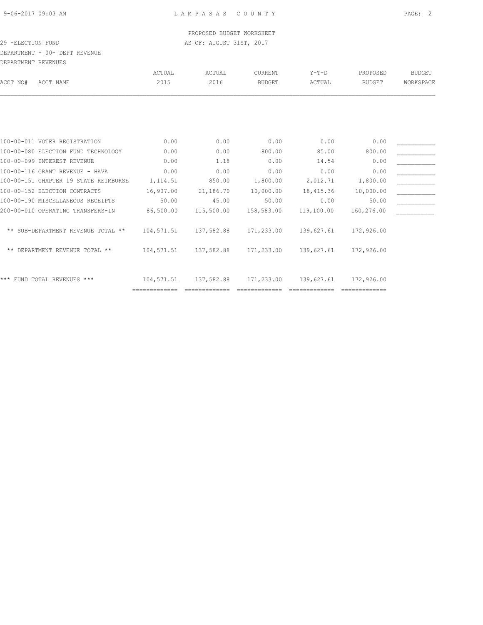### PROPOSED BUDGET WORKSHEET 29 -ELECTION FUND **AS OF: AUGUST 31ST, 2017**

DEPARTMENT - 00- DEPT REVENUE

| DEPARTMENT REVENUES                   |               |            |               |            |            |               |
|---------------------------------------|---------------|------------|---------------|------------|------------|---------------|
|                                       | ACTUAL        | ACTUAL     | CURRENT       | Y-T-D      | PROPOSED   | <b>BUDGET</b> |
| ACCT NO#<br>ACCT NAME                 | 2015          | 2016       | <b>BUDGET</b> | ACTUAL     | BUDGET     | WORKSPACE     |
|                                       |               |            |               |            |            |               |
|                                       |               |            |               |            |            |               |
| 100-00-011 VOTER REGISTRATION         | 0.00          | 0.00       | 0.00          | 0.00       | 0.00       |               |
| 100-00-080 ELECTION FUND TECHNOLOGY   | 0.00          | 0.00       | 800.00        | 85.00      | 800.00     |               |
| 100-00-099 INTEREST REVENUE           | 0.00          | 1.18       | 0.00          | 14.54      | 0.00       |               |
| 100-00-116 GRANT REVENUE - HAVA       | 0.00          | 0.00       | 0.00          | 0.00       | 0.00       |               |
| 100-00-151 CHAPTER 19 STATE REIMBURSE | 1,114.51      | 850.00     | 1,800.00      | 2,012.71   | 1,800.00   |               |
| 100-00-152 ELECTION CONTRACTS         | 16,907.00     | 21,186.70  | 10,000.00     | 18,415.36  | 10,000.00  |               |
| 100-00-190 MISCELLANEOUS RECEIPTS     | 50.00         | 45.00      | 50.00         | 0.00       | 50.00      |               |
| 200-00-010 OPERATING TRANSFERS-IN     | 86,500.00     | 115,500.00 | 158,583.00    | 119,100.00 | 160,276.00 |               |
| ** SUB-DEPARTMENT REVENUE TOTAL **    | 104,571.51    | 137,582.88 | 171,233.00    | 139,627.61 | 172,926.00 |               |
| ** DEPARTMENT REVENUE TOTAL **        | 104,571.51    | 137,582.88 | 171,233.00    | 139,627.61 | 172,926.00 |               |
| *** FUND TOTAL REVENUES ***           | 104,571.51    | 137,582.88 | 171,233.00    | 139,627.61 | 172,926.00 |               |
|                                       | ============= |            |               |            |            |               |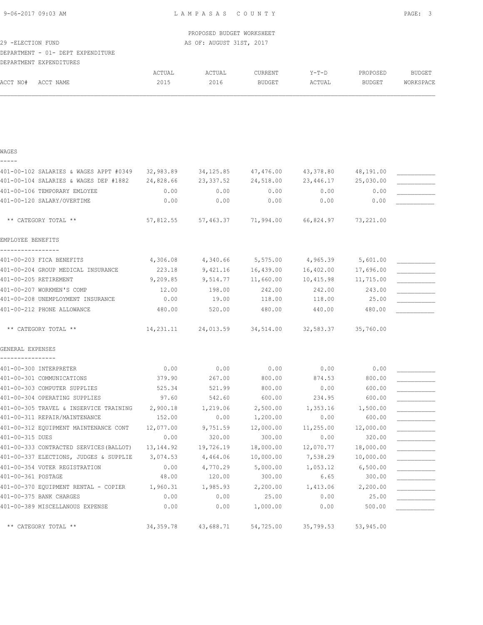L A M P A S A S C O U N T Y PAGE: 3

 PROPOSED BUDGET WORKSHEET 29 -ELECTION FUND **AS OF: AUGUST 31ST, 2017** 

#### DEPARTMENT - 01- DEPT EXPENDITURE DEPARTMENT EXPENDITURES

| DEFAKIMENI EAFENDIIUKES                |           |            |               |           |               |               |
|----------------------------------------|-----------|------------|---------------|-----------|---------------|---------------|
|                                        | ACTUAL    | ACTUAL     | CURRENT       | $Y-T-D$   | PROPOSED      | <b>BUDGET</b> |
| ACCT NO#<br>ACCT NAME                  | 2015      | 2016       | <b>BUDGET</b> | ACTUAL    | <b>BUDGET</b> | WORKSPACE     |
|                                        |           |            |               |           |               |               |
|                                        |           |            |               |           |               |               |
|                                        |           |            |               |           |               |               |
| WAGES                                  |           |            |               |           |               |               |
|                                        |           |            |               |           |               |               |
| 401-00-102 SALARIES & WAGES APPT #0349 | 32,983.89 | 34, 125.85 | 47,476.00     | 43,378.80 | 48,191.00     |               |
| 401-00-104 SALARIES & WAGES DEP #1882  | 24,828.66 | 23, 337.52 | 24,518.00     | 23,446.17 | 25,030.00     |               |
| 401-00-106 TEMPORARY EMLOYEE           | 0.00      | 0.00       | 0.00          | 0.00      | 0.00          |               |
| 401-00-120 SALARY/OVERTIME             | 0.00      | 0.00       | 0.00          | 0.00      | 0.00          |               |
| ** CATEGORY TOTAL **                   | 57,812.55 | 57,463.37  | 71,994.00     | 66,824.97 | 73,221.00     |               |
| EMPLOYEE BENEFITS                      |           |            |               |           |               |               |
|                                        |           |            |               |           |               |               |

| 401-00-203 FICA BENEFITS           | 4,306.08  | 4,340.66  | 5,575.00  | 4,965.39  | 5,601.00  |  |
|------------------------------------|-----------|-----------|-----------|-----------|-----------|--|
| 401-00-204 GROUP MEDICAL INSURANCE | 223.18    | 9,421.16  | 16,439.00 | 16,402.00 | 17,696.00 |  |
| 401-00-205 RETIREMENT              | 9,209.85  | 9,514.77  | 11,660.00 | 10,415.98 | 11,715.00 |  |
| 401-00-207 WORKMEN'S COMP          | 12.00     | 198.00    | 242.00    | 242.00    | 243.00    |  |
| 401-00-208 UNEMPLOYMENT INSURANCE  | 0.00      | 19.00     | 118.00    | 118.00    | 25.00     |  |
| 401-00-212 PHONE ALLOWANCE         | 480.00    | 520.00    | 480.00    | 440.00    | 480.00    |  |
|                                    |           |           |           |           |           |  |
| ** CATEGORY TOTAL **               | 14,231.11 | 24,013.59 | 34,514.00 | 32,583.37 | 35,760.00 |  |
|                                    |           |           |           |           |           |  |

GENERAL EXPENSES

| 401-00-300 INTERPRETER                  | 0.00        | 0.00      | 0.00      | 0.00      | 0.00      |  |
|-----------------------------------------|-------------|-----------|-----------|-----------|-----------|--|
| 401-00-301 COMMUNICATIONS               | 379.90      | 267.00    | 800.00    | 874.53    | 800.00    |  |
| 401-00-303 COMPUTER SUPPLIES            | 525.34      | 521.99    | 800.00    | 0.00      | 600.00    |  |
| 401-00-304 OPERATING SUPPLIES           | 97.60       | 542.60    | 600.00    | 234.95    | 600.00    |  |
| 401-00-305 TRAVEL & INSERVICE TRAINING  | 2,900.18    | 1,219.06  | 2,500.00  | 1,353.16  | 1,500.00  |  |
| 401-00-311 REPAIR/MAINTENANCE           | 152.00      | 0.00      | 1,200.00  | 0.00      | 600.00    |  |
| 401-00-312 EQUIPMENT MAINTENANCE CONT   | 12,077.00   | 9,751.59  | 12,000.00 | 11,255.00 | 12,000.00 |  |
| 401-00-315 DUES                         | 0.00        | 320.00    | 300.00    | 0.00      | 320.00    |  |
| 401-00-333 CONTRACTED SERVICES (BALLOT) | 13,144.92   | 19,726.19 | 18,000.00 | 12,070.77 | 18,000.00 |  |
| 401-00-337 ELECTIONS, JUDGES & SUPPLIE  | 3,074.53    | 4,464.06  | 10,000.00 | 7,538.29  | 10,000.00 |  |
| 401-00-354 VOTER REGISTRATION           | 0.00        | 4,770.29  | 5,000.00  | 1,053.12  | 6,500.00  |  |
| 401-00-361 POSTAGE                      | 48.00       | 120.00    | 300.00    | 6.65      | 300.00    |  |
| 401-00-370 EOUIPMENT RENTAL - COPIER    | 1,960.31    | 1,985.93  | 2,200.00  | 1,413.06  | 2,200.00  |  |
| 401-00-375 BANK CHARGES                 | 0.00        | 0.00      | 25.00     | 0.00      | 25.00     |  |
| 401-00-389 MISCELLANOUS EXPENSE         | 0.00        | 0.00      | 1,000.00  | 0.00      | 500.00    |  |
|                                         |             |           |           |           |           |  |
| ** CATEGORY TOTAL **                    | 34, 359. 78 | 43,688.71 | 54,725.00 | 35,799.53 | 53,945.00 |  |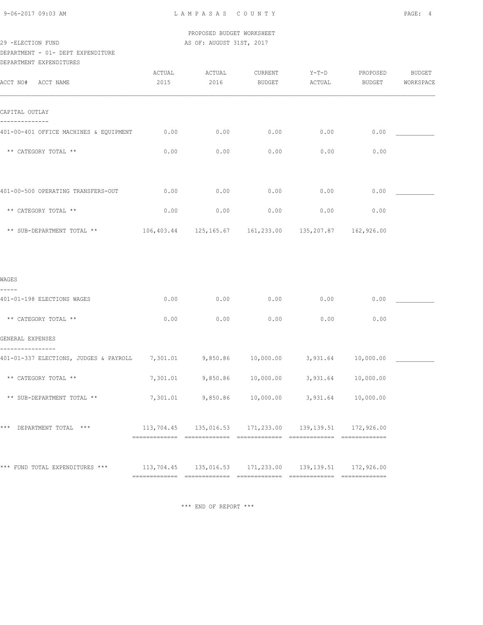PROPOSED BUDGET WORKSHEET 29 -ELECTION FUND **AS OF: AUGUST 31ST, 2017** 

DEPARTMENT - 01- DEPT EXPENDITURE

DEPARTMENT EXPENDITURES

| ACCT NO# ACCT NAME                                                                                                  | ACTUAL<br>2015 | ACTUAL<br>2016 | CURRENT<br><b>BUDGET</b>                                         | $Y-T-D$<br>ACTUAL | PROPOSED<br>BUDGET | <b>BUDGET</b><br>WORKSPACE |
|---------------------------------------------------------------------------------------------------------------------|----------------|----------------|------------------------------------------------------------------|-------------------|--------------------|----------------------------|
| CAPITAL OUTLAY                                                                                                      |                |                |                                                                  |                   |                    |                            |
| 401-00-401 OFFICE MACHINES & EQUIPMENT                                                                              | 0.00           | 0.00           | 0.00                                                             | 0.00              | 0.00               |                            |
| ** CATEGORY TOTAL **                                                                                                | 0.00           | 0.00           | 0.00                                                             | 0.00              | 0.00               |                            |
| 401-00-500 OPERATING TRANSFERS-OUT                                                                                  | 0.00           | 0.00           | 0.00                                                             | 0.00              | 0.00               |                            |
| ** CATEGORY TOTAL **                                                                                                | 0.00           | 0.00           | 0.00                                                             | 0.00              | 0.00               |                            |
| ** SUB-DEPARTMENT TOTAL **                                                                                          |                |                | $106,403.44$ $125,165.67$ $161,233.00$ $135,207.87$ $162,926.00$ |                   |                    |                            |
| WAGES                                                                                                               |                |                |                                                                  |                   |                    |                            |
| 401-01-198 ELECTIONS WAGES                                                                                          | 0.00           | 0.00           | 0.00                                                             | 0.00              | 0.00               |                            |
| ** CATEGORY TOTAL **                                                                                                | 0.00           | 0.00           | 0.00                                                             | 0.00              | 0.00               |                            |
| GENERAL EXPENSES                                                                                                    |                |                |                                                                  |                   |                    |                            |
| 401-01-337 ELECTIONS, JUDGES & PAYROLL       7,301.01         9,850.86      10,000.00        3,931.64     10,000.00 |                |                |                                                                  |                   |                    |                            |
| ** CATEGORY TOTAL **                                                                                                | 7,301.01       |                | $9,850.86$ 10,000.00                                             | 3,931.64          | 10,000.00          |                            |
| ** SUB-DEPARTMENT TOTAL **                                                                                          | 7,301.01       |                | 9,850.86 10,000.00                                               | 3,931.64          | 10,000.00          |                            |
| *** DEPARTMENT TOTAL ***                                                                                            |                |                | 113,704.45 135,016.53 171,233.00 139,139.51 172,926.00           |                   |                    |                            |
| *** FUND TOTAL EXPENDITURES ***                                                                                     |                |                | 113,704.45  135,016.53  171,233.00  139,139.51  172,926.00       |                   |                    |                            |

\*\*\* END OF REPORT \*\*\*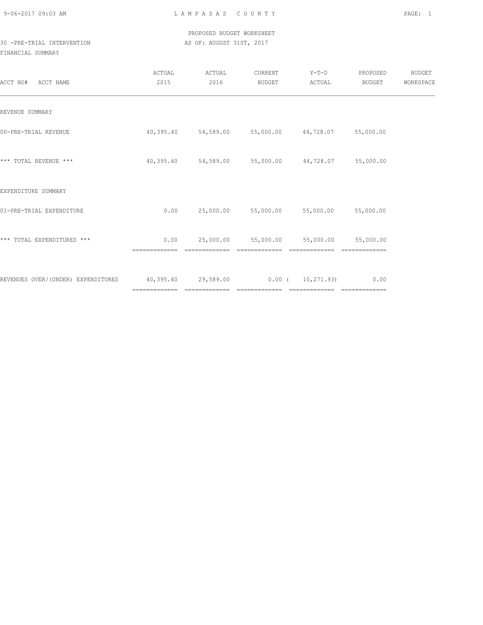### PROPOSED BUDGET WORKSHEET 30 -PRE-TRIAL INTERVENTION **AS OF: AUGUST 31ST, 2017**

| ACCT NO#<br>ACCT NAME                                                   | ACTUAL<br>2015 | ACTUAL<br>2016 | CURRENT<br>BUDGET                                           | $Y-T-D$<br>ACTUAL | PROPOSED<br>BUDGET  | <b>BUDGET</b><br>WORKSPACE |
|-------------------------------------------------------------------------|----------------|----------------|-------------------------------------------------------------|-------------------|---------------------|----------------------------|
| REVENUE SUMMARY                                                         |                |                |                                                             |                   |                     |                            |
| 00-PRE-TRIAL REVENUE                                                    |                |                | $40,395.40$ $54,589.00$ $55,000.00$ $44,728.07$ $55,000.00$ |                   |                     |                            |
| *** TOTAL REVENUE ***                                                   |                |                | $40,395.40$ $54,589.00$ $55,000.00$ $44,728.07$ $55,000.00$ |                   |                     |                            |
| EXPENDITURE SUMMARY                                                     |                |                |                                                             |                   |                     |                            |
| 01-PRE-TRIAL EXPENDITURE                                                | 0.00           |                | 25,000.00 55,000.00 55,000.00 55,000.00                     |                   |                     |                            |
| *** TOTAL EXPENDITURES ***                                              | 0.00           |                | 25,000.00 55,000.00                                         |                   | 55,000.00 55,000.00 |                            |
| REVENUES OVER/(UNDER) EXPENDITURES 40,395.40 29,589.00 0.00 (10,271.93) |                |                |                                                             |                   | 0.00                |                            |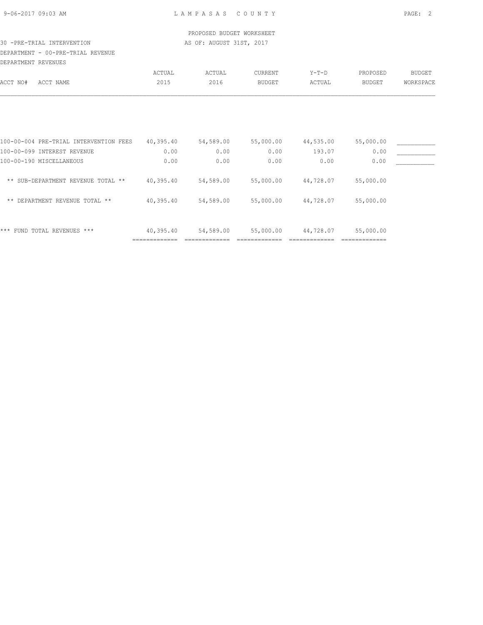### PROPOSED BUDGET WORKSHEET 30 -PRE-TRIAL INTERVENTION **AS OF: AUGUST 31ST, 2017**

## DEPARTMENT - 00-PRE-TRIAL REVENUE

| DEPARTMENT REVENUES |  |  |
|---------------------|--|--|

|                                        | ACTUAL                     | ACTUAL    | <b>CURRENT</b> | $Y-T-D$   | PROPOSED      | <b>BUDGET</b> |
|----------------------------------------|----------------------------|-----------|----------------|-----------|---------------|---------------|
| ACCT NO#<br>ACCT NAME                  | 2015                       | 2016      | <b>BUDGET</b>  | ACTUAL    | <b>BUDGET</b> | WORKSPACE     |
|                                        |                            |           |                |           |               |               |
| 100-00-004 PRE-TRIAL INTERVENTION FEES | 40,395.40                  | 54,589.00 | 55,000.00      | 44,535.00 | 55,000.00     |               |
| 100-00-099 INTEREST REVENUE            | 0.00                       | 0.00      | 0.00           | 193.07    | 0.00          |               |
| 100-00-190 MISCELLANEOUS               | 0.00                       | 0.00      | 0.00           | 0.00      | 0.00          |               |
| ** SUB-DEPARTMENT REVENUE TOTAL **     | 40,395.40                  | 54,589.00 | 55,000.00      | 44,728.07 | 55,000.00     |               |
| DEPARTMENT REVENUE TOTAL **<br>$***$   | 40,395.40                  | 54,589.00 | 55,000.00      | 44,728.07 | 55,000.00     |               |
| ***<br>FUND TOTAL REVENUES ***         | 40,395.40<br>------------- | 54,589.00 | 55,000.00      | 44,728.07 | 55,000.00     |               |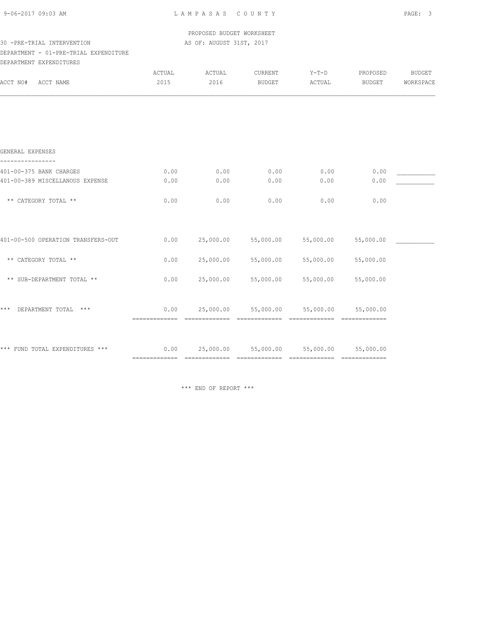L A M P A S A S C O U N T Y PAGE: 3

PROPOSED BUDGET WORKSHEET

### 30 -PRE-TRIAL INTERVENTION **AS OF: AUGUST 31ST, 2017**

DEPARTMENT - 01-PRE-TRIAL EXPENDITURE

| DEPARTMENT EXPENDITURES            |        |                              |                                          |           |                             |               |
|------------------------------------|--------|------------------------------|------------------------------------------|-----------|-----------------------------|---------------|
|                                    | ACTUAL | ACTUAL                       | CURRENT                                  | $Y-T-D$   | PROPOSED                    | <b>BUDGET</b> |
| ACCT NO#<br>ACCT NAME              | 2015   | 2016                         | <b>BUDGET</b>                            | ACTUAL    | <b>BUDGET</b>               | WORKSPACE     |
|                                    |        |                              |                                          |           |                             |               |
| GENERAL EXPENSES                   |        |                              |                                          |           |                             |               |
| 401-00-375 BANK CHARGES            | 0.00   | 0.00                         | 0.00                                     | 0.00      | 0.00                        |               |
| 401-00-389 MISCELLANOUS EXPENSE    | 0.00   | 0.00                         | 0.00                                     | 0.00      | 0.00                        |               |
| ** CATEGORY TOTAL **               | 0.00   | 0.00                         | 0.00                                     | 0.00      | 0.00                        |               |
| 401-00-500 OPERATION TRANSFERS-OUT | 0.00   | 25,000.00                    | 55,000.00                                | 55,000.00 | 55,000.00                   |               |
| ** CATEGORY TOTAL **               | 0.00   | 25,000.00                    | 55,000.00                                | 55,000.00 | 55,000.00                   |               |
| ** SUB-DEPARTMENT TOTAL **         | 0.00   | 25,000.00                    | 55,000.00                                | 55,000.00 | 55,000.00                   |               |
| $***$<br>DEPARTMENT TOTAL ***      | 0.00   |                              | 25,000.00 55,000.00                      | 55,000.00 | 55,000.00                   |               |
| *** FUND TOTAL EXPENDITURES ***    | 0.00   | ============================ | 25,000.00 55,000.00<br>$222222222222222$ | 55,000.00 | 55,000.00<br>-------------- |               |

\*\*\* END OF REPORT \*\*\*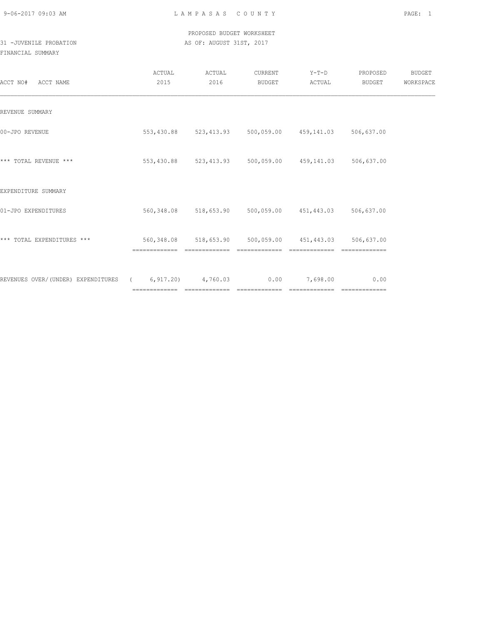### PROPOSED BUDGET WORKSHEET 31 -JUVENILE PROBATION AS OF: AUGUST 31ST, 2017

| ACCT NO#<br>ACCT NAME                                       | ACTUAL<br>2015                                         | ACTUAL<br>2016 | CURRENT<br>BUDGET | Y-T-D<br>ACTUAL                                        | PROPOSED<br>BUDGET | BUDGET<br>WORKSPACE |
|-------------------------------------------------------------|--------------------------------------------------------|----------------|-------------------|--------------------------------------------------------|--------------------|---------------------|
| REVENUE SUMMARY                                             |                                                        |                |                   |                                                        |                    |                     |
| 00-JPO REVENUE                                              |                                                        |                |                   | 553,430.88 523,413.93 500,059.00 459,141.03 506,637.00 |                    |                     |
| *** TOTAL REVENUE ***                                       |                                                        |                |                   | 553,430.88 523,413.93 500,059.00 459,141.03 506,637.00 |                    |                     |
| EXPENDITURE SUMMARY                                         |                                                        |                |                   |                                                        |                    |                     |
| 01-JPO EXPENDITURES                                         |                                                        |                |                   | 560,348.08 518,653.90 500,059.00 451,443.03 506,637.00 |                    |                     |
| *** TOTAL EXPENDITURES ***                                  | 560,348.08 518,653.90 500,059.00 451,443.03 506,637.00 |                |                   |                                                        |                    |                     |
| REVENUES OVER/(UNDER) EXPENDITURES (6,917.20) 4,760.03 0.00 |                                                        |                |                   | 7,698.00                                               | 0.00               |                     |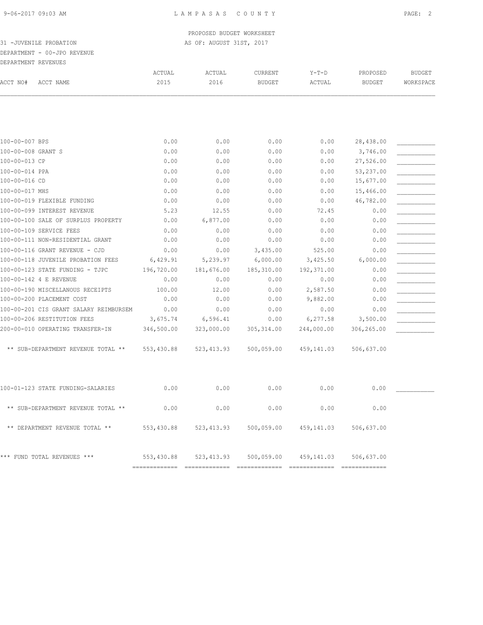## DEPARTMENT - 00-JPO REVENUE

|                     | ----------- |
|---------------------|-------------|
| DEPARTMENT REVENUES |             |

| ACCT NO#           |                                        | <b>ACTUAL</b><br>2015       | ACTUAL<br>2016               | <b>CURRENT</b>              | $Y-T-D$                     | PROPOSED                    | <b>BUDGET</b> |
|--------------------|----------------------------------------|-----------------------------|------------------------------|-----------------------------|-----------------------------|-----------------------------|---------------|
|                    | ACCT NAME                              |                             |                              | <b>BUDGET</b>               | ACTUAL                      | <b>BUDGET</b>               | WORKSPACE     |
|                    |                                        |                             |                              |                             |                             |                             |               |
|                    |                                        |                             |                              |                             |                             |                             |               |
| 100-00-007 BPS     |                                        | 0.00                        | 0.00                         | 0.00                        | 0.00                        | 28,438.00                   |               |
| 100-00-008 GRANT S |                                        | 0.00                        | 0.00                         | 0.00                        | 0.00                        | 3,746.00                    |               |
| 100-00-013 CP      |                                        | 0.00                        | 0.00                         | 0.00                        | 0.00                        | 27,526.00                   |               |
| 100-00-014 PPA     |                                        | 0.00                        | 0.00                         | 0.00                        | 0.00                        | 53,237.00                   |               |
| 100-00-016 CD      |                                        | 0.00                        | 0.00                         | 0.00                        | 0.00                        | 15,677.00                   |               |
| 100-00-017 MHS     |                                        | 0.00                        | 0.00                         | 0.00                        | 0.00                        | 15,466.00                   |               |
|                    | 100-00-019 FLEXIBLE FUNDING            | 0.00                        | 0.00                         | 0.00                        | 0.00                        | 46,782.00                   |               |
|                    | 100-00-099 INTEREST REVENUE            | 5.23                        | 12.55                        | 0.00                        | 72.45                       | 0.00                        |               |
|                    | 100-00-100 SALE OF SURPLUS PROPERTY    | 0.00                        | 6,877.00                     | 0.00                        | 0.00                        | 0.00                        |               |
|                    | 100-00-109 SERVICE FEES                | 0.00                        | 0.00                         | 0.00                        | 0.00                        | 0.00                        |               |
|                    | 100-00-111 NON-RESIDENTIAL GRANT       | 0.00                        | 0.00                         | 0.00                        | 0.00                        | 0.00                        |               |
|                    | 100-00-116 GRANT REVENUE - CJD         | 0.00                        | 0.00                         | 3,435.00                    | 525.00                      | 0.00                        |               |
|                    | 100-00-118 JUVENILE PROBATION FEES     | 6,429.91                    | 5,239.97                     | 6,000.00                    | 3,425.50                    | 6,000.00                    |               |
|                    | 100-00-123 STATE FUNDING - TJPC        | 196,720.00                  | 181,676.00                   | 185,310.00                  | 192,371.00                  | 0.00                        |               |
|                    | 100-00-142 4 E REVENUE                 | 0.00                        | 0.00                         | 0.00                        | 0.00                        | 0.00                        |               |
|                    | 100-00-190 MISCELLANOUS RECEIPTS       | 100.00                      | 12.00                        | 0.00                        | 2,587.50                    | 0.00                        |               |
|                    | 100-00-200 PLACEMENT COST              | 0.00                        | 0.00                         | 0.00                        | 9,882.00                    | 0.00                        |               |
|                    | 100-00-201 CIS GRANT SALARY REIMBURSEM | 0.00                        | 0.00                         | 0.00                        | 0.00                        | 0.00                        |               |
|                    | 100-00-206 RESTITUTION FEES            | 3,675.74                    | 6,596.41                     | 0.00                        | 6, 277.58                   | 3,500.00                    |               |
|                    | 200-00-010 OPERATING TRANSFER-IN       | 346,500.00                  | 323,000.00                   | 305, 314.00                 | 244,000.00                  | 306,265.00                  |               |
|                    | ** SUB-DEPARTMENT REVENUE TOTAL **     | 553,430.88                  | 523, 413.93                  | 500,059.00                  | 459,141.03                  | 506,637.00                  |               |
|                    |                                        |                             |                              |                             |                             |                             |               |
|                    | 100-01-123 STATE FUNDING-SALARIES      | 0.00                        | 0.00                         | 0.00                        | 0.00                        | 0.00                        |               |
|                    | ** SUB-DEPARTMENT REVENUE TOTAL **     | 0.00                        | 0.00                         | 0.00                        | 0.00                        | 0.00                        |               |
|                    |                                        |                             |                              |                             |                             |                             |               |
|                    |                                        |                             |                              |                             |                             |                             |               |
|                    | *** FUND TOTAL REVENUES ***            | 553,430.88                  | 523, 413.93                  | 500,059.00                  | 459,141.03                  | 506,637.00                  |               |
|                    | ** DEPARTMENT REVENUE TOTAL **         | 553,430.88<br>------------- | 523, 413.93<br>============= | 500,059.00<br>============= | 459,141.03<br>============= | 506,637.00<br>============= |               |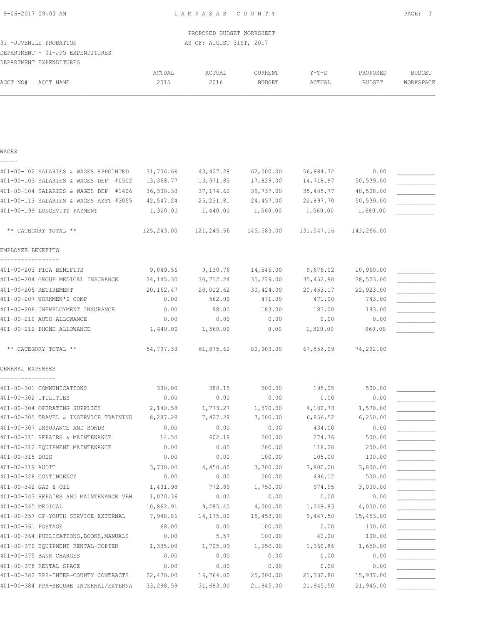# DEPARTMENT - 01-JPO EXPENDITURES

|          | DEPARTMENT EXPENDITURES |        |               |               |         |               |                  |
|----------|-------------------------|--------|---------------|---------------|---------|---------------|------------------|
|          |                         | ACTUAL | <b>\CTUAL</b> | CURRENT       | $Y-T-D$ | PROPOSED      | <b>BUDGET</b>    |
| ACCT NO# | ACCT NAME               | 2015   | 2016          | <b>BUDGET</b> | ACTUAL  | <b>BUDGET</b> | <b>WORKSPACE</b> |

#### WAGES

| - | - | - |  |
|---|---|---|--|
|   |   |   |  |

| 401-00-102 SALARIES & WAGES APPOINTED    | 31,706.66  | 43, 427.28 | 62,000.00  | 56,884.72  | 0.00       |  |
|------------------------------------------|------------|------------|------------|------------|------------|--|
| 401-00-103 SALARIES & WAGES DEP<br>#0502 | 13,368.77  | 13,971.85  | 17,829.00  | 14,718.97  | 50,539.00  |  |
| 401-00-104 SALARIES & WAGES DEP<br>#1406 | 36,300.33  | 37, 174.62 | 39,737.00  | 35,485.77  | 40,508.00  |  |
| 401-00-113 SALARIES & WAGES ASST #3055   | 42,547.24  | 25, 231.81 | 24,457.00  | 22,897.70  | 50,539.00  |  |
| 401-00-199 LONGEVITY PAYMENT             | 1,320.00   | 1,440.00   | 1,560.00   | 1,560.00   | 1,680.00   |  |
|                                          |            |            |            |            |            |  |
| ** CATEGORY TOTAL **                     | 125,243.00 | 121,245.56 | 145,583.00 | 131,547.16 | 143,266.00 |  |
| EMPLOYEE BENEFITS                        |            |            |            |            |            |  |
| 401-00-203 FICA BENEFITS                 | 9,049.56   | 9,130.76   | 14,546.00  | 9,676.02   | 10,960.00  |  |
| 401-00-204 GROUP MEDICAL INSURANCE       | 24, 145.30 | 30,712.24  | 35,279.00  | 35,452.90  | 38,523.00  |  |
| 401-00-205 RETIREMENT                    | 20,162.47  | 20,012.62  | 30,424.00  | 20,453.17  | 22,923.00  |  |
| 401-00-207 WORKMEN'S COMP                | 0.00       | 562.00     | 471.00     | 471.00     | 743.00     |  |
| 401-00-208 UNEMPLOYMENT INSURANCE        | 0.00       | 98.00      | 183.00     | 183.00     | 183.00     |  |
| 401-00-210 AUTO ALLOWANCE                | 0.00       | 0.00       | 0.00       | 0.00       | 0.00       |  |
| 401-00-212 PHONE ALLOWANCE               | 1,440.00   | 1,360.00   | 0.00       | 1,320.00   | 960.00     |  |
| ** CATEGORY TOTAL **                     | 54,797.33  | 61,875.62  | 80,903.00  | 67,556.09  | 74,292.00  |  |
| GENERAL EXPENSES                         |            |            |            |            |            |  |
| 401-00-301 COMMUNICATIONS                | 330.00     | 380.15     | 500.00     | 195.05     | 500.00     |  |
| 401-00-302 UTILITIES                     | 0.00       | 0.00       | 0.00       | 0.00       | 0.00       |  |
| 401-00-304 OPERATING SUPPLIES            | 2,140.58   | 1,773.27   | 1,570.00   | 4,180.73   | 1,570.00   |  |
| 401-00-305 TRAVEL & INSERVICE TRAINING   | 8,287.28   | 7,427.28   | 7,500.00   | 6,856.52   | 6, 250.00  |  |
| 401-00-307 INSURANCE AND BONDS           | 0.00       | 0.00       | 0.00       | 434.00     | 0.00       |  |
| 401-00-311 REPAIRS & MAINTENANCE         | 14.50      | 602.18     | 500.00     | 274.76     | 500.00     |  |
| 401-00-312 EQUIPMENT MAINTENANCE         | 0.00       | 0.00       | 200.00     | 118.20     | 200.00     |  |
| 401-00-315 DUES                          | 0.00       | 0.00       | 100.00     | 105.00     | 100.00     |  |
| 401-00-319 AUDIT                         | 3,700.00   | 4,450.00   | 3,700.00   | 3,800.00   | 3,800.00   |  |
| 401-00-328 CONTINGENCY                   | 0.00       | 0.00       | 500.00     | 496.12     | 500.00     |  |
| 401-00-342 GAS & OIL                     | 1,431.98   | 772.89     | 1,750.00   | 974.95     | 3,000.00   |  |
| 401-00-343 REPAIRS AND MAINTENANCE VEH   | 1,070.36   | 0.00       | 0.00       | 0.00       | 0.00       |  |
| 401-00-345 MEDICAL                       | 10,862.91  | 9,285.45   | 4,000.00   | 1,049.83   | 4,000.00   |  |
| 401-00-357 CP-YOUTH SERVICE EXTERNAL     | 7,948.86   | 14,175.00  | 15,453.00  | 9,447.50   | 15,453.00  |  |
| 401-00-361 POSTAGE                       | 68.00      | 0.00       | 100.00     | 0.00       | 100.00     |  |
| 401-00-364 PUBLICATIONS, BOOKS, MANUALS  | 0.00       | 5.57       | 100.00     | 42.00      | 100.00     |  |
| 401-00-370 EQUIPMENT RENTAL-COPIER       | 1,335.00   | 1,725.09   | 1,650.00   | 1,360.86   | 1,650.00   |  |
| 401-00-375 BANK CHARGES                  | 0.00       | 0.00       | 0.00       | 0.00       | 0.00       |  |
| 401-00-378 RENTAL SPACE                  | 0.00       | 0.00       | 0.00       | 0.00       | 0.00       |  |
| 401-00-382 BPS-INTER-COUNTY CONTRACTS    | 22,470.00  | 16,764.00  | 25,000.00  | 21,332.80  | 15,937.00  |  |
| 401-00-384 PPA-SECURE INTERNAL/EXTERNA   | 33,298.59  | 31,683.00  | 21,945.00  | 21,945.50  | 21,945.00  |  |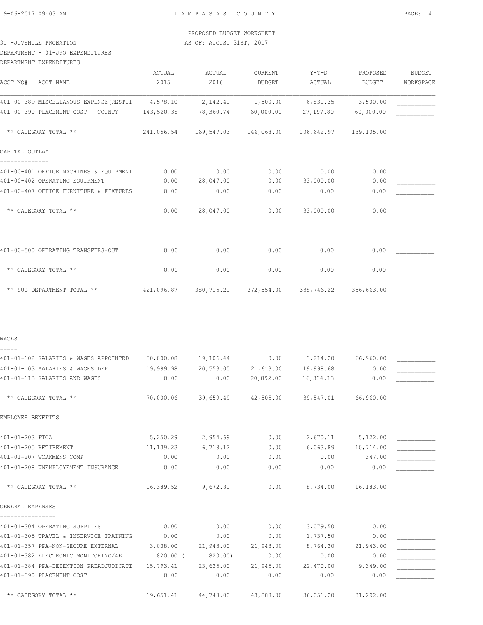DEPARTMENT - 01-JPO EXPENDITURES

| DEPARTMENT EXPENDITURES                          |                |                |                          |                                             |                    |                            |
|--------------------------------------------------|----------------|----------------|--------------------------|---------------------------------------------|--------------------|----------------------------|
| ACCT NO#<br>ACCT NAME                            | ACTUAL<br>2015 | ACTUAL<br>2016 | CURRENT<br><b>BUDGET</b> | $Y-T-D$<br>ACTUAL                           | PROPOSED<br>BUDGET | <b>BUDGET</b><br>WORKSPACE |
| 401-00-389 MISCELLANOUS EXPENSE (RESTIT 4,578.10 |                | 2,142.41       | 1,500.00                 | 6,831.35                                    | 3,500.00           |                            |
| 401-00-390 PLACEMENT COST - COUNTY               | 143,520.38     | 78,360.74      | 60,000.00                | 27,197.80                                   | 60,000.00          |                            |
| ** CATEGORY TOTAL **                             | 241,056.54     | 169,547.03     | 146,068.00               | 106,642.97                                  | 139,105.00         |                            |
| CAPITAL OUTLAY                                   |                |                |                          |                                             |                    |                            |
| 401-00-401 OFFICE MACHINES & EQUIPMENT           | 0.00           | 0.00           | 0.00                     | 0.00                                        | 0.00               |                            |
| 401-00-402 OPERATING EQUIPMENT                   | 0.00           | 28,047.00      | 0.00                     | 33,000.00                                   | 0.00               |                            |
| 401-00-407 OFFICE FURNITURE & FIXTURES           | 0.00           | 0.00           | 0.00                     | 0.00                                        | 0.00               |                            |
| ** CATEGORY TOTAL **                             | 0.00           | 28,047.00      | 0.00                     | 33,000.00                                   | 0.00               |                            |
| 401-00-500 OPERATING TRANSFERS-OUT               | 0.00           | 0.00           | 0.00                     | 0.00                                        | 0.00               |                            |
| ** CATEGORY TOTAL **                             | 0.00           | 0.00           | 0.00                     | 0.00                                        | 0.00               |                            |
| ** SUB-DEPARTMENT TOTAL **                       |                |                |                          | 421,096.87 380,715.21 372,554.00 338,746.22 | 356,663.00         |                            |
| WAGES                                            |                |                |                          |                                             |                    |                            |
|                                                  |                |                |                          |                                             |                    |                            |
| 401-01-102 SALARIES & WAGES APPOINTED            | 50,000.08      | 19,106.44      | 0.00                     | 3,214.20 66,960.00                          |                    |                            |
| 401-01-103 SALARIES & WAGES DEP                  | 19,999.98      |                | 20,553.05 21,613.00      | 19,998.68                                   | 0.00               |                            |
| 401-01-113 SALARIES AND WAGES                    | 0.00           | 0.00           | 20,892.00                | 16,334.13                                   | 0.00               |                            |
| ** CATEGORY TOTAL **                             | 70,000.06      | 39,659.49      | 42,505.00                | 39,547.01                                   | 66,960.00          |                            |
| EMPLOYEE BENEFITS                                |                |                |                          |                                             |                    |                            |
| 401-01-203 FICA                                  | 5,250.29       | 2,954.69       | 0.00                     | 2,670.11                                    | 5,122.00           |                            |
| 401-01-205 RETIREMENT                            | 11, 139.23     | 6,718.12       | 0.00                     | 6,063.89                                    | 10,714.00          |                            |
| 401-01-207 WORKMENS COMP                         | 0.00           | 0.00           | 0.00                     | 0.00                                        | 347.00             |                            |
| 401-01-208 UNEMPLOYEMENT INSURANCE               | 0.00           | 0.00           | 0.00                     | 0.00                                        | 0.00               |                            |
| ** CATEGORY TOTAL **                             | 16,389.52      | 9,672.81       | 0.00                     | 8,734.00                                    | 16,183.00          |                            |
| GENERAL EXPENSES                                 |                |                |                          |                                             |                    |                            |
| 401-01-304 OPERATING SUPPLIES                    | 0.00           |                |                          | 3,079.50                                    |                    |                            |
| 401-01-305 TRAVEL & INSERVICE TRAINING           | 0.00           | 0.00<br>0.00   | 0.00<br>0.00             | 1,737.50                                    | 0.00<br>0.00       |                            |
| 401-01-357 PPA-NON-SECURE EXTERNAL               | 3,038.00       | 21,943.00      | 21,943.00                | 8,764.20                                    | 21,943.00          |                            |
| 401-01-382 ELECTRONIC MONITORING/4E              | 820.00 (       | 820.00)        | 0.00                     | 0.00                                        | 0.00               |                            |
|                                                  |                |                |                          |                                             |                    |                            |

401-01-384 PPA-DETENTION PREADJUDICATI 15,793.41 23,625.00 21,945.00 22,470.00 9,349.00 \_\_\_\_\_\_\_\_\_\_\_ 401-01-390 PLACEMENT COST 0.00 0.00 0.00 0.00 0.00 \_\_\_\_\_\_\_\_\_\_\_

\*\* CATEGORY TOTAL \*\* 19,651.41 44,748.00 43,888.00 36,051.20 31,292.00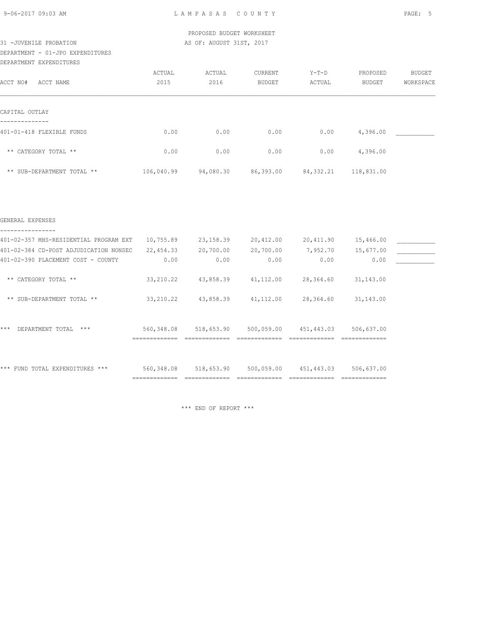# DEPARTMENT - 01-JPO EXPENDITURES

DEPARTMENT EXPENDITURES

|                            | ACTUAL     | ACTUAL    | <b>CURRENT</b> | $Y-T-D$     | PROPOSED   | BUDGET    |
|----------------------------|------------|-----------|----------------|-------------|------------|-----------|
| ACCT NO#<br>ACCT NAME      | 2015       | 2016      | BUDGET         | ACTUAL      | BUDGET     | WORKSPACE |
|                            |            |           |                |             |            |           |
|                            |            |           |                |             |            |           |
| CAPITAL OUTLAY             |            |           |                |             |            |           |
|                            |            |           |                |             |            |           |
| 401-01-418 FLEXIBLE FUNDS  | 0.00       | 0.00      | 0.00           | 0.00        | 4,396.00   |           |
|                            |            |           |                |             |            |           |
| ** CATEGORY TOTAL **       | 0.00       | 0.00      | 0.00           | 0.00        | 4,396.00   |           |
|                            |            |           |                |             |            |           |
| ** SUB-DEPARTMENT TOTAL ** | 106,040.99 | 94,080.30 | 86,393.00      | 84, 332. 21 | 118,831.00 |           |

#### GENERAL EXPENSES

| 401-02-357 MHS-RESIDENTIAL PROGRAM EXT              | 10,755.89     | 23, 158.39 | 20,412.00  | 20,411.90  | 15,466.00     |  |
|-----------------------------------------------------|---------------|------------|------------|------------|---------------|--|
| 401-02-384 CD-POST ADJUDICATION NONSEC              | 22,454.33     | 20,700.00  | 20,700.00  | 7,952.70   | 15,677.00     |  |
| 401-02-390 PLACEMENT COST - COUNTY                  | 0.00          | 0.00       | 0.00       | 0.00       | 0.00          |  |
|                                                     |               |            |            |            |               |  |
| CATEGORY TOTAL **<br>$\star\star$                   | 33, 210.22    | 43,858.39  | 41,112.00  | 28,364.60  | 31, 143.00    |  |
|                                                     |               |            |            |            |               |  |
| SUB-DEPARTMENT TOTAL **<br>$***$                    | 33, 210.22    | 43,858.39  | 41, 112.00 | 28,364.60  | 31, 143.00    |  |
|                                                     |               |            |            |            |               |  |
|                                                     |               |            |            |            |               |  |
| $***$<br>$***$<br>DEPARTMENT TOTAL                  | 560,348.08    | 518,653.90 | 500,059.00 | 451,443.03 | 506,637.00    |  |
|                                                     | ============= |            |            |            | ============= |  |
|                                                     |               |            |            |            |               |  |
|                                                     |               |            |            |            |               |  |
| ***<br><b>EXPENDITURES</b><br>***<br>FUND<br>TOTAI. | 560,348.08    | 518,653.90 | 500,059.00 | 451,443.03 | 506,637.00    |  |
|                                                     |               |            |            |            | ------------  |  |

\*\*\* END OF REPORT \*\*\*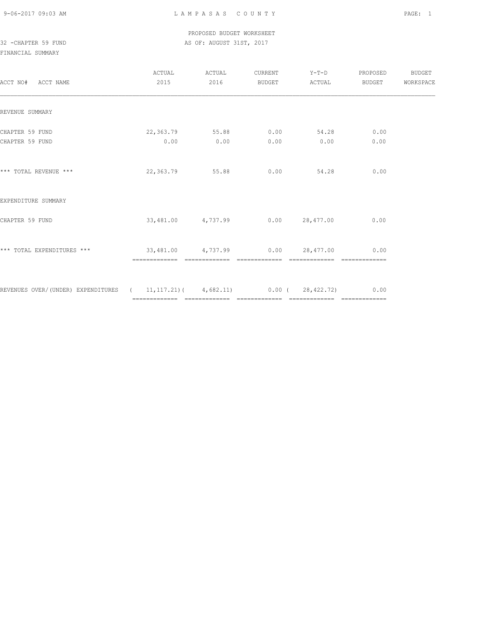### PROPOSED BUDGET WORKSHEET 32 -CHAPTER 59 FUND AS OF: AUGUST 31ST, 2017

| ACCT NO# ACCT NAME                                                                 | ACTUAL<br>2015                            | ACTUAL<br>2016 | BUDGET | CURRENT Y-T-D PROPOSED<br>ACTUAL      | BUDGET                | BUDGET<br>WORKSPACE |
|------------------------------------------------------------------------------------|-------------------------------------------|----------------|--------|---------------------------------------|-----------------------|---------------------|
| REVENUE SUMMARY                                                                    |                                           |                |        |                                       |                       |                     |
| CHAPTER 59 FUND<br>CHAPTER 59 FUND                                                 | 22,363.79 55.88 0.00<br>0.00              | 0.00           | 0.00   | 54.28<br>0.00                         | 0.00<br>0.00          |                     |
| *** TOTAL REVENUE ***                                                              | 22,363.79 55.88                           |                |        | $0.00$ 54.28                          | 0.00                  |                     |
| EXPENDITURE SUMMARY                                                                |                                           |                |        |                                       |                       |                     |
| CHAPTER 59 FUND                                                                    |                                           |                |        | $33,481.00$ $4,737.99$ 0.00 28,477.00 | 0.00                  |                     |
| *** TOTAL EXPENDITURES ***                                                         | $33,481.00$ $4,737.99$ $0.00$ $28,477.00$ |                |        | =============                         | 0.00<br>============= |                     |
| REVENUES OVER/(UNDER) EXPENDITURES ( 11,117.21) ( 4,682.11) 0.00 ( 28,422.72) 0.00 |                                           |                |        |                                       |                       |                     |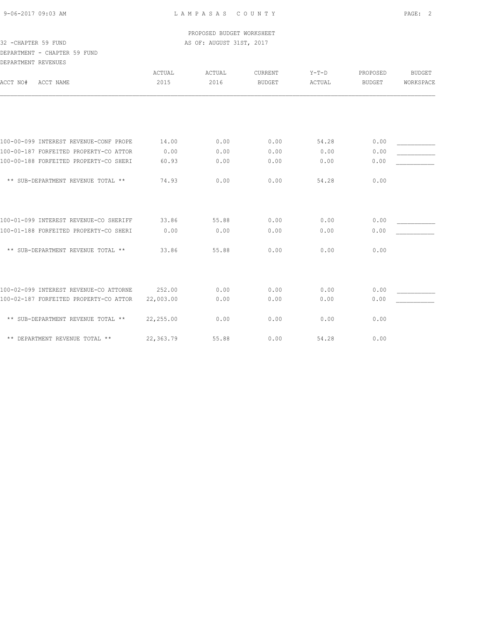### PROPOSED BUDGET WORKSHEET 32 -CHAPTER 59 FUND AS OF: AUGUST 31ST, 2017

### DEPARTMENT - CHAPTER 59 FUND DEPARTMENT REVENUES

| DEFAKTMENT KEVENUES                                                              |           |              |                |              |               |               |
|----------------------------------------------------------------------------------|-----------|--------------|----------------|--------------|---------------|---------------|
|                                                                                  | ACTUAL    | ACTUAL       | <b>CURRENT</b> | $Y-T-D$      | PROPOSED      | <b>BUDGET</b> |
| ACCT NO#<br>ACCT NAME                                                            | 2015      | 2016         | <b>BUDGET</b>  | ACTUAL       | <b>BUDGET</b> | WORKSPACE     |
|                                                                                  |           |              |                |              |               |               |
| 100-00-099 INTEREST REVENUE-CONF PROPE                                           | 14.00     | 0.00         | 0.00           | 54.28        | 0.00          |               |
| 100-00-187 FORFEITED PROPERTY-CO ATTOR                                           | 0.00      | 0.00         | 0.00           | 0.00         | 0.00          |               |
| 100-00-188 FORFEITED PROPERTY-CO SHERI                                           | 60.93     | 0.00         | 0.00           | 0.00         | 0.00          |               |
| ** SUB-DEPARTMENT REVENUE TOTAL **                                               | 74.93     | 0.00         | 0.00           | 54.28        | 0.00          |               |
| 100-01-099 INTEREST REVENUE-CO SHERIFF                                           | 33.86     | 55.88        | 0.00           | 0.00         | 0.00          |               |
| 100-01-188 FORFEITED PROPERTY-CO SHERI                                           | 0.00      | 0.00         | 0.00           | 0.00         | 0.00          |               |
| ** SUB-DEPARTMENT REVENUE TOTAL **                                               | 33.86     | 55.88        | 0.00           | 0.00         | 0.00          |               |
|                                                                                  | 252.00    |              | 0.00           |              | 0.00          |               |
| 100-02-099 INTEREST REVENUE-CO ATTORNE<br>100-02-187 FORFEITED PROPERTY-CO ATTOR | 22,003.00 | 0.00<br>0.00 | 0.00           | 0.00<br>0.00 | 0.00          |               |
|                                                                                  |           |              |                |              |               |               |
| ** SUB-DEPARTMENT REVENUE TOTAL **                                               | 22,255.00 | 0.00         | 0.00           | 0.00         | 0.00          |               |
| ** DEPARTMENT REVENUE TOTAL **                                                   | 22,363.79 | 55.88        | 0.00           | 54.28        | 0.00          |               |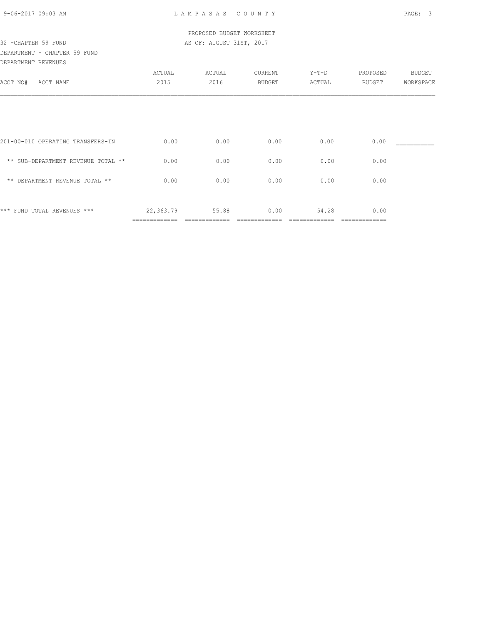### PROPOSED BUDGET WORKSHEET 32 -CHAPTER 59 FUND AS OF: AUGUST 31ST, 2017

### DEPARTMENT - CHAPTER 59 FUND DEPARTMENT REVENUES

| DEFAKIMENI KEVENUES                |               |        |         |         |               |               |
|------------------------------------|---------------|--------|---------|---------|---------------|---------------|
|                                    | ACTUAL        | ACTUAL | CURRENT | $Y-T-D$ | PROPOSED      | <b>BUDGET</b> |
| ACCT NO#<br>ACCT NAME              | 2015          | 2016   | BUDGET  | ACTUAL  | BUDGET        | WORKSPACE     |
|                                    |               |        |         |         |               |               |
|                                    |               |        |         |         |               |               |
|                                    |               |        |         |         |               |               |
| 201-00-010 OPERATING TRANSFERS-IN  | 0.00          | 0.00   | 0.00    | 0.00    | 0.00          |               |
|                                    |               |        |         |         |               |               |
| ** SUB-DEPARTMENT REVENUE TOTAL ** | 0.00          | 0.00   | 0.00    | 0.00    | 0.00          |               |
|                                    |               |        |         |         |               |               |
| ** DEPARTMENT REVENUE TOTAL **     | 0.00          | 0.00   | 0.00    | 0.00    | 0.00          |               |
|                                    |               |        |         |         |               |               |
| *** FUND TOTAL REVENUES ***        | 22,363.79     | 55.88  | 0.00    | 54.28   | 0.00          |               |
|                                    | ============= |        |         |         | ============= |               |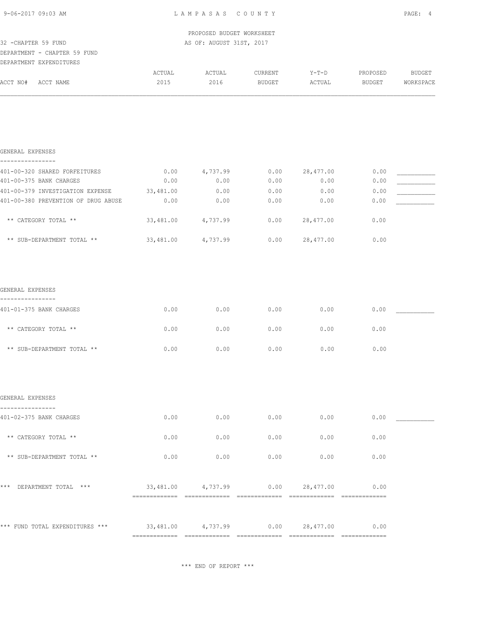L A M P A S A S C O U N T Y PAGE: 4

|                     | PROPOSED BUDGET WORKSHEET |
|---------------------|---------------------------|
| 32 -CHAPTER 59 FUND | AS OF: AUGUST 31ST, 2017  |

#### DEPARTMENT - CHAPTER 59 FUND DEPARTMENT EXPENDITURES

| 1. JP . P A K . PIP . IV . | <i>BAFBNDII</i> UKBƏ |        |       |         |         |               |           |
|----------------------------|----------------------|--------|-------|---------|---------|---------------|-----------|
|                            |                      | ACTUAL | CTUAL | CURRENT | $Y-T-D$ | PROPOSED      | BUDGET    |
| ACCT NO#                   | ACCT NAME            | 2015   | 2016  | BUDGET  | ACTUAL  | <b>BUDGET</b> | WORKSPACE |
|                            |                      |        |       |         |         |               |           |

| GENERAL EXPENSES                    |           |          |      |           |      |  |
|-------------------------------------|-----------|----------|------|-----------|------|--|
|                                     |           |          |      |           |      |  |
| 401-00-320 SHARED FORFEITURES       | 0.00      | 4,737.99 | 0.00 | 28,477.00 | 0.00 |  |
| 401-00-375 BANK CHARGES             | 0.00      | 0.00     | 0.00 | 0.00      | 0.00 |  |
| 401-00-379 INVESTIGATION EXPENSE    | 33,481.00 | 0.00     | 0.00 | 0.00      | 0.00 |  |
| 401-00-380 PREVENTION OF DRUG ABUSE | 0.00      | 0.00     | 0.00 | 0.00      | 0.00 |  |
|                                     |           |          |      |           |      |  |
| ** CATEGORY TOTAL **                | 33,481.00 | 4,737.99 | 0.00 | 28,477.00 | 0.00 |  |
|                                     |           |          |      |           |      |  |
| ** SUB-DEPARTMENT TOTAL **          | 33,481.00 | 4,737.99 | 0.00 | 28,477.00 | 0.00 |  |

| GENERAL EXPENSES           |      |      |      |      |      |
|----------------------------|------|------|------|------|------|
| 401-01-375 BANK CHARGES    | 0.00 | 0.00 | 0.00 | 0.00 | 0.00 |
| ** CATEGORY TOTAL **       | 0.00 | 0.00 | 0.00 | 0.00 | 0.00 |
| ** SUB-DEPARTMENT TOTAL ** | 0.00 | 0.00 | 0.00 | 0.00 | 0.00 |

| GENERAL EXPENSES                   |           |          |      |           |      |  |
|------------------------------------|-----------|----------|------|-----------|------|--|
| 401-02-375 BANK CHARGES            | 0.00      | 0.00     | 0.00 | 0.00      | 0.00 |  |
| ** CATEGORY TOTAL **               | 0.00      | 0.00     | 0.00 | 0.00      | 0.00 |  |
| ** SUB-DEPARTMENT TOTAL **         | 0.00      | 0.00     | 0.00 | 0.00      | 0.00 |  |
| $***$<br>DEPARTMENT TOTAL<br>$***$ | 33,481.00 | 4,737.99 | 0.00 | 28,477.00 | 0.00 |  |
| *** FUND TOTAL EXPENDITURES ***    | 33,481.00 | 4,737.99 | 0.00 | 28,477.00 | 0.00 |  |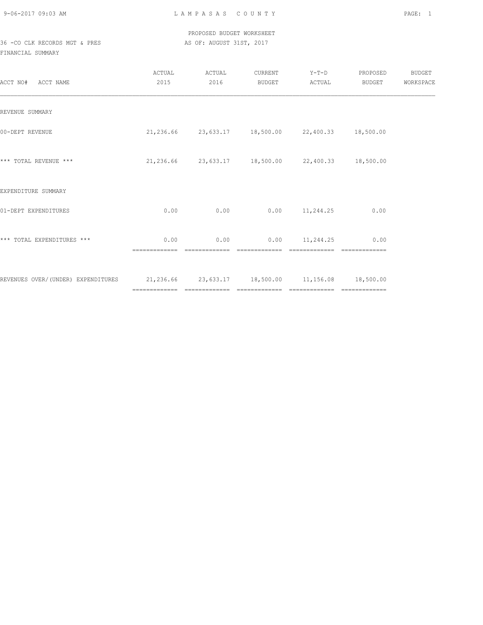### PROPOSED BUDGET WORKSHEET 36 -CO CLK RECORDS MGT & PRES AS OF: AUGUST 31ST, 2017

| ACCT NO#<br>ACCT NAME                                                                | ACTUAL<br>2015        | ACTUAL<br>2016        | CURRENT<br>BUDGET | $Y-T-D$<br>ACTUAL                                      | PROPOSED<br>BUDGET | BUDGET<br>WORKSPACE |
|--------------------------------------------------------------------------------------|-----------------------|-----------------------|-------------------|--------------------------------------------------------|--------------------|---------------------|
| REVENUE SUMMARY                                                                      |                       |                       |                   |                                                        |                    |                     |
| 00-DEPT REVENUE                                                                      |                       |                       |                   | 21, 236.66 23, 633.17 18, 500.00 22, 400.33 18, 500.00 |                    |                     |
| *** TOTAL REVENUE ***                                                                |                       |                       |                   | 21,236.66 23,633.17 18,500.00 22,400.33 18,500.00      |                    |                     |
| EXPENDITURE SUMMARY                                                                  |                       |                       |                   |                                                        |                    |                     |
| 01-DEPT EXPENDITURES                                                                 | 0.00                  | 0.00                  |                   | $0.00$ 11, 244.25                                      | 0.00               |                     |
| *** TOTAL EXPENDITURES ***                                                           | 0.00<br>============= | 0.00<br>============= | =============     | $0.00$ 11,244.25                                       | 0.00               |                     |
| REVENUES OVER/(UNDER) EXPENDITURES 21,236.66 23,633.17 18,500.00 11,156.08 18,500.00 |                       |                       |                   |                                                        |                    |                     |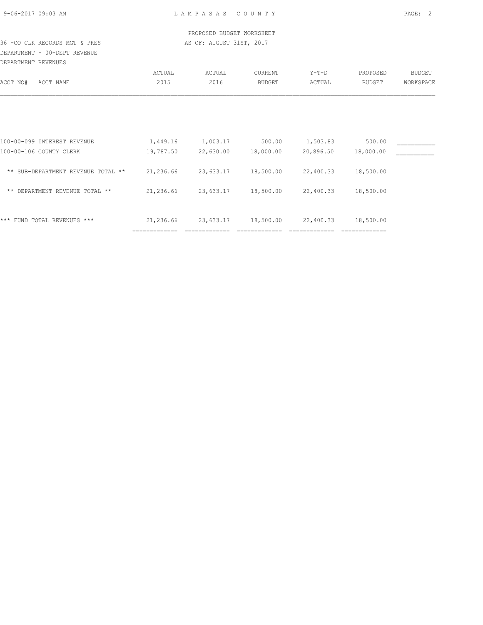### PROPOSED BUDGET WORKSHEET 36 -CO CLK RECORDS MGT & PRES AS OF: AUGUST 31ST, 2017

DEPARTMENT - 00-DEPT REVENUE DEPARTMENT REVENUES

| UULINLIUUNI IUUVUUU                  |               |           |                |           |               |           |
|--------------------------------------|---------------|-----------|----------------|-----------|---------------|-----------|
|                                      | ACTUAL        | ACTUAL    | <b>CURRENT</b> | $Y-T-D$   | PROPOSED      | BUDGET    |
| ACCT NO#<br>ACCT NAME                | 2015          | 2016      | <b>BUDGET</b>  | ACTUAL    | BUDGET        | WORKSPACE |
|                                      |               |           |                |           |               |           |
|                                      |               |           |                |           |               |           |
| 100-00-099 INTEREST REVENUE          | 1,449.16      | 1,003.17  | 500.00         | 1,503.83  | 500.00        |           |
| 100-00-106 COUNTY CLERK              | 19,787.50     | 22,630.00 | 18,000.00      | 20,896.50 | 18,000.00     |           |
| ** SUB-DEPARTMENT REVENUE TOTAL **   | 21,236.66     | 23,633.17 | 18,500.00      | 22,400.33 | 18,500.00     |           |
| DEPARTMENT REVENUE TOTAL **<br>$***$ | 21,236.66     | 23,633.17 | 18,500.00      | 22,400.33 | 18,500.00     |           |
| * * *<br>FUND TOTAL REVENUES ***     | 21,236.66     | 23,633.17 | 18,500.00      | 22,400.33 | 18,500.00     |           |
|                                      | ============= |           |                |           | _____________ |           |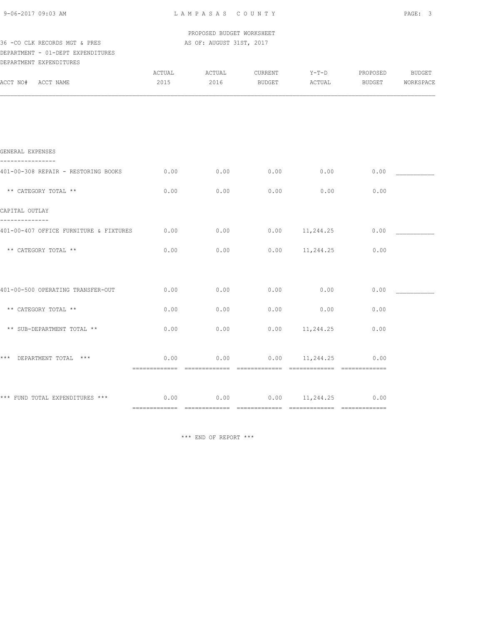| 9-06-2017 09:03 AM |  |
|--------------------|--|
|                    |  |

L A M P A S A S C O U N T Y PAGE: 3

 PROPOSED BUDGET WORKSHEET 36 -CO CLK RECORDS MGT & PRES AS OF: AUGUST 31ST, 2017

#### DEPARTMENT - 01-DEPT EXPENDITURES DEPARTMENT EXPENDITURES

| DEPARTMENT EXPENDITURES                                                 |                |                |                   |                         |                           |                     |
|-------------------------------------------------------------------------|----------------|----------------|-------------------|-------------------------|---------------------------|---------------------|
| ACCT NO#<br>ACCT NAME                                                   | ACTUAL<br>2015 | ACTUAL<br>2016 | CURRENT<br>BUDGET | $Y-T-D$<br>ACTUAL       | PROPOSED<br><b>BUDGET</b> | BUDGET<br>WORKSPACE |
|                                                                         |                |                |                   |                         |                           |                     |
|                                                                         |                |                |                   |                         |                           |                     |
| GENERAL EXPENSES                                                        |                |                |                   |                         |                           |                     |
| 401-00-308 REPAIR - RESTORING BOOKS                                     | 0.00           | 0.00           | 0.00              | 0.00                    | 0.00                      |                     |
| ** CATEGORY TOTAL **                                                    | 0.00           | 0.00           | 0.00              | 0.00                    | 0.00                      |                     |
| CAPITAL OUTLAY<br>--------------                                        |                |                |                   |                         |                           |                     |
| 401-00-407 OFFICE FURNITURE & FIXTURES                                  | 0.00           | 0.00           | 0.00              | 11,244.25               | 0.00                      |                     |
| ** CATEGORY TOTAL **                                                    | 0.00           | 0.00           | 0.00              | 11,244.25               | 0.00                      |                     |
|                                                                         |                |                |                   |                         |                           |                     |
| 401-00-500 OPERATING TRANSFER-OUT                                       | 0.00           | 0.00           | 0.00              | 0.00                    | 0.00                      |                     |
| ** CATEGORY TOTAL **                                                    | 0.00           | 0.00           | 0.00              | 0.00                    | 0.00                      |                     |
| ** SUB-DEPARTMENT TOTAL **                                              | 0.00           | 0.00           |                   | $0.00$ $11,244.25$      | 0.00                      |                     |
| *** DEPARTMENT TOTAL ***                                                | 0.00           | 0.00           |                   | $0.00$ 11, 244. 25 0.00 |                           |                     |
|                                                                         |                |                |                   |                         |                           |                     |
| *** FUND TOTAL EXPENDITURES *** $0.00$ $0.00$ $0.00$ $11,244.25$ $0.00$ |                |                |                   |                         |                           |                     |
|                                                                         |                |                |                   |                         |                           |                     |

\*\*\* END OF REPORT \*\*\*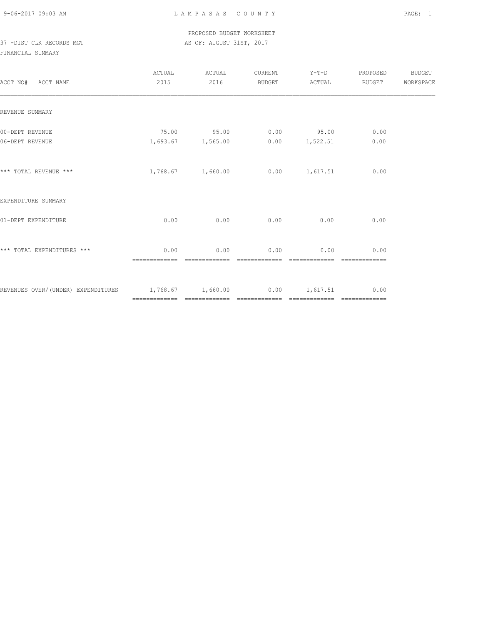### PROPOSED BUDGET WORKSHEET 37 -DIST CLK RECORDS MGT AS OF: AUGUST 31ST, 2017

| ACCT NO# ACCT NAME                                                      | 2015                  | ACTUAL ACTUAL<br>2016 |             | CURRENT Y-T-D PROPOSED BUDGET<br>BUDGET ACTUAL | BUDGET                                                                                                                                                                                                                                                                                                                                                                                                                                                                                         | WORKSPACE |
|-------------------------------------------------------------------------|-----------------------|-----------------------|-------------|------------------------------------------------|------------------------------------------------------------------------------------------------------------------------------------------------------------------------------------------------------------------------------------------------------------------------------------------------------------------------------------------------------------------------------------------------------------------------------------------------------------------------------------------------|-----------|
| REVENUE SUMMARY                                                         |                       |                       |             |                                                |                                                                                                                                                                                                                                                                                                                                                                                                                                                                                                |           |
| 00-DEPT REVENUE<br>06-DEPT REVENUE                                      |                       | 1,693.67 1,565.00     |             | $75.00$ $95.00$ 0.00 $95.00$<br>0.00 1,522.51  | 0.00<br>0.00                                                                                                                                                                                                                                                                                                                                                                                                                                                                                   |           |
|                                                                         |                       |                       |             |                                                |                                                                                                                                                                                                                                                                                                                                                                                                                                                                                                |           |
| *** TOTAL REVENUE ***                                                   |                       |                       |             | $1,768.67$ $1,660.00$ $0.00$ $1,617.51$        | 0.00                                                                                                                                                                                                                                                                                                                                                                                                                                                                                           |           |
| EXPENDITURE SUMMARY                                                     |                       |                       |             |                                                |                                                                                                                                                                                                                                                                                                                                                                                                                                                                                                |           |
| 01-DEPT EXPENDITURE                                                     | 0.00                  | 0.00                  |             | $0.00$ 0.00                                    | 0.00                                                                                                                                                                                                                                                                                                                                                                                                                                                                                           |           |
| *** TOTAL EXPENDITURES ***                                              | 0.00<br>============= |                       | $0.00$ 0.00 | 0.00                                           | 0.00<br>$\begin{array}{cccccccccccccc} \multicolumn{2}{c}{} & \multicolumn{2}{c}{} & \multicolumn{2}{c}{} & \multicolumn{2}{c}{} & \multicolumn{2}{c}{} & \multicolumn{2}{c}{} & \multicolumn{2}{c}{} & \multicolumn{2}{c}{} & \multicolumn{2}{c}{} & \multicolumn{2}{c}{} & \multicolumn{2}{c}{} & \multicolumn{2}{c}{} & \multicolumn{2}{c}{} & \multicolumn{2}{c}{} & \multicolumn{2}{c}{} & \multicolumn{2}{c}{} & \multicolumn{2}{c}{} & \multicolumn{2}{c}{} & \multicolumn{2}{c}{} & \$ |           |
| REVENUES OVER/(UNDER) EXPENDITURES 1,768.67 1,660.00 0.00 1,617.51 0.00 |                       |                       |             |                                                |                                                                                                                                                                                                                                                                                                                                                                                                                                                                                                |           |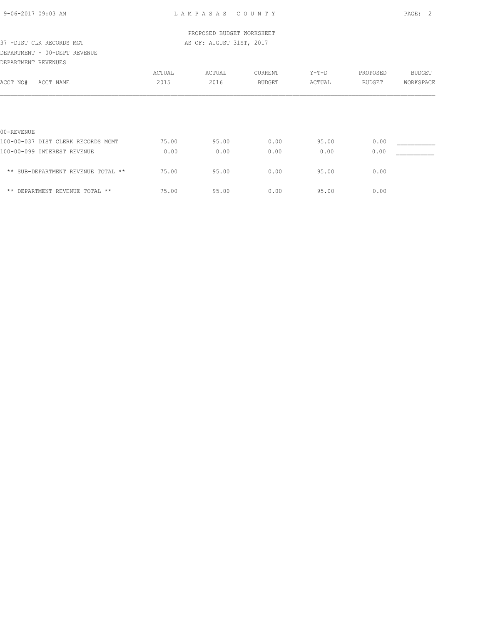# PROPOSED BUDGET WORKSHEET 37 -DIST CLK RECORDS MGT AS OF: AUGUST 31ST, 2017 DEPARTMENT - 00-DEPT REVENUE DEPARTMENT REVENUES ACTUAL ACTUAL CURRENT Y-T-D PROPOSED BUDGET ACCT NO# ACCT NAME 2015 2016 BUDGET ACTUAL BUDGET WORKSPACE 00-REVENUE 100-00-037 DIST CLERK RECORDS MGMT  $75.00$  95.00 0.00 95.00 95.00 0.00 \_\_\_ 100-00-099 INTEREST REVENUE 0.00 0.00 0.00 0.00 0.00 \_\_\_\_\_\_\_\_\_\_\_

\*\* SUB-DEPARTMENT REVENUE TOTAL \*\* 75.00 95.00 0.00 95.00 0.00

\*\* DEPARTMENT REVENUE TOTAL \*\* 75.00 95.00 0.00 95.00 0.00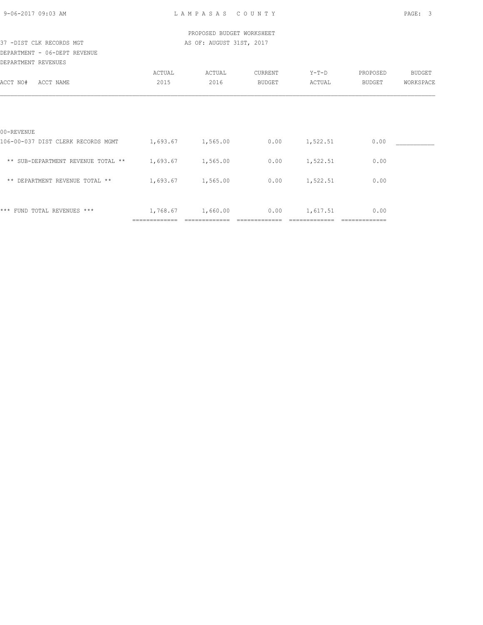| 9-06-2017 09:03 AM |  |
|--------------------|--|
|                    |  |

|                                                      |               | PROPOSED BUDGET WORKSHEET             |               |          |                       |           |
|------------------------------------------------------|---------------|---------------------------------------|---------------|----------|-----------------------|-----------|
| 37 -DIST CLK RECORDS MGT                             |               | AS OF: AUGUST 31ST, 2017              |               |          |                       |           |
| DEPARTMENT - 06-DEPT REVENUE                         |               |                                       |               |          |                       |           |
| DEPARTMENT REVENUES                                  |               |                                       |               |          |                       |           |
|                                                      | ACTUAL        | ACTUAL                                | CURRENT       | Y-T-D    | PROPOSED              | BUDGET    |
| ACCT NO#<br>ACCT NAME                                | 2015          | 2016                                  | <b>BUDGET</b> | ACTUAL   | BUDGET                | WORKSPACE |
|                                                      |               |                                       |               |          |                       |           |
| 00-REVENUE                                           |               |                                       |               |          |                       |           |
| 106-00-037 DIST CLERK RECORDS MGMT 1,693.67 1,565.00 |               |                                       | 0.00          | 1,522.51 | 0.00                  |           |
| ** SUB-DEPARTMENT REVENUE TOTAL ** 1,693.67 1,565.00 |               |                                       | 0.00          | 1,522.51 | 0.00                  |           |
| ** DEPARTMENT REVENUE TOTAL **                       |               | 1,693.67 1,565.00                     | 0.00          | 1,522.51 | 0.00                  |           |
|                                                      |               |                                       |               |          |                       |           |
| *** FUND TOTAL REVENUES ***                          | ============= | $1,768.67$ $1,660.00$ 0.00 $1,617.51$ |               |          | 0.00<br>============= |           |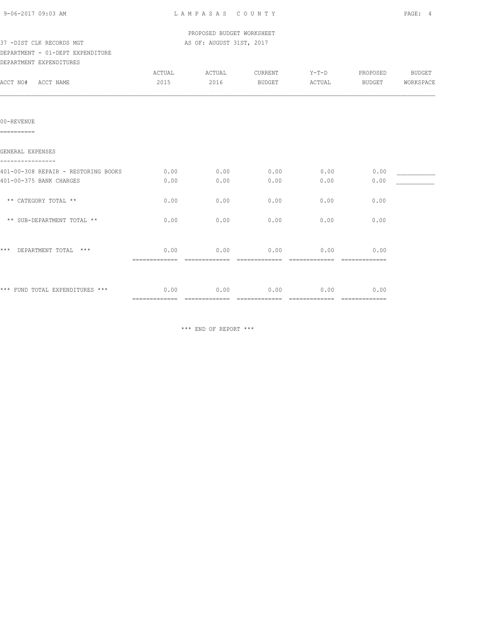|  | 9-06-2017 09:03 AM |  |
|--|--------------------|--|
|  |                    |  |

 PROPOSED BUDGET WORKSHEET 37 -DIST CLK RECORDS MGT AS OF: AUGUST 31ST, 2017

## DEPARTMENT - 01-DEPT EXPENDITURE

| DEPARTMENT EXPENDITURES             |        |        |         |         |                                                                                                                                                                                                                                                                                                                                                                                                                                                                                                |           |
|-------------------------------------|--------|--------|---------|---------|------------------------------------------------------------------------------------------------------------------------------------------------------------------------------------------------------------------------------------------------------------------------------------------------------------------------------------------------------------------------------------------------------------------------------------------------------------------------------------------------|-----------|
|                                     | ACTUAL | ACTUAL | CURRENT | $Y-T-D$ | PROPOSED                                                                                                                                                                                                                                                                                                                                                                                                                                                                                       | BUDGET    |
| ACCT NO# ACCT NAME                  | 2015   | 2016   | BUDGET  | ACTUAL  | BUDGET                                                                                                                                                                                                                                                                                                                                                                                                                                                                                         | WORKSPACE |
|                                     |        |        |         |         |                                                                                                                                                                                                                                                                                                                                                                                                                                                                                                |           |
| $00 -$ REVENUE                      |        |        |         |         |                                                                                                                                                                                                                                                                                                                                                                                                                                                                                                |           |
| ----------                          |        |        |         |         |                                                                                                                                                                                                                                                                                                                                                                                                                                                                                                |           |
| GENERAL EXPENSES                    |        |        |         |         |                                                                                                                                                                                                                                                                                                                                                                                                                                                                                                |           |
| 401-00-308 REPAIR - RESTORING BOOKS | 0.00   | 0.00   | 0.00    | 0.00    | 0.00                                                                                                                                                                                                                                                                                                                                                                                                                                                                                           |           |
| 401-00-375 BANK CHARGES             | 0.00   | 0.00   | 0.00    | 0.00    | 0.00                                                                                                                                                                                                                                                                                                                                                                                                                                                                                           |           |
| ** CATEGORY TOTAL **                | 0.00   | 0.00   | 0.00    | 0.00    | 0.00                                                                                                                                                                                                                                                                                                                                                                                                                                                                                           |           |
| ** SUB-DEPARTMENT TOTAL **          | 0.00   | 0.00   | 0.00    | 0.00    | 0.00                                                                                                                                                                                                                                                                                                                                                                                                                                                                                           |           |
|                                     |        |        |         |         |                                                                                                                                                                                                                                                                                                                                                                                                                                                                                                |           |
| *** DEPARTMENT TOTAL ***            | 0.00   | 0.00   | 0.00    | 0.00    | 0.00<br>$\begin{array}{cccccccccc} \multicolumn{2}{c}{} & \multicolumn{2}{c}{} & \multicolumn{2}{c}{} & \multicolumn{2}{c}{} & \multicolumn{2}{c}{} & \multicolumn{2}{c}{} & \multicolumn{2}{c}{} & \multicolumn{2}{c}{} & \multicolumn{2}{c}{} & \multicolumn{2}{c}{} & \multicolumn{2}{c}{} & \multicolumn{2}{c}{} & \multicolumn{2}{c}{} & \multicolumn{2}{c}{} & \multicolumn{2}{c}{} & \multicolumn{2}{c}{} & \multicolumn{2}{c}{} & \multicolumn{2}{c}{} & \multicolumn{2}{c}{} & \mult$ |           |
|                                     |        |        |         |         |                                                                                                                                                                                                                                                                                                                                                                                                                                                                                                |           |
| *** FUND TOTAL EXPENDITURES ***     | 0.00   | 0.00   | 0.00    | 0.00    | 0.00                                                                                                                                                                                                                                                                                                                                                                                                                                                                                           |           |
|                                     |        |        |         |         |                                                                                                                                                                                                                                                                                                                                                                                                                                                                                                |           |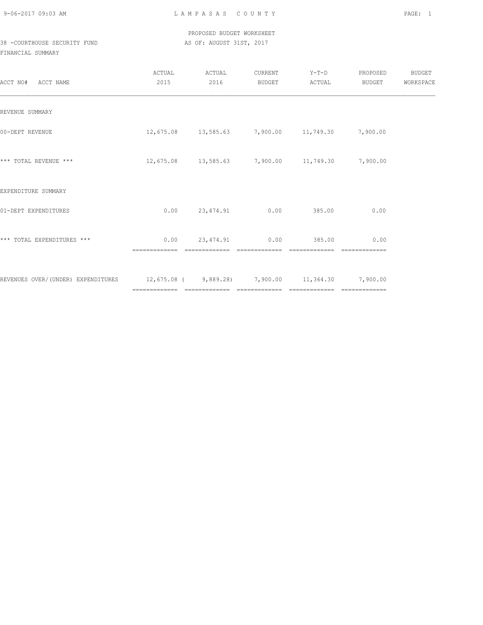9-06-2017 09:03 AM L A M P A S A S C O U N T Y PAGE: 1

### PROPOSED BUDGET WORKSHEET 38 -COURTHOUSE SECURITY FUND AS OF: AUGUST 31ST, 2017

| ACCT NAME<br>ACCT NO#                                                               | ACTUAL<br>2015 | ACTUAL<br>2016 | CURRENT<br>BUDGET | $Y-T-D$<br>ACTUAL                                         | PROPOSED<br>BUDGET | BUDGET<br>WORKSPACE |
|-------------------------------------------------------------------------------------|----------------|----------------|-------------------|-----------------------------------------------------------|--------------------|---------------------|
| REVENUE SUMMARY                                                                     |                |                |                   |                                                           |                    |                     |
| 00-DEPT REVENUE                                                                     |                |                |                   | $12,675.08$ $13,585.63$ $7,900.00$ $11,749.30$ $7,900.00$ |                    |                     |
| *** TOTAL REVENUE ***                                                               |                |                |                   | $12,675.08$ $13,585.63$ $7,900.00$ $11,749.30$ $7,900.00$ |                    |                     |
| EXPENDITURE SUMMARY                                                                 |                |                |                   |                                                           |                    |                     |
| 01-DEPT EXPENDITURES                                                                | 0.00           | 23,474.91 0.00 |                   | 385.00                                                    | 0.00               |                     |
| *** TOTAL EXPENDITURES ***                                                          | 0.00           | 23,474.91 0.00 |                   | 385.00                                                    | 0.00               |                     |
| REVENUES OVER/(UNDER) EXPENDITURES 12,675.08 (9,889.28) 7,900.00 11,364.30 7,900.00 |                |                |                   |                                                           |                    |                     |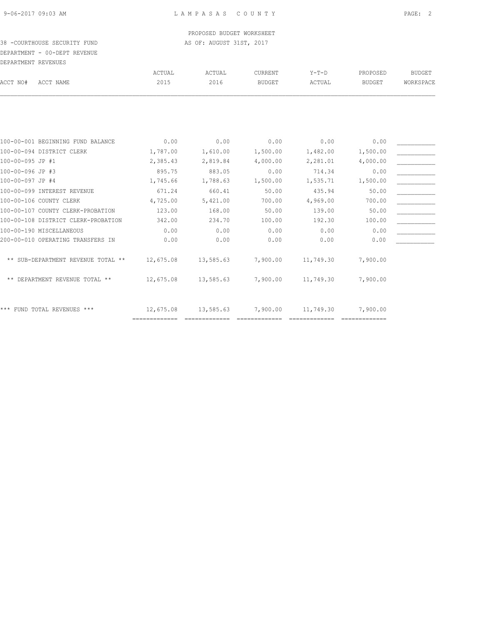### PROPOSED BUDGET WORKSHEET 38 -COURTHOUSE SECURITY FUND AS OF: AUGUST 31ST, 2017

## DEPARTMENT - 00-DEPT REVENUE DEPARTMENT REVENUES

| ACCT NO#<br>ACCT NAME               | ACTUAL<br>2015 | ACTUAL<br>2016 | <b>CURRENT</b><br><b>BUDGET</b> | $Y-T-D$<br>ACTUAL | PROPOSED<br><b>BUDGET</b> | <b>BUDGET</b><br>WORKSPACE |
|-------------------------------------|----------------|----------------|---------------------------------|-------------------|---------------------------|----------------------------|
|                                     |                |                |                                 |                   |                           |                            |
|                                     |                |                |                                 |                   |                           |                            |
| 100-00-001 BEGINNING FUND BALANCE   | 0.00           | 0.00           | 0.00                            | 0.00              | 0.00                      |                            |
| 100-00-094 DISTRICT CLERK           | 1,787.00       | 1,610.00       | 1,500.00                        | 1,482.00          | 1,500.00                  |                            |
| 100-00-095 JP #1                    | 2,385.43       | 2,819.84       | 4,000.00                        | 2,281.01          | 4,000.00                  |                            |
| 100-00-096 JP #3                    | 895.75         | 883.05         | 0.00                            | 714.34            | 0.00                      |                            |
| 100-00-097 JP #4                    | 1,745.66       | 1,788.63       | 1,500.00                        | 1,535.71          | 1,500.00                  |                            |
| 100-00-099 INTEREST REVENUE         | 671.24         | 660.41         | 50.00                           | 435.94            | 50.00                     |                            |
| 100-00-106 COUNTY CLERK             | 4,725.00       | 5,421.00       | 700.00                          | 4,969.00          | 700.00                    |                            |
| 100-00-107 COUNTY CLERK-PROBATION   | 123.00         | 168.00         | 50.00                           | 139.00            | 50.00                     |                            |
| 100-00-108 DISTRICT CLERK-PROBATION | 342.00         | 234.70         | 100.00                          | 192.30            | 100.00                    |                            |
| 100-00-190 MISCELLANEOUS            | 0.00           | 0.00           | 0.00                            | 0.00              | 0.00                      |                            |
| 200-00-010 OPERATING TRANSFERS IN   | 0.00           | 0.00           | 0.00                            | 0.00              | 0.00                      |                            |
|                                     |                |                |                                 |                   |                           |                            |
| ** SUB-DEPARTMENT REVENUE TOTAL **  | 12,675.08      | 13,585.63      | 7,900.00                        | 11,749.30         | 7,900.00                  |                            |
| ** DEPARTMENT REVENUE TOTAL **      | 12,675.08      | 13,585.63      | 7,900.00                        | 11,749.30         | 7,900.00                  |                            |
| *** FUND TOTAL REVENUES ***         | 12,675.08      | 13,585.63      | 7,900.00                        | 11,749.30         | 7,900.00                  |                            |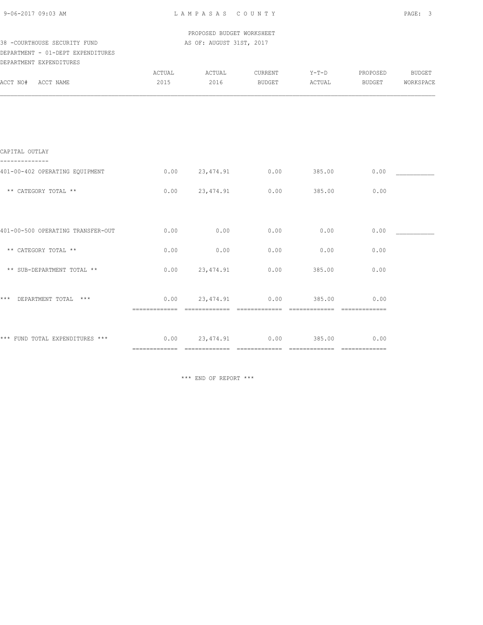|  | 9-06-2017 09:03 AM |  |
|--|--------------------|--|
|  |                    |  |

 PROPOSED BUDGET WORKSHEET 38 -COURTHOUSE SECURITY FUND AS OF: AUGUST 31ST, 2017

### DEPARTMENT - 01-DEPT EXPENDITURES DEPARTMENT EXPENDITURES

| DEFAKIMENI EYLEMDIIUKES                                            |      |                       |                              |                |             |                     |
|--------------------------------------------------------------------|------|-----------------------|------------------------------|----------------|-------------|---------------------|
| ACCT NO# ACCT NAME                                                 | 2015 | ACTUAL ACTUAL<br>2016 | BUDGET ACTUAL BUDGET         | CURRENT Y-T-D  | PROPOSED    | BUDGET<br>WORKSPACE |
|                                                                    |      |                       |                              |                |             |                     |
|                                                                    |      |                       |                              |                |             |                     |
| CAPITAL OUTLAY                                                     |      |                       |                              |                |             |                     |
| 401-00-402 OPERATING EQUIPMENT                                     |      |                       | $0.00$ 23,474.91 0.00 385.00 |                | 0.00        |                     |
| ** CATEGORY TOTAL **                                               |      |                       | $0.00$ 23,474.91 0.00        | 385.00         | 0.00        |                     |
|                                                                    |      |                       |                              |                |             |                     |
| 401-00-500 OPERATING TRANSFER-OUT                                  | 0.00 | 0.00                  | 0.00                         | 0.00           | 0.00        |                     |
| ** CATEGORY TOTAL **                                               | 0.00 | 0.00                  | 0.00                         | 0.00           | 0.00        |                     |
| ** SUB-DEPARTMENT TOTAL **                                         |      | $0.00$ 23,474.91      | 0.00                         | 385.00         | 0.00        |                     |
| *** DEPARTMENT TOTAL ***                                           |      |                       | $0.00$ 23,474.91 0.00        | -------------- | 385.00 0.00 |                     |
| *** FUND TOTAL EXPENDITURES *** $0.00$ $23,474.91$ $0.00$ $385.00$ |      |                       |                              |                | 0.00        |                     |
|                                                                    |      |                       |                              |                |             |                     |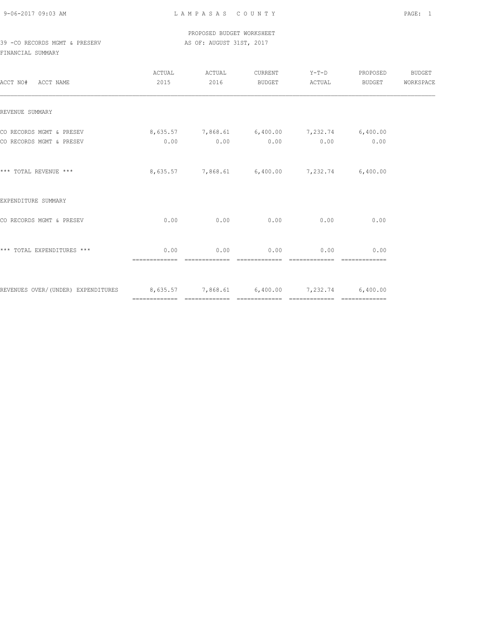9-06-2017 09:03 AM L A M P A S A S C O U N T Y PAGE: 1

 PROPOSED BUDGET WORKSHEET 39 -CO RECORDS MGMT & PRESERV AS OF: AUGUST 31ST, 2017

| ACCT NO# ACCT NAME                                                                                | 2015 | ACTUAL ACTUAL<br>2016 | CURRENT Y-T-D PROPOSED BUDGET<br>BUDGET ACTUAL BUDGET | WORKSPACE |
|---------------------------------------------------------------------------------------------------|------|-----------------------|-------------------------------------------------------|-----------|
| REVENUE SUMMARY                                                                                   |      |                       |                                                       |           |
| CO RECORDS MGMT & PRESEV 8,635.57 7,868.61 6,400.00 7,232.74 6,400.00<br>CO RECORDS MGMT & PRESEV |      |                       | $0.00$ $0.00$ $0.00$ $0.00$ $0.00$ $0.00$ $0.00$      |           |
| *** TOTAL REVENUE ***                                                                             |      |                       | 8,635.57 7,868.61 6,400.00 7,232.74 6,400.00          |           |
| EXPENDITURE SUMMARY                                                                               |      |                       |                                                       |           |
| CO RECORDS MGMT & PRESEV                                                                          |      |                       | $0.00$ $0.00$ $0.00$ $0.00$ $0.00$ $0.00$ $0.00$      |           |
| *** TOTAL EXPENDITURES ***                                                                        | 0.00 |                       | $0.00$ $0.00$ $0.00$ $0.00$ $0.00$ $0.00$             |           |
| REVENUES OVER/(UNDER) EXPENDITURES 8,635.57 7,868.61 6,400.00 7,232.74 6,400.00                   |      |                       |                                                       |           |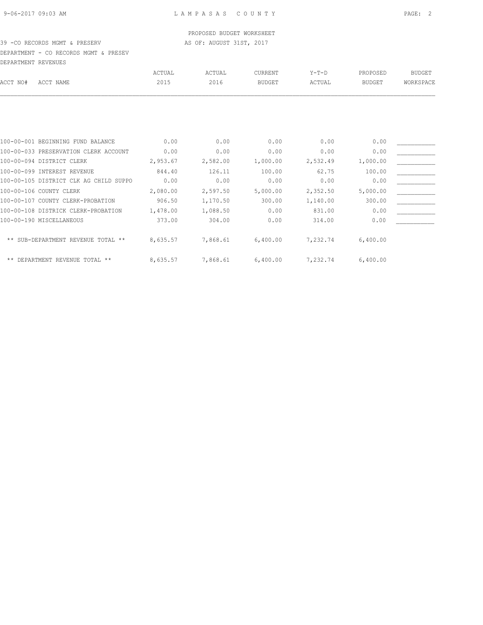### PROPOSED BUDGET WORKSHEET

### 39 -CO RECORDS MGMT & PRESERV AS OF: AUGUST 31ST, 2017

DEPARTMENT - CO RECORDS MGMT & PRESEV DEPARTMENT REVENUES

| DBIANINDNI KBVBNOBO |                                        |          |          |               |          |               |               |
|---------------------|----------------------------------------|----------|----------|---------------|----------|---------------|---------------|
|                     |                                        | ACTUAL   | ACTUAL   | CURRENT       | $Y-T-D$  | PROPOSED      | <b>BUDGET</b> |
| ACCT NO#            | ACCT NAME                              | 2015     | 2016     | <b>BUDGET</b> | ACTUAL   | <b>BUDGET</b> | WORKSPACE     |
|                     |                                        |          |          |               |          |               |               |
|                     |                                        |          |          |               |          |               |               |
|                     | 100-00-001 BEGINNING FUND BALANCE      | 0.00     | 0.00     | 0.00          | 0.00     | 0.00          |               |
|                     | 100-00-033 PRESERVATION CLERK ACCOUNT  | 0.00     | 0.00     | 0.00          | 0.00     | 0.00          |               |
|                     | 100-00-094 DISTRICT CLERK              | 2,953.67 | 2,582.00 | 1,000.00      | 2,532.49 | 1,000.00      |               |
|                     | 100-00-099 INTEREST REVENUE            | 844.40   | 126.11   | 100.00        | 62.75    | 100.00        |               |
|                     | 100-00-105 DISTRICT CLK AG CHILD SUPPO | 0.00     | 0.00     | 0.00          | 0.00     | 0.00          |               |
|                     | 100-00-106 COUNTY CLERK                | 2,080.00 | 2,597.50 | 5,000.00      | 2,352.50 | 5,000.00      |               |
|                     | 100-00-107 COUNTY CLERK-PROBATION      | 906.50   | 1,170.50 | 300.00        | 1,140.00 | 300.00        |               |
|                     | 100-00-108 DISTRICK CLERK-PROBATION    | 1,478.00 | 1,088.50 | 0.00          | 831.00   | 0.00          |               |
|                     | 100-00-190 MISCELLANEOUS               | 373.00   | 304.00   | 0.00          | 314.00   | 0.00          |               |
|                     | ** SUB-DEPARTMENT REVENUE TOTAL **     | 8,635.57 | 7,868.61 | 6,400.00      | 7,232.74 | 6,400.00      |               |
|                     | ** DEPARTMENT REVENUE TOTAL **         | 8,635.57 | 7,868.61 | 6,400.00      | 7,232.74 | 6,400.00      |               |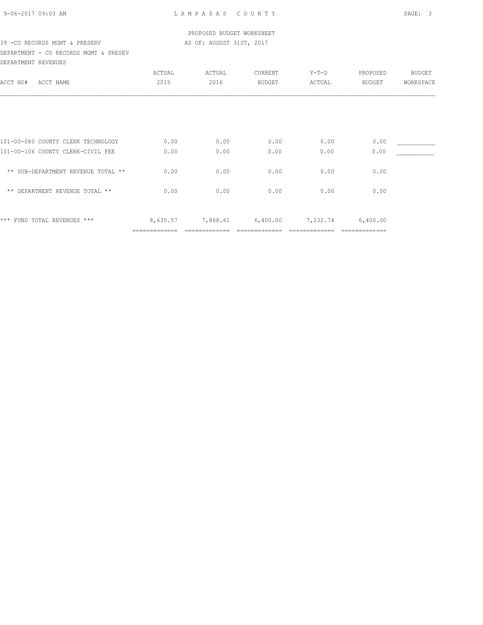### PROPOSED BUDGET WORKSHEET 39 - CO RECORDS MGMT & PRESERV AS OF: AUGUST 31ST, 2017

### DEPARTMENT - CO RECORDS MGMT & PRESEV DEPARTMENT REVENUES

|                                    | ACTUAL   | ACTUAL   | CURRENT       | $Y-T-D$  | PROPOSED | <b>BUDGET</b> |
|------------------------------------|----------|----------|---------------|----------|----------|---------------|
| ACCT NO#<br>ACCT NAME              | 2015     | 2016     | <b>BUDGET</b> | ACTUAL   | BUDGET   | WORKSPACE     |
|                                    |          |          |               |          |          |               |
|                                    |          |          |               |          |          |               |
|                                    |          |          |               |          |          |               |
|                                    |          |          |               |          |          |               |
| 101-00-080 COUNTY CLERK TECHNOLOGY | 0.00     | 0.00     | 0.00          | 0.00     | 0.00     |               |
| 101-00-106 COUNTY CLERK-CIVIL FEE  | 0.00     | 0.00     | 0.00          | 0.00     | 0.00     |               |
| ** SUB-DEPARTMENT REVENUE TOTAL ** | 0.00     | 0.00     | 0.00          | 0.00     | 0.00     |               |
| ** DEPARTMENT REVENUE TOTAL **     | 0.00     | 0.00     | 0.00          | 0.00     | 0.00     |               |
|                                    |          |          |               |          |          |               |
| *** FUND TOTAL REVENUES ***        | 8,635.57 | 7,868.61 | 6,400.00      | 7,232.74 | 6,400.00 |               |
|                                    |          |          |               |          |          |               |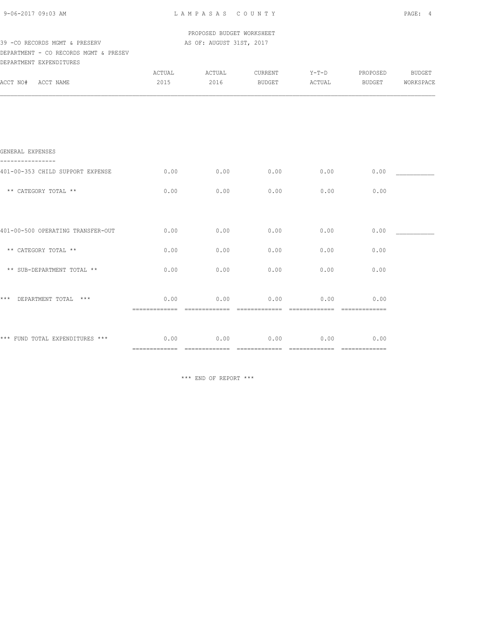PROPOSED BUDGET WORKSHEET

### 39 - CO RECORDS MGMT & PRESERV AS OF: AUGUST 31ST, 2017 DEPARTMENT - CO RECORDS MGMT & PRESEV

|          | DEPARTMENT EXPENDITURES |       |               |               |             |               |           |
|----------|-------------------------|-------|---------------|---------------|-------------|---------------|-----------|
|          |                         | CTUAL | <b>\CTUAL</b> | ~URRENT       | $V - T - D$ | PROPOSED      | BUDGET    |
| ACCT NO# | ACCT NAME               | 2015  | 2016          | <b>BUDGET</b> | ACTUAL      | <b>BUDGET</b> | WORKSPACE |

| GENERAL EXPENSES                  |                                       |                       |                       |                       |                                                                                                                                                                                                                                                                                                                                                                                                                                                                                                |  |
|-----------------------------------|---------------------------------------|-----------------------|-----------------------|-----------------------|------------------------------------------------------------------------------------------------------------------------------------------------------------------------------------------------------------------------------------------------------------------------------------------------------------------------------------------------------------------------------------------------------------------------------------------------------------------------------------------------|--|
| 401-00-353 CHILD SUPPORT EXPENSE  | 0.00                                  | 0.00                  | 0.00                  | 0.00                  | 0.00                                                                                                                                                                                                                                                                                                                                                                                                                                                                                           |  |
| ** CATEGORY TOTAL **              | 0.00                                  | 0.00                  | 0.00                  | 0.00                  | 0.00                                                                                                                                                                                                                                                                                                                                                                                                                                                                                           |  |
|                                   |                                       |                       |                       |                       |                                                                                                                                                                                                                                                                                                                                                                                                                                                                                                |  |
| 401-00-500 OPERATING TRANSFER-OUT | 0.00                                  | 0.00                  | 0.00                  | 0.00                  | 0.00                                                                                                                                                                                                                                                                                                                                                                                                                                                                                           |  |
| ** CATEGORY TOTAL **              | 0.00                                  | 0.00                  | 0.00                  | 0.00                  | 0.00                                                                                                                                                                                                                                                                                                                                                                                                                                                                                           |  |
| ** SUB-DEPARTMENT TOTAL **        | 0.00                                  | 0.00                  | 0.00                  | 0.00                  | 0.00                                                                                                                                                                                                                                                                                                                                                                                                                                                                                           |  |
|                                   |                                       |                       |                       |                       |                                                                                                                                                                                                                                                                                                                                                                                                                                                                                                |  |
| *** DEPARTMENT TOTAL<br>***       | 0.00<br>-------------                 | 0.00<br>============= | 0.00<br>============= | 0.00<br>============= | 0.00<br>=============                                                                                                                                                                                                                                                                                                                                                                                                                                                                          |  |
|                                   |                                       |                       |                       |                       |                                                                                                                                                                                                                                                                                                                                                                                                                                                                                                |  |
| *** FUND TOTAL EXPENDITURES ***   | 0.00<br>----------------------------- | 0.00                  | 0.00                  | 0.00<br>============= | 0.00<br>$\begin{array}{cccccccccccccc} \multicolumn{2}{c}{} & \multicolumn{2}{c}{} & \multicolumn{2}{c}{} & \multicolumn{2}{c}{} & \multicolumn{2}{c}{} & \multicolumn{2}{c}{} & \multicolumn{2}{c}{} & \multicolumn{2}{c}{} & \multicolumn{2}{c}{} & \multicolumn{2}{c}{} & \multicolumn{2}{c}{} & \multicolumn{2}{c}{} & \multicolumn{2}{c}{} & \multicolumn{2}{c}{} & \multicolumn{2}{c}{} & \multicolumn{2}{c}{} & \multicolumn{2}{c}{} & \multicolumn{2}{c}{} & \multicolumn{2}{c}{} & \$ |  |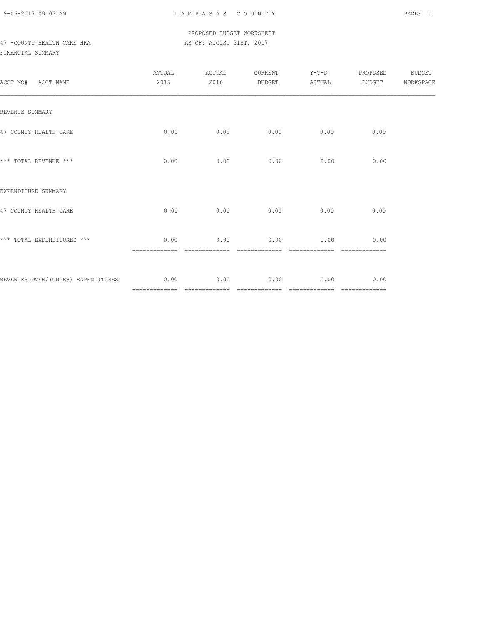9-06-2017 09:03 AM L A M P A S A S C O U N T Y PAGE: 1

### PROPOSED BUDGET WORKSHEET 47 -COUNTY HEALTH CARE HRA **AS OF: AUGUST 31ST, 2017**

| ACCT NO# ACCT NAME                      | ACTUAL<br>2015        | ACTUAL<br>2016        | CURRENT<br>BUDGET     | $Y-T-D$<br>ACTUAL     | PROPOSED<br>BUDGET    | BUDGET<br>WORKSPACE |
|-----------------------------------------|-----------------------|-----------------------|-----------------------|-----------------------|-----------------------|---------------------|
| REVENUE SUMMARY                         |                       |                       |                       |                       |                       |                     |
| 47 COUNTY HEALTH CARE                   | 0.00                  | 0.00                  | 0.00                  | 0.00                  | 0.00                  |                     |
| *** TOTAL REVENUE ***                   | 0.00                  | 0.00                  | 0.00                  | 0.00                  | 0.00                  |                     |
| EXPENDITURE SUMMARY                     |                       |                       |                       |                       |                       |                     |
| 47 COUNTY HEALTH CARE                   | 0.00                  | 0.00                  | 0.00                  | 0.00                  | 0.00                  |                     |
| *** TOTAL EXPENDITURES ***              | 0.00<br>============= | 0.00<br>============= | 0.00<br>============= | 0.00                  | 0.00                  |                     |
| REVENUES OVER/(UNDER) EXPENDITURES 0.00 |                       | $0.00$ 0.00           |                       | 0.00<br>============= | 0.00<br>============= |                     |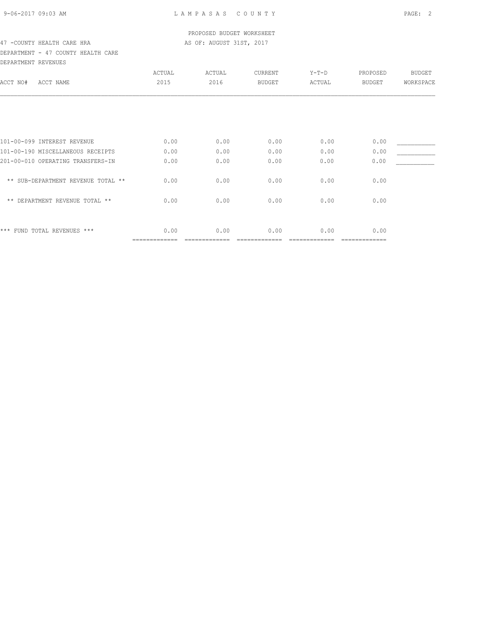### PROPOSED BUDGET WORKSHEET 47 -COUNTY HEALTH CARE HRA **AS OF: AUGUST 31ST, 2017**

### DEPARTMENT - 47 COUNTY HEALTH CARE DEPARTMENT REVENUES

| DELARITENI REVENUEJ                |                       |        |               |         |               |               |
|------------------------------------|-----------------------|--------|---------------|---------|---------------|---------------|
|                                    | ACTUAL                | ACTUAL | CURRENT       | $Y-T-D$ | PROPOSED      | <b>BUDGET</b> |
| ACCT NO#<br>ACCT NAME              | 2015                  | 2016   | <b>BUDGET</b> | ACTUAL  | <b>BUDGET</b> | WORKSPACE     |
|                                    |                       |        |               |         |               |               |
|                                    |                       |        |               |         |               |               |
| 101-00-099 INTEREST REVENUE        | 0.00                  | 0.00   | 0.00          | 0.00    | 0.00          |               |
| 101-00-190 MISCELLANEOUS RECEIPTS  | 0.00                  | 0.00   | 0.00          | 0.00    | 0.00          |               |
| 201-00-010 OPERATING TRANSFERS-IN  | 0.00                  | 0.00   | 0.00          | 0.00    | 0.00          |               |
| ** SUB-DEPARTMENT REVENUE TOTAL ** | 0.00                  | 0.00   | 0.00          | 0.00    | 0.00          |               |
| ** DEPARTMENT REVENUE TOTAL **     | 0.00                  | 0.00   | 0.00          | 0.00    | 0.00          |               |
|                                    |                       |        |               |         |               |               |
| *** FUND TOTAL REVENUES ***        | 0.00<br>============= | 0.00   | 0.00          | 0.00    | 0.00          |               |
|                                    |                       |        |               |         |               |               |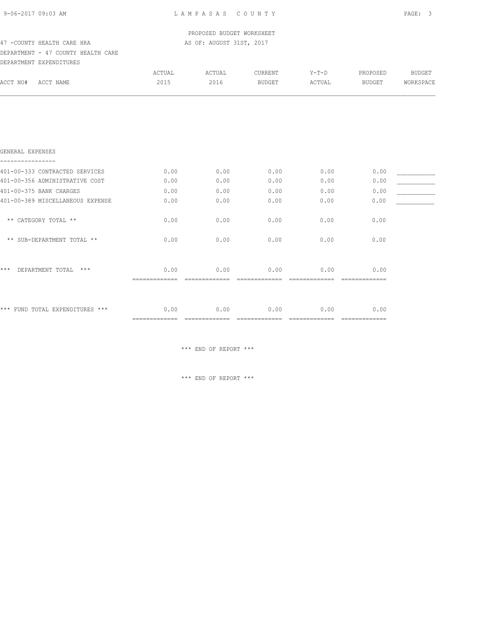PROPOSED BUDGET WORKSHEET 47 -COUNTY HEALTH CARE HRA AS OF: AUGUST 31ST, 2017

## DEPARTMENT - 47 COUNTY HEALTH CARE

|          | DEPARTMENT EXPENDITURES |        |       |          |        |          |          |
|----------|-------------------------|--------|-------|----------|--------|----------|----------|
|          |                         | ACTUAL | CTUAL | TURRENT. | Y-T-D  | PROPOSED | BUDGET   |
| ACCT NO# | ACCT NAME               | 2015   | 2016  | RUDGET   | ACTUAL | BUDGET   | ORKSPACE |
|          |                         |        |       |          |        |          |          |

| GENERAL EXPENSES                   |                       |      |      |      |      |  |
|------------------------------------|-----------------------|------|------|------|------|--|
| 401-00-333 CONTRACTED SERVICES     | 0.00                  | 0.00 | 0.00 | 0.00 | 0.00 |  |
| 401-00-356 ADMINISTRATIVE COST     | 0.00                  | 0.00 | 0.00 | 0.00 | 0.00 |  |
| 401-00-375 BANK CHARGES            | 0.00                  | 0.00 | 0.00 | 0.00 | 0.00 |  |
| 401-00-389 MISCELLANEOUS EXPENSE   | 0.00                  | 0.00 | 0.00 | 0.00 | 0.00 |  |
| ** CATEGORY TOTAL **               | 0.00                  | 0.00 | 0.00 | 0.00 | 0.00 |  |
| ** SUB-DEPARTMENT TOTAL **         | 0.00                  | 0.00 | 0.00 | 0.00 | 0.00 |  |
| $***$<br>$***$<br>DEPARTMENT TOTAL | 0.00                  | 0.00 | 0.00 | 0.00 | 0.00 |  |
| *** FUND TOTAL EXPENDITURES ***    | 0.00<br>============= | 0.00 | 0.00 | 0.00 | 0.00 |  |

\*\*\* END OF REPORT \*\*\*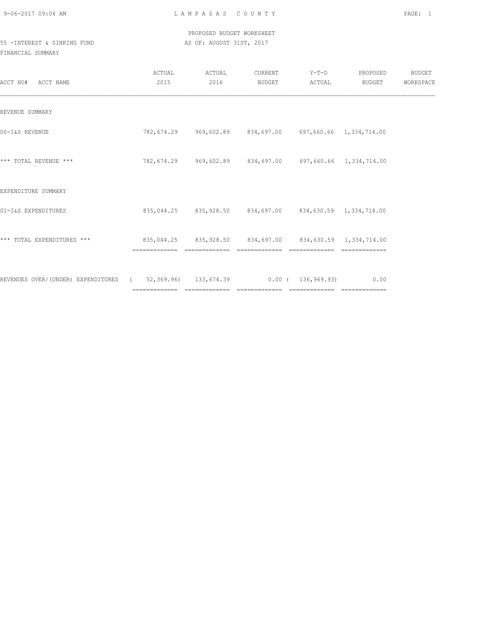9-06-2017 09:04 AM L A M P A S A S C O U N T Y PAGE: 1

### PROPOSED BUDGET WORKSHEET 55 -INTEREST & SINKING FUND **AS OF: AUGUST 31ST, 2017**

| ACCT NO#<br>ACCT NAME                                                       | ACTUAL<br>2015                                               | ACTUAL<br>2016 | CURRENT<br>BUDGET                                            | $Y-T-D$<br>ACTUAL | PROPOSED<br>BUDGET | BUDGET<br>WORKSPACE |
|-----------------------------------------------------------------------------|--------------------------------------------------------------|----------------|--------------------------------------------------------------|-------------------|--------------------|---------------------|
| REVENUE SUMMARY                                                             |                                                              |                |                                                              |                   |                    |                     |
| 00-I&S REVENUE                                                              |                                                              |                | 782,674.29  969,602.89  834,697.00  697,660.66  1,334,714.00 |                   |                    |                     |
| *** TOTAL REVENUE ***                                                       |                                                              |                | 782,674.29  969,602.89  834,697.00  697,660.66  1,334,714.00 |                   |                    |                     |
| EXPENDITURE SUMMARY                                                         |                                                              |                |                                                              |                   |                    |                     |
| 01-I&S EXPENDITURES                                                         |                                                              |                | 835,044.25 835,928.50 834,697.00 834,630.59 1,334,714.00     |                   |                    |                     |
| *** TOTAL EXPENDITURES ***                                                  | 835,044.25  835,928.50  834,697.00  834,630.59  1,334,714.00 |                |                                                              |                   |                    |                     |
| REVENUES OVER/(UNDER) EXPENDITURES (52,369.96) 133,674.39 0.00 (136,969.93) |                                                              |                |                                                              |                   | 0.00               |                     |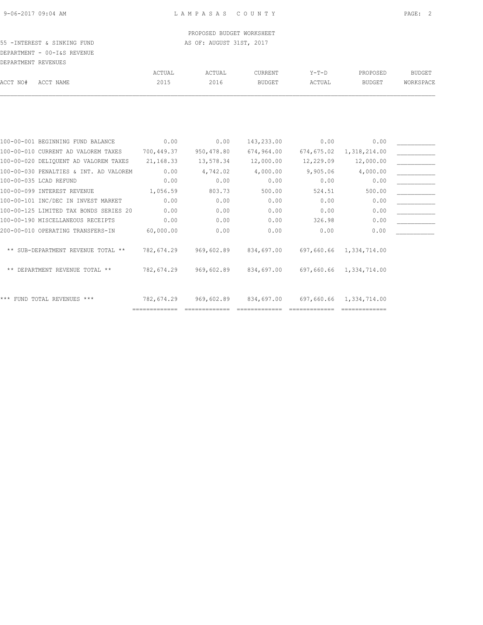### PROPOSED BUDGET WORKSHEET 55 -INTEREST & SINKING FUND **AS OF: AUGUST 31ST, 2017**

### DEPARTMENT - 00-I&S REVENUE DEPARTMENT REVENUES

|          |                                        | ACTUAL     | ACTUAL     | <b>CURRENT</b> | $Y-T-D$    | PROPOSED                | <b>BUDGET</b> |
|----------|----------------------------------------|------------|------------|----------------|------------|-------------------------|---------------|
| ACCT NO# | ACCT NAME                              | 2015       | 2016       | <b>BUDGET</b>  | ACTUAL     | <b>BUDGET</b>           | WORKSPACE     |
|          |                                        |            |            |                |            |                         |               |
|          |                                        |            |            |                |            |                         |               |
|          | 100-00-001 BEGINNING FUND BALANCE      | 0.00       | 0.00       | 143,233.00     | 0.00       | 0.00                    |               |
|          | 100-00-010 CURRENT AD VALOREM TAXES    | 700,449.37 | 950,478.80 | 674,964.00     | 674,675.02 | 1,318,214.00            |               |
|          | 100-00-020 DELIQUENT AD VALOREM TAXES  | 21,168.33  | 13,578.34  | 12,000.00      | 12,229.09  | 12,000.00               |               |
|          | 100-00-030 PENALTIES & INT. AD VALOREM | 0.00       | 4,742.02   | 4,000.00       | 9,905.06   | 4,000.00                |               |
|          | 100-00-035 LCAD REFUND                 | 0.00       | 0.00       | 0.00           | 0.00       | 0.00                    |               |
|          | 100-00-099 INTEREST REVENUE            | 1,056.59   | 803.73     | 500.00         | 524.51     | 500.00                  |               |
|          | 100-00-101 INC/DEC IN INVEST MARKET    | 0.00       | 0.00       | 0.00           | 0.00       | 0.00                    |               |
|          | 100-00-125 LIMITED TAX BONDS SERIES 20 | 0.00       | 0.00       | 0.00           | 0.00       | 0.00                    |               |
|          | 100-00-190 MISCELLANEOUS RECEIPTS      | 0.00       | 0.00       | 0.00           | 326.98     | 0.00                    |               |
|          | 200-00-010 OPERATING TRANSFERS-IN      | 60,000.00  | 0.00       | 0.00           | 0.00       | 0.00                    |               |
|          | ** SUB-DEPARTMENT REVENUE TOTAL **     | 782,674.29 | 969,602.89 | 834,697.00     | 697,660.66 | 1,334,714.00            |               |
|          | ** DEPARTMENT REVENUE TOTAL **         | 782,674.29 | 969,602.89 | 834,697.00     |            | 697,660.66 1,334,714.00 |               |
|          | *** FUND TOTAL REVENUES ***            | 782,674.29 | 969,602.89 | 834,697.00     |            | 697,660.66 1,334,714.00 |               |
|          |                                        |            |            |                |            |                         |               |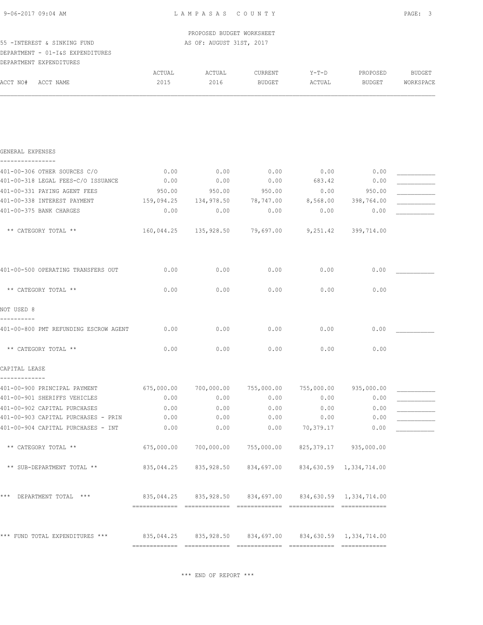|                             |  |                          | PROPOSED BUDGET WORKSHEET |
|-----------------------------|--|--------------------------|---------------------------|
| 55 -INTEREST & SINKING FUND |  | AS OF: AUGUST 31ST, 2017 |                           |

## DEPARTMENT - 01-I&S EXPENDITURES

|  | ____ |  |
|--|------|--|
|  |      |  |
|  |      |  |
|  |      |  |
|  |      |  |

|          | DEPARTMENT EXPENDITURES |        |        |         |        |          |           |
|----------|-------------------------|--------|--------|---------|--------|----------|-----------|
|          |                         | ACTUAL | ACTUAL | CURRENT | Y-T-D  | PROPOSED | BUDGET    |
| ACCT NO# | ACCT NAME               | 2015   | 2016   | BUDGET  | ACTUAL | BUDGET   | WORKSPACE |
|          |                         |        |        |         |        |          |           |
|          |                         |        |        |         |        |          |           |

| GENERAL EXPENSES                                                                  |                                                        |                                                          |      |           |            |  |
|-----------------------------------------------------------------------------------|--------------------------------------------------------|----------------------------------------------------------|------|-----------|------------|--|
| 401-00-306 OTHER SOURCES C/O                                                      | 0.00                                                   | 0.00                                                     | 0.00 | 0.00      | 0.00       |  |
| 401-00-318 LEGAL FEES-C/O ISSUANCE                                                | 0.00                                                   | 0.00                                                     | 0.00 | 683.42    | 0.00       |  |
| 401-00-331 PAYING AGENT FEES                                                      | 950.00                                                 | 950.00 950.00                                            |      | 0.00      | 950.00     |  |
| 401-00-338 INTEREST PAYMENT                                                       | 159,094.25 134,978.50 78,747.00 8,568.00 398,764.00    |                                                          |      |           |            |  |
| 401-00-375 BANK CHARGES                                                           | 0.00                                                   | $0.00$ 0.00                                              |      | 0.00      | 0.00       |  |
|                                                                                   |                                                        |                                                          |      |           |            |  |
| ** CATEGORY TOTAL **                                                              |                                                        | $160,044.25$ $135,928.50$ $79,697.00$ $9,251.42$         |      |           | 399,714.00 |  |
| 401-00-500 OPERATING TRANSFERS OUT                                                | 0.00                                                   | 0.00                                                     | 0.00 | 0.00      | 0.00       |  |
| ** CATEGORY TOTAL **                                                              | 0.00                                                   | 0.00                                                     | 0.00 | 0.00      | 0.00       |  |
| NOT USED 8                                                                        |                                                        |                                                          |      |           |            |  |
| 401-00-800 PMT REFUNDING ESCROW AGENT                                             | 0.00                                                   | 0.00                                                     | 0.00 | 0.00      | 0.00       |  |
| ** CATEGORY TOTAL **                                                              | 0.00                                                   | 0.00                                                     | 0.00 | 0.00      | 0.00       |  |
| CAPITAL LEASE<br>-------------                                                    |                                                        |                                                          |      |           |            |  |
| 401-00-900 PRINCIPAL PAYMENT                                                      | 675,000.00 700,000.00 755,000.00 755,000.00 935,000.00 |                                                          |      |           |            |  |
| 401-00-901 SHERIFFS VEHICLES                                                      | 0.00                                                   | 0.00                                                     | 0.00 | 0.00      | 0.00       |  |
| 401-00-902 CAPITAL PURCHASES                                                      | 0.00                                                   | 0.00                                                     | 0.00 | 0.00      | 0.00       |  |
| 401-00-903 CAPITAL PURCHASES - PRIN                                               | 0.00                                                   | 0.00                                                     | 0.00 | 0.00      | 0.00       |  |
| 401-00-904 CAPITAL PURCHASES - INT                                                | 0.00                                                   | 0.00                                                     | 0.00 | 70,379.17 | 0.00       |  |
| ** CATEGORY TOTAL **                                                              | 675,000.00                                             | 700,000.00 755,000.00 825,379.17 935,000.00              |      |           |            |  |
| ** SUB-DEPARTMENT TOTAL **                                                        |                                                        | 835,044.25 835,928.50 834,697.00 834,630.59 1,334,714.00 |      |           |            |  |
| *** DEPARTMENT TOTAL *** 635,044.25 835,928.50 834,697.00 834,630.59 1,334,714.00 |                                                        |                                                          |      |           |            |  |

\*\*\* FUND TOTAL EXPENDITURES \*\*\* 835,044.25 835,928.50 834,697.00 834,630.59 1,334,714.00 ============= ============= ============= ============= =============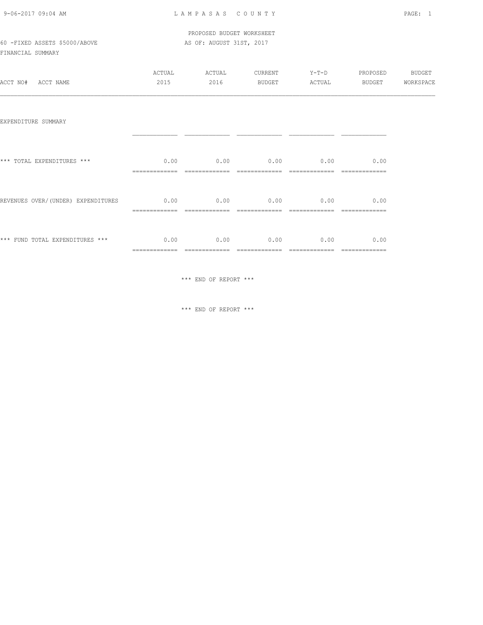### PROPOSED BUDGET WORKSHEET 60 -FIXED ASSETS \$5000/ABOVE AS OF: AUGUST 31ST, 2017

FINANCIAL SUMMARY

| ACCT NO# ACCT NAME                                                           | ACTUAL<br>2015 | ACTUAL CURRENT Y-T-D PROPOSED<br>2016            |               | BUDGET ACTUAL                                       | BUDGET        | <b>BUDGET</b><br>WORKSPACE |
|------------------------------------------------------------------------------|----------------|--------------------------------------------------|---------------|-----------------------------------------------------|---------------|----------------------------|
| EXPENDITURE SUMMARY                                                          |                |                                                  |               |                                                     |               |                            |
| *** TOTAL EXPENDITURES ***                                                   |                | $0.00$ $0.00$ $0.00$ $0.00$ $0.00$ $0.00$ $0.00$ |               |                                                     |               |                            |
| REVENUES OVER/(UNDER) EXPENDITURES $0.00$ $0.00$ $0.00$ $0.00$ $0.00$ $0.00$ |                |                                                  |               |                                                     |               |                            |
| *** FUND TOTAL EXPENDITURES *** 0.00                                         | =============  | -------------                                    | ============= | $0.00$ $0.00$ $0.00$ $0.00$ $0.00$<br>------------- | ============= |                            |

\*\*\* END OF REPORT \*\*\*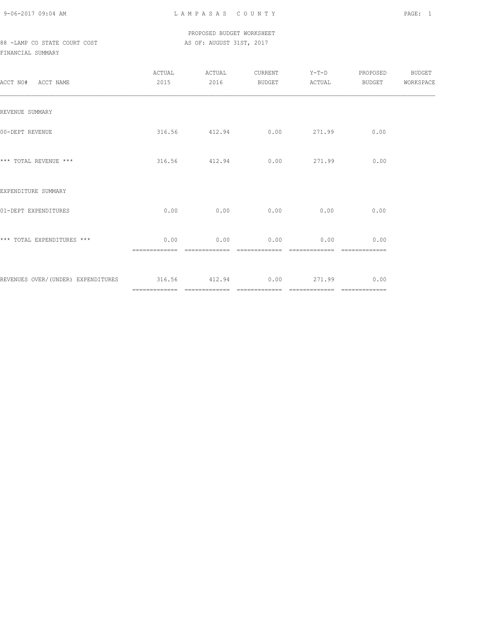9-06-2017 09:04 AM L A M P A S A S C O U N T Y PAGE: 1

### PROPOSED BUDGET WORKSHEET 88 -LAMP CO STATE COURT COST AS OF: AUGUST 31ST, 2017

| ACCT NO# ACCT NAME                                           | ACTUAL<br>2015 | ACTUAL<br>2016 | CURRENT<br>BUDGET | ACTUAL           | Y-T-D PROPOSED<br><b>BUDGET</b> | BUDGET<br>WORKSPACE |
|--------------------------------------------------------------|----------------|----------------|-------------------|------------------|---------------------------------|---------------------|
| REVENUE SUMMARY                                              |                |                |                   |                  |                                 |                     |
| 00-DEPT REVENUE                                              |                | 316.56 412.94  |                   | $0.00$ 271.99    | 0.00                            |                     |
| *** TOTAL REVENUE ***                                        |                | 316.56 412.94  |                   | $0.00$ 271.99    | 0.00                            |                     |
| EXPENDITURE SUMMARY                                          |                |                |                   |                  |                                 |                     |
| 01-DEPT EXPENDITURES                                         | 0.00           |                |                   | $0.00$ 0.00 0.00 | 0.00                            |                     |
| *** TOTAL EXPENDITURES ***                                   | 0.00           | 0.00           | 0.00              | 0.00             | 0.00                            |                     |
| REVENUES OVER/(UNDER) EXPENDITURES 316.56 412.94 0.00 271.99 |                |                | --------------    | $22222222222222$ | 0.00<br>=============           |                     |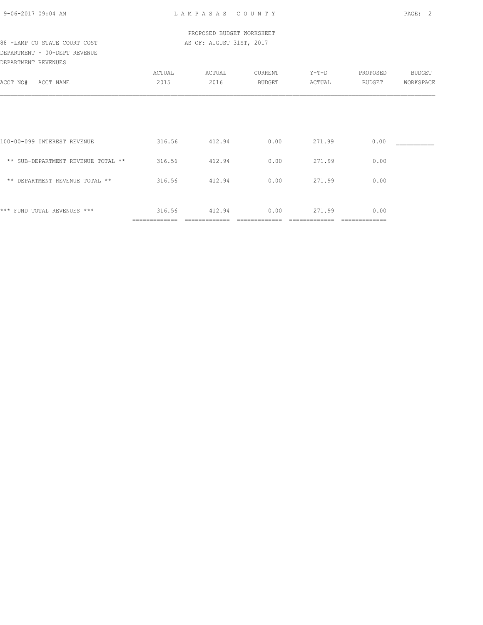### PROPOSED BUDGET WORKSHEET 88 -LAMP CO STATE COURT COST AS OF: AUGUST 31ST, 2017

DEPARTMENT - 00-DEPT REVENUE DEPARTMENT REVENUES

|                                    | ACTUAL | ACTUAL | CURRENT | $Y-T-D$ | PROPOSED | BUDGET    |
|------------------------------------|--------|--------|---------|---------|----------|-----------|
| ACCT NO#<br>ACCT NAME              | 2015   | 2016   | BUDGET  | ACTUAL  | BUDGET   | WORKSPACE |
|                                    |        |        |         |         |          |           |
|                                    |        |        |         |         |          |           |
|                                    |        |        |         |         |          |           |
|                                    |        |        |         |         |          |           |
|                                    |        |        |         |         |          |           |
| 100-00-099 INTEREST REVENUE        | 316.56 | 412.94 | 0.00    | 271.99  | 0.00     |           |
| ** SUB-DEPARTMENT REVENUE TOTAL ** | 316.56 | 412.94 | 0.00    | 271.99  | 0.00     |           |
|                                    |        |        |         |         |          |           |
| ** DEPARTMENT REVENUE TOTAL **     | 316.56 | 412.94 | 0.00    | 271.99  | 0.00     |           |
|                                    |        |        |         |         |          |           |
|                                    |        |        |         |         |          |           |
| *** FUND TOTAL REVENUES ***        | 316.56 | 412.94 | 0.00    | 271.99  | 0.00     |           |
|                                    |        |        |         |         |          |           |